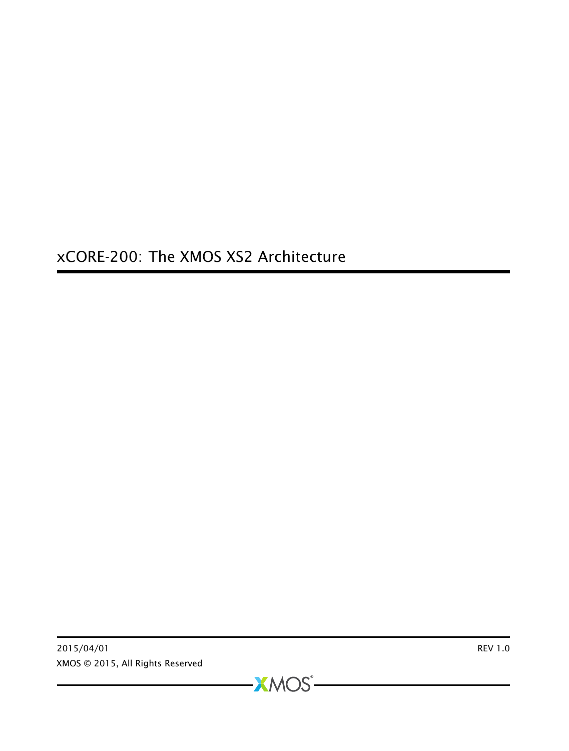xCORE-200: The XMOS XS2 Architecture

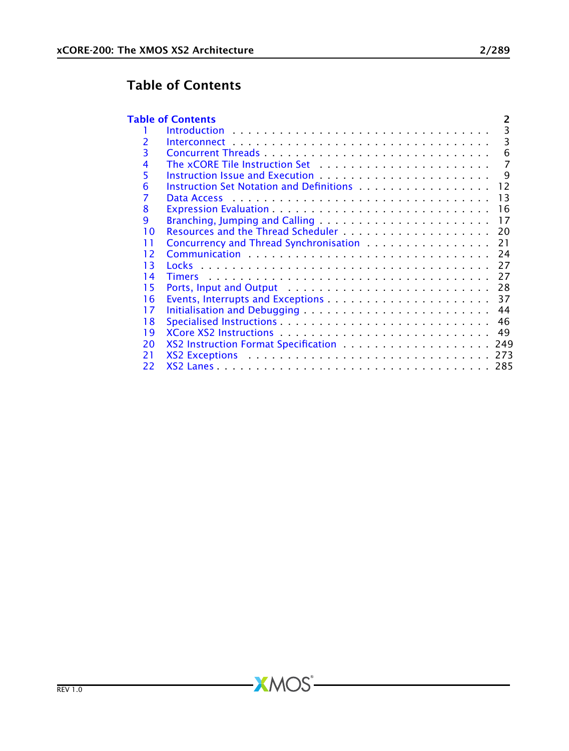# Table of Contents

<span id="page-1-0"></span>

|    | <b>Table of Contents</b><br>2                                                                                                                                                                                                  |
|----|--------------------------------------------------------------------------------------------------------------------------------------------------------------------------------------------------------------------------------|
|    | 3<br>$Introduction \ldots \ldots \ldots \ldots \ldots \ldots \ldots \ldots \ldots \ldots \ldots$                                                                                                                               |
| 2  | 3                                                                                                                                                                                                                              |
| 3  | 6                                                                                                                                                                                                                              |
| 4  | The xCORE Tile Instruction Set enterprise versus research and the xCORE Tile Instruction Set enterprise versus research.<br>7                                                                                                  |
| 5  | q                                                                                                                                                                                                                              |
| 6  | Instruction Set Notation and Definitions entitled by entertaining the set of the line<br>12                                                                                                                                    |
| 7  | 13<br>Data Access research research and the contract of the contract of the Data Access                                                                                                                                        |
| 8  | 16                                                                                                                                                                                                                             |
| 9  | Branching, Jumping and Calling<br>17                                                                                                                                                                                           |
| 10 | 20                                                                                                                                                                                                                             |
| 11 | Concurrency and Thread Synchronisation <b>Concurrency</b> and Thread Synchronisation<br>21                                                                                                                                     |
| 12 | 24                                                                                                                                                                                                                             |
| 13 | 27                                                                                                                                                                                                                             |
| 14 | 27                                                                                                                                                                                                                             |
| 15 | Ports, Input and Output (and all and all and all and all and all and all and all and all and all and all and a<br>28                                                                                                           |
| 16 | 37                                                                                                                                                                                                                             |
| 17 | 44                                                                                                                                                                                                                             |
| 18 | 46                                                                                                                                                                                                                             |
| 19 | 49                                                                                                                                                                                                                             |
| 20 | XS2 Instruction Format Specification  249                                                                                                                                                                                      |
| 21 | XS2 Exceptions extension of the extension of the extension of the extension of the extendion of the extendion of the extendion of the extendion of the extendion of the extendion of the extendion of the extendion of the ext |
| 22 |                                                                                                                                                                                                                                |

-XMOS<sup>®</sup>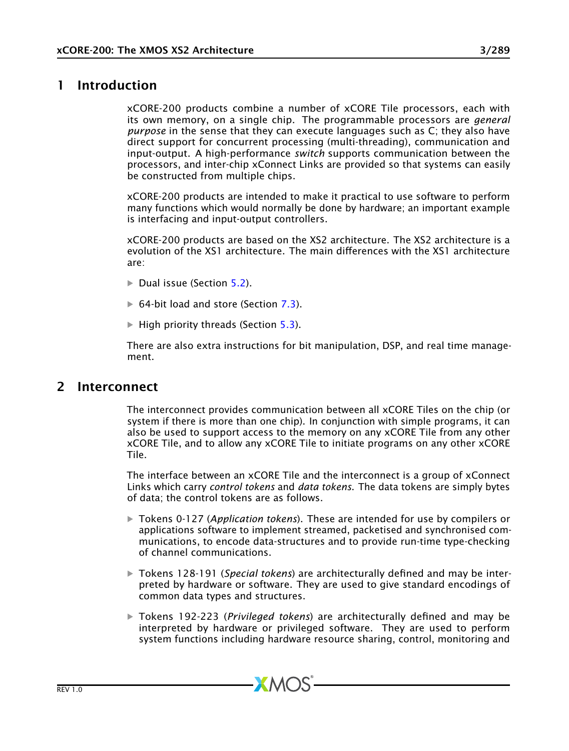# 1 Introduction

<span id="page-2-0"></span>xCORE-200 products combine a number of xCORE Tile processors, each with its own memory, on a single chip. The programmable processors are *general purpose* in the sense that they can execute languages such as C; they also have direct support for concurrent processing (multi-threading), communication and input-output. A high-performance *switch* supports communication between the processors, and inter-chip xConnect Links are provided so that systems can easily be constructed from multiple chips.

xCORE-200 products are intended to make it practical to use software to perform many functions which would normally be done by hardware; an important example is interfacing and input-output controllers.

xCORE-200 products are based on the XS2 architecture. The XS2 architecture is a evolution of the XS1 architecture. The main differences with the XS1 architecture are:

- $\triangleright$  Dual issue (Section [5.2\)](#page-10-0).
- $\triangleright$  64-bit load and store (Section [7.3\)](#page-14-0).
- $\blacktriangleright$  High priority threads (Section [5.3\)](#page-11-1).

<span id="page-2-1"></span>There are also extra instructions for bit manipulation, DSP, and real time management.

## 2 Interconnect

The interconnect provides communication between all xCORE Tiles on the chip (or system if there is more than one chip). In conjunction with simple programs, it can also be used to support access to the memory on any xCORE Tile from any other xCORE Tile, and to allow any xCORE Tile to initiate programs on any other xCORE Tile.

The interface between an xCORE Tile and the interconnect is a group of xConnect Links which carry *control tokens* and *data tokens*. The data tokens are simply bytes of data; the control tokens are as follows.

- · Tokens 0-127 (*Application tokens*). These are intended for use by compilers or applications software to implement streamed, packetised and synchronised communications, to encode data-structures and to provide run-time type-checking of channel communications.
- · Tokens 128-191 (*Special tokens*) are architecturally defined and may be interpreted by hardware or software. They are used to give standard encodings of common data types and structures.
- · Tokens 192-223 (*Privileged tokens*) are architecturally defined and may be interpreted by hardware or privileged software. They are used to perform system functions including hardware resource sharing, control, monitoring and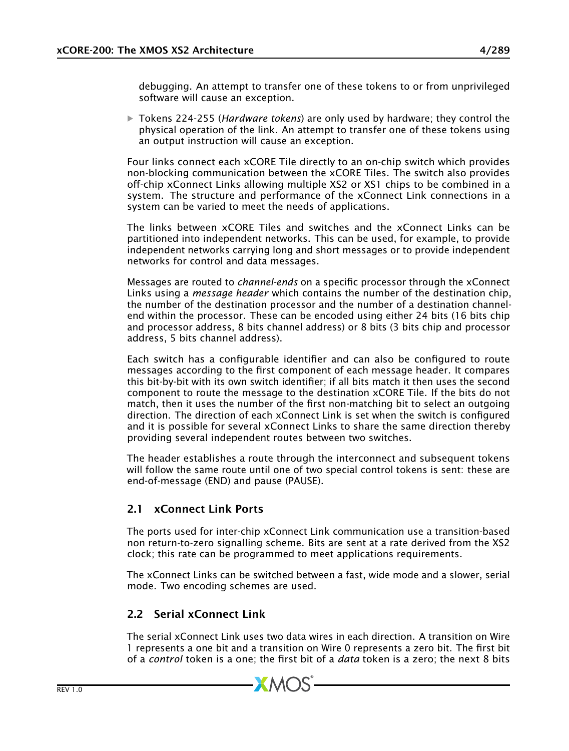debugging. An attempt to transfer one of these tokens to or from unprivileged software will cause an exception.

· Tokens 224-255 (*Hardware tokens*) are only used by hardware; they control the physical operation of the link. An attempt to transfer one of these tokens using an output instruction will cause an exception.

Four links connect each xCORE Tile directly to an on-chip switch which provides non-blocking communication between the xCORE Tiles. The switch also provides off-chip xConnect Links allowing multiple XS2 or XS1 chips to be combined in a system. The structure and performance of the xConnect Link connections in a system can be varied to meet the needs of applications.

The links between xCORE Tiles and switches and the xConnect Links can be partitioned into independent networks. This can be used, for example, to provide independent networks carrying long and short messages or to provide independent networks for control and data messages.

Messages are routed to *channel-ends* on a specific processor through the xConnect Links using a *message header* which contains the number of the destination chip, the number of the destination processor and the number of a destination channelend within the processor. These can be encoded using either 24 bits (16 bits chip and processor address, 8 bits channel address) or 8 bits (3 bits chip and processor address, 5 bits channel address).

Each switch has a configurable identifier and can also be configured to route messages according to the first component of each message header. It compares this bit-by-bit with its own switch identifier; if all bits match it then uses the second component to route the message to the destination xCORE Tile. If the bits do not match, then it uses the number of the first non-matching bit to select an outgoing direction. The direction of each xConnect Link is set when the switch is configured and it is possible for several xConnect Links to share the same direction thereby providing several independent routes between two switches.

The header establishes a route through the interconnect and subsequent tokens will follow the same route until one of two special control tokens is sent: these are end-of-message (END) and pause (PAUSE).

## 2.1 xConnect Link Ports

The ports used for inter-chip xConnect Link communication use a transition-based non return-to-zero signalling scheme. Bits are sent at a rate derived from the XS2 clock; this rate can be programmed to meet applications requirements.

The xConnect Links can be switched between a fast, wide mode and a slower, serial mode. Two encoding schemes are used.

## 2.2 Serial xConnect Link

The serial xConnect Link uses two data wires in each direction. A transition on Wire 1 represents a one bit and a transition on Wire 0 represents a zero bit. The first bit of a *control* token is a one; the first bit of a *data* token is a zero; the next 8 bits

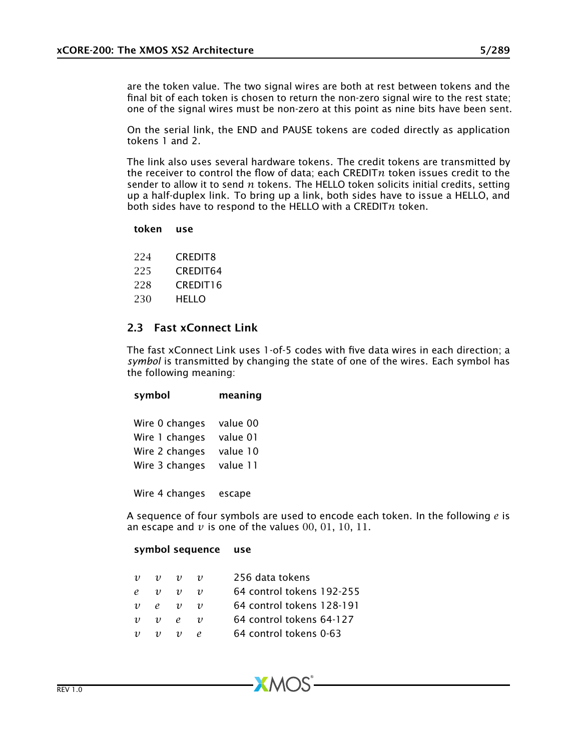are the token value. The two signal wires are both at rest between tokens and the final bit of each token is chosen to return the non-zero signal wire to the rest state; one of the signal wires must be non-zero at this point as nine bits have been sent.

On the serial link, the END and PAUSE tokens are coded directly as application tokens 1 and 2.

The link also uses several hardware tokens. The credit tokens are transmitted by the receiver to control the flow of data; each CREDIT*n* token issues credit to the sender to allow it to send *n* tokens. The HELLO token solicits initial credits, setting up a half-duplex link. To bring up a link, both sides have to issue a HELLO, and both sides have to respond to the HELLO with a CREDIT*n* token.

### token use

224 CREDIT8

- 225 CREDIT64
- 228 CREDIT16
- 230 HELLO

### 2.3 Fast xConnect Link

The fast xConnect Link uses 1-of-5 codes with five data wires in each direction; a *symbol* is transmitted by changing the state of one of the wires. Each symbol has the following meaning:

| symbol                                                               | meaning                                      |
|----------------------------------------------------------------------|----------------------------------------------|
| Wire 0 changes<br>Wire 1 changes<br>Wire 2 changes<br>Wire 3 changes | value 00<br>value 01<br>value 10<br>value 11 |
|                                                                      |                                              |

Wire 4 changes escape

A sequence of four symbols are used to encode each token. In the following *e* is an escape and  $\nu$  is one of the values 00, 01, 10, 11.

### symbol sequence use

| $\upsilon$ | $v \quad v$         |                     | $\boldsymbol{\eta}$ | 256 data tokens           |
|------------|---------------------|---------------------|---------------------|---------------------------|
|            | $\rho \quad v$      | $\eta$              | $\boldsymbol{\eta}$ | 64 control tokens 192-255 |
|            | $v$ e               | $\upsilon$          | $\boldsymbol{\eta}$ | 64 control tokens 128-191 |
| $\upsilon$ | $v$ $e$             |                     | $\boldsymbol{\eta}$ | 64 control tokens 64-127  |
| $\upsilon$ | $\boldsymbol{\eta}$ | $\boldsymbol{\eta}$ | $\rho$              | 64 control tokens 0-63    |
|            |                     |                     |                     |                           |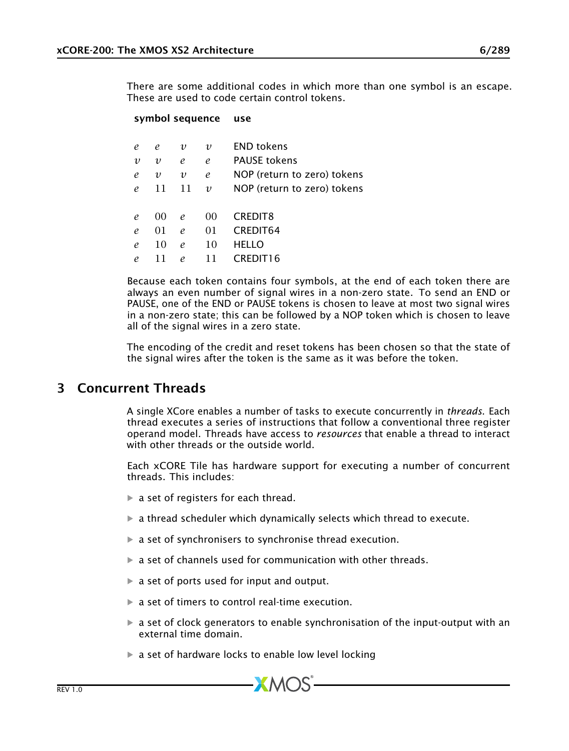There are some additional codes in which more than one symbol is an escape. These are used to code certain control tokens.

#### symbol sequence use

| $\mathfrak{e}$ | e                | υ              | $\upsilon$              | <b>END tokens</b>           |
|----------------|------------------|----------------|-------------------------|-----------------------------|
| $\upsilon$     | $\upsilon$       | $\mathfrak{e}$ | $\mathfrak{e}$          | <b>PAUSE tokens</b>         |
| $\mathfrak{e}$ | $\boldsymbol{v}$ | $\upsilon$     | $\mathcal{C}_{0}$       | NOP (return to zero) tokens |
| $\mathfrak{e}$ | 11               | 11             | $\boldsymbol{\upsilon}$ | NOP (return to zero) tokens |
|                |                  |                |                         |                             |
| $\mathfrak{e}$ | $($ $()()$       | e              | 00                      | CREDIT8                     |
| $\mathfrak{e}$ | 01               | e              | 01                      | <b>CREDIT64</b>             |
| $\mathfrak{e}$ | 10               | e              | 10                      | <b>HELLO</b>                |
| $\mathfrak{e}$ | 11               | e              | 11                      | CREDIT16                    |
|                |                  |                |                         |                             |

Because each token contains four symbols, at the end of each token there are always an even number of signal wires in a non-zero state. To send an END or PAUSE, one of the END or PAUSE tokens is chosen to leave at most two signal wires in a non-zero state; this can be followed by a NOP token which is chosen to leave all of the signal wires in a zero state.

<span id="page-5-0"></span>The encoding of the credit and reset tokens has been chosen so that the state of the signal wires after the token is the same as it was before the token.

## 3 Concurrent Threads

A single XCore enables a number of tasks to execute concurrently in *threads*. Each thread executes a series of instructions that follow a conventional three register operand model. Threads have access to *resources* that enable a thread to interact with other threads or the outside world.

Each xCORE Tile has hardware support for executing a number of concurrent threads. This includes:

- $\triangleright$  a set of registers for each thread.
- $\triangleright$  a thread scheduler which dynamically selects which thread to execute.
- $\triangleright$  a set of synchronisers to synchronise thread execution.
- $\triangleright$  a set of channels used for communication with other threads.
- $\triangleright$  a set of ports used for input and output.
- $\triangleright$  a set of timers to control real-time execution.
- $\triangleright$  a set of clock generators to enable synchronisation of the input-output with an external time domain.
- $\triangleright$  a set of hardware locks to enable low level locking

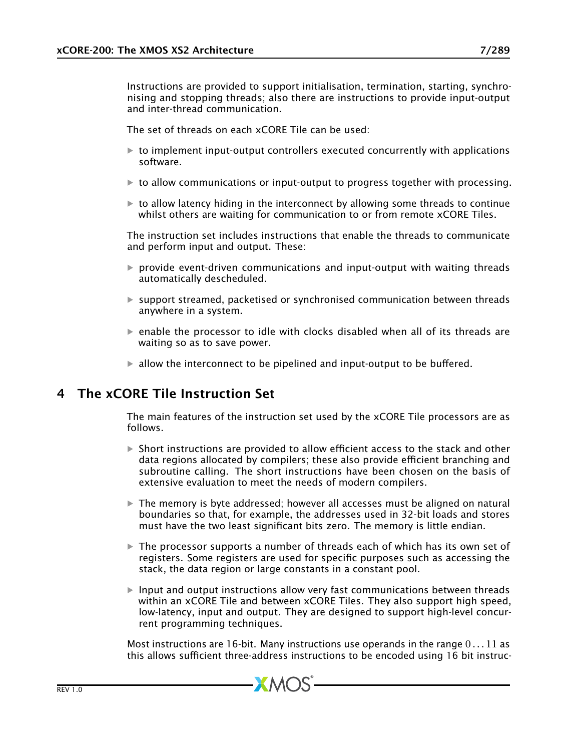Instructions are provided to support initialisation, termination, starting, synchronising and stopping threads; also there are instructions to provide input-output and inter-thread communication.

The set of threads on each xCORE Tile can be used:

- $\triangleright$  to implement input-output controllers executed concurrently with applications software.
- $\triangleright$  to allow communications or input-output to progress together with processing.
- $\triangleright$  to allow latency hiding in the interconnect by allowing some threads to continue whilst others are waiting for communication to or from remote xCORE Tiles.

The instruction set includes instructions that enable the threads to communicate and perform input and output. These:

- $\triangleright$  provide event-driven communications and input-output with waiting threads automatically descheduled.
- $\triangleright$  support streamed, packetised or synchronised communication between threads anywhere in a system.
- $\blacktriangleright$  enable the processor to idle with clocks disabled when all of its threads are waiting so as to save power.
- <span id="page-6-0"></span> $\blacktriangleright$  allow the interconnect to be pipelined and input-output to be buffered.

# 4 The xCORE Tile Instruction Set

The main features of the instruction set used by the xCORE Tile processors are as follows.

- $\triangleright$  Short instructions are provided to allow efficient access to the stack and other data regions allocated by compilers; these also provide efficient branching and subroutine calling. The short instructions have been chosen on the basis of extensive evaluation to meet the needs of modern compilers.
- $\triangleright$  The memory is byte addressed; however all accesses must be aligned on natural boundaries so that, for example, the addresses used in 32-bit loads and stores must have the two least significant bits zero. The memory is little endian.
- $\triangleright$  The processor supports a number of threads each of which has its own set of registers. Some registers are used for specific purposes such as accessing the stack, the data region or large constants in a constant pool.
- $\blacktriangleright$  Input and output instructions allow very fast communications between threads within an xCORE Tile and between xCORE Tiles. They also support high speed, low-latency, input and output. They are designed to support high-level concurrent programming techniques.

Most instructions are 16-bit. Many instructions use operands in the range 0 *. . .* 11 as this allows sufficient three-address instructions to be encoded using 16 bit instruc-

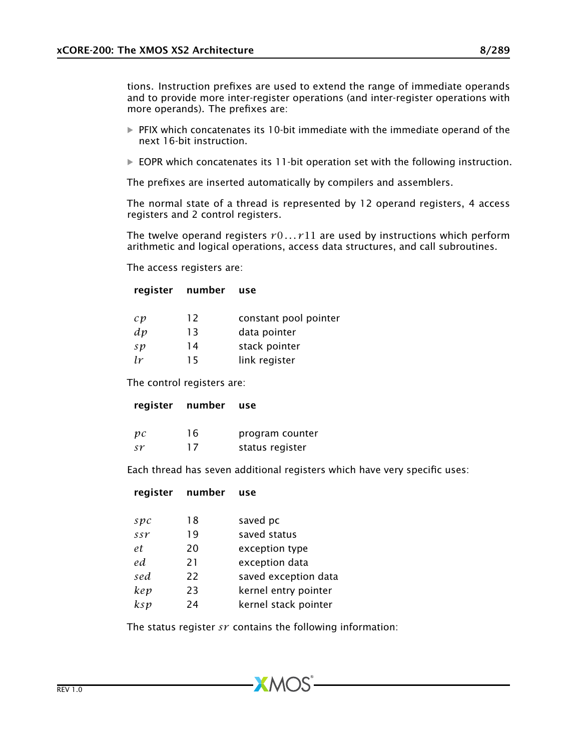tions. Instruction prefixes are used to extend the range of immediate operands and to provide more inter-register operations (and inter-register operations with more operands). The prefixes are:

- $\triangleright$  PFIX which concatenates its 10-bit immediate with the immediate operand of the next 16-bit instruction.
- $\triangleright$  EOPR which concatenates its 11-bit operation set with the following instruction.

The prefixes are inserted automatically by compilers and assemblers.

The normal state of a thread is represented by 12 operand registers, 4 access registers and 2 control registers.

The twelve operand registers  $r0...r11$  are used by instructions which perform arithmetic and logical operations, access data structures, and call subroutines.

The access registers are:

### register number use

| $\mathcal{C} \mathcal{V}$ | 12 | constant pool pointer |
|---------------------------|----|-----------------------|
| dp                        | 13 | data pointer          |
| sp                        | 14 | stack pointer         |
| lr                        | 15 | link register         |

The control registers are:

#### register number use

| pc | 16 | program counter |
|----|----|-----------------|
| sr | 17 | status register |

Each thread has seven additional registers which have very specific uses:

### register number use

| Spc | 18 | saved pc             |
|-----|----|----------------------|
| ssr | 19 | saved status         |
| et  | 20 | exception type       |
| ed. | 21 | exception data       |
| sed | 22 | saved exception data |
| kep | 23 | kernel entry pointer |
| ksp | 24 | kernel stack pointer |
|     |    |                      |

The status register *sr* contains the following information: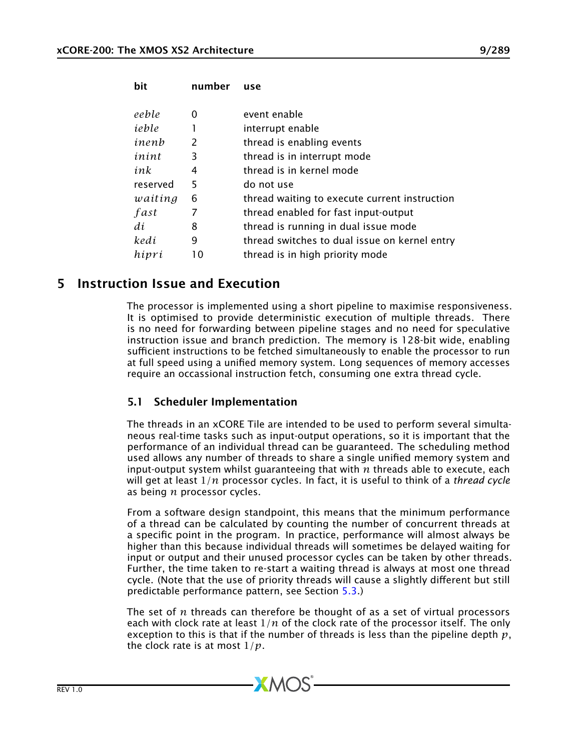| bit      | number | use                                           |
|----------|--------|-----------------------------------------------|
| eeble    | 0      | event enable                                  |
| ieble    |        | interrupt enable                              |
| inenb    | 2      | thread is enabling events                     |
| inint    | 3      | thread is in interrupt mode                   |
| ink      | 4      | thread is in kernel mode                      |
| reserved | 5      | do not use                                    |
| waiting  | 6      | thread waiting to execute current instruction |
| fast     | 7      | thread enabled for fast input-output          |
| di       | 8      | thread is running in dual issue mode          |
| kedi     | 9      | thread switches to dual issue on kernel entry |
| hipri    | 10     | thread is in high priority mode               |

# 5 Instruction Issue and Execution

<span id="page-8-0"></span>The processor is implemented using a short pipeline to maximise responsiveness. It is optimised to provide deterministic execution of multiple threads. There is no need for forwarding between pipeline stages and no need for speculative instruction issue and branch prediction. The memory is 128-bit wide, enabling sufficient instructions to be fetched simultaneously to enable the processor to run at full speed using a unified memory system. Long sequences of memory accesses require an occassional instruction fetch, consuming one extra thread cycle.

## 5.1 Scheduler Implementation

The threads in an xCORE Tile are intended to be used to perform several simultaneous real-time tasks such as input-output operations, so it is important that the performance of an individual thread can be guaranteed. The scheduling method used allows any number of threads to share a single unified memory system and input-output system whilst guaranteeing that with *n* threads able to execute, each will get at least 1*/n* processor cycles. In fact, it is useful to think of a *thread cycle* as being *n* processor cycles.

From a software design standpoint, this means that the minimum performance of a thread can be calculated by counting the number of concurrent threads at a specific point in the program. In practice, performance will almost always be higher than this because individual threads will sometimes be delayed waiting for input or output and their unused processor cycles can be taken by other threads. Further, the time taken to re-start a waiting thread is always at most one thread cycle. (Note that the use of priority threads will cause a slightly different but still predictable performance pattern, see Section [5.3.](#page-11-1))

The set of *n* threads can therefore be thought of as a set of virtual processors each with clock rate at least 1*/n* of the clock rate of the processor itself. The only exception to this is that if the number of threads is less than the pipeline depth *p*, the clock rate is at most 1*/p*.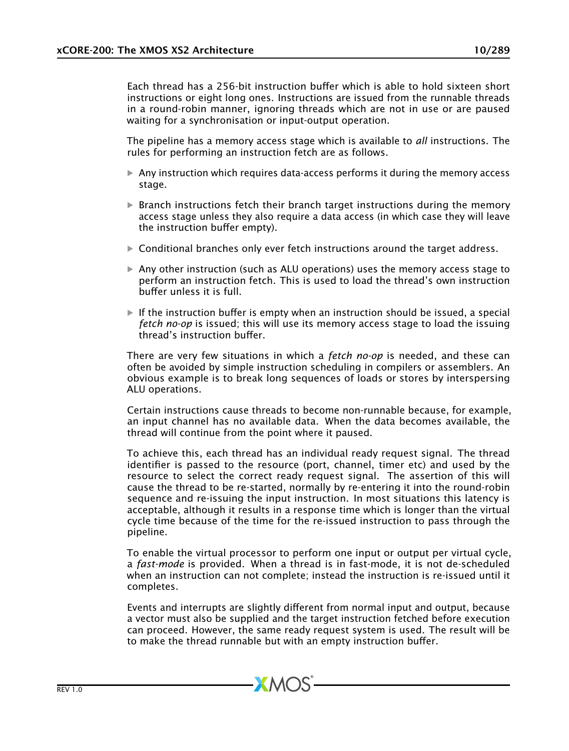Each thread has a 256-bit instruction buffer which is able to hold sixteen short instructions or eight long ones. Instructions are issued from the runnable threads in a round-robin manner, ignoring threads which are not in use or are paused waiting for a synchronisation or input-output operation.

The pipeline has a memory access stage which is available to *all* instructions. The rules for performing an instruction fetch are as follows.

- $\triangleright$  Any instruction which requires data-access performs it during the memory access stage.
- $\triangleright$  Branch instructions fetch their branch target instructions during the memory access stage unless they also require a data access (in which case they will leave the instruction buffer empty).
- $\triangleright$  Conditional branches only ever fetch instructions around the target address.
- $\triangleright$  Any other instruction (such as ALU operations) uses the memory access stage to perform an instruction fetch. This is used to load the thread's own instruction buffer unless it is full.
- $\blacktriangleright$  If the instruction buffer is empty when an instruction should be issued, a special *fetch no-op* is issued; this will use its memory access stage to load the issuing thread's instruction buffer.

There are very few situations in which a *fetch no-op* is needed, and these can often be avoided by simple instruction scheduling in compilers or assemblers. An obvious example is to break long sequences of loads or stores by interspersing ALU operations.

Certain instructions cause threads to become non-runnable because, for example, an input channel has no available data. When the data becomes available, the thread will continue from the point where it paused.

To achieve this, each thread has an individual ready request signal. The thread identifier is passed to the resource (port, channel, timer etc) and used by the resource to select the correct ready request signal. The assertion of this will cause the thread to be re-started, normally by re-entering it into the round-robin sequence and re-issuing the input instruction. In most situations this latency is acceptable, although it results in a response time which is longer than the virtual cycle time because of the time for the re-issued instruction to pass through the pipeline.

To enable the virtual processor to perform one input or output per virtual cycle, a *fast-mode* is provided. When a thread is in fast-mode, it is not de-scheduled when an instruction can not complete; instead the instruction is re-issued until it completes.

Events and interrupts are slightly different from normal input and output, because a vector must also be supplied and the target instruction fetched before execution can proceed. However, the same ready request system is used. The result will be to make the thread runnable but with an empty instruction buffer.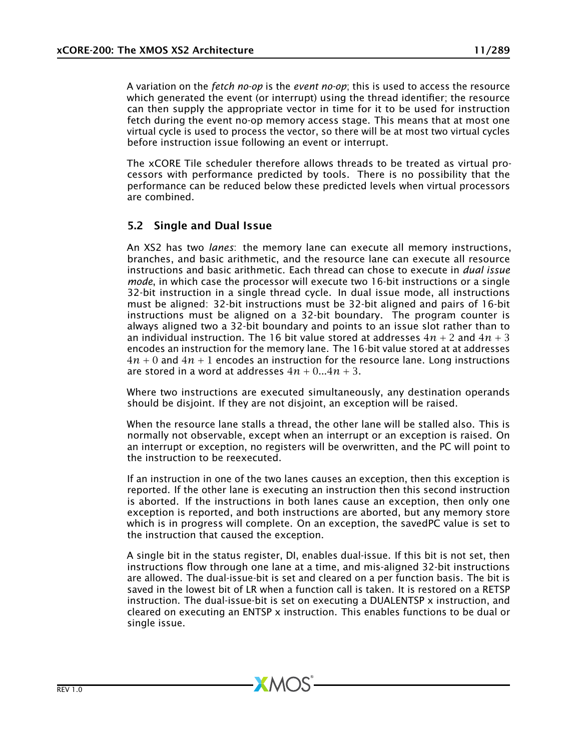A variation on the *fetch no-op* is the *event no-op*; this is used to access the resource which generated the event (or interrupt) using the thread identifier; the resource can then supply the appropriate vector in time for it to be used for instruction fetch during the event no-op memory access stage. This means that at most one virtual cycle is used to process the vector, so there will be at most two virtual cycles before instruction issue following an event or interrupt.

The xCORE Tile scheduler therefore allows threads to be treated as virtual processors with performance predicted by tools. There is no possibility that the performance can be reduced below these predicted levels when virtual processors are combined.

## <span id="page-10-0"></span>5.2 Single and Dual Issue

An XS2 has two *lanes*: the memory lane can execute all memory instructions, branches, and basic arithmetic, and the resource lane can execute all resource instructions and basic arithmetic. Each thread can chose to execute in *dual issue mode*, in which case the processor will execute two 16-bit instructions or a single 32-bit instruction in a single thread cycle. In dual issue mode, all instructions must be aligned: 32-bit instructions must be 32-bit aligned and pairs of 16-bit instructions must be aligned on a 32-bit boundary. The program counter is always aligned two a 32-bit boundary and points to an issue slot rather than to an individual instruction. The 16 bit value stored at addresses  $4n + 2$  and  $4n + 3$ encodes an instruction for the memory lane. The 16-bit value stored at at addresses 4*n* + 0 and 4*n* + 1 encodes an instruction for the resource lane. Long instructions are stored in a word at addresses  $4n + 0...4n + 3$ .

Where two instructions are executed simultaneously, any destination operands should be disjoint. If they are not disjoint, an exception will be raised.

When the resource lane stalls a thread, the other lane will be stalled also. This is normally not observable, except when an interrupt or an exception is raised. On an interrupt or exception, no registers will be overwritten, and the PC will point to the instruction to be reexecuted.

If an instruction in one of the two lanes causes an exception, then this exception is reported. If the other lane is executing an instruction then this second instruction is aborted. If the instructions in both lanes cause an exception, then only one exception is reported, and both instructions are aborted, but any memory store which is in progress will complete. On an exception, the savedPC value is set to the instruction that caused the exception.

A single bit in the status register, DI, enables dual-issue. If this bit is not set, then instructions flow through one lane at a time, and mis-aligned 32-bit instructions are allowed. The dual-issue-bit is set and cleared on a per function basis. The bit is saved in the lowest bit of LR when a function call is taken. It is restored on a RETSP instruction. The dual-issue-bit is set on executing a DUALENTSP x instruction, and cleared on executing an ENTSP  $x$  instruction. This enables functions to be dual or single issue.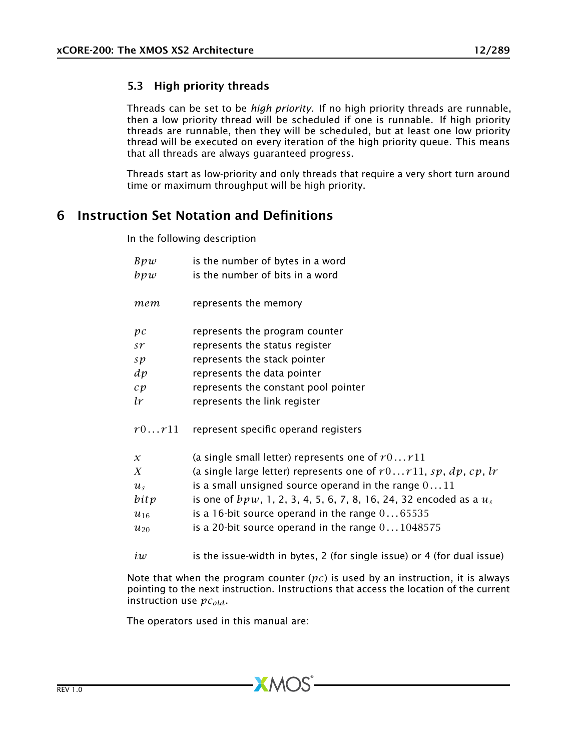### <span id="page-11-1"></span>5.3 High priority threads

Threads can be set to be *high priority*. If no high priority threads are runnable, then a low priority thread will be scheduled if one is runnable. If high priority threads are runnable, then they will be scheduled, but at least one low priority thread will be executed on every iteration of the high priority queue. This means that all threads are always guaranteed progress.

<span id="page-11-0"></span>Threads start as low-priority and only threads that require a very short turn around time or maximum throughput will be high priority.

# 6 Instruction Set Notation and Definitions

In the following description

| Bpw                       | is the number of bytes in a word                                        |
|---------------------------|-------------------------------------------------------------------------|
| bpw                       | is the number of bits in a word                                         |
|                           |                                                                         |
| тет                       | represents the memory                                                   |
|                           |                                                                         |
| $\mathcal{D} \mathcal{C}$ | represents the program counter                                          |
| sr                        | represents the status register                                          |
| sp                        | represents the stack pointer                                            |
| dp                        | represents the data pointer                                             |
| c p                       | represents the constant pool pointer                                    |
| lr                        | represents the link register                                            |
|                           |                                                                         |
| r0r11                     | represent specific operand registers                                    |
|                           |                                                                         |
| $\mathcal{X}$             | (a single small letter) represents one of $r0r11$                       |
| X                         | (a single large letter) represents one of $r0r11$ , sp, dp, cp, lr      |
| $u_{s}$                   | is a small unsigned source operand in the range $011$                   |
| bitp                      | is one of $bpw$ , 1, 2, 3, 4, 5, 6, 7, 8, 16, 24, 32 encoded as a $u_s$ |
| $u_{16}$                  | is a 16-bit source operand in the range $065535$                        |
| $u_{20}$                  | is a 20-bit source operand in the range $0 \dots 1048575$               |
| iw                        | is the issue-width in bytes, 2 (for single issue) or 4 (for dual issue) |

Note that when the program counter (*pc*) is used by an instruction, it is always pointing to the next instruction. Instructions that access the location of the current instruction use *pcold*.

The operators used in this manual are: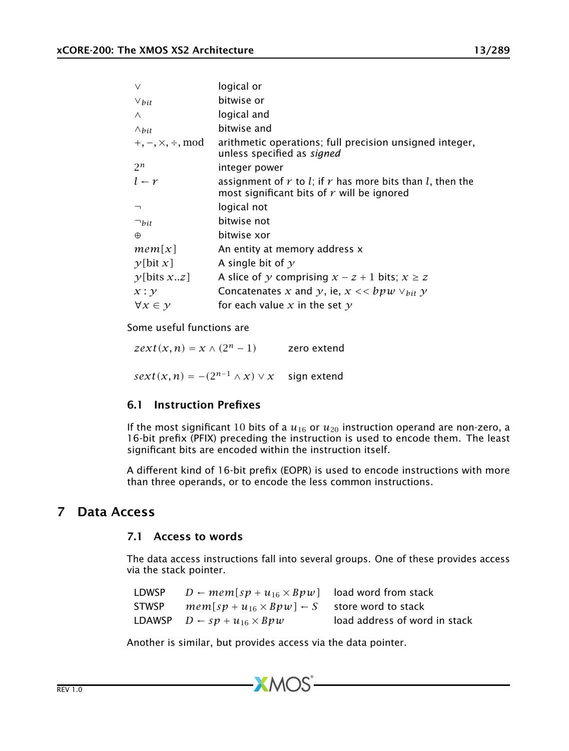| $\vee$                           | logical or                                                                                                          |
|----------------------------------|---------------------------------------------------------------------------------------------------------------------|
| $\vee$ bit                       | bitwise or                                                                                                          |
| $\wedge$                         | logical and                                                                                                         |
| $\wedge$ bit                     | bitwise and                                                                                                         |
| $+, -, \times, \div, \text{mod}$ | arithmetic operations; full precision unsigned integer,<br>unless specified as signed                               |
| $2^n$                            | integer power                                                                                                       |
| $l - r$                          | assignment of $r$ to $l$ ; if $r$ has more bits than $l$ , then the<br>most significant bits of $r$ will be ignored |
| $\lnot$                          | logical not                                                                                                         |
| $\neg_{bit}$                     | bitwise not                                                                                                         |
| $\oplus$                         | bitwise xor                                                                                                         |
| mem[x]                           | An entity at memory address x                                                                                       |
| $\gamma$ [bit x]                 | A single bit of $\gamma$                                                                                            |
| y[bits xz]                       | A slice of y comprising $x - z + 1$ bits; $x \ge z$                                                                 |
| x : y                            | Concatenates x and y, ie, $x \ll b p w \lor_{bit} y$                                                                |
| $\forall x \in \mathcal{V}$      | for each value x in the set $\gamma$                                                                                |

Some useful functions are

 $zext(x, n) = x \wedge (2^n - 1)$  zero extend  $sext(x, n) = -(2^{n-1} \wedge x) \vee x$  sign extend

# 6.1 Instruction Prefixes

If the most significant 10 bits of a  $u_{16}$  or  $u_{20}$  instruction operand are non-zero, a 16-bit prefix (PFIX) preceding the instruction is used to encode them. The least significant bits are encoded within the instruction itself.

<span id="page-12-0"></span>A different kind of 16-bit prefix (EOPR) is used to encode instructions with more than three operands, or to encode the less common instructions.

## 7 Data Access

### 7.1 Access to words

The data access instructions fall into several groups. One of these provides access via the stack pointer.

| LDWSP | $D \leftarrow mem[sp + u_{16} \times Bpw]$ load word from stack |                               |
|-------|-----------------------------------------------------------------|-------------------------------|
| STWSP | $mem[sp + u_{16} \times Bpw] \leftarrow S$ store word to stack  |                               |
|       | <b>LDAWSP</b> $D \leftarrow sp + u_{16} \times Bpw$             | load address of word in stack |

Another is similar, but provides access via the data pointer.

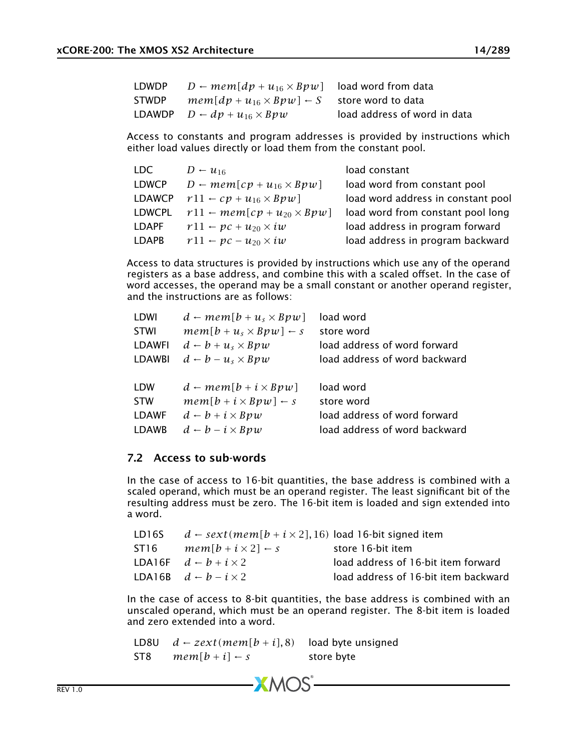| LDWDP | $D \leftarrow mem[dp + u_{16} \times Bpw]$ load word from data |                              |
|-------|----------------------------------------------------------------|------------------------------|
| STWDP | $mem[dp + u_{16} \times Bpw] \leftarrow S$ store word to data  |                              |
|       | LDAWDP $D \leftarrow dp + u_{16} \times Bpw$                   | load address of word in data |

Access to constants and program addresses is provided by instructions which either load values directly or load them from the constant pool.

| LDC.          | $D - u_{16}$                                 | load constant                      |
|---------------|----------------------------------------------|------------------------------------|
| <b>LDWCP</b>  | $D \leftarrow mem[cp + u_{16} \times Bpw]$   | load word from constant pool       |
| <b>LDAWCP</b> | $r11 - cp + u_{16} \times Bpw$               | load word address in constant pool |
| LDWCPL        | $r11 \leftarrow mem[cp + u_{20} \times Bpw]$ | load word from constant pool long  |
| LDAPF         | $r11 - pc + u_{20} \times iw$                | load address in program forward    |
| LDAPB         | $r11 - pc - u_{20} \times iw$                | load address in program backward   |

Access to data structures is provided by instructions which use any of the operand registers as a base address, and combine this with a scaled offset. In the case of word accesses, the operand may be a small constant or another operand register, and the instructions are as follows:

| LDWI          | $d \leftarrow mem[b+u, \times Bpw]$  | load word                     |
|---------------|--------------------------------------|-------------------------------|
| <b>STWI</b>   | $mem[b+us \times Bpw] \leftarrow s$  | store word                    |
| LDAWFI        | $d-b+u_s\times Bpw$                  | load address of word forward  |
| <b>LDAWBI</b> | $d \leftarrow b - u_s \times Bpw$    | load address of word backward |
|               |                                      |                               |
|               |                                      |                               |
| <b>LDW</b>    | $d \leftarrow mem[b + i \times Bpw]$ | load word                     |
| <b>STW</b>    | $mem[b + i \times Bpw] \leftarrow s$ | store word                    |
| <b>LDAWF</b>  | $d-b+i\times Bpw$                    | load address of word forward  |
| <b>LDAWB</b>  | $d - b - i \times Bpw$               | load address of word backward |

### 7.2 Access to sub-words

In the case of access to 16-bit quantities, the base address is combined with a scaled operand, which must be an operand register. The least significant bit of the resulting address must be zero. The 16-bit item is loaded and sign extended into a word.

| LD16S | $d \leftarrow sext(mem[b + i \times 2], 16)$ load 16-bit signed item |                                      |
|-------|----------------------------------------------------------------------|--------------------------------------|
| ST16  | $mem[b + i \times 2] \leftarrow s$                                   | store 16-bit item                    |
|       | LDA16F $d - b + i \times 2$                                          | load address of 16-bit item forward  |
|       | LDA16B $d - b - i \times 2$                                          | load address of 16-bit item backward |

In the case of access to 8-bit quantities, the base address is combined with an unscaled operand, which must be an operand register. The 8-bit item is loaded and zero extended into a word.

LD8U  $d \leftarrow zext(mem[b + i], 8)$  load byte unsigned ST8  $mem[b + i] \leftarrow s$  store byte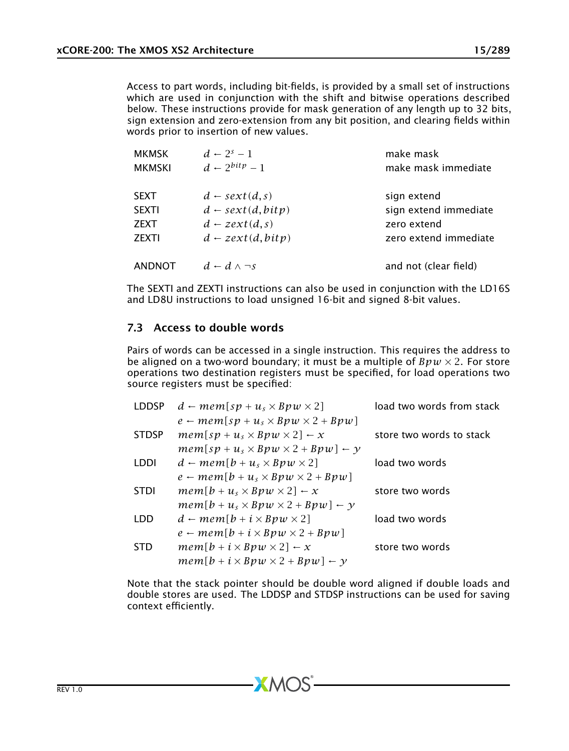Access to part words, including bit-fields, is provided by a small set of instructions which are used in conjunction with the shift and bitwise operations described below. These instructions provide for mask generation of any length up to 32 bits, sign extension and zero-extension from any bit position, and clearing fields within words prior to insertion of new values.

| MKMSK  | $d \leftarrow 2^s - 1$       | make mask             |
|--------|------------------------------|-----------------------|
| MKMSKI | $d-2^{bitp}-1$               | make mask immediate   |
| SEXT   | $d \leftarrow sext(d,s)$     | sign extend           |
| SEXTI  | $d \leftarrow sext(d, bitp)$ | sign extend immediate |
| ZEXT   | $d - zext(d, s)$             | zero extend           |
| ZEXTI  | $d \leftarrow zext(d, bitp)$ | zero extend immediate |
| ANDNOT | $d-d \wedge \neg s$          | and not (clear field) |
|        |                              |                       |

The SEXTI and ZEXTI instructions can also be used in conjunction with the LD16S and LD8U instructions to load unsigned 16-bit and signed 8-bit values.

### <span id="page-14-0"></span>7.3 Access to double words

Pairs of words can be accessed in a single instruction. This requires the address to be aligned on a two-word boundary; it must be a multiple of  $Bpw \times 2$ . For store operations two destination registers must be specified, for load operations two source registers must be specified:

| <b>LDDSP</b> | $d \leftarrow mem[sp + u_s \times Bpw \times 2]$       | load two words from stack |
|--------------|--------------------------------------------------------|---------------------------|
|              | $e \leftarrow mem[sp + u_s \times Bpw \times 2 + Bpw]$ |                           |
| <b>STDSP</b> | $mem[sp+u, \times Bpw \times 2] \leftarrow x$          | store two words to stack  |
|              | $mem[sp+us \times Bpw \times 2 + Bpw] \leftarrow y$    |                           |
| LDDI         | $d \leftarrow mem[b+u, \times Bpw \times 2]$           | load two words            |
|              | $e \leftarrow mem[b+u, \times Bpw \times 2 + Bpw]$     |                           |
| <b>STDI</b>  | $mem[b+u_{s} \times Bpw \times 2] \leftarrow x$        | store two words           |
|              | $mem[b + u_s \times Bpw \times 2 + Bpw] \leftarrow y$  |                           |
| LDD          | $d \leftarrow mem[b + i \times Bpw \times 2]$          | load two words            |
|              | $e \leftarrow mem[b + i \times Bpw \times 2 + Bpw]$    |                           |
| STD          | $mem[b + i \times Bpw \times 2] \leftarrow x$          | store two words           |
|              | $mem[b + i \times Bpw \times 2 + Bpw] \leftarrow y$    |                           |

Note that the stack pointer should be double word aligned if double loads and double stores are used. The LDDSP and STDSP instructions can be used for saving context efficiently.

 $X$ M $(S)$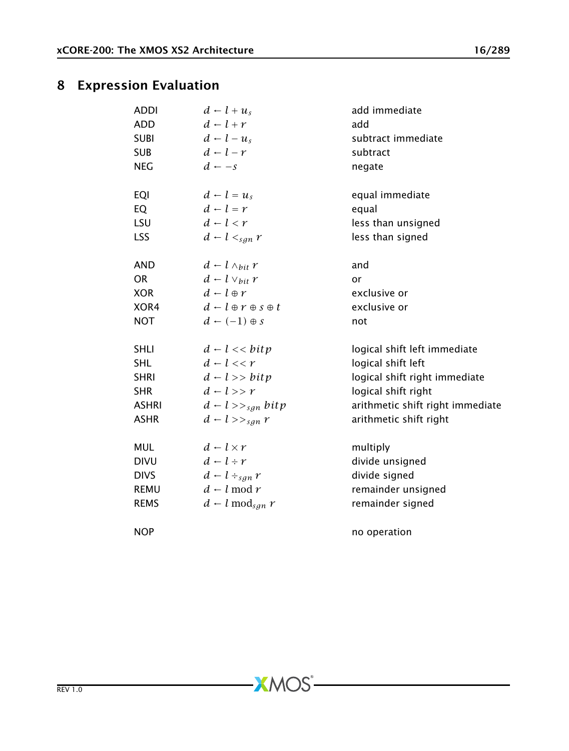# 8 Expression Evaluation

<span id="page-15-0"></span>

| <b>ADDI</b><br><b>ADD</b><br><b>SUBI</b><br><b>SUB</b><br><b>NEG</b> | $d-l+u_{s}$<br>$d-l+r$<br>$d-l-u_s$<br>$d-l-r$<br>$d \leftarrow -s$ | add immediate<br>add<br>subtract immediate<br>subtract<br>negate |
|----------------------------------------------------------------------|---------------------------------------------------------------------|------------------------------------------------------------------|
| EQI<br>EQ                                                            | $d - l = u_s$<br>$d - l = r$                                        | equal immediate<br>equal                                         |
| LSU                                                                  | $d-l < r$                                                           | less than unsigned                                               |
| <b>LSS</b>                                                           | $d - l <_{san} r$                                                   | less than signed                                                 |
| <b>AND</b>                                                           | $d - l \wedge_{bit} r$                                              | and                                                              |
| <b>OR</b>                                                            | $d - l \vee_{bit} r$                                                | or                                                               |
| <b>XOR</b>                                                           | $d-l \oplus r$                                                      | exclusive or                                                     |
| XOR4                                                                 | $d \leftarrow l \oplus r \oplus s \oplus t$                         | exclusive or                                                     |
| <b>NOT</b>                                                           | $d \leftarrow (-1) \oplus s$                                        | not                                                              |
| <b>SHLI</b>                                                          | $d-l \ll b$ itp                                                     | logical shift left immediate                                     |
| SHL                                                                  | $d-l \ll r$                                                         | logical shift left                                               |
| <b>SHRI</b>                                                          | $d - l \gg bitv$                                                    | logical shift right immediate                                    |
| <b>SHR</b>                                                           | $d-l >> r$                                                          | logical shift right                                              |
| <b>ASHRI</b>                                                         | $d - l \gg_{\text{san}} bitp$                                       | arithmetic shift right immediate                                 |
| <b>ASHR</b>                                                          | $d - l \gg_{\text{sgn}} r$                                          | arithmetic shift right                                           |
| <b>MUL</b>                                                           | $d - l \times r$                                                    | multiply                                                         |
| <b>DIVU</b>                                                          | $d-l+r$                                                             | divide unsigned                                                  |
| <b>DIVS</b>                                                          | $d - l \div_{\text{sgn}} r$                                         | divide signed                                                    |
| <b>REMU</b>                                                          | $d - l \mod r$                                                      | remainder unsigned                                               |
| <b>REMS</b>                                                          | $d - l \mod_{sgn} r$                                                | remainder signed                                                 |
| <b>NOP</b>                                                           |                                                                     | no operation                                                     |

 $-XMOS<sup>*</sup>$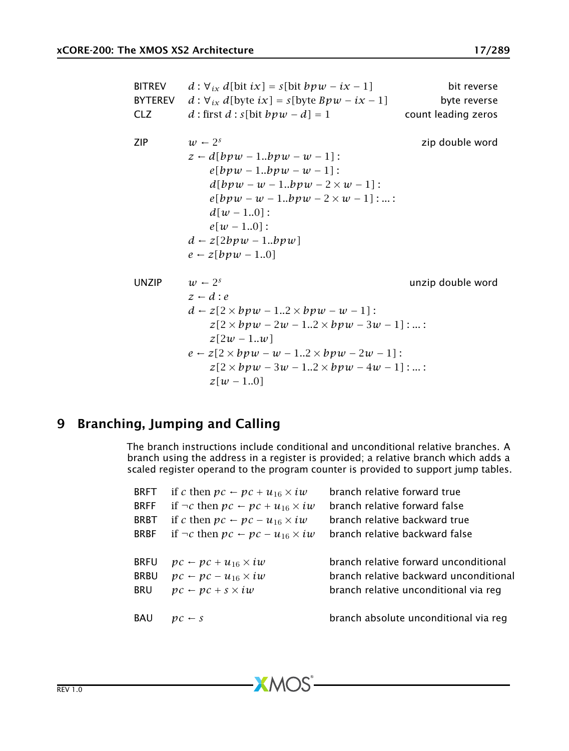| <b>BITREV</b><br><b>BYTEREV</b> | $d: \forall_{ix} d[bit ix] = s[bit bpw - ix - 1]$<br>$d: \forall_{ix} d$ [byte $ix$ ] = $s$ [byte $Bpw - ix - 1$ ]                                                                                                                                                                                   | bit reverse<br>byte reverse |
|---------------------------------|------------------------------------------------------------------------------------------------------------------------------------------------------------------------------------------------------------------------------------------------------------------------------------------------------|-----------------------------|
| <b>CLZ</b>                      | d : first $d : s$ [bit $bpw - d$ ] = 1                                                                                                                                                                                                                                                               | count leading zeros         |
| ZIP                             | $w \leftarrow 2^s$<br>$z \leftarrow d[bpw - 1bpw - w - 1]:$<br>$e[bpw - 1bpw - w - 1]:$<br>$d[bpw - w - 1bpw - 2 \times w - 1]$ :<br>$e[bpw - w - 1bpw - 2 \times w - 1]:$<br>$d[w - 1.0]$ :<br>$e[w - 1.0]$ :<br>$d \leftarrow z[2bpw - 1bpw]$<br>$e \leftarrow z[bpw-10]$                          | zip double word             |
| <b>UNZIP</b>                    | $w \leftarrow 2^s$<br>$z-d$ : e<br>$d \leftarrow z[2 \times b v w - 12 \times b v w - w - 1]:$<br>$z[2 \times bpw - 2w - 12 \times bpw - 3w - 1]:$<br>$z[2w-1w]$<br>$e \leftarrow z[2 \times bpw - w - 12 \times bpw - 2w - 1]:$<br>$z[2 \times bpw - 3w - 12 \times bpw - 4w - 1]:$<br>$z[w - 1.0]$ | unzip double word           |

# 9 Branching, Jumping and Calling

<span id="page-16-0"></span>The branch instructions include conditional and unconditional relative branches. A branch using the address in a register is provided; a relative branch which adds a scaled register operand to the program counter is provided to support jump tables.

| <b>BRFT</b> | if c then $pc \leftarrow pc + u_{16} \times iw$        | branch relative forward true           |
|-------------|--------------------------------------------------------|----------------------------------------|
| <b>BRFF</b> | if $\neg c$ then $pc \leftarrow pc + u_{16} \times iw$ | branch relative forward false          |
| <b>BRBT</b> | if c then $pc \leftarrow pc - u_{16} \times iw$        | branch relative backward true          |
| <b>BRBF</b> | if $\neg c$ then $pc \leftarrow pc - u_{16} \times iw$ | branch relative backward false         |
| <b>BRFU</b> | $pc \leftarrow pc + u_{16} \times iw$                  | branch relative forward unconditional  |
| <b>BRBU</b> | $pc \leftarrow pc - u_{16} \times iw$                  | branch relative backward unconditional |
| <b>BRU</b>  | $pc \leftarrow pc + s \times iw$                       | branch relative unconditional via reg  |
| <b>BAU</b>  | $pc \leftarrow s$                                      | branch absolute unconditional via reg  |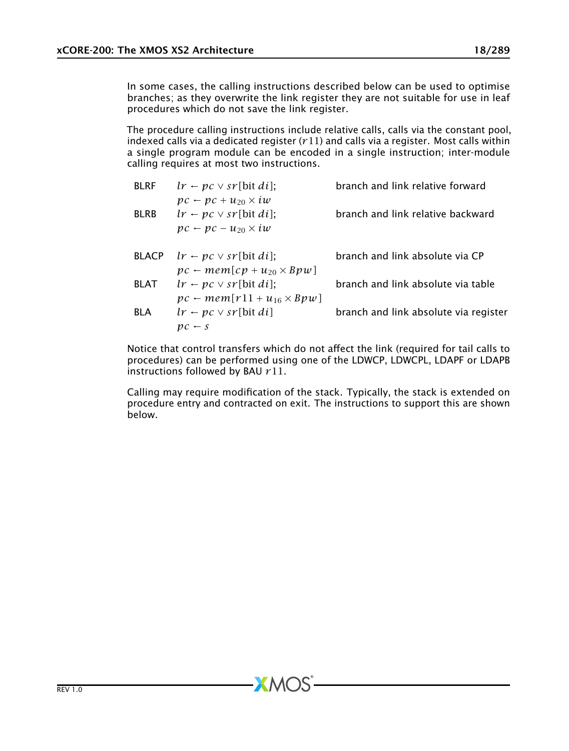In some cases, the calling instructions described below can be used to optimise branches; as they overwrite the link register they are not suitable for use in leaf procedures which do not save the link register.

The procedure calling instructions include relative calls, calls via the constant pool, indexed calls via a dedicated register (*r*11) and calls via a register. Most calls within a single program module can be encoded in a single instruction; inter-module calling requires at most two instructions.

| <b>BLRF</b>  | $lr - pc \vee sr$ [bit di];                                                                                            | branch and link relative forward      |
|--------------|------------------------------------------------------------------------------------------------------------------------|---------------------------------------|
| <b>BLRB</b>  | $pc \leftarrow pc + u_{20} \times iw$<br>$lr \leftarrow pc \vee sr$ [bit di];<br>$pc \leftarrow pc - u_{20} \times iw$ | branch and link relative backward     |
| <b>BLACP</b> | $lr \leftarrow pc \vee sr$ [bit di];<br>$pc \leftarrow mem[cp + u_{20} \times Bpw]$                                    | branch and link absolute via CP       |
| <b>BLAT</b>  | $lr - pc \vee sr$ [bit di];<br>$pc \leftarrow mem[r11 + u_{16} \times Bpw]$                                            | branch and link absolute via table    |
| <b>BLA</b>   | $lr - pc \vee sr$ [bit di]<br>$pc - s$                                                                                 | branch and link absolute via register |

Notice that control transfers which do not affect the link (required for tail calls to procedures) can be performed using one of the LDWCP, LDWCPL, LDAPF or LDAPB instructions followed by BAU *r*11.

Calling may require modification of the stack. Typically, the stack is extended on procedure entry and contracted on exit. The instructions to support this are shown below.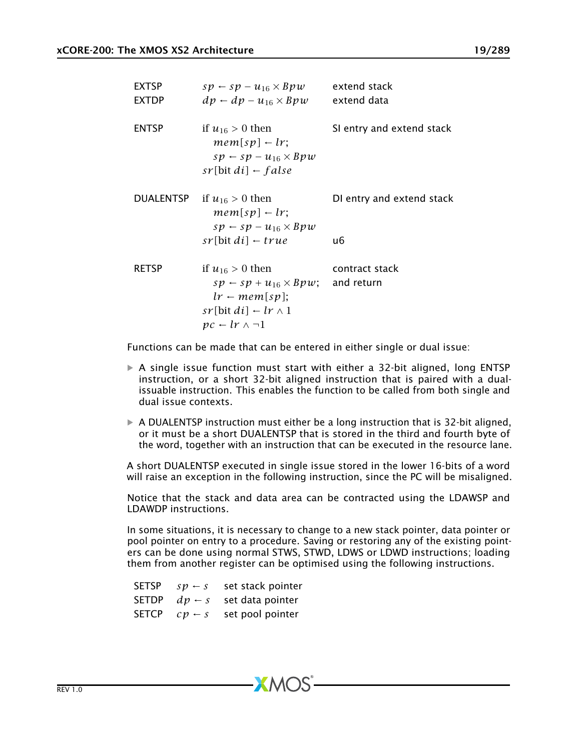| <b>EXTSP</b><br><b>EXTDP</b> | $sp \leftarrow sp - u_{16} \times Bpw$<br>$dp - dp - u_{16} \times Bpw$                                                                                       | extend stack<br>extend data  |
|------------------------------|---------------------------------------------------------------------------------------------------------------------------------------------------------------|------------------------------|
| <b>ENTSP</b>                 | if $u_{16} > 0$ then<br>$mem[sp] \leftarrow lr$ ;<br>$sp \leftarrow sp - u_{16} \times Bpw$<br>$sr$ [bit di] $\leftarrow$ false                               | SI entry and extend stack    |
| DUALENTSP                    | if $u_{16} > 0$ then<br>$mem[sp] \leftarrow lr;$<br>$sp \leftarrow sp - u_{16} \times Bpw$                                                                    | DI entry and extend stack    |
|                              | $sr$ [bit di] $\leftarrow true$                                                                                                                               | u6                           |
| <b>RETSP</b>                 | if $u_{16} > 0$ then<br>$sp \leftarrow sp + u_{16} \times Bpw;$<br>$lr \leftarrow mem[sp];$<br>$sr[bit di] \leftarrow lr \wedge 1$<br>$pc - lr \wedge \neg 1$ | contract stack<br>and return |

Functions can be made that can be entered in either single or dual issue:

- $\triangleright$  A single issue function must start with either a 32-bit aligned, long ENTSP instruction, or a short 32-bit aligned instruction that is paired with a dualissuable instruction. This enables the function to be called from both single and dual issue contexts.
- $\triangleright$  A DUALENTSP instruction must either be a long instruction that is 32-bit aligned, or it must be a short DUALENTSP that is stored in the third and fourth byte of the word, together with an instruction that can be executed in the resource lane.

A short DUALENTSP executed in single issue stored in the lower 16-bits of a word will raise an exception in the following instruction, since the PC will be misaligned.

Notice that the stack and data area can be contracted using the LDAWSP and LDAWDP instructions.

In some situations, it is necessary to change to a new stack pointer, data pointer or pool pointer on entry to a procedure. Saving or restoring any of the existing pointers can be done using normal STWS, STWD, LDWS or LDWD instructions; loading them from another register can be optimised using the following instructions.

| SETSP | $sp - s$                   | set stack pointer |
|-------|----------------------------|-------------------|
| SETDP | $dp - s$                   | set data pointer  |
| SETCP | $\mathcal{C}p\leftarrow s$ | set pool pointer  |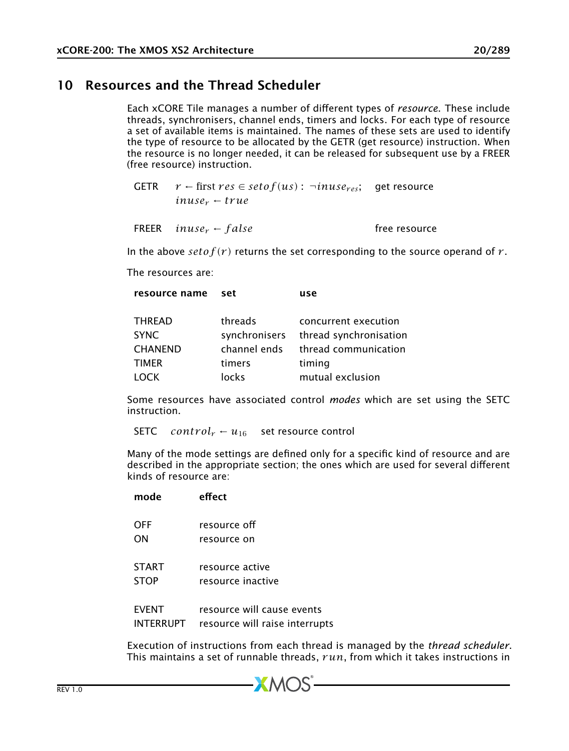# 10 Resources and the Thread Scheduler

<span id="page-19-0"></span>Each xCORE Tile manages a number of different types of *resource*. These include threads, synchronisers, channel ends, timers and locks. For each type of resource a set of available items is maintained. The names of these sets are used to identify the type of resource to be allocated by the GETR (get resource) instruction. When the resource is no longer needed, it can be released for subsequent use by a FREER (free resource) instruction.

GETR  $r \leftarrow$  first  $res \in setof(us)$ :  $\neg inuse_{res}$ ; get resource  $inuse_r + true$ 

|  | FREER inuse <sub>r</sub> $\leftarrow$ false | free resource |
|--|---------------------------------------------|---------------|
|--|---------------------------------------------|---------------|

In the above  $setof(r)$  returns the set corresponding to the source operand of  $r$ .

The resources are:

| resource name set |               | use                    |
|-------------------|---------------|------------------------|
|                   |               |                        |
| THREAD            | threads       | concurrent execution   |
| SYNC              | synchronisers | thread synchronisation |
| <b>CHANEND</b>    | channel ends  | thread communication   |
| TIMER             | timers        | timing                 |
| LOCK              | locks         | mutual exclusion       |
|                   |               |                        |

Some resources have associated control *modes* which are set using the SETC instruction.

SETC *control<sub>r</sub>* ←  $u_{16}$  set resource control

resource name set use

Many of the mode settings are defined only for a specific kind of resource and are described in the appropriate section; the ones which are used for several different kinds of resource are:

| mode         | effect                         |
|--------------|--------------------------------|
| <b>OFF</b>   | resource off                   |
| ΟN           | resource on                    |
| <b>START</b> | resource active                |
| <b>STOP</b>  | resource inactive              |
| <b>EVENT</b> | resource will cause events     |
| INTERRUPT    | resource will raise interrupts |

Execution of instructions from each thread is managed by the *thread scheduler*. This maintains a set of runnable threads, *r un*, from which it takes instructions in

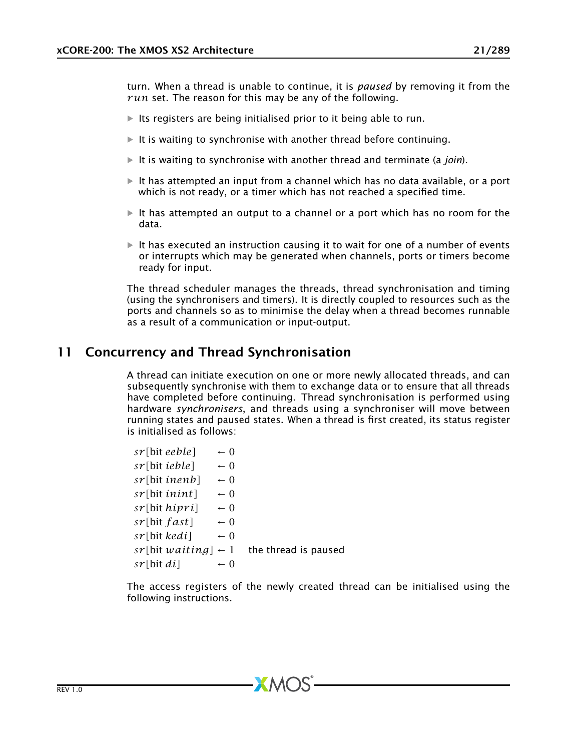turn. When a thread is unable to continue, it is *paused* by removing it from the *r un* set. The reason for this may be any of the following.

- $\blacktriangleright$  Its registers are being initialised prior to it being able to run.
- $\blacktriangleright$  It is waiting to synchronise with another thread before continuing.
- It is waiting to synchronise with another thread and terminate (a *join*).
- $\blacktriangleright$  It has attempted an input from a channel which has no data available, or a port which is not ready, or a timer which has not reached a specified time.
- $\blacktriangleright$  It has attempted an output to a channel or a port which has no room for the data.
- $\triangleright$  It has executed an instruction causing it to wait for one of a number of events or interrupts which may be generated when channels, ports or timers become ready for input.

The thread scheduler manages the threads, thread synchronisation and timing (using the synchronisers and timers). It is directly coupled to resources such as the ports and channels so as to minimise the delay when a thread becomes runnable as a result of a communication or input-output.

# 11 Concurrency and Thread Synchronisation

<span id="page-20-0"></span>A thread can initiate execution on one or more newly allocated threads, and can subsequently synchronise with them to exchange data or to ensure that all threads have completed before continuing. Thread synchronisation is performed using hardware *synchronisers*, and threads using a synchroniser will move between running states and paused states. When a thread is first created, its status register is initialised as follows:

| sr[bit eeble]                  | $-0$            |                      |
|--------------------------------|-----------------|----------------------|
| sr[bit ieble]                  | $-0$            |                      |
| sr[bit inenb]                  | $-0$            |                      |
| sr[bit inint]                  | $-0$            |                      |
| sr[bit <i>hipri</i> ]          | $-0$            |                      |
| $sr[bit$ fast]                 | $-0$            |                      |
| sr[bit kedi]                   | $-0$            |                      |
| $sr[bit waiting] \leftarrow 1$ |                 | the thread is paused |
| sr[bit di]                     | $\leftarrow$ () |                      |

The access registers of the newly created thread can be initialised using the following instructions.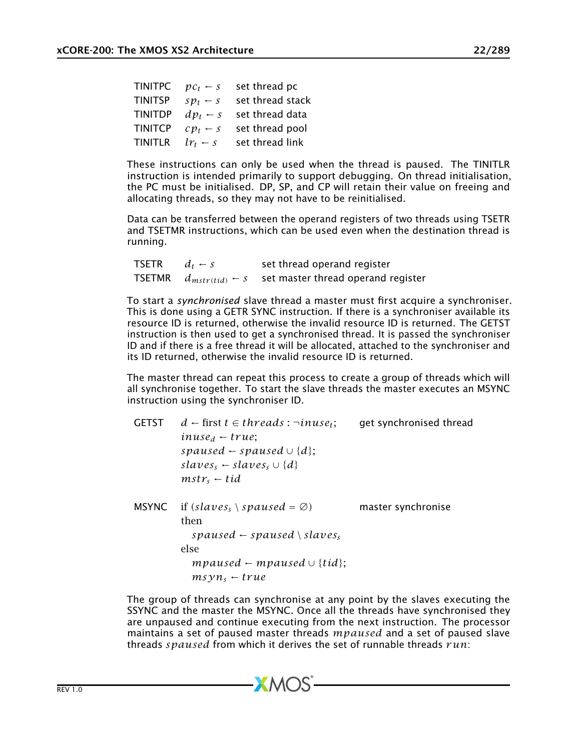| $pc_t$ – s                     | set thread pc    |  |
|--------------------------------|------------------|--|
| $sp_t \leftarrow s$            | set thread stack |  |
| $dp_t - s$                     | set thread data  |  |
| $\mathcal{C} p_t \leftarrow s$ | set thread pool  |  |
| $lr_t \leftarrow s$            | set thread link  |  |
|                                |                  |  |

These instructions can only be used when the thread is paused. The TINITLR instruction is intended primarily to support debugging. On thread initialisation, the PC must be initialised. DP, SP, and CP will retain their value on freeing and allocating threads, so they may not have to be reinitialised.

Data can be transferred between the operand registers of two threads using TSETR and TSETMR instructions, which can be used even when the destination thread is running.

| <b>TSETR</b>  | $d_t \leftarrow s$           | set thread operand register        |
|---------------|------------------------------|------------------------------------|
| <b>TSETMR</b> | $d_{mstr(tid)} \leftarrow S$ | set master thread operand register |

To start a *synchronised* slave thread a master must first acquire a synchroniser. This is done using a GETR SYNC instruction. If there is a synchroniser available its resource ID is returned, otherwise the invalid resource ID is returned. The GETST instruction is then used to get a synchronised thread. It is passed the synchroniser ID and if there is a free thread it will be allocated, attached to the synchroniser and its ID returned, otherwise the invalid resource ID is returned.

The master thread can repeat this process to create a group of threads which will all synchronise together. To start the slave threads the master executes an MSYNC instruction using the synchroniser ID.

| <b>GETST</b> | $d \leftarrow$ first $t \in threads : \neg inuse_t;$<br>$inuse_d \leftarrow true$<br>spaused $\leftarrow$ spaused $\cup$ {d};<br>$slaves_{s} \leftarrow slaves_{s} \cup \{d\}$<br>$mstr_{s} - tid$ | get synchronised thread |
|--------------|----------------------------------------------------------------------------------------------------------------------------------------------------------------------------------------------------|-------------------------|
| MSYNC        | if (slaves, \ spaused = $\varnothing$ )<br>then<br>spaused $\leftarrow$ spaused $\setminus$ slaves.<br>else                                                                                        | master synchronise      |
|              | mpaused $\leftarrow$ mpaused $\cup$ {tid};<br>$msvn_s + true$                                                                                                                                      |                         |

The group of threads can synchronise at any point by the slaves executing the SSYNC and the master the MSYNC. Once all the threads have synchronised they are unpaused and continue executing from the next instruction. The processor maintains a set of paused master threads *mpaused* and a set of paused slave threads *spaused* from which it derives the set of runnable threads *r un*: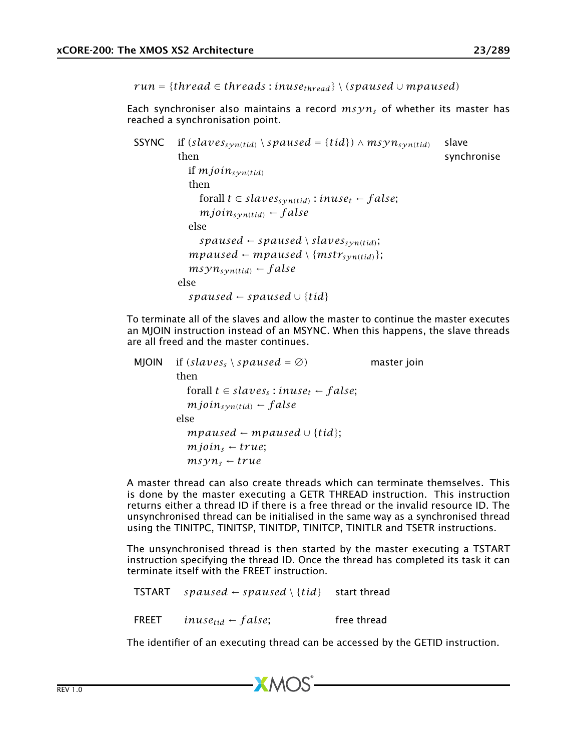$run = {thread \in threads : inuse_{thread}} \ (spanised \cup mpaused)$ 

Each synchroniser also maintains a record *msyn<sup>s</sup>* of whether its master has reached a synchronisation point.

```
SSYNC if (slaves<sub>syn(tid)</sub> \ <i>spaused = {tid}) ∧ msyn<sub>syn(tid) slave</sub></sub>
         then synchronise
            if mjoinsyn(tid)
            then
              forall t ∈ slavessyn(tid) : inuset ← f alse;
              mjoin_{syn(tid)} \leftarrow falseelse
              spansed \leftarrow spaused \setminus slaves_{syn(tid)};mpaused \leftarrow mpaused \setminus \{mstr_{syn(tid)}\};msyn_{syn(tid)} \leftarrow falseelse
            spaused ← spaused ∪ {tid}
```
To terminate all of the slaves and allow the master to continue the master executes an MJOIN instruction instead of an MSYNC. When this happens, the slave threads are all freed and the master continues.

| MJOIN | if $(slaves_s \setminus spaused = \emptyset)$      | master join |
|-------|----------------------------------------------------|-------------|
|       | then                                               |             |
|       | forall $t \in slaves_s: inuse_t \leftarrow false;$ |             |
|       | $mjoin_{syn(tid)} \leftarrow false$                |             |
|       | else                                               |             |
|       | mpaused $\leftarrow$ mpaused $\cup$ {tid};         |             |
|       | $m$ join, $\leftarrow$ true;                       |             |
|       | $msyn_s + true$                                    |             |

A master thread can also create threads which can terminate themselves. This is done by the master executing a GETR THREAD instruction. This instruction returns either a thread ID if there is a free thread or the invalid resource ID. The unsynchronised thread can be initialised in the same way as a synchronised thread using the TINITPC, TINITSP, TINITDP, TINITCP, TINITLR and TSETR instructions.

The unsynchronised thread is then started by the master executing a TSTART instruction specifying the thread ID. Once the thread has completed its task it can terminate itself with the FREET instruction.

```
TSTART spaused ← spaused \ {tid} start thread
FREET inuse_{tid} \leftarrow false; free thread
```
The identifier of an executing thread can be accessed by the GETID instruction.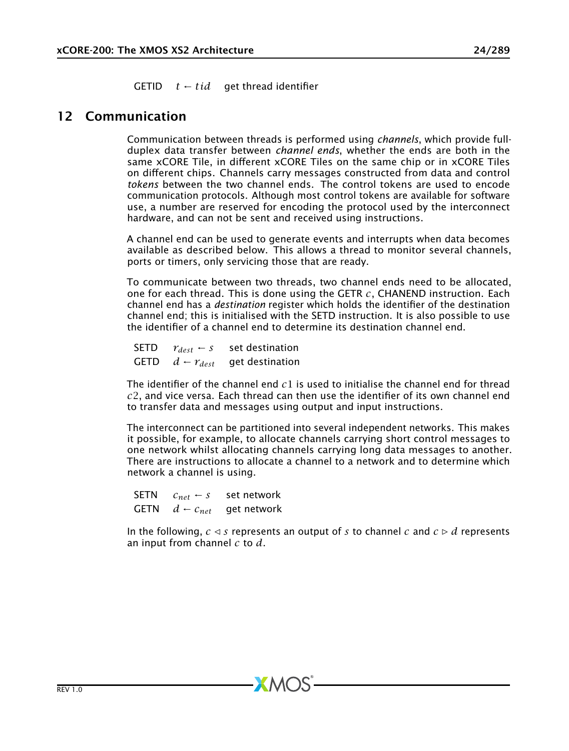<span id="page-23-0"></span>GETID  $t \leftarrow tid$  get thread identifier

## 12 Communication

Communication between threads is performed using *channels*, which provide fullduplex data transfer between *channel ends*, whether the ends are both in the same xCORE Tile, in different xCORE Tiles on the same chip or in xCORE Tiles on different chips. Channels carry messages constructed from data and control *tokens* between the two channel ends. The control tokens are used to encode communication protocols. Although most control tokens are available for software use, a number are reserved for encoding the protocol used by the interconnect hardware, and can not be sent and received using instructions.

A channel end can be used to generate events and interrupts when data becomes available as described below. This allows a thread to monitor several channels, ports or timers, only servicing those that are ready.

To communicate between two threads, two channel ends need to be allocated, one for each thread. This is done using the GETR *c*, CHANEND instruction. Each channel end has a *destination* register which holds the identifier of the destination channel end; this is initialised with the SETD instruction. It is also possible to use the identifier of a channel end to determine its destination channel end.

SETD  $r_{dest} \leftarrow s$  set destination GETD  $d - r_{dest}$  get destination

The identifier of the channel end *c*1 is used to initialise the channel end for thread *c*2, and vice versa. Each thread can then use the identifier of its own channel end to transfer data and messages using output and input instructions.

The interconnect can be partitioned into several independent networks. This makes it possible, for example, to allocate channels carrying short control messages to one network whilst allocating channels carrying long data messages to another. There are instructions to allocate a channel to a network and to determine which network a channel is using.

SETN  $C_{net} \leftarrow s$  set network GETN  $d \leftarrow c_{net}$  get network

In the following,  $c \leq s$  represents an output of *s* to channel *c* and  $c \triangleright d$  represents an input from channel *c* to *d*.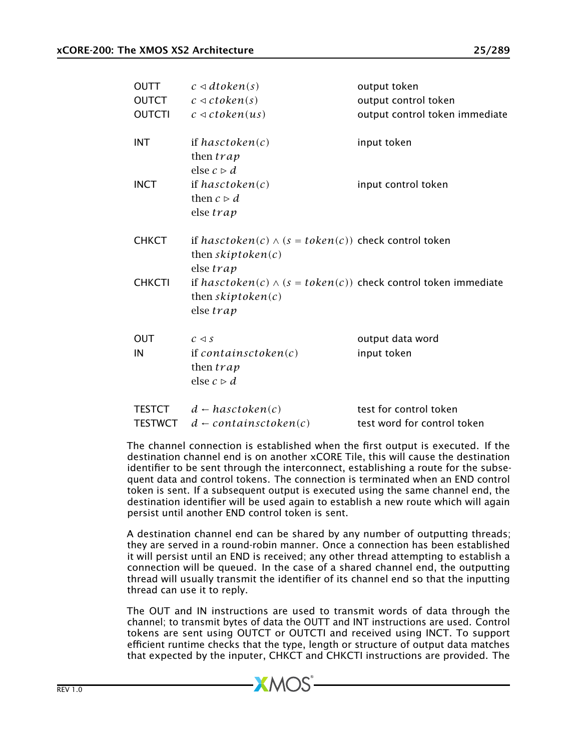| <b>OUTT</b>    | $c \triangleleft dtoken(s)$                                                                               | output token                   |
|----------------|-----------------------------------------------------------------------------------------------------------|--------------------------------|
| <b>OUTCT</b>   | $c \triangleleft ctoken(s)$                                                                               | output control token           |
| <b>OUTCTI</b>  | $c \triangleleft ctoken(us)$                                                                              | output control token immediate |
| <b>INT</b>     | if hasctoken $(c)$<br>then <i>trap</i><br>else $c \triangleright d$                                       | input token                    |
| <b>INCT</b>    | if hasctoken $(c)$<br>then $c \triangleright d$<br>else trap                                              | input control token            |
| <b>CHKCT</b>   | if $hasctoken(c) \wedge (s = token(c))$ check control token<br>then $skiptoken(c)$<br>else trap           |                                |
| <b>CHKCTI</b>  | if $hasctoken(c) \wedge (s = token(c))$ check control token immediate<br>then $skiptoken(c)$<br>else trap |                                |
| <b>OUT</b>     | $c \triangleleft s$                                                                                       | output data word               |
| IN             | if containsctoken $(c)$<br>then <i>trap</i><br>else $c \triangleright d$                                  | input token                    |
| <b>TESTCT</b>  | $d \leftarrow hasctoken(c)$                                                                               | test for control token         |
| <b>TESTWCT</b> | $d$ – containsctoken(c)                                                                                   | test word for control token    |

The channel connection is established when the first output is executed. If the destination channel end is on another xCORE Tile, this will cause the destination identifier to be sent through the interconnect, establishing a route for the subsequent data and control tokens. The connection is terminated when an END control token is sent. If a subsequent output is executed using the same channel end, the destination identifier will be used again to establish a new route which will again persist until another END control token is sent.

A destination channel end can be shared by any number of outputting threads; they are served in a round-robin manner. Once a connection has been established it will persist until an END is received; any other thread attempting to establish a connection will be queued. In the case of a shared channel end, the outputting thread will usually transmit the identifier of its channel end so that the inputting thread can use it to reply.

The OUT and IN instructions are used to transmit words of data through the channel; to transmit bytes of data the OUTT and INT instructions are used. Control tokens are sent using OUTCT or OUTCTI and received using INCT. To support efficient runtime checks that the type, length or structure of output data matches that expected by the inputer, CHKCT and CHKCTI instructions are provided. The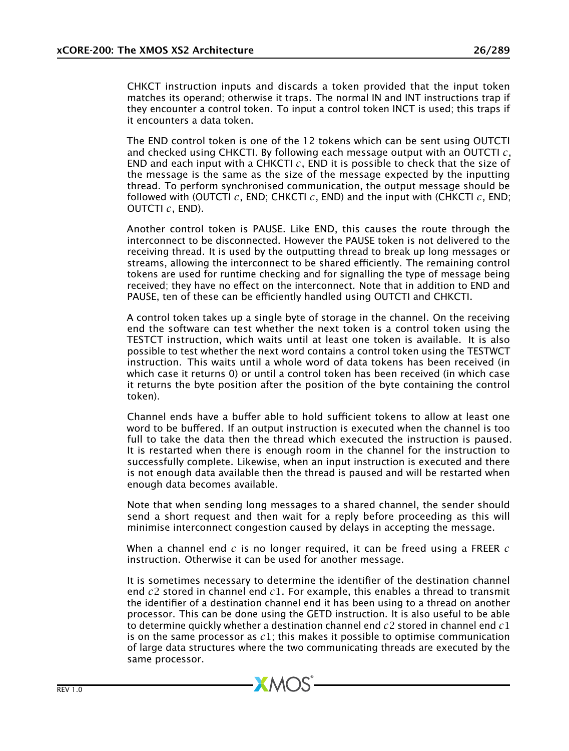CHKCT instruction inputs and discards a token provided that the input token matches its operand; otherwise it traps. The normal IN and INT instructions trap if they encounter a control token. To input a control token INCT is used; this traps if it encounters a data token.

The END control token is one of the 12 tokens which can be sent using OUTCTI and checked using CHKCTI. By following each message output with an OUTCTI *c*, END and each input with a CHKCTI *c*, END it is possible to check that the size of the message is the same as the size of the message expected by the inputting thread. To perform synchronised communication, the output message should be followed with (OUTCTI *c*, END; CHKCTI *c*, END) and the input with (CHKCTI *c*, END; OUTCTI *c*, END).

Another control token is PAUSE. Like END, this causes the route through the interconnect to be disconnected. However the PAUSE token is not delivered to the receiving thread. It is used by the outputting thread to break up long messages or streams, allowing the interconnect to be shared efficiently. The remaining control tokens are used for runtime checking and for signalling the type of message being received; they have no effect on the interconnect. Note that in addition to END and PAUSE, ten of these can be efficiently handled using OUTCTI and CHKCTI.

A control token takes up a single byte of storage in the channel. On the receiving end the software can test whether the next token is a control token using the TESTCT instruction, which waits until at least one token is available. It is also possible to test whether the next word contains a control token using the TESTWCT instruction. This waits until a whole word of data tokens has been received (in which case it returns 0) or until a control token has been received (in which case it returns the byte position after the position of the byte containing the control token).

Channel ends have a buffer able to hold sufficient tokens to allow at least one word to be buffered. If an output instruction is executed when the channel is too full to take the data then the thread which executed the instruction is paused. It is restarted when there is enough room in the channel for the instruction to successfully complete. Likewise, when an input instruction is executed and there is not enough data available then the thread is paused and will be restarted when enough data becomes available.

Note that when sending long messages to a shared channel, the sender should send a short request and then wait for a reply before proceeding as this will minimise interconnect congestion caused by delays in accepting the message.

When a channel end *c* is no longer required, it can be freed using a FREER *c* instruction. Otherwise it can be used for another message.

It is sometimes necessary to determine the identifier of the destination channel end *c*2 stored in channel end *c*1. For example, this enables a thread to transmit the identifier of a destination channel end it has been using to a thread on another processor. This can be done using the GETD instruction. It is also useful to be able to determine quickly whether a destination channel end *c*2 stored in channel end *c*1 is on the same processor as *c*1; this makes it possible to optimise communication of large data structures where the two communicating threads are executed by the same processor.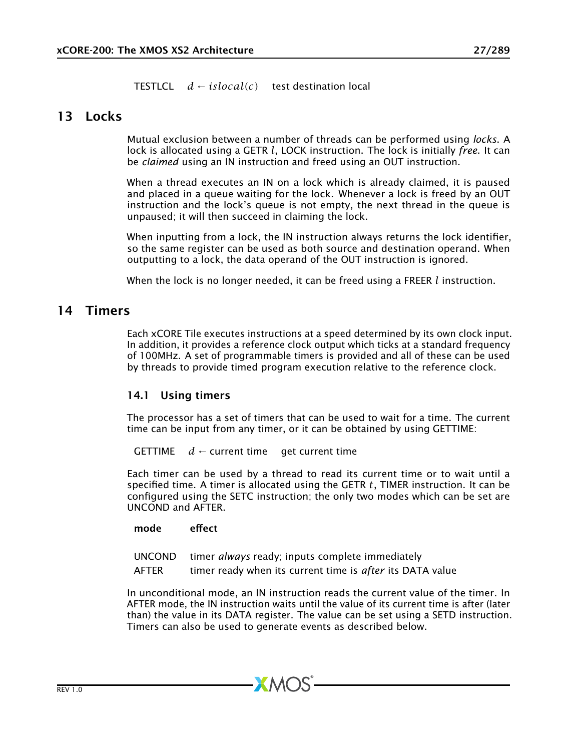<span id="page-26-0"></span>TESTLCL *d* ← *islocal(c)* test destination local

## 13 Locks

Mutual exclusion between a number of threads can be performed using *locks*. A lock is allocated using a GETR *l*, LOCK instruction. The lock is initially *free*. It can be *claimed* using an IN instruction and freed using an OUT instruction.

When a thread executes an IN on a lock which is already claimed, it is paused and placed in a queue waiting for the lock. Whenever a lock is freed by an OUT instruction and the lock's queue is not empty, the next thread in the queue is unpaused; it will then succeed in claiming the lock.

When inputting from a lock, the IN instruction always returns the lock identifier, so the same register can be used as both source and destination operand. When outputting to a lock, the data operand of the OUT instruction is ignored.

<span id="page-26-1"></span>When the lock is no longer needed, it can be freed using a FREER *l* instruction.

## 14 Timers

Each xCORE Tile executes instructions at a speed determined by its own clock input. In addition, it provides a reference clock output which ticks at a standard frequency of 100MHz. A set of programmable timers is provided and all of these can be used by threads to provide timed program execution relative to the reference clock.

### 14.1 Using timers

The processor has a set of timers that can be used to wait for a time. The current time can be input from any timer, or it can be obtained by using GETTIME:

**GETTIME**  $d \leftarrow$  current time get current time

Each timer can be used by a thread to read its current time or to wait until a specified time. A timer is allocated using the GETR *t*, TIMER instruction. It can be configured using the SETC instruction; the only two modes which can be set are UNCOND and AFTER.

mode effect

UNCOND timer *always* ready; inputs complete immediately AFTER timer ready when its current time is *after* its DATA value

 $XMOS$ 

In unconditional mode, an IN instruction reads the current value of the timer. In AFTER mode, the IN instruction waits until the value of its current time is after (later than) the value in its DATA register. The value can be set using a SETD instruction. Timers can also be used to generate events as described below.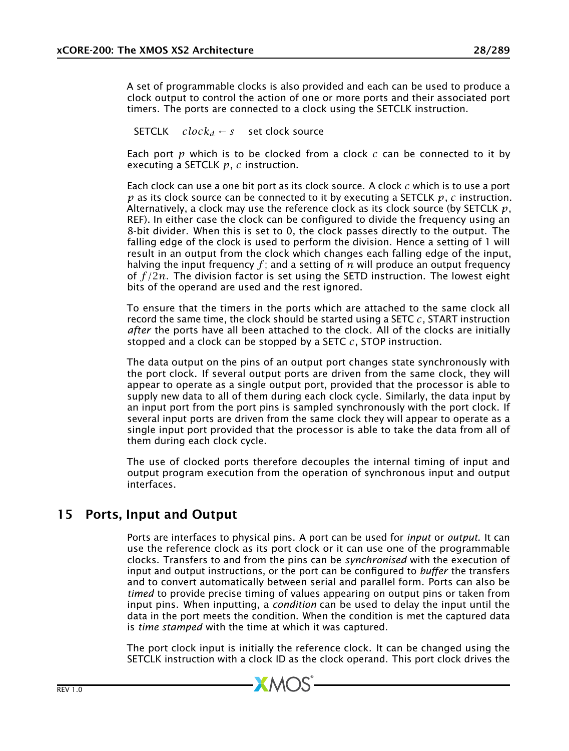A set of programmable clocks is also provided and each can be used to produce a clock output to control the action of one or more ports and their associated port timers. The ports are connected to a clock using the SETCLK instruction.

SETCLK  $clock_d \leftarrow s$  set clock source

Each port *p* which is to be clocked from a clock *c* can be connected to it by executing a SETCLK *p*, *c* instruction.

Each clock can use a one bit port as its clock source. A clock *c* which is to use a port *p* as its clock source can be connected to it by executing a SETCLK *p*, *c* instruction. Alternatively, a clock may use the reference clock as its clock source (by SETCLK *p*, REF). In either case the clock can be configured to divide the frequency using an 8-bit divider. When this is set to 0, the clock passes directly to the output. The falling edge of the clock is used to perform the division. Hence a setting of 1 will result in an output from the clock which changes each falling edge of the input, halving the input frequency  $f$ ; and a setting of  $n$  will produce an output frequency of *f /*2*n*. The division factor is set using the SETD instruction. The lowest eight bits of the operand are used and the rest ignored.

To ensure that the timers in the ports which are attached to the same clock all record the same time, the clock should be started using a SETC *c*, START instruction *after* the ports have all been attached to the clock. All of the clocks are initially stopped and a clock can be stopped by a SETC *c*, STOP instruction.

The data output on the pins of an output port changes state synchronously with the port clock. If several output ports are driven from the same clock, they will appear to operate as a single output port, provided that the processor is able to supply new data to all of them during each clock cycle. Similarly, the data input by an input port from the port pins is sampled synchronously with the port clock. If several input ports are driven from the same clock they will appear to operate as a single input port provided that the processor is able to take the data from all of them during each clock cycle.

<span id="page-27-0"></span>The use of clocked ports therefore decouples the internal timing of input and output program execution from the operation of synchronous input and output interfaces.

# 15 Ports, Input and Output

Ports are interfaces to physical pins. A port can be used for *input* or *output*. It can use the reference clock as its port clock or it can use one of the programmable clocks. Transfers to and from the pins can be *synchronised* with the execution of input and output instructions, or the port can be configured to *buffer* the transfers and to convert automatically between serial and parallel form. Ports can also be *timed* to provide precise timing of values appearing on output pins or taken from input pins. When inputting, a *condition* can be used to delay the input until the data in the port meets the condition. When the condition is met the captured data is *time stamped* with the time at which it was captured.

The port clock input is initially the reference clock. It can be changed using the SETCLK instruction with a clock ID as the clock operand. This port clock drives the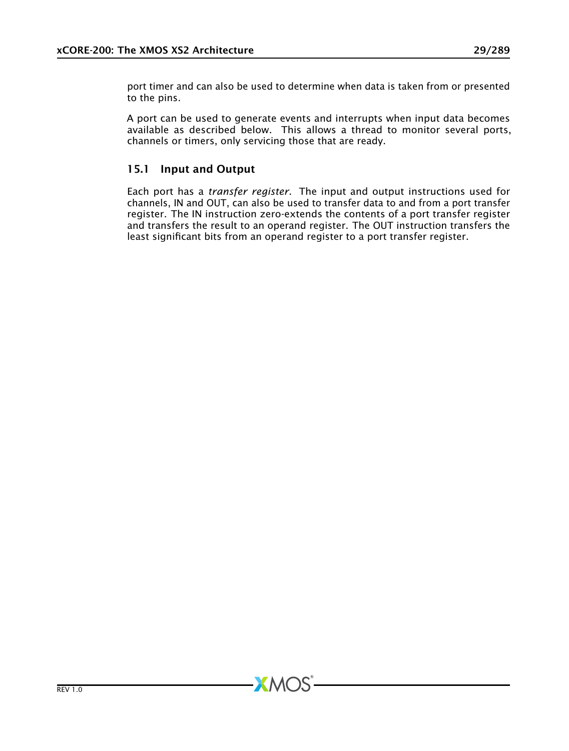port timer and can also be used to determine when data is taken from or presented to the pins.

A port can be used to generate events and interrupts when input data becomes available as described below. This allows a thread to monitor several ports, channels or timers, only servicing those that are ready.

### 15.1 Input and Output

Each port has a *transfer register*. The input and output instructions used for channels, IN and OUT, can also be used to transfer data to and from a port transfer register. The IN instruction zero-extends the contents of a port transfer register and transfers the result to an operand register. The OUT instruction transfers the least significant bits from an operand register to a port transfer register.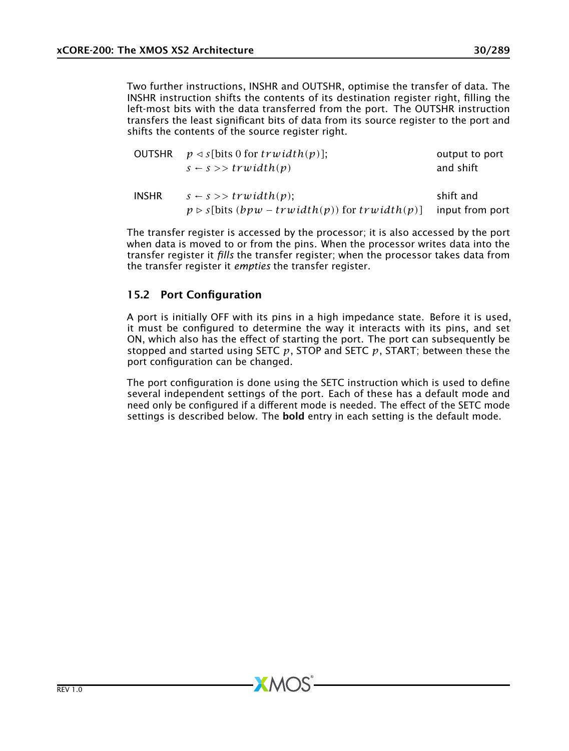Two further instructions, INSHR and OUTSHR, optimise the transfer of data. The INSHR instruction shifts the contents of its destination register right, filling the left-most bits with the data transferred from the port. The OUTSHR instruction transfers the least significant bits of data from its source register to the port and shifts the contents of the source register right.

|              | OUTSHR $p \triangleleft s$ [bits 0 for trwidth(p)];           | output to port  |
|--------------|---------------------------------------------------------------|-----------------|
|              | $s \leftarrow s \rightarrow \text{trwidth}(p)$                | and shift       |
| <b>INSHR</b> | $s \leftarrow s \rightarrow \text{trwidth}(p)$ ;              | shift and       |
|              | $p \triangleright s$ [bits (bpw – trwidth(p)) for trwidth(p)] | input from port |

The transfer register is accessed by the processor; it is also accessed by the port when data is moved to or from the pins. When the processor writes data into the transfer register it *fills* the transfer register; when the processor takes data from the transfer register it *empties* the transfer register.

### 15.2 Port Configuration

A port is initially OFF with its pins in a high impedance state. Before it is used, it must be configured to determine the way it interacts with its pins, and set ON, which also has the effect of starting the port. The port can subsequently be stopped and started using SETC *p*, STOP and SETC *p*, START; between these the port configuration can be changed.

The port configuration is done using the SETC instruction which is used to define several independent settings of the port. Each of these has a default mode and need only be configured if a different mode is needed. The effect of the SETC mode settings is described below. The **bold** entry in each setting is the default mode.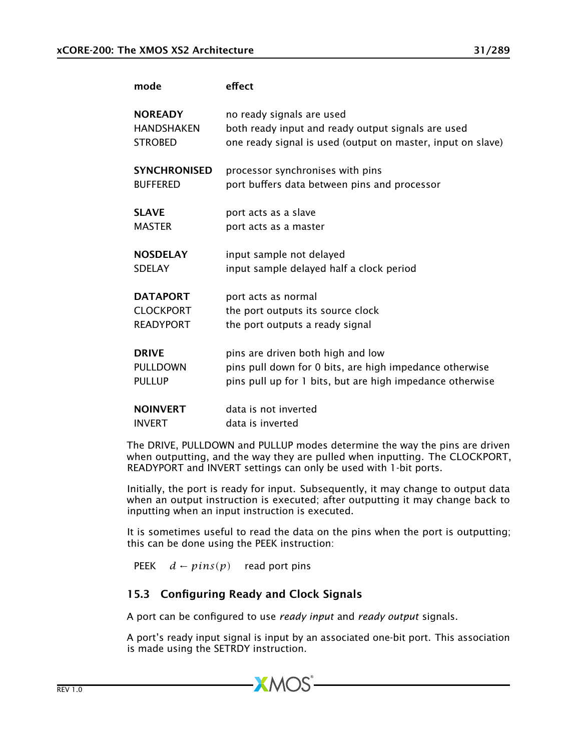| mode                | effect                                                      |
|---------------------|-------------------------------------------------------------|
| <b>NOREADY</b>      | no ready signals are used                                   |
| <b>HANDSHAKEN</b>   | both ready input and ready output signals are used          |
| <b>STROBED</b>      | one ready signal is used (output on master, input on slave) |
| <b>SYNCHRONISED</b> | processor synchronises with pins                            |
| <b>BUFFERED</b>     | port buffers data between pins and processor                |
| <b>SLAVE</b>        | port acts as a slave                                        |
| <b>MASTER</b>       | port acts as a master                                       |
| <b>NOSDELAY</b>     | input sample not delayed                                    |
| <b>SDELAY</b>       | input sample delayed half a clock period                    |
| <b>DATAPORT</b>     | port acts as normal                                         |
| <b>CLOCKPORT</b>    | the port outputs its source clock                           |
| <b>READYPORT</b>    | the port outputs a ready signal                             |
| <b>DRIVE</b>        | pins are driven both high and low                           |
| <b>PULLDOWN</b>     | pins pull down for 0 bits, are high impedance otherwise     |
| <b>PULLUP</b>       | pins pull up for 1 bits, but are high impedance otherwise   |
| <b>NOINVERT</b>     | data is not inverted                                        |
| <b>INVERT</b>       | data is inverted                                            |

The DRIVE, PULLDOWN and PULLUP modes determine the way the pins are driven when outputting, and the way they are pulled when inputting. The CLOCKPORT, READYPORT and INVERT settings can only be used with 1-bit ports.

Initially, the port is ready for input. Subsequently, it may change to output data when an output instruction is executed; after outputting it may change back to inputting when an input instruction is executed.

It is sometimes useful to read the data on the pins when the port is outputting; this can be done using the PEEK instruction:

PEEK  $d \leftarrow pins(p)$  read port pins

## 15.3 Configuring Ready and Clock Signals

A port can be configured to use *ready input* and *ready output* signals.

**XMOS** 

A port's ready input signal is input by an associated one-bit port. This association is made using the SETRDY instruction.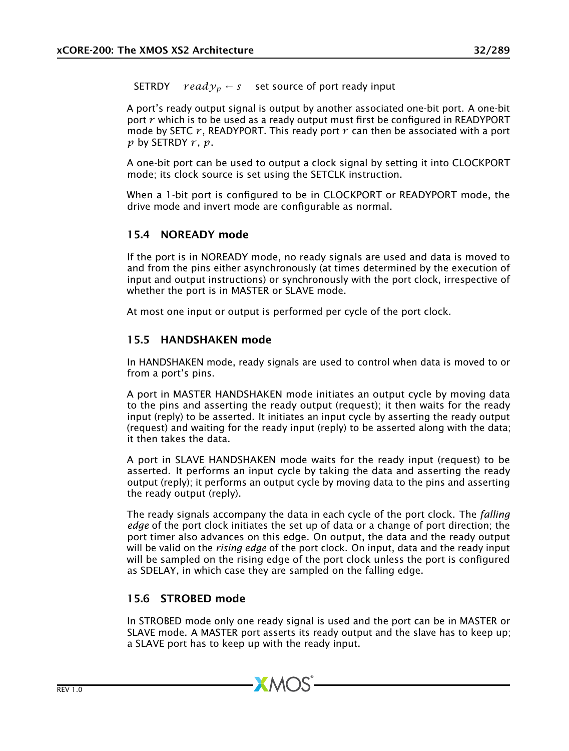**SETRDY**  $ready_p \leftarrow s$  set source of port ready input

A port's ready output signal is output by another associated one-bit port. A one-bit port *r* which is to be used as a ready output must first be configured in READYPORT mode by SETC  $r$ , READYPORT. This ready port  $r$  can then be associated with a port  $p$  by SETRDY  $r, p$ .

A one-bit port can be used to output a clock signal by setting it into CLOCKPORT mode; its clock source is set using the SETCLK instruction.

When a 1-bit port is configured to be in CLOCKPORT or READYPORT mode, the drive mode and invert mode are configurable as normal.

### 15.4 NOREADY mode

If the port is in NOREADY mode, no ready signals are used and data is moved to and from the pins either asynchronously (at times determined by the execution of input and output instructions) or synchronously with the port clock, irrespective of whether the port is in MASTER or SLAVE mode.

At most one input or output is performed per cycle of the port clock.

### 15.5 HANDSHAKEN mode

In HANDSHAKEN mode, ready signals are used to control when data is moved to or from a port's pins.

A port in MASTER HANDSHAKEN mode initiates an output cycle by moving data to the pins and asserting the ready output (request); it then waits for the ready input (reply) to be asserted. It initiates an input cycle by asserting the ready output (request) and waiting for the ready input (reply) to be asserted along with the data; it then takes the data.

A port in SLAVE HANDSHAKEN mode waits for the ready input (request) to be asserted. It performs an input cycle by taking the data and asserting the ready output (reply); it performs an output cycle by moving data to the pins and asserting the ready output (reply).

The ready signals accompany the data in each cycle of the port clock. The *falling edge* of the port clock initiates the set up of data or a change of port direction; the port timer also advances on this edge. On output, the data and the ready output will be valid on the *rising edge* of the port clock. On input, data and the ready input will be sampled on the rising edge of the port clock unless the port is configured as SDELAY, in which case they are sampled on the falling edge.

### 15.6 STROBED mode

In STROBED mode only one ready signal is used and the port can be in MASTER or SLAVE mode. A MASTER port asserts its ready output and the slave has to keep up; a SLAVE port has to keep up with the ready input.

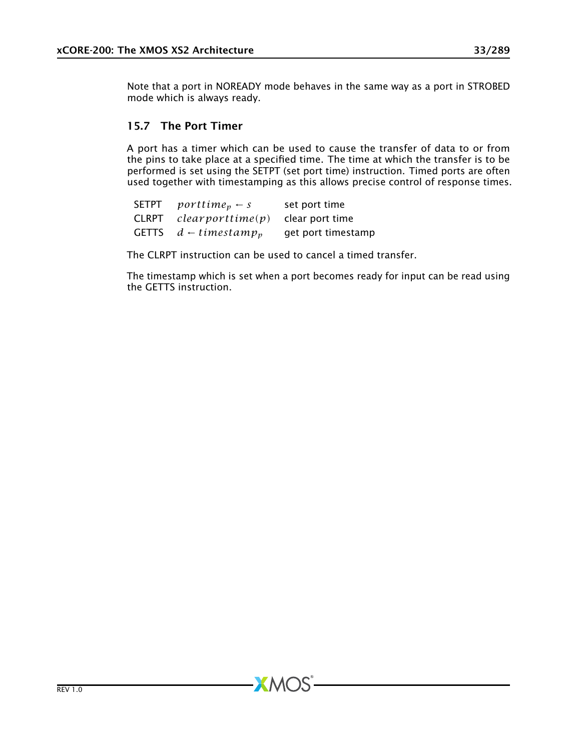Note that a port in NOREADY mode behaves in the same way as a port in STROBED mode which is always ready.

### 15.7 The Port Timer

A port has a timer which can be used to cause the transfer of data to or from the pins to take place at a specified time. The time at which the transfer is to be performed is set using the SETPT (set port time) instruction. Timed ports are often used together with timestamping as this allows precise control of response times.

| SETPT        | $porttime_p \leftarrow s$    | set port time      |
|--------------|------------------------------|--------------------|
| <b>CLRPT</b> | clearporttime(p)             | clear port time    |
| <b>GETTS</b> | $d$ – timestamp <sub>n</sub> | get port timestamp |

The CLRPT instruction can be used to cancel a timed transfer.

**XMOS** 

The timestamp which is set when a port becomes ready for input can be read using the GETTS instruction.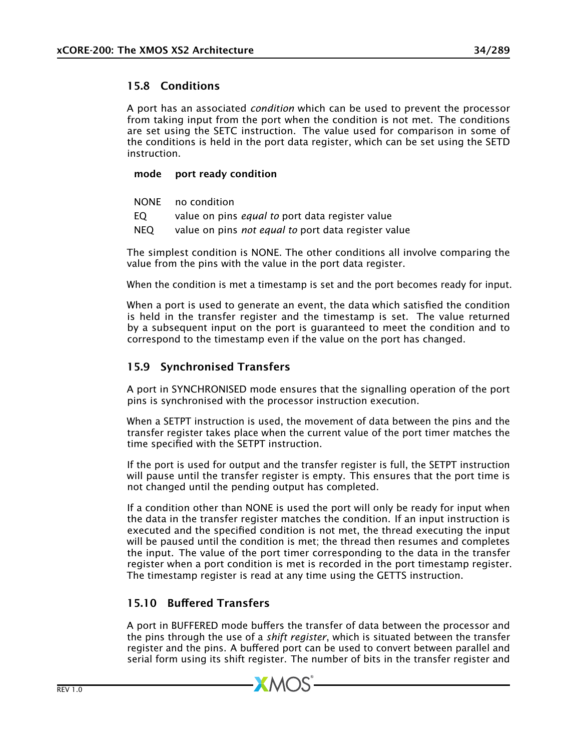## 15.8 Conditions

A port has an associated *condition* which can be used to prevent the processor from taking input from the port when the condition is not met. The conditions are set using the SETC instruction. The value used for comparison in some of the conditions is held in the port data register, which can be set using the SETD instruction.

### mode port ready condition

- NONE no condition
- EQ value on pins *equal to* port data register value
- NEQ value on pins *not equal to* port data register value

The simplest condition is NONE. The other conditions all involve comparing the value from the pins with the value in the port data register.

When the condition is met a timestamp is set and the port becomes ready for input.

When a port is used to generate an event, the data which satisfied the condition is held in the transfer register and the timestamp is set. The value returned by a subsequent input on the port is guaranteed to meet the condition and to correspond to the timestamp even if the value on the port has changed.

## 15.9 Synchronised Transfers

A port in SYNCHRONISED mode ensures that the signalling operation of the port pins is synchronised with the processor instruction execution.

When a SETPT instruction is used, the movement of data between the pins and the transfer register takes place when the current value of the port timer matches the time specified with the SETPT instruction.

If the port is used for output and the transfer register is full, the SETPT instruction will pause until the transfer register is empty. This ensures that the port time is not changed until the pending output has completed.

If a condition other than NONE is used the port will only be ready for input when the data in the transfer register matches the condition. If an input instruction is executed and the specified condition is not met, the thread executing the input will be paused until the condition is met; the thread then resumes and completes the input. The value of the port timer corresponding to the data in the transfer register when a port condition is met is recorded in the port timestamp register. The timestamp register is read at any time using the GETTS instruction.

## 15.10 Buffered Transfers

A port in BUFFERED mode buffers the transfer of data between the processor and the pins through the use of a *shift register*, which is situated between the transfer register and the pins. A buffered port can be used to convert between parallel and serial form using its shift register. The number of bits in the transfer register and

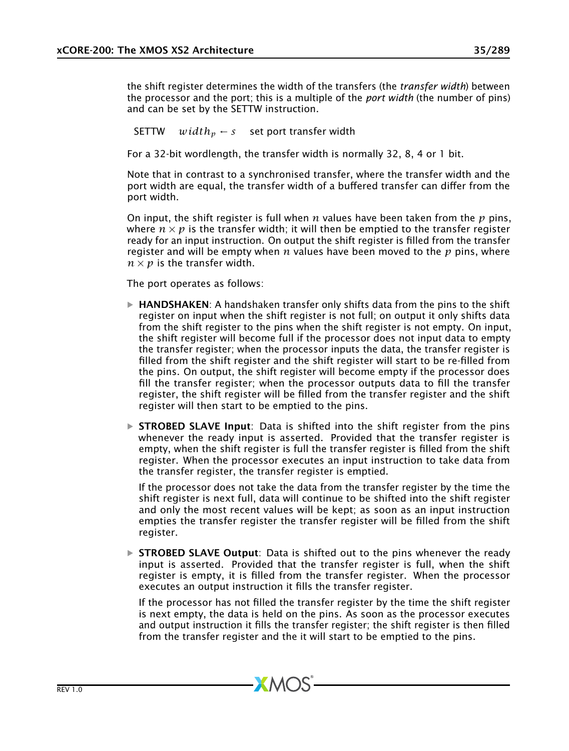the shift register determines the width of the transfers (the *transfer width*) between the processor and the port; this is a multiple of the *port width* (the number of pins) and can be set by the SETTW instruction.

SETTW  $width_n \leftarrow s$  set port transfer width

For a 32-bit wordlength, the transfer width is normally 32, 8, 4 or 1 bit.

Note that in contrast to a synchronised transfer, where the transfer width and the port width are equal, the transfer width of a buffered transfer can differ from the port width.

On input, the shift register is full when *n* values have been taken from the *p* pins, where  $n \times p$  is the transfer width; it will then be emptied to the transfer register ready for an input instruction. On output the shift register is filled from the transfer register and will be empty when *n* values have been moved to the *p* pins, where  $n \times p$  is the transfer width.

The port operates as follows:

- $\triangleright$  **HANDSHAKEN**: A handshaken transfer only shifts data from the pins to the shift register on input when the shift register is not full; on output it only shifts data from the shift register to the pins when the shift register is not empty. On input, the shift register will become full if the processor does not input data to empty the transfer register; when the processor inputs the data, the transfer register is filled from the shift register and the shift register will start to be re-filled from the pins. On output, the shift register will become empty if the processor does fill the transfer register; when the processor outputs data to fill the transfer register, the shift register will be filled from the transfer register and the shift register will then start to be emptied to the pins.
- $\triangleright$  **STROBED SLAVE Input**: Data is shifted into the shift register from the pins whenever the ready input is asserted. Provided that the transfer register is empty, when the shift register is full the transfer register is filled from the shift register. When the processor executes an input instruction to take data from the transfer register, the transfer register is emptied.

If the processor does not take the data from the transfer register by the time the shift register is next full, data will continue to be shifted into the shift register and only the most recent values will be kept; as soon as an input instruction empties the transfer register the transfer register will be filled from the shift register.

 $\triangleright$  STROBED SLAVE Output: Data is shifted out to the pins whenever the ready input is asserted. Provided that the transfer register is full, when the shift register is empty, it is filled from the transfer register. When the processor executes an output instruction it fills the transfer register.

If the processor has not filled the transfer register by the time the shift register is next empty, the data is held on the pins. As soon as the processor executes and output instruction it fills the transfer register; the shift register is then filled from the transfer register and the it will start to be emptied to the pins.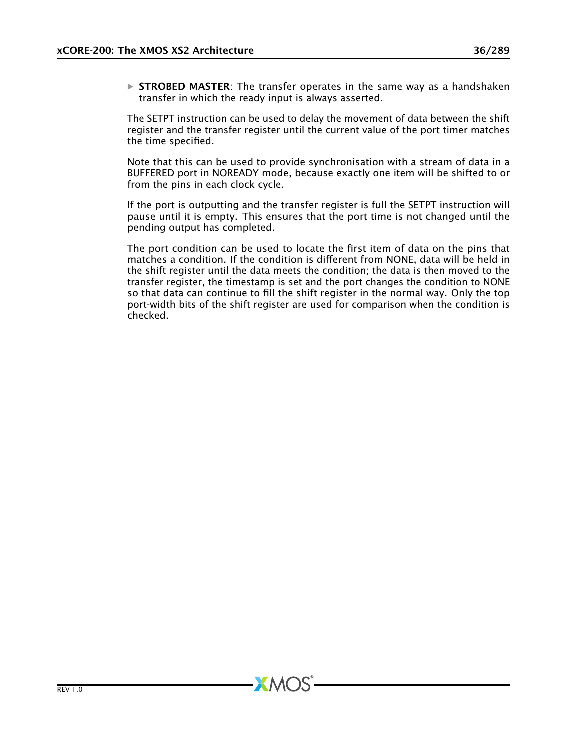$\triangleright$  STROBED MASTER: The transfer operates in the same way as a handshaken transfer in which the ready input is always asserted.

The SETPT instruction can be used to delay the movement of data between the shift register and the transfer register until the current value of the port timer matches the time specified.

Note that this can be used to provide synchronisation with a stream of data in a BUFFERED port in NOREADY mode, because exactly one item will be shifted to or from the pins in each clock cycle.

If the port is outputting and the transfer register is full the SETPT instruction will pause until it is empty. This ensures that the port time is not changed until the pending output has completed.

The port condition can be used to locate the first item of data on the pins that matches a condition. If the condition is different from NONE, data will be held in the shift register until the data meets the condition; the data is then moved to the transfer register, the timestamp is set and the port changes the condition to NONE so that data can continue to fill the shift register in the normal way. Only the top port-width bits of the shift register are used for comparison when the condition is checked.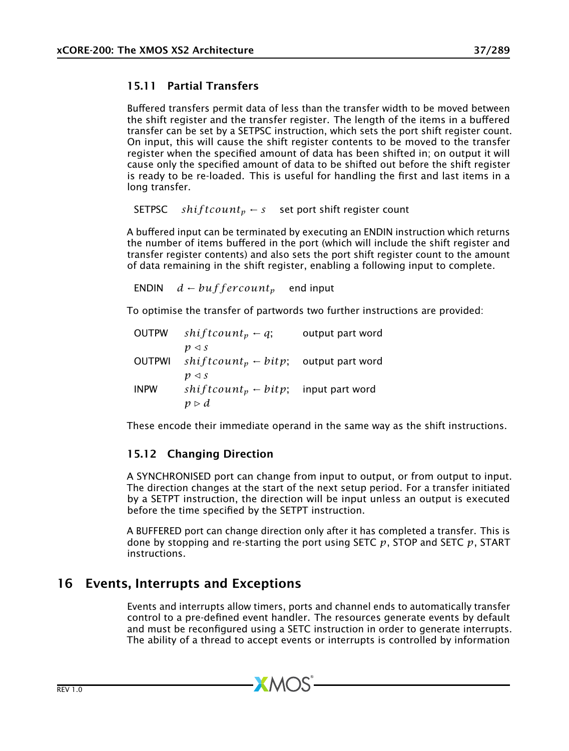### 15.11 Partial Transfers

Buffered transfers permit data of less than the transfer width to be moved between the shift register and the transfer register. The length of the items in a buffered transfer can be set by a SETPSC instruction, which sets the port shift register count. On input, this will cause the shift register contents to be moved to the transfer register when the specified amount of data has been shifted in; on output it will cause only the specified amount of data to be shifted out before the shift register is ready to be re-loaded. This is useful for handling the first and last items in a long transfer.

SETPSC *shiftcount<sub>p</sub>* ← *s* set port shift register count

A buffered input can be terminated by executing an ENDIN instruction which returns the number of items buffered in the port (which will include the shift register and transfer register contents) and also sets the port shift register count to the amount of data remaining in the shift register, enabling a following input to complete.

ENDIN  $d - but f$  *ercount<sub>p</sub>* end input

To optimise the transfer of partwords two further instructions are provided:

| <b>OUTPW</b>  | $shiftcount_p \leftarrow q;$                            | output part word |
|---------------|---------------------------------------------------------|------------------|
|               | $p \triangleleft s$                                     |                  |
| <b>OUTPWI</b> | $shiftcount_p \leftarrow \text{bitp};$ output part word |                  |
|               | $p \triangleleft s$                                     |                  |
| <b>INPW</b>   | $shiftcount_n \leftarrow bitp$ ;                        | input part word  |
|               | $p \triangleright d$                                    |                  |

These encode their immediate operand in the same way as the shift instructions.

### 15.12 Changing Direction

A SYNCHRONISED port can change from input to output, or from output to input. The direction changes at the start of the next setup period. For a transfer initiated by a SETPT instruction, the direction will be input unless an output is executed before the time specified by the SETPT instruction.

A BUFFERED port can change direction only after it has completed a transfer. This is done by stopping and re-starting the port using SETC *p*, STOP and SETC *p*, START instructions.

## 16 Events, Interrupts and Exceptions

Events and interrupts allow timers, ports and channel ends to automatically transfer control to a pre-defined event handler. The resources generate events by default and must be reconfigured using a SETC instruction in order to generate interrupts. The ability of a thread to accept events or interrupts is controlled by information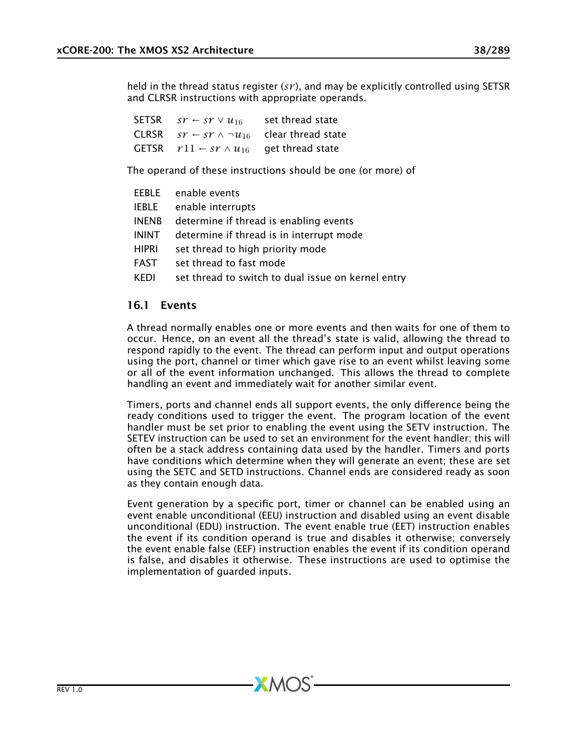held in the thread status register (*sr* ), and may be explicitly controlled using SETSR and CLRSR instructions with appropriate operands.

| SETSR | $ST \leftarrow ST \vee u_{16}$          | set thread state                                               |
|-------|-----------------------------------------|----------------------------------------------------------------|
|       |                                         | CLRSR $sr \leftarrow sr \wedge \neg u_{16}$ clear thread state |
|       | GETSR $r11 \leftarrow sr \wedge u_{16}$ | get thread state                                               |

The operand of these instructions should be one (or more) of

|              | EEBLE enable events                                |
|--------------|----------------------------------------------------|
| IEBLE        | enable interrupts                                  |
| <b>INENB</b> | determine if thread is enabling events             |
| ININT        | determine if thread is in interrupt mode           |
| HIPRI        | set thread to high priority mode                   |
| FAST         | set thread to fast mode                            |
| <b>KEDI</b>  | set thread to switch to dual issue on kernel entry |
|              |                                                    |

### 16.1 Events

A thread normally enables one or more events and then waits for one of them to occur. Hence, on an event all the thread's state is valid, allowing the thread to respond rapidly to the event. The thread can perform input and output operations using the port, channel or timer which gave rise to an event whilst leaving some or all of the event information unchanged. This allows the thread to complete handling an event and immediately wait for another similar event.

Timers, ports and channel ends all support events, the only difference being the ready conditions used to trigger the event. The program location of the event handler must be set prior to enabling the event using the SETV instruction. The SETEV instruction can be used to set an environment for the event handler; this will often be a stack address containing data used by the handler. Timers and ports have conditions which determine when they will generate an event; these are set using the SETC and SETD instructions. Channel ends are considered ready as soon as they contain enough data.

Event generation by a specific port, timer or channel can be enabled using an event enable unconditional (EEU) instruction and disabled using an event disable unconditional (EDU) instruction. The event enable true (EET) instruction enables the event if its condition operand is true and disables it otherwise; conversely the event enable false (EEF) instruction enables the event if its condition operand is false, and disables it otherwise. These instructions are used to optimise the implementation of guarded inputs.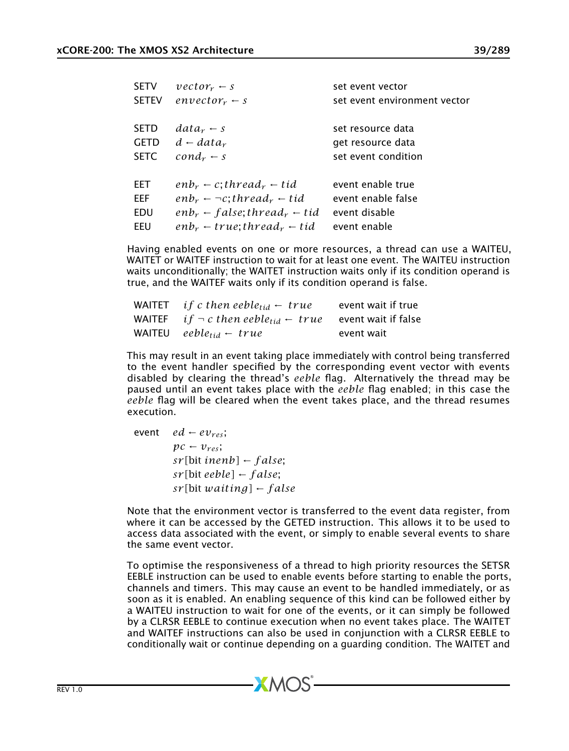| <b>SETV</b>  | $vector_r$ – s                                                   | set event vector             |
|--------------|------------------------------------------------------------------|------------------------------|
| <b>SETEV</b> | $envector_r \leftarrow s$                                        | set event environment vector |
|              |                                                                  |                              |
| <b>SETD</b>  | $data_r - s$                                                     | set resource data            |
| <b>GETD</b>  | $d - data_r$                                                     | get resource data            |
| <b>SETC</b>  | $cond_r - s$                                                     | set event condition          |
| EET          | $enb_r \leftarrow c$ ; thread <sub>r</sub> $\leftarrow$ tid      | event enable true            |
| <b>EEF</b>   | $enb_r \leftarrow \neg c$ ; thread <sub>r</sub> $\leftarrow$ tid | event enable false           |
| EDU          | $enb_r$ $\leftarrow$ false; thread <sub>r</sub> $\leftarrow$ tid | event disable                |
| EEU          | $enb_r \leftarrow true; thread_r \leftarrow tid$                 | event enable                 |

Having enabled events on one or more resources, a thread can use a WAITEU, WAITET or WAITEF instruction to wait for at least one event. The WAITEU instruction waits unconditionally; the WAITET instruction waits only if its condition operand is true, and the WAITEF waits only if its condition operand is false.

| WAITET <i>if c then eeble<sub>tid</sub></i> $\leftarrow$ true                      | event wait if true |
|------------------------------------------------------------------------------------|--------------------|
| WAITEF if $\neg$ c then eeble <sub>tid</sub> $\leftarrow$ true event wait if false |                    |
| WAITEU eeble <sub>tid</sub> $\leftarrow$ true                                      | event wait         |

This may result in an event taking place immediately with control being transferred to the event handler specified by the corresponding event vector with events disabled by clearing the thread's *eeble* flag. Alternatively the thread may be paused until an event takes place with the *eeble* flag enabled; in this case the *eeble* flag will be cleared when the event takes place, and the thread resumes execution.

event *ed* ←  $ev_{res}$ ;  $pc - v_{res}$ ; *sr [*bit *inenb]* ← *f alse*; *sr [*bit *eeble]* ← *f alse*; *sr [*bit *waiting]* ← *f alse*

Note that the environment vector is transferred to the event data register, from where it can be accessed by the GETED instruction. This allows it to be used to access data associated with the event, or simply to enable several events to share the same event vector.

To optimise the responsiveness of a thread to high priority resources the SETSR EEBLE instruction can be used to enable events before starting to enable the ports, channels and timers. This may cause an event to be handled immediately, or as soon as it is enabled. An enabling sequence of this kind can be followed either by a WAITEU instruction to wait for one of the events, or it can simply be followed by a CLRSR EEBLE to continue execution when no event takes place. The WAITET and WAITEF instructions can also be used in conjunction with a CLRSR EEBLE to conditionally wait or continue depending on a guarding condition. The WAITET and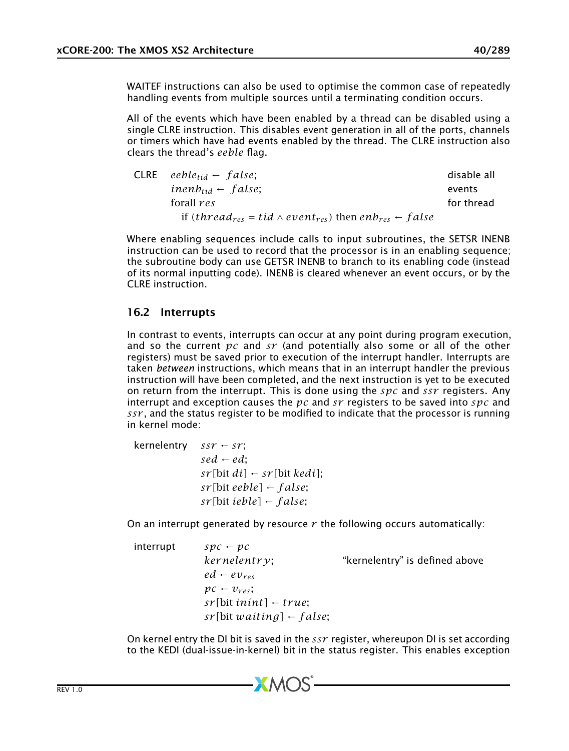WAITEF instructions can also be used to optimise the common case of repeatedly handling events from multiple sources until a terminating condition occurs.

All of the events which have been enabled by a thread can be disabled using a single CLRE instruction. This disables event generation in all of the ports, channels or timers which have had events enabled by the thread. The CLRE instruction also clears the thread's *eeble* flag.

| $CLRE \quad eeble_{tid} \leftarrow false;$                                                                | disable all |
|-----------------------------------------------------------------------------------------------------------|-------------|
| inenb <sub>tid</sub> – false;                                                                             | events      |
| forall res                                                                                                | for thread  |
| if (thread <sub>res</sub> = tid $\land$ event <sub>res</sub> ) then enb <sub>res</sub> $\leftarrow$ false |             |

Where enabling sequences include calls to input subroutines, the SETSR INENB instruction can be used to record that the processor is in an enabling sequence; the subroutine body can use GETSR INENB to branch to its enabling code (instead of its normal inputting code). INENB is cleared whenever an event occurs, or by the CLRE instruction.

### <span id="page-39-0"></span>16.2 Interrupts

In contrast to events, interrupts can occur at any point during program execution, and so the current *pc* and *sr* (and potentially also some or all of the other registers) must be saved prior to execution of the interrupt handler. Interrupts are taken *between* instructions, which means that in an interrupt handler the previous instruction will have been completed, and the next instruction is yet to be executed on return from the interrupt. This is done using the *spc* and *ssr* registers. Any interrupt and exception causes the *pc* and *sr* registers to be saved into *spc* and *ssr* , and the status register to be modified to indicate that the processor is running in kernel mode:

 $kernelentrv$  *ssr* ← *sr*: *sed* ← *ed*;  $sr[bit\,di] \leftarrow sr[bit\,kedi];$ *sr [*bit *eeble]* ← *f alse*; *sr [*bit *ieble]* ← *f alse*;

On an interrupt generated by resource *r* the following occurs automatically:

| interrupt | $Spc - pc$                          |                                |
|-----------|-------------------------------------|--------------------------------|
|           | $kernelentr$ .                      | "kernelentry" is defined above |
|           | $ed$ – $ev_{res}$                   |                                |
|           | $pc - v_{res}$                      |                                |
|           | $sr[bit init] \leftarrow true;$     |                                |
|           | $sr[bit waiting] \leftarrow false;$ |                                |

On kernel entry the DI bit is saved in the *ssr* register, whereupon DI is set according to the KEDI (dual-issue-in-kernel) bit in the status register. This enables exception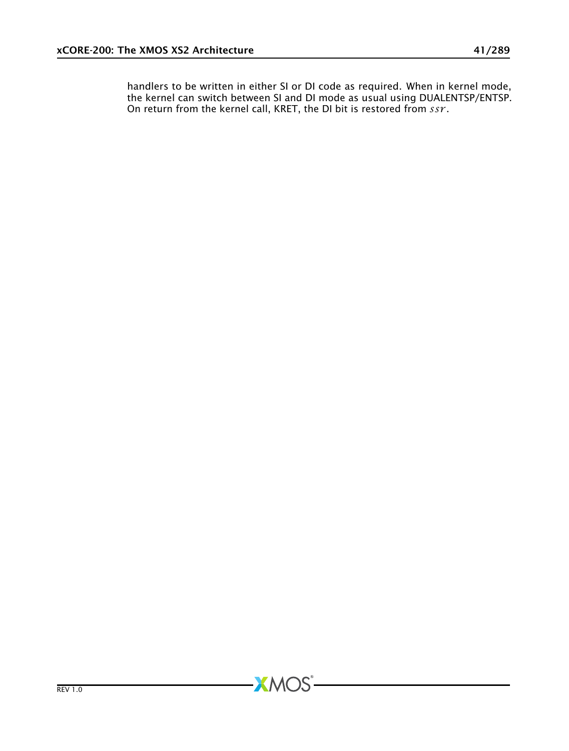handlers to be written in either SI or DI code as required. When in kernel mode, the kernel can switch between SI and DI mode as usual using DUALENTSP/ENTSP. On return from the kernel call, KRET, the DI bit is restored from *ssr* .

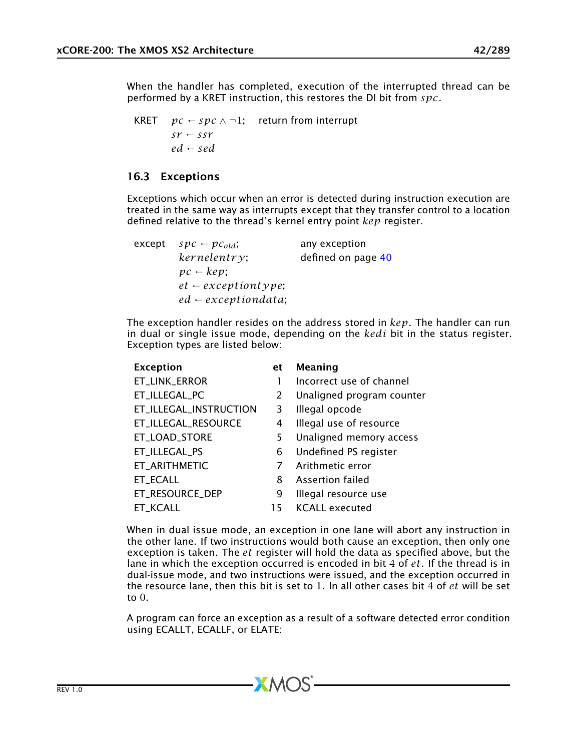When the handler has completed, execution of the interrupted thread can be performed by a KRET instruction, this restores the DI bit from *spc*.

KRET  $pc \leftarrow spec \wedge \neg 1$ ; return from interrupt  $s\mathcal{r} \leftarrow s s\mathcal{r}$ *ed* ← *sed*

### <span id="page-41-0"></span>16.3 Exceptions

Exceptions which occur when an error is detected during instruction execution are treated in the same way as interrupts except that they transfer control to a location defined relative to the thread's kernel entry point *kep* register.

| except | $spc - pc_{old}$                 | any exception      |
|--------|----------------------------------|--------------------|
|        | kernelentry                      | defined on page 40 |
|        | $pc - kep$                       |                    |
|        | $et$ $\leftarrow$ exceptiontype; |                    |
|        | $ed$ $\leftarrow$ exceptiondata; |                    |

The exception handler resides on the address stored in *kep*. The handler can run in dual or single issue mode, depending on the *kedi* bit in the status register. Exception types are listed below:

| <b>Exception</b>       | et | Meaning                   |
|------------------------|----|---------------------------|
| ET_LINK_ERROR          |    | Incorrect use of channel  |
| ET_ILLEGAL_PC          | 2  | Unaligned program counter |
| ET_ILLEGAL_INSTRUCTION | 3  | Illegal opcode            |
| ET_ILLEGAL_RESOURCE    | 4  | Illegal use of resource   |
| ET_LOAD_STORE          | 5. | Unaligned memory access   |
| ET_ILLEGAL_PS          | 6  | Undefined PS register     |
| ET_ARITHMETIC          |    | Arithmetic error          |
| ET_ECALL               | 8  | Assertion failed          |
| ET RESOURCE DEP        | 9  | Illegal resource use      |
| ET KCALL               | 15 | <b>KCALL executed</b>     |

When in dual issue mode, an exception in one lane will abort any instruction in the other lane. If two instructions would both cause an exception, then only one exception is taken. The *et* register will hold the data as specified above, but the lane in which the exception occurred is encoded in bit 4 of *et*. If the thread is in dual-issue mode, and two instructions were issued, and the exception occurred in the resource lane, then this bit is set to 1. In all other cases bit 4 of *et* will be set to 0.

A program can force an exception as a result of a software detected error condition using ECALLT, ECALLF, or ELATE:

 $-MOS-$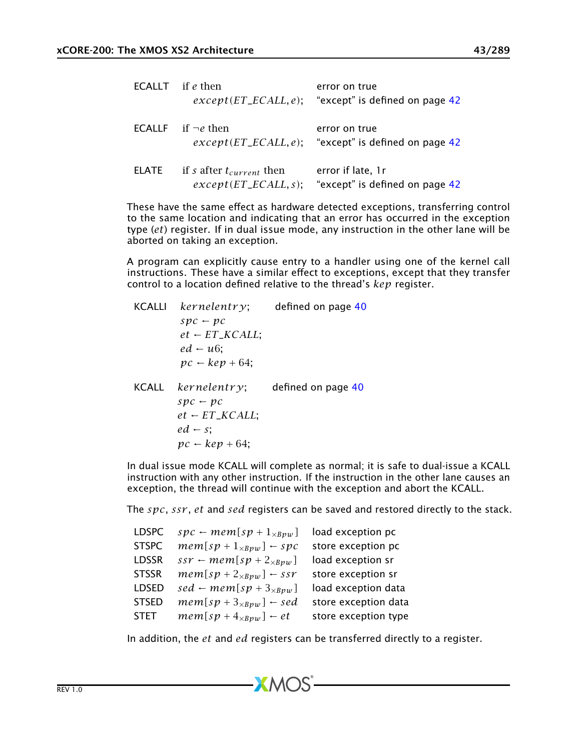| $ECALLT$ if e then |                                                           | error on true<br>$except (ET\_ECALL, e);$ "except" is defined on page 42 |
|--------------------|-----------------------------------------------------------|--------------------------------------------------------------------------|
|                    | <b>ECALLE</b> if $\neg e$ then                            | error on true<br>$except(ET\_ECALL, e);$ "except" is defined on page 42  |
| <b>ELATE</b>       | if s after $t_{current}$ then<br>$except (ET\_ECALL, s);$ | error if late, 1r<br>"except" is defined on page 42                      |

These have the same effect as hardware detected exceptions, transferring control to the same location and indicating that an error has occurred in the exception type (*et*) register. If in dual issue mode, any instruction in the other lane will be aborted on taking an exception.

A program can explicitly cause entry to a handler using one of the kernel call instructions. These have a similar effect to exceptions, except that they transfer control to a location defined relative to the thread's *kep* register.

KCALLI *ker nelentr y*; defined on page [40](#page-39-0)  $spc - pc$  $et \leftarrow ET_KCALL$ ;  $ed - u6$  $pc - kep + 64$ ; KCALL *ker nelentr y*; defined on page [40](#page-39-0)  $spc - pc$  $et$  ←  $ET$ *\_KCALL*;  $ed \leftarrow s$ ;  $pc \leftarrow \text{kep} + 64$ ;

In dual issue mode KCALL will complete as normal; it is safe to dual-issue a KCALL instruction with any other instruction. If the instruction in the other lane causes an exception, the thread will continue with the exception and abort the KCALL.

The *spc*, *ssr* , *et* and *sed* registers can be saved and restored directly to the stack.

| <b>LDSPC</b> | $spc \leftarrow mem[sp + 1_{\times Bpw}]$ | load exception pc    |
|--------------|-------------------------------------------|----------------------|
| <b>STSPC</b> | $mem[sp + 1_{\times Bpw}] \leftarrow spc$ | store exception pc   |
| <b>LDSSR</b> | $ssr \leftarrow mem[sp + 2_{\times Bpw}]$ | load exception sr    |
| <b>STSSR</b> | $mem[sp + 2_{\times Bpw}] \leftarrow ssr$ | store exception sr   |
| <b>LDSED</b> | $sed \leftarrow mem[sp + 3_{\times Bpw}]$ | load exception data  |
| <b>STSED</b> | $mem[sp + 3_{\times Bpw}] \leftarrow sed$ | store exception data |
| STET         | $mem[sp + 4_{\times Bpw}] \leftarrow et$  | store exception type |
|              |                                           |                      |

In addition, the *et* and *ed* registers can be transferred directly to a register.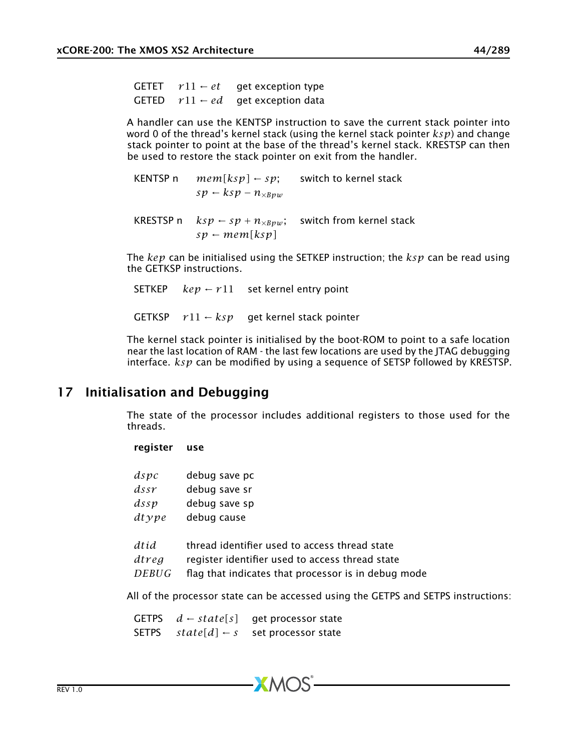GETET  $r11 - et$  get exception type GETED  $r11 - ed$  get exception data

A handler can use the KENTSP instruction to save the current stack pointer into word 0 of the thread's kernel stack (using the kernel stack pointer *ksp*) and change stack pointer to point at the base of the thread's kernel stack. KRESTSP can then be used to restore the stack pointer on exit from the handler.

KENTSP n  $mem[ksp] \leftarrow sp$ ; switch to kernel stack  $sp$  ←  $ksp$  –  $n_{\times Bpw}$ KRESTSP n  $ksp \leftarrow sp + n_{\times Bpw}$ ; switch from kernel stack  $sp \leftarrow mem[ksp]$ 

The *kep* can be initialised using the SETKEP instruction; the *ksp* can be read using the GETKSP instructions.

SETKEP  $kep \leftarrow r11$  set kernel entry point GETKSP  $r11 \leftarrow ksp$  get kernel stack pointer

The kernel stack pointer is initialised by the boot-ROM to point to a safe location near the last location of RAM - the last few locations are used by the JTAG debugging interface. *ksp* can be modified by using a sequence of SETSP followed by KRESTSP.

# 17 Initialisation and Debugging

<span id="page-43-0"></span>The state of the processor includes additional registers to those used for the threads.

### register use

| dspc  | debug save pc                                       |
|-------|-----------------------------------------------------|
| dssr  | debug save sr                                       |
| dssp  | debug save sp                                       |
| dtype | debug cause                                         |
| dtid  | thread identifier used to access thread state       |
| dtreg | register identifier used to access thread state     |
| DEBUG | flag that indicates that processor is in debug mode |

 $XMOS$ 

All of the processor state can be accessed using the GETPS and SETPS instructions:

GETPS *d* ← *state[s]* get processor state SETPS  $state[d] \leftarrow s$  set processor state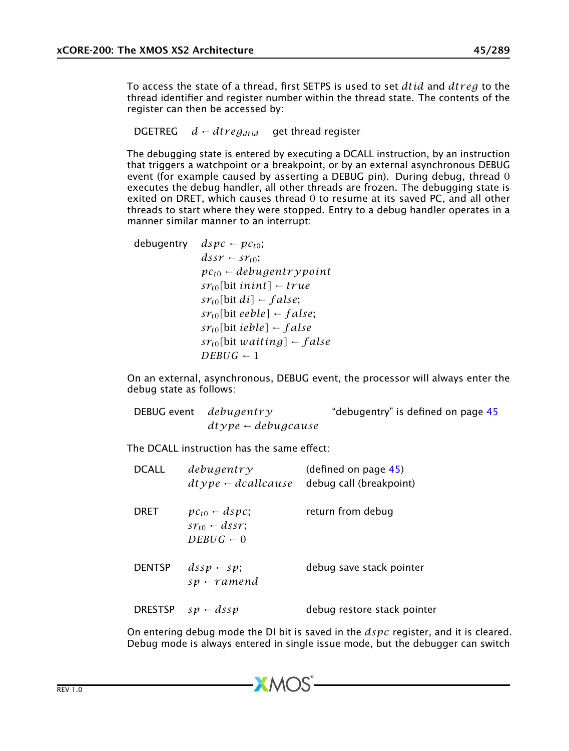To access the state of a thread, first SETPS is used to set *dtid* and *dtr eg* to the thread identifier and register number within the thread state. The contents of the register can then be accessed by:

DGETREG  $d \leftarrow dt \, \text{reg}_{dtid}$  get thread register

The debugging state is entered by executing a DCALL instruction, by an instruction that triggers a watchpoint or a breakpoint, or by an external asynchronous DEBUG event (for example caused by asserting a DEBUG pin). During debug, thread 0 executes the debug handler, all other threads are frozen. The debugging state is exited on DRET, which causes thread 0 to resume at its saved PC, and all other threads to start where they were stopped. Entry to a debug handler operates in a manner similar manner to an interrupt:

debugentry  $dspc \leftarrow pc_{t0}$ ;  $dssr - sr_{t0}$ ; *pct*<sup>0</sup> ← *debugentr ypoint*  $sr_{t0}$ [bit *inint*] ← *true*  $sr_{t0}$ [bit *di*] ← *f alse*;  $sr_{t0}$ [bit *eeble*] ← *false*;  $sr<sub>t0</sub>$ [bit *ieble*] ← *f alse*  $sr_{t0}$ [bit *waiting*] ← *false*  $DEBUG - 1$ 

On an external, asynchronous, DEBUG event, the processor will always enter the debug state as follows:

| DEBUG event debugentry | "debugentry" is defined on page 45 |
|------------------------|------------------------------------|
| $dtype$ – debugcause   |                                    |

The DCALL instruction has the same effect:

| <b>DCALL</b>  | debugentr v<br>$dt\nu pe \leftarrow}$ deallcause               | (defined on page 45)<br>debug call (breakpoint) |
|---------------|----------------------------------------------------------------|-------------------------------------------------|
| <b>DRET</b>   | $pc_{t0}$ – dspc;<br>$sr_{t0}$ – dssr;<br>$DERIG \leftarrow 0$ | return from debug                               |
| <b>DENTSP</b> | $dssp - sp$<br>$sp$ – ramend                                   | debug save stack pointer                        |
|               | DRESTSP $sp - dssp$                                            | debug restore stack pointer                     |

On entering debug mode the DI bit is saved in the *dspc* register, and it is cleared. Debug mode is always entered in single issue mode, but the debugger can switch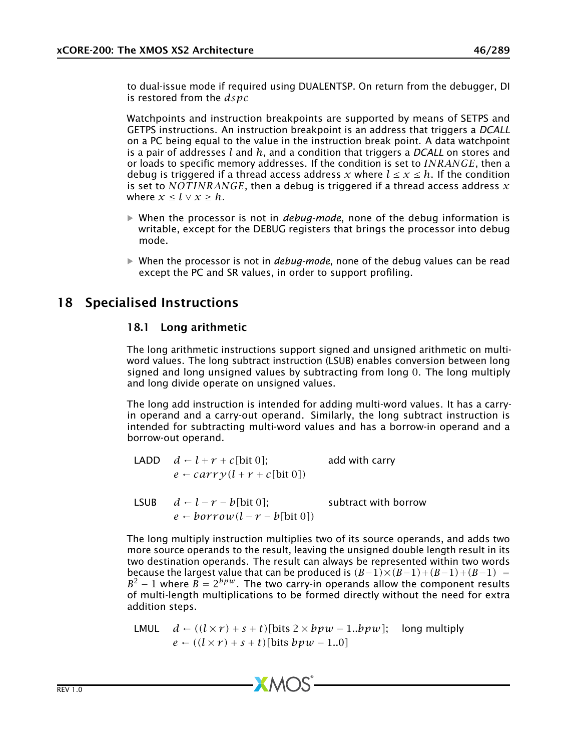to dual-issue mode if required using DUALENTSP. On return from the debugger, DI is restored from the *dspc*

Watchpoints and instruction breakpoints are supported by means of SETPS and GETPS instructions. An instruction breakpoint is an address that triggers a *DCALL* on a PC being equal to the value in the instruction break point. A data watchpoint is a pair of addresses *l* and *h*, and a condition that triggers a *DCALL* on stores and or loads to specific memory addresses. If the condition is set to *INRANGE*, then a debug is triggered if a thread access address x where  $l \leq x \leq h$ . If the condition is set to *NOT INRANGE*, then a debug is triggered if a thread access address *x* where  $x \leq l \vee x \geq h$ .

- · When the processor is not in *debug-mode*, none of the debug information is writable, except for the DEBUG registers that brings the processor into debug mode.
- · When the processor is not in *debug-mode*, none of the debug values can be read except the PC and SR values, in order to support profiling.

# 18 Specialised Instructions

### 18.1 Long arithmetic

The long arithmetic instructions support signed and unsigned arithmetic on multiword values. The long subtract instruction (LSUB) enables conversion between long signed and long unsigned values by subtracting from long 0. The long multiply and long divide operate on unsigned values.

The long add instruction is intended for adding multi-word values. It has a carryin operand and a carry-out operand. Similarly, the long subtract instruction is intended for subtracting multi-word values and has a borrow-in operand and a borrow-out operand.

- LADD  $d \leftarrow l + r + c$ [bit 0]; add with carry  $e \leftarrow \text{carry}(l + r + c[\text{bit 0}])$
- LSUB  $d l r b$ [bit 0]; subtract with borrow  $e \leftarrow b \text{ or } r \text{ or } u(l - r - b[\text{bit 0}])$

The long multiply instruction multiplies two of its source operands, and adds two more source operands to the result, leaving the unsigned double length result in its two destination operands. The result can always be represented within two words because the largest value that can be produced is  $(B-1)\times(B-1)+(B-1)+(B-1)$  $B^2 - 1$  where  $B = 2^{bpw}$ . The two carry-in operands allow the component results of multi-length multiplications to be formed directly without the need for extra addition steps.

LMUL 
$$
d - ((l \times r) + s + t)
$$
[bits  $2 \times bpw - 1..bpw$ ]; long multiply  
 $e - ((l \times r) + s + t)$ [bits  $bpw - 1..0$ ]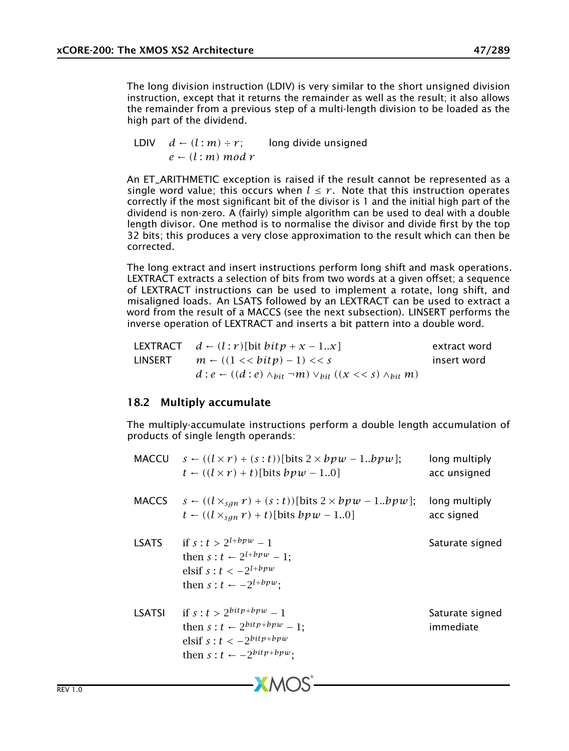The long division instruction (LDIV) is very similar to the short unsigned division instruction, except that it returns the remainder as well as the result; it also allows the remainder from a previous step of a multi-length division to be loaded as the high part of the dividend.

LDIV  $d \leftarrow (l : m) \div r$ ; long divide unsigned *e* ← *(l* : *m) mod r*

An ET\_ARITHMETIC exception is raised if the result cannot be represented as a single word value; this occurs when  $l \leq r$ . Note that this instruction operates correctly if the most significant bit of the divisor is 1 and the initial high part of the dividend is non-zero. A (fairly) simple algorithm can be used to deal with a double length divisor. One method is to normalise the divisor and divide first by the top 32 bits; this produces a very close approximation to the result which can then be corrected.

The long extract and insert instructions perform long shift and mask operations. LEXTRACT extracts a selection of bits from two words at a given offset; a sequence of LEXTRACT instructions can be used to implement a rotate, long shift, and misaligned loads. An LSATS followed by an LEXTRACT can be used to extract a word from the result of a MACCS (see the next subsection). LINSERT performs the inverse operation of LEXTRACT and inserts a bit pattern into a double word.

|         | LEXTRACT $d \leftarrow (l : r)$ [bit $bitp + x - 1.x$ ]                              | extract word |
|---------|--------------------------------------------------------------------------------------|--------------|
| LINSERT | $m \leftarrow ((1 \lt\lt bity) - 1) \lt\lt s$                                        | insert word  |
|         | $d: e \leftarrow ((d: e) \wedge_{bit} \neg m) \vee_{bit} ((x \ll s) \wedge_{bit} m)$ |              |

### 18.2 Multiply accumulate

The multiply-accumulate instructions perform a double length accumulation of products of single length operands:

|               | MACCU $s \leftarrow ((l \times r) + (s : t))$ [bits 2 × bpw - 1bpw];<br>$t \leftarrow ((l \times r) + t)$ [bits $bpw - 1.0$ ]                                 | long multiply<br>acc unsigned |
|---------------|---------------------------------------------------------------------------------------------------------------------------------------------------------------|-------------------------------|
|               | MACCS $s \leftarrow ((l \times_{san} r) + (s : t))$ [bits 2 × bpw – 1bpw];<br>$t \leftarrow ((l \times_{san} r) + t)$ [bits $bpw - 1.0$ ]                     | long multiply<br>acc signed   |
| <b>LSATS</b>  | if $s : t > 2^{l + b p w} - 1$<br>then $s : t \leftarrow 2^{l + bpw} - 1$ ;<br>elsif $s : t < -2^{l + bpw}$<br>then $s: t \leftarrow -2^{l + bpw}$ :          | Saturate signed               |
| <b>LSATSI</b> | if $s : t > 2^{bitp + bpw} - 1$<br>then $s: t \leftarrow 2^{bitp + bpw} - 1$ ;<br>elsif $s : t < -2^{bitp + bpw}$<br>then $s: t \leftarrow -2^{bitp + bpw}$ . | Saturate signed<br>immediate  |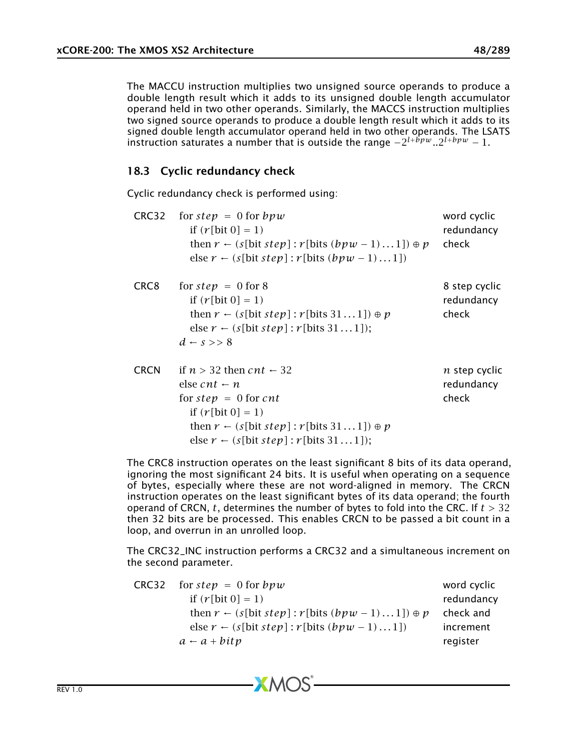The MACCU instruction multiplies two unsigned source operands to produce a double length result which it adds to its unsigned double length accumulator operand held in two other operands. Similarly, the MACCS instruction multiplies two signed source operands to produce a double length result which it adds to its signed double length accumulator operand held in two other operands. The LSATS instruction saturates a number that is outside the range  $-2^{l+bpw}$ .. $2^{l+bpw} - 1$ .

### 18.3 Cyclic redundancy check

Cyclic redundancy check is performed using:

| CRC32            | for step = $0$ for $bpw$<br>if $(r[\text{bit } 0] = 1)$<br>then $r \leftarrow (s[bit step]: r[bits (bpw - 1)1]) \oplus p$<br>else $r \leftarrow (s[\text{bit step}]: r[\text{bits }(bpw - 1)1])$                                                             | word cyclic<br>redundancy<br>check          |
|------------------|--------------------------------------------------------------------------------------------------------------------------------------------------------------------------------------------------------------------------------------------------------------|---------------------------------------------|
| CRC <sub>8</sub> | for $step = 0$ for 8<br>if $(r[\text{bit 0}] = 1)$<br>then $r \leftarrow (s[\text{bit step]} : r[\text{bits } 31 \dots 1]) \oplus p$<br>else $r \leftarrow (s[bit step]: r[bits 311]);$<br>$d \leftarrow s \rightarrow 8$                                    | 8 step cyclic<br>redundancy<br>check        |
| <b>CRCN</b>      | if $n > 32$ then $cnt \leftarrow 32$<br>else cnt $\leftarrow$ n<br>for $step = 0$ for cnt<br>if $(r[\text{bit 0}] = 1)$<br>then $r \leftarrow (s[\text{bit step]} : r[\text{bits } 31 \dots 1]) \oplus p$<br>else $r \leftarrow (s[bit step]: r[bits 311]);$ | <i>n</i> step cyclic<br>redundancy<br>check |

The CRC8 instruction operates on the least significant 8 bits of its data operand, ignoring the most significant 24 bits. It is useful when operating on a sequence of bytes, especially where these are not word-aligned in memory. The CRCN instruction operates on the least significant bytes of its data operand; the fourth operand of CRCN, *t*, determines the number of bytes to fold into the CRC. If *t >* 32 then 32 bits are be processed. This enables CRCN to be passed a bit count in a loop, and overrun in an unrolled loop.

The CRC32\_INC instruction performs a CRC32 and a simultaneous increment on the second parameter.

| CRC32 | for step = $0$ for $bpw$                                            | word cyclic |
|-------|---------------------------------------------------------------------|-------------|
|       | if $(r[\text{bit } 0] = 1)$                                         | redundancy  |
|       | then $r \leftarrow (s[bit step]: r[bits (bpw - 1)1]) \oplus p$      | check and   |
|       | else $r \leftarrow (s[\text{bit step}]: r[\text{bits }(bpw - 1)1])$ | increment   |
|       | $a - a + bitp$                                                      | register    |
|       |                                                                     |             |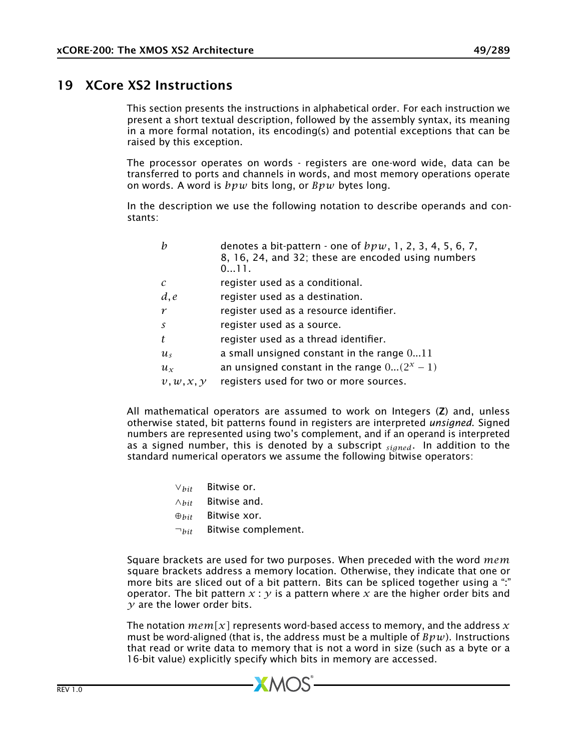# 19 XCore XS2 Instructions

This section presents the instructions in alphabetical order. For each instruction we present a short textual description, followed by the assembly syntax, its meaning in a more formal notation, its encoding(s) and potential exceptions that can be raised by this exception.

The processor operates on words - registers are one-word wide, data can be transferred to ports and channels in words, and most memory operations operate on words. A word is *bpw* bits long, or *Bpw* bytes long.

In the description we use the following notation to describe operands and constants:

| h                     | denotes a bit-pattern - one of $bpw$ , 1, 2, 3, 4, 5, 6, 7,<br>8, 16, 24, and 32; these are encoded using numbers<br>011. |
|-----------------------|---------------------------------------------------------------------------------------------------------------------------|
| $\mathcal{C}$         | register used as a conditional.                                                                                           |
| d, e                  | register used as a destination.                                                                                           |
| $\boldsymbol{\gamma}$ | register used as a resource identifier.                                                                                   |
| $\mathcal{S}$         | register used as a source.                                                                                                |
| t                     | register used as a thread identifier.                                                                                     |
| $u_{s}$               | a small unsigned constant in the range $011$                                                                              |
| $u_{x}$               | an unsigned constant in the range $0(2^x-1)$                                                                              |
| v, w, x, y            | registers used for two or more sources.                                                                                   |
|                       |                                                                                                                           |

All mathematical operators are assumed to work on Integers (Z) and, unless otherwise stated, bit patterns found in registers are interpreted *unsigned*. Signed numbers are represented using two's complement, and if an operand is interpreted as a signed number, this is denoted by a subscript *signed*. In addition to the standard numerical operators we assume the following bitwise operators:

- ∨*bit* Bitwise or.
- ∧*bit* Bitwise and.
- ⊕*bit* Bitwise xor.
- ¬*bit* Bitwise complement.

Square brackets are used for two purposes. When preceded with the word *mem* square brackets address a memory location. Otherwise, they indicate that one or more bits are sliced out of a bit pattern. Bits can be spliced together using a ":" operator. The bit pattern  $x : y$  is a pattern where  $x$  are the higher order bits and *y* are the lower order bits.

The notation  $mem[x]$  represents word-based access to memory, and the address  $x$ must be word-aligned (that is, the address must be a multiple of *Bpw*). Instructions that read or write data to memory that is not a word in size (such as a byte or a 16-bit value) explicitly specify which bits in memory are accessed.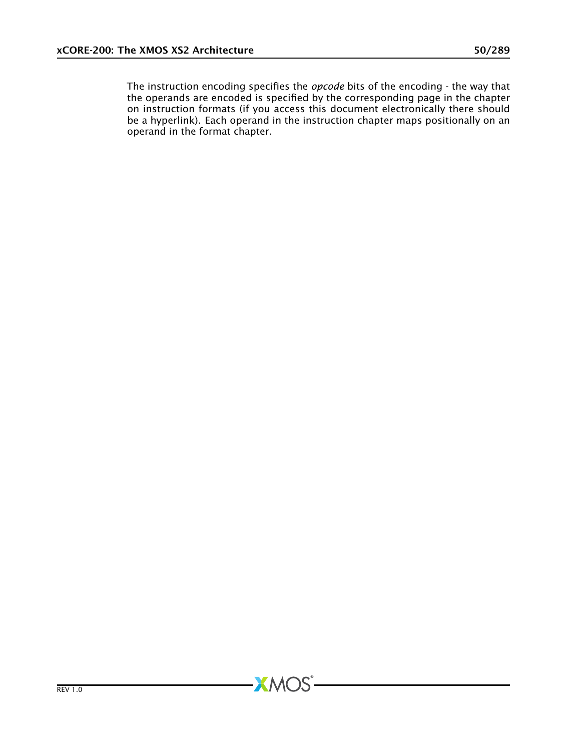The instruction encoding specifies the *opcode* bits of the encoding - the way that the method content in the operator corresponding by the corresponding page in the chapter on instruction formats (if you access this document electronically there should be a hyperlink). Each operand in the instruction chapter maps positionally on an operand in the format chapter.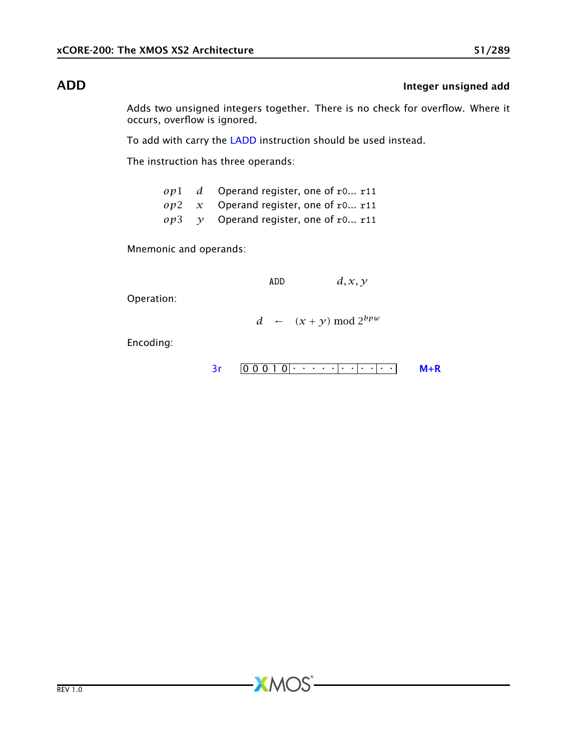# ADD **Integer unsigned add**

Adds two unsigned integers together. There is no check for overflow. Where it occurs, overflow is ignored.

To add with carry the [LADD](#page-128-0) instruction should be used instead.

The instruction has three operands:

|  | $op1$ d Operand register, one of r0 r11       |
|--|-----------------------------------------------|
|  | $op2 \, x$ Operand register, one of r0 r11    |
|  | $op3 \quad y$ Operand register, one of r0 r11 |

Mnemonic and operands:

ADD *d, x, y*

Operation:

*d* ←  $(x + y) \text{ mod } 2^{bpw}$ 

**XMOS** 

[3r](#page-249-0) 0 0 0 1 0 . . . . . . . . . . . [M+R](#page-287-0)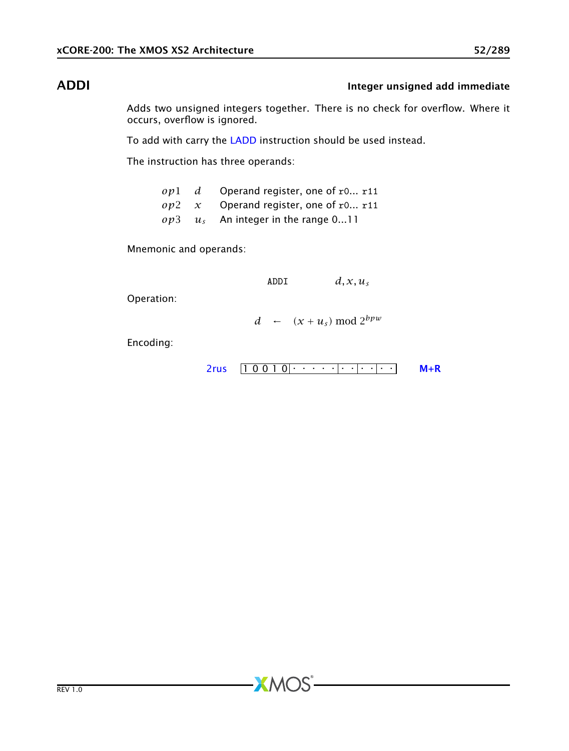# ADDI **Integer unsigned add immediate**

Adds two unsigned integers together. There is no check for overflow. Where it occurs, overflow is ignored.

To add with carry the [LADD](#page-128-0) instruction should be used instead.

The instruction has three operands:

|  | $op1$ d Operand register, one of r0 r11    |
|--|--------------------------------------------|
|  | $op2 \, x$ Operand register, one of r0 r11 |
|  | $op3 \t u_s$ An integer in the range 011   |

**XMOS** 

Mnemonic and operands:

ADDI  $d, x, u_s$ 

Operation:

*d* ←  $(x + u_s) \text{ mod } 2^{bpw}$ 

```
1 0 0 1 0 . . . . . . . . . . . 2rus M+R
```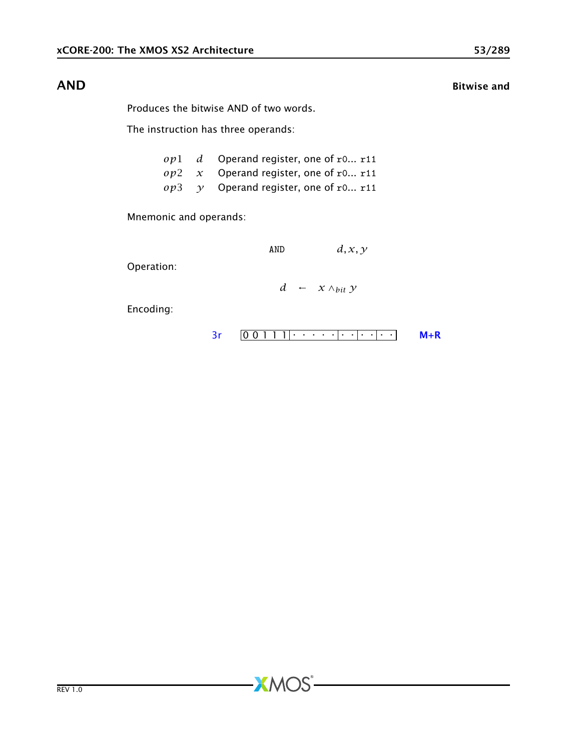## AND Bitwise and

Produces the bitwise AND of two words.

The instruction has three operands:

|  | $op1$ d Operand register, one of r0 r11            |
|--|----------------------------------------------------|
|  | $op2 \, x$ Operand register, one of r0 r11         |
|  | $op3 \quad \gamma$ Operand register, one of r0 r11 |

**XMOS** 

Mnemonic and operands:

$$
AND \hspace{1cm} d,x,y
$$

Operation:

*d* ← *x* ∧*bit y*

$$
3r \qquad 0 \qquad 0 \qquad 1 \qquad 1 \qquad 1 \qquad \cdots \qquad \qquad 1 \qquad \cdots
$$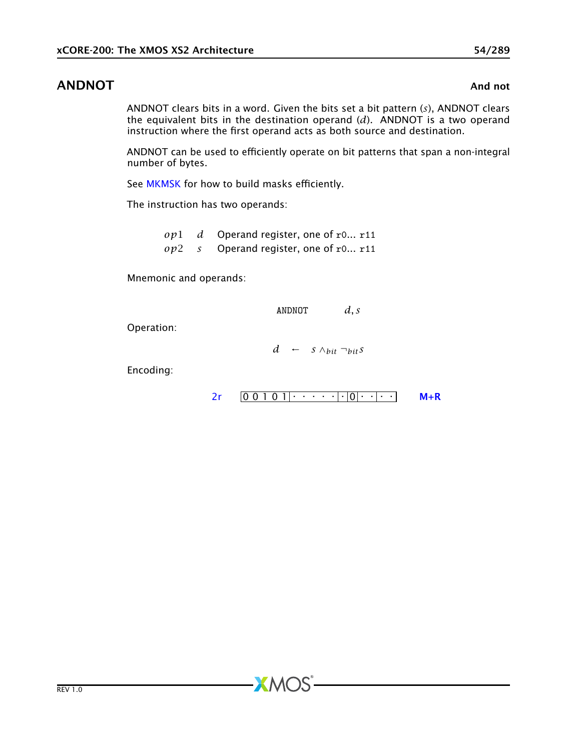# ANDNOT And not all the state of the state of the state of the state of the state of the state of the state of the state of the state of the state of the state of the state of the state of the state of the state of the stat

ANDNOT clears bits in a word. Given the bits set a bit pattern (*s*), ANDNOT clears the equivalent bits in the destination operand (*d*). ANDNOT is a two operand instruction where the first operand acts as both source and destination.

ANDNOT can be used to efficiently operate on bit patterns that span a non-integral number of bytes.

See [MKMSK](#page-166-0) for how to build masks efficiently.

The instruction has two operands:

*op*1 *d* Operand register, one of r0... r11 *op*2 *s* Operand register, one of r0... r11

 $XMOS$ 

Mnemonic and operands:

ANDNOT *d, s*

Operation:

*d* ← *s* ∧*bit* ¬*bits*

$$
2r \quad 0 \quad 0 \quad 1 \quad 0 \quad 1 \quad \cdots \quad 0 \quad 0 \quad \cdots \quad 0 \quad M+R
$$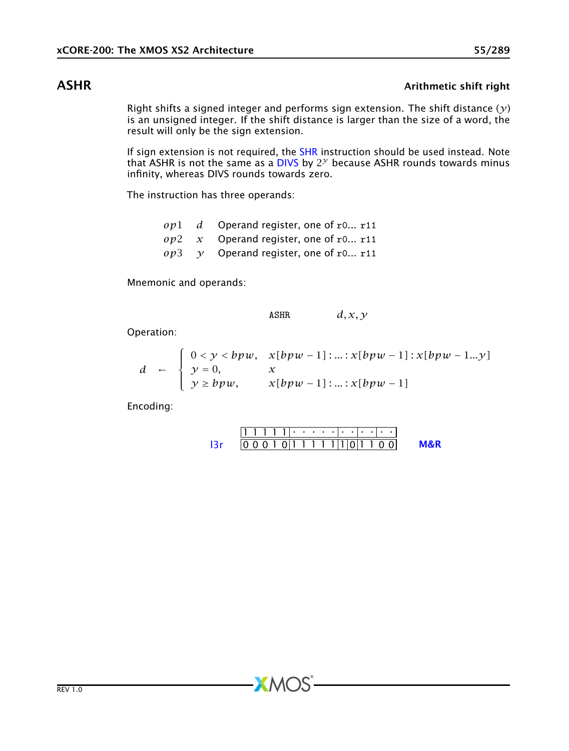## ASHR ASHR Arithmetic shift right

Right shifts a signed integer and performs sign extension. The shift distance (*y*) is an unsigned integer. If the shift distance is larger than the size of a word, the result will only be the sign extension.

If sign extension is not required, the [SHR](#page-209-0) instruction should be used instead. Note that ASHR is not the same as a [DIVS](#page-84-0) by 2 *<sup>y</sup>* because ASHR rounds towards minus infinity, whereas DIVS rounds towards zero.

The instruction has three operands:

*op*1 *d* Operand register, one of r0... r11 *op*2 *x* Operand register, one of r0... r11  $op3 \quad \gamma$  Operand register, one of r0... r11

Mnemonic and operands:

$$
ASHR \t d, x, y
$$

Operation:

$$
d \leftarrow \begin{cases} 0 < y < bpw, & x[bpw-1] : ... : x[bpw-1] : x[bpw-1...y] \\ y = 0, & x \\ y \ge bpw, & x[bpw-1] : ... : x[bpw-1] \end{cases}
$$

Encoding:

$$
111111 \cdot \cdot \cdot \cdot \cdot \cdot \cdot \cdot \cdot \cdot \cdot
$$
  
13r 00010111111101100 M&R

 $X$ M $(S)$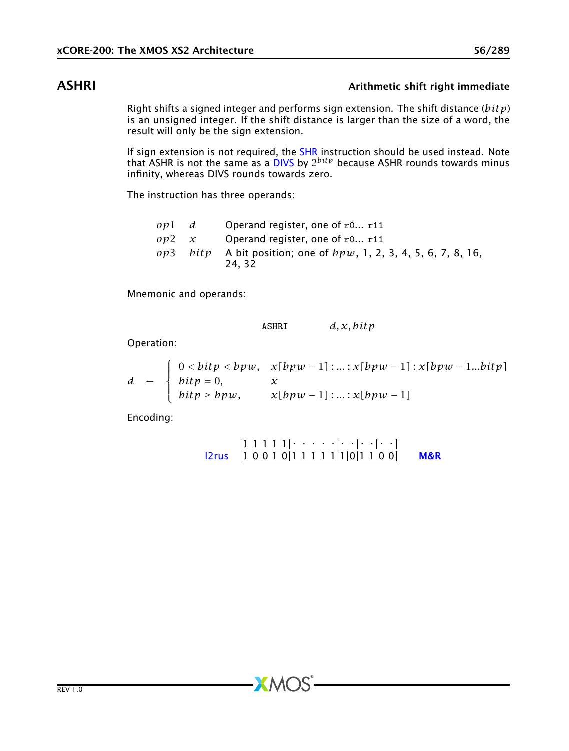# ASHRI ASHRI ARIT ARIT ARIT AT A Arithmetic shift right immediate

Right shifts a signed integer and performs sign extension. The shift distance (*bitp*) is an unsigned integer. If the shift distance is larger than the size of a word, the result will only be the sign extension.

If sign extension is not required, the [SHR](#page-209-0) instruction should be used instead. Note that ASHR is not the same as a [DIVS](#page-84-0) by 2 *bitp* because ASHR rounds towards minus infinity, whereas DIVS rounds towards zero.

The instruction has three operands:

| opl d      |          | Operand register, one of $r0$ r11                                   |
|------------|----------|---------------------------------------------------------------------|
| $op2 \, x$ |          | Operand register, one of r0 r11                                     |
|            | ov3 bitv | A bit position; one of $bpw$ , 1, 2, 3, 4, 5, 6, 7, 8, 16,<br>24.32 |

Mnemonic and operands:

ASHRI *d, x, bitp*

Operation:

$$
d \leftarrow \begin{cases} 0 < \text{bitp} < \text{bpw}, & \text{x}[\text{bpw} - 1] : \dots : \text{x}[\text{bpw} - 1] : \text{x}[\text{bpw} - 1 \dots \text{bitp}] \\ \text{bitp} > \text{bpw}, & \text{x}[\text{bpw} - 1] : \dots : \text{x}[\text{bpw} - 1] \\ \end{cases}
$$

Encoding:

```
1 1 1 . . . . . . 1 . .
l2rus 1 0 0 1 0 1 1 1 1 1 1 0 1 1 0 0 M&R
```
 $X$ M $(S)$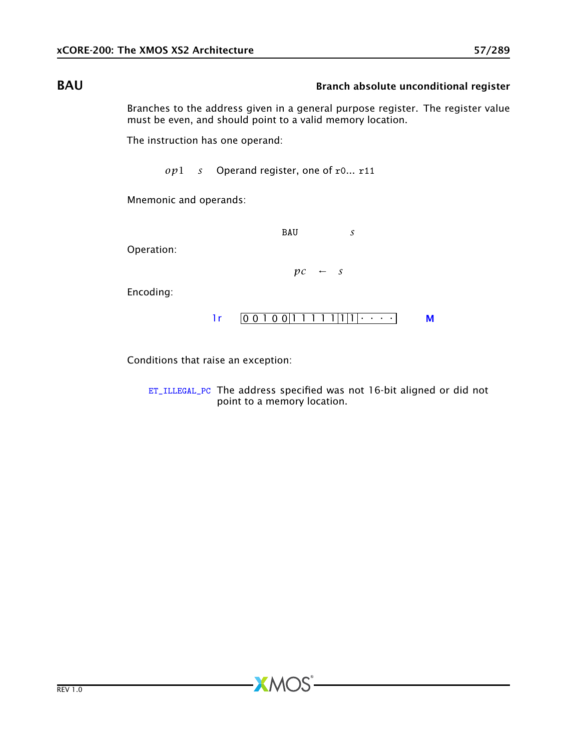# BAU BAU Branch absolute unconditional register

Branches to the address given in a general purpose register. The register value must be even, and should point to a valid memory location.

The instruction has one operand:

*op*1 *s* Operand register, one of r0... r11

Mnemonic and operands:

BAU *s*

Operation:

 $pc \leftarrow s$ 

Encoding:



Conditions that raise an exception:

[ET\\_ILLEGAL\\_PC](#page-274-0) The address specified was not 16-bit aligned or did not point to a memory location.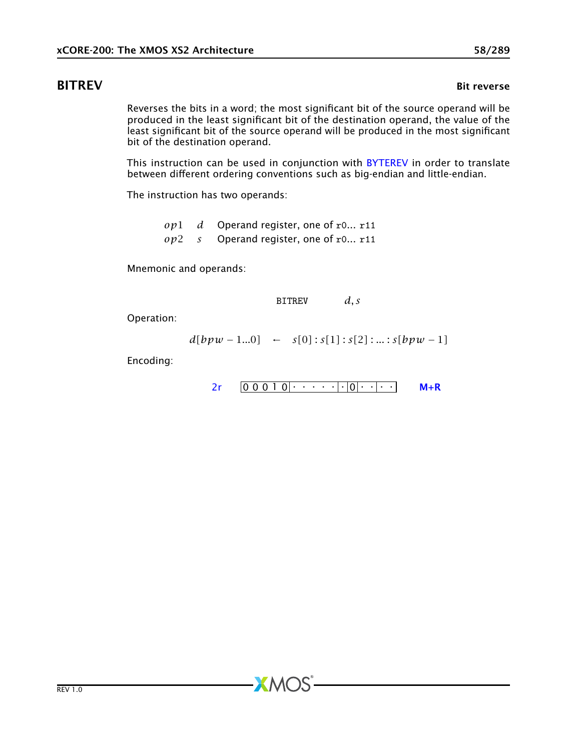<span id="page-57-0"></span>Reverses the bits in a word; the most significant bit of the source operand will be produced in the least significant bit of the destination operand, the value of the least significant bit of the source operand will be produced in the most significant bit of the destination operand.

This instruction can be used in conjunction with [BYTEREV](#page-70-0) in order to translate between different ordering conventions such as big-endian and little-endian.

The instruction has two operands:

*op*1 *d* Operand register, one of r0... r11 *op*2 *s* Operand register, one of r0... r11

 $XMOS$ 

Mnemonic and operands:

BITREV *d, s*

Operation:

$$
d[bpw - 1...0] \leftarrow s[0] : s[1] : s[2] : ... : s[bpw - 1]
$$

$$
2r \qquad 0 \qquad 0 \qquad 0 \qquad 1 \qquad 0 \qquad \cdots \qquad \cdots \qquad \boxed{\cdot \; |0| \cdots | \cdots} \qquad \qquad M+R
$$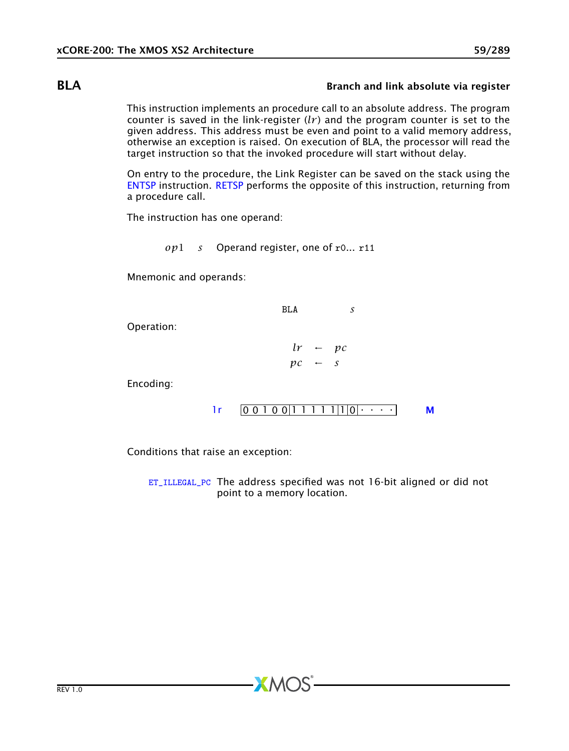## BLA Branch and link absolute via register

This instruction implements an procedure call to an absolute address. The program counter is saved in the link-register  $(lr)$  and the program counter is set to the given address. This address must be even and point to a valid memory address, otherwise an exception is raised. On execution of BLA, the processor will read the target instruction so that the invoked procedure will start without delay.

On entry to the procedure, the Link Register can be saved on the stack using the [ENTSP](#page-97-0) instruction. [RETSP](#page-184-0) performs the opposite of this instruction, returning from a procedure call.

The instruction has one operand:

*op*1 *s* Operand register, one of r0... r11

Mnemonic and operands:

BLA *s*

Operation:

 $lr$  ←  $pc$  $pc \leftarrow s$ 

Encoding:

$$
lr \qquad \boxed{0\ 0\ 1\ 0\ 0\ \boxed{1\ 1\ 1\ 1\ 1\ \boxed{1}\ \boxed{0}\ \cdots\ \cdots}
$$

Conditions that raise an exception:

[ET\\_ILLEGAL\\_PC](#page-274-0) The address specified was not 16-bit aligned or did not point to a memory location.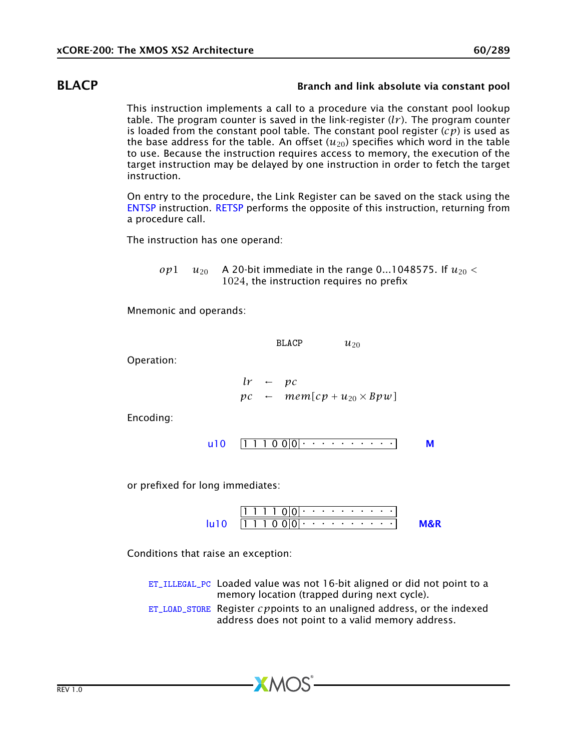## BLACP Branch and link absolute via constant pool

This instruction implements a call to a procedure via the constant pool lookup table. The program counter is saved in the link-register (*lr* ). The program counter is loaded from the constant pool table. The constant pool register (*cp*) is used as the base address for the table. An offset  $(u_{20})$  specifies which word in the table to use. Because the instruction requires access to memory, the execution of the target instruction may be delayed by one instruction in order to fetch the target instruction.

On entry to the procedure, the Link Register can be saved on the stack using the [ENTSP](#page-97-0) instruction. [RETSP](#page-184-0) performs the opposite of this instruction, returning from a procedure call.

The instruction has one operand:

*op*1  $u_{20}$  A 20-bit immediate in the range 0...1048575. If  $u_{20}$  < 1024, the instruction requires no prefix

Mnemonic and operands:

BLACP  $u_{20}$ 

Operation:

*lr* ← *pc*  $pc \leftarrow \text{mem}[cp + u_{20} \times Bpw]$ 

Encoding:

$$
u10 \quad [1\ 1\ 1\ 0\ 0]0] \cdot \cdot \cdot \cdot \cdot \cdot \cdot \cdot \cdot \cdot \cdot \cdot \cdot \cdot \cdot \cdot M
$$

or prefixed for long immediates:

1 1 1 1 0 0 . . . . . . . . . . 1 1 1 0 0 0 . . . . . . . . . . [lu10](#page-258-0) [M&R](#page-288-1)

Conditions that raise an exception:

- [ET\\_ILLEGAL\\_PC](#page-274-0) Loaded value was not 16-bit aligned or did not point to a memory location (trapped during next cycle).
- [ET\\_LOAD\\_STORE](#page-277-0) Register *cp*points to an unaligned address, or the indexed address does not point to a valid memory address.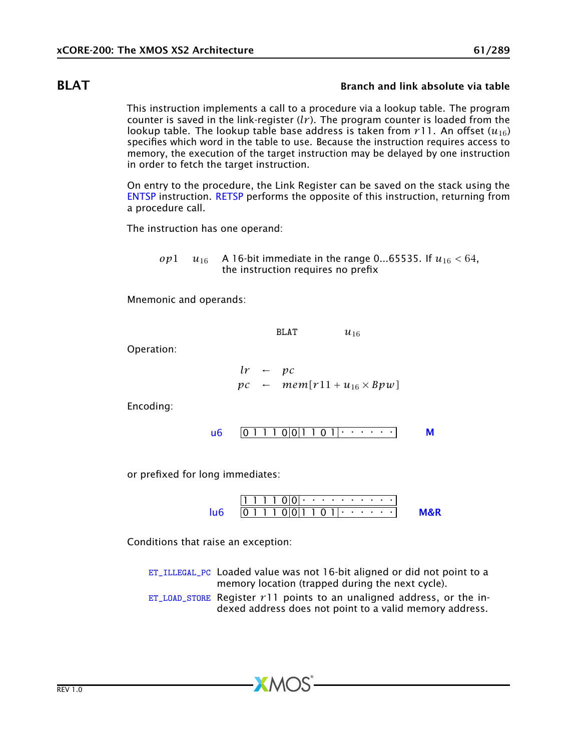## **BLAT** BLAT Branch and link absolute via table

This instruction implements a call to a procedure via a lookup table. The program counter is saved in the link-register  $(lr)$ . The program counter is loaded from the lookup table. The lookup table base address is taken from  $r11$ . An offset  $(u_{16})$ specifies which word in the table to use. Because the instruction requires access to memory, the execution of the target instruction may be delayed by one instruction in order to fetch the target instruction.

On entry to the procedure, the Link Register can be saved on the stack using the [ENTSP](#page-97-0) instruction. [RETSP](#page-184-0) performs the opposite of this instruction, returning from a procedure call.

The instruction has one operand:

*op*1 *u*<sub>16</sub> A 16-bit immediate in the range 0...65535. If  $u_{16} < 64$ , the instruction requires no prefix

Mnemonic and operands:

BLAT  $u_{16}$ 

Operation:

$$
lr \leftarrow pc
$$
  
\n $pc \leftarrow \text{mem}[r11 + u_{16} \times Bpw]$ 

Encoding:

$$
\mathsf{u6} \quad \boxed{0\ 1\ 1\ 1\ 0\ 0\ 1\ 1\ 0\ 1\ 1\ \cdots\ \cdots} \qquad \mathsf{M}
$$

or prefixed for long immediates:

1 1 1 1 0 0 . . . . . . . . . . 0 1 1 1 0 0 1 1 0 1 . . . . . . [lu6](#page-256-0) [M&R](#page-288-1)

Conditions that raise an exception:

[ET\\_ILLEGAL\\_PC](#page-274-0) Loaded value was not 16-bit aligned or did not point to a memory location (trapped during the next cycle).

[ET\\_LOAD\\_STORE](#page-277-0) Register  $r11$  points to an unaligned address, or the indexed address does not point to a valid memory address.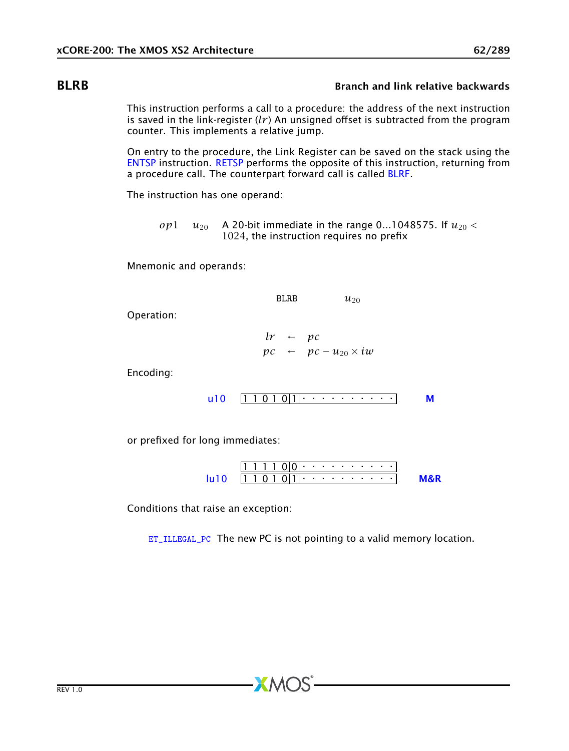# BLRB Branch and link relative backwards

<span id="page-61-0"></span>This instruction performs a call to a procedure: the address of the next instruction is saved in the link-register (*lr* ) An unsigned offset is subtracted from the program counter. This implements a relative jump.

On entry to the procedure, the Link Register can be saved on the stack using the [ENTSP](#page-97-0) instruction. [RETSP](#page-184-0) performs the opposite of this instruction, returning from a procedure call. The counterpart forward call is called [BLRF.](#page-62-0)

The instruction has one operand:

 $\rho p$ <sup>1</sup> *u*<sub>20</sub> A 20-bit immediate in the range 0...1048575. If  $u_{20}$  < 1024, the instruction requires no prefix

Mnemonic and operands:

BLRB  $u_{20}$ 

Operation:

 $lr \leftarrow pc$  $pc \leftarrow \textit{pc} - u_{20} \times \textit{i} \textit{w}$ 

Encoding:

$$
u10 \quad [1\ 1\ 0\ 1\ 0\ 1]\cdot \cdot \cdot \cdot \cdot \cdot \cdot \cdot \cdot \cdot \cdot \cdot \cdot \cdot \qquad M
$$

or prefixed for long immediates:

1 1 1 1 0 0 . . . . . . . . . . 1 1 0 1 0 1 . . . . . . . . . . [lu10](#page-258-0) [M&R](#page-288-1)

Conditions that raise an exception:

[ET\\_ILLEGAL\\_PC](#page-274-0) The new PC is not pointing to a valid memory location.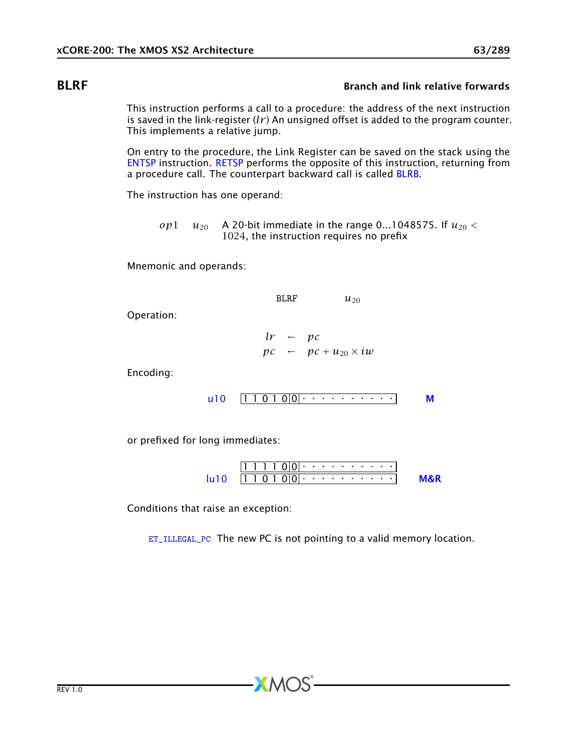# BLRF Branch and link relative forwards

<span id="page-62-0"></span>This instruction performs a call to a procedure: the address of the next instruction is saved in the link-register  $(lr)$  An unsigned offset is added to the program counter. This implements a relative jump.

On entry to the procedure, the Link Register can be saved on the stack using the [ENTSP](#page-97-0) instruction. [RETSP](#page-184-0) performs the opposite of this instruction, returning from a procedure call. The counterpart backward call is called [BLRB.](#page-61-0)

The instruction has one operand:

*op*1  $u_{20}$  A 20-bit immediate in the range 0...1048575. If  $u_{20}$  < 1024, the instruction requires no prefix

Mnemonic and operands:

BLRF  $u_{20}$ 

Operation:

 $lr \leftarrow pc$  $pc \leftarrow \textit{pc} + u_{20} \times \textit{i} \textit{w}$ 

Encoding:

$$
u10 \quad [1\ 1\ 0\ 1\ 0]0|\cdot\cdot\cdot\cdot\cdot\cdot\cdot\cdot\cdot\cdot\cdot\cdot\cdot
$$

or prefixed for long immediates:

1 1 1 1 0 0 . . . . . . . . . . 1 1 0 1 0 0 . . . . . . . . . . [lu10](#page-258-0) [M&R](#page-288-1)

Conditions that raise an exception:

[ET\\_ILLEGAL\\_PC](#page-274-0) The new PC is not pointing to a valid memory location.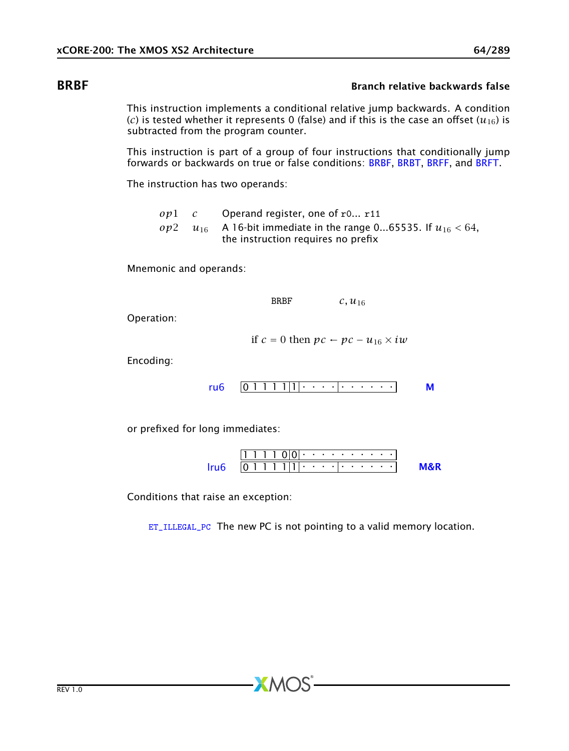# BRBF Branch relative backwards false

<span id="page-63-0"></span>This instruction implements a conditional relative jump backwards. A condition (*c*) is tested whether it represents 0 (false) and if this is the case an offset ( $u_{16}$ ) is subtracted from the program counter.

This instruction is part of a group of four instructions that conditionally jump forwards or backwards on true or false conditions: [BRBF,](#page-63-0) [BRBT,](#page-64-0) [BRFF,](#page-66-0) and [BRFT.](#page-67-0)

The instruction has two operands:

*op*1 *c* Operand register, one of r0... r11 *op*2  $u_{16}$  A 16-bit immediate in the range 0...65535. If  $u_{16}$  < 64, the instruction requires no prefix

Mnemonic and operands:

BRBF *c, u*<sup>16</sup>

Operation:

if *c* = 0 then *pc* ← *pc* − *u*<sub>16</sub>  $\times$  *iw* 

Encoding:

$$
ru6 \quad 0 \quad 1 \quad 1 \quad 1 \quad 1 \quad 1 \quad 0 \quad 0 \quad 0
$$

or prefixed for long immediates:

1 1 1 1 0 0 . . . . . . . . . . 0 1 1 1 1 1 . . . . . . . . . . [lru6](#page-254-0) [M&R](#page-288-1)

Conditions that raise an exception:

[ET\\_ILLEGAL\\_PC](#page-274-0) The new PC is not pointing to a valid memory location.

 $X$ M $(S)$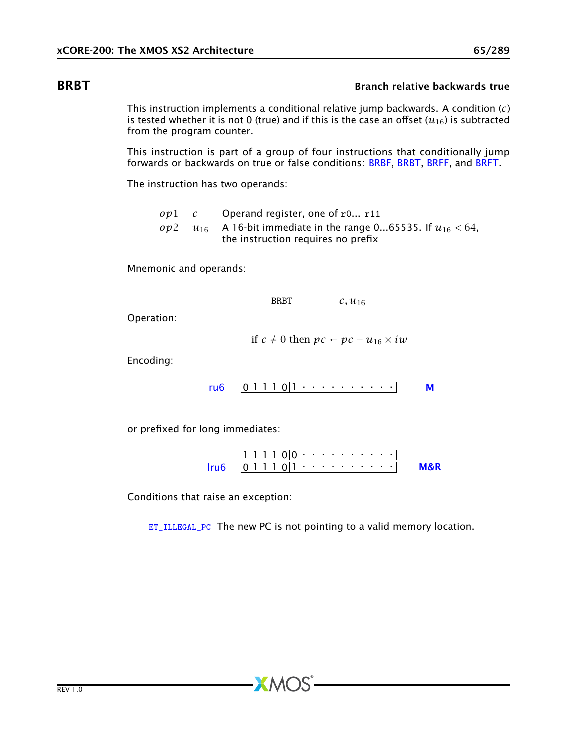## **BRBT** BRBT BRANCH **BRBT** Branch relative backwards true

<span id="page-64-0"></span>This instruction implements a conditional relative jump backwards. A condition (*c*) is tested whether it is not 0 (true) and if this is the case an offset  $(u_{16})$  is subtracted from the program counter.

This instruction is part of a group of four instructions that conditionally jump forwards or backwards on true or false conditions: [BRBF,](#page-63-0) [BRBT,](#page-64-0) [BRFF,](#page-66-0) and [BRFT.](#page-67-0)

The instruction has two operands:

*op*1 *c* Operand register, one of r0... r11 *op*2  $u_{16}$  A 16-bit immediate in the range 0...65535. If  $u_{16}$  < 64, the instruction requires no prefix

Mnemonic and operands:

BRBT *c, u*<sup>16</sup>

Operation:

if *c* ≠ 0 then *pc* ← *pc* − *u*<sub>16</sub>  $\times$  *iw* 

Encoding:

$$
ru6 \quad \boxed{0\ 1\ 1\ 1\ 0\ |1} \cdot \cdot \cdot \cdot \cdot \cdot \cdot \cdot \cdot \cdot \cdot \cdot \cdot \cdot \cdot \mathsf{M}
$$

or prefixed for long immediates:

1 1 1 1 0 0 . . . . . . . . . . 0 1 1 1 0 1 . . . . . . . . . . [lru6](#page-254-0) [M&R](#page-288-1)

Conditions that raise an exception:

[ET\\_ILLEGAL\\_PC](#page-274-0) The new PC is not pointing to a valid memory location.

 $X$ M $(S)$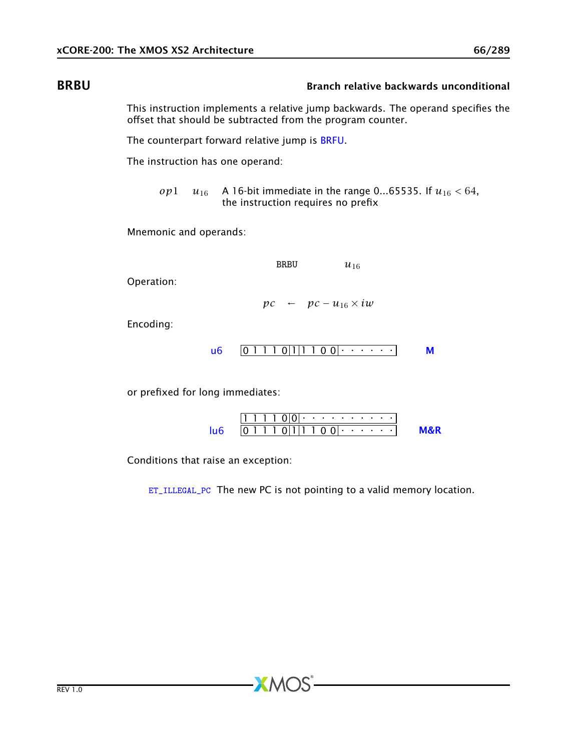## BRBU Branch relative backwards unconditional

<span id="page-65-0"></span>This instruction implements a relative jump backwards. The operand specifies the offset that should be subtracted from the program counter.

The counterpart forward relative jump is [BRFU.](#page-68-0)

The instruction has one operand:

*op*1 *u*<sub>16</sub> A 16-bit immediate in the range 0...65535. If  $u_{16} < 64$ , the instruction requires no prefix

Mnemonic and operands:

BRBU  $u_{16}$ 

Operation:

 $pc \leftarrow \textit{pc} - u_{16} \times \textit{i}w$ 

Encoding:

$$
\mathsf{u6} \quad \boxed{0\ 1\ 1\ 1\ 0\ |1\ |1\ 1\ 0\ 0| \cdot \cdot \cdot \cdot \cdot \cdot \cdot}
$$

or prefixed for long immediates:

|  |  |  |  | $(11 + 1)$ . The set of the set of $(11 + 1)$ |  |  |  |  |
|--|--|--|--|-----------------------------------------------|--|--|--|--|
|  |  |  |  | $0$        0 0   $\cdot$ $\cdot$ $\cdot$      |  |  |  |  |

Conditions that raise an exception:

[ET\\_ILLEGAL\\_PC](#page-274-0) The new PC is not pointing to a valid memory location.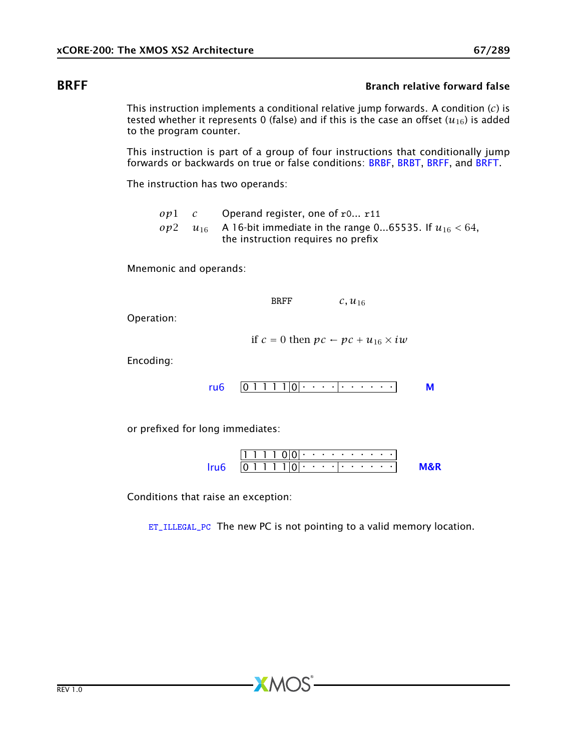## **BRFF** BRFF BRANCH RELATIONS IN THE BRANCH RELATIONS AND RELATIONS AND RELATIONS AND RELATIONS AND RELATIONS AND RELATIONS AND RELATIONS AND RELATIONS AND RELATIONS AND RELATIONS AND RELATIONS AND RELATIONS AND RELATIONS A

<span id="page-66-0"></span>This instruction implements a conditional relative jump forwards. A condition (*c*) is tested whether it represents 0 (false) and if this is the case an offset  $(u_{16})$  is added to the program counter.

This instruction is part of a group of four instructions that conditionally jump forwards or backwards on true or false conditions: [BRBF,](#page-63-0) [BRBT,](#page-64-0) [BRFF,](#page-66-0) and [BRFT.](#page-67-0)

The instruction has two operands:

*op*1 *c* Operand register, one of r0... r11 *op*2  $u_{16}$  A 16-bit immediate in the range 0...65535. If  $u_{16}$  < 64, the instruction requires no prefix

Mnemonic and operands:

BRFF *c, u*<sup>16</sup>

Operation:

if  $c = 0$  then  $pc \leftarrow pc + u_{16} \times iw$ 

Encoding:

0 1 1 1 1 0 . . . . . . . . . . [ru6](#page-253-0) [M](#page-285-0)

or prefixed for long immediates:

1 1 1 1 0 0 . . . . . . . . . . 0 1 1 1 1 0 . . . . . . . . . . [lru6](#page-254-0) [M&R](#page-288-1)

Conditions that raise an exception:

[ET\\_ILLEGAL\\_PC](#page-274-0) The new PC is not pointing to a valid memory location.

 $X$ M $(S)$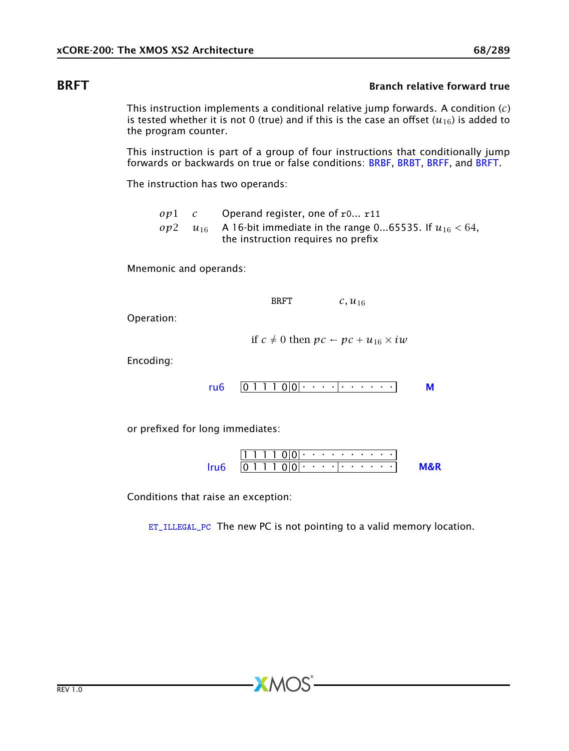## **BRFT** BRFT BREEF **BRFT** Branch relative forward true

<span id="page-67-0"></span>This instruction implements a conditional relative jump forwards. A condition (*c*) is tested whether it is not 0 (true) and if this is the case an offset  $(u_{16})$  is added to the program counter.

This instruction is part of a group of four instructions that conditionally jump forwards or backwards on true or false conditions: [BRBF,](#page-63-0) [BRBT,](#page-64-0) [BRFF,](#page-66-0) and [BRFT.](#page-67-0)

The instruction has two operands:

*op*1 *c* Operand register, one of r0... r11 *op*2  $u_{16}$  A 16-bit immediate in the range 0...65535. If  $u_{16}$  < 64, the instruction requires no prefix

Mnemonic and operands:

BRFT *c, u*<sup>16</sup>

Operation:

if  $c \neq 0$  then  $pc \leftarrow pc + u_{16} \times iw$ 

Encoding:

0 1 1 1 0 0 . . . . . . . . . . [ru6](#page-253-0) [M](#page-285-0)

or prefixed for long immediates:

1 1 1 1 0 0 . . . . . . . . . . 0 1 1 1 0 0 . . . . . . . . . . [lru6](#page-254-0) [M&R](#page-288-1)

Conditions that raise an exception:

[ET\\_ILLEGAL\\_PC](#page-274-0) The new PC is not pointing to a valid memory location.

 $X$ M $(S)$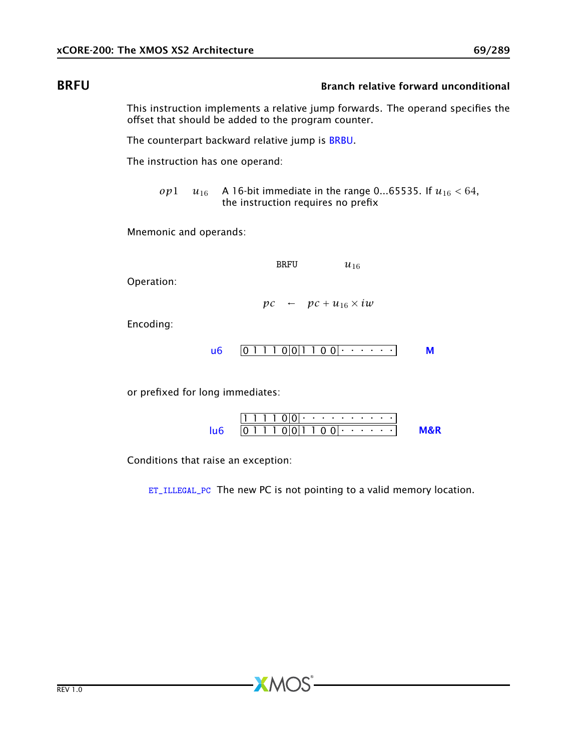## BRFU BRFU Branch relative forward unconditional

<span id="page-68-0"></span>This instruction implements a relative jump forwards. The operand specifies the offset that should be added to the program counter.

The counterpart backward relative jump is [BRBU.](#page-65-0)

The instruction has one operand:

*op*1 *u*<sub>16</sub> A 16-bit immediate in the range 0...65535. If  $u_{16} < 64$ , the instruction requires no prefix

Mnemonic and operands:

BRFU  $u_{16}$ 

Operation:

 $pc \leftarrow \textit{pc} + u_{16} \times \textit{i} \textit{w}$ 

Encoding:

$$
\mathsf{u6} \quad \boxed{0\ 1\ 1\ 1\ 0\ 0\ 1\ 1\ 0\ 0\ 0\ \cdots\ \cdots} \qquad \mathsf{M}
$$

or prefixed for long immediates:

|  |  |  |  | $\Omega$                |  |  |  |  |
|--|--|--|--|-------------------------|--|--|--|--|
|  |  |  |  | $0 0 1 1 0 0 $ $\cdots$ |  |  |  |  |

Conditions that raise an exception:

[ET\\_ILLEGAL\\_PC](#page-274-0) The new PC is not pointing to a valid memory location.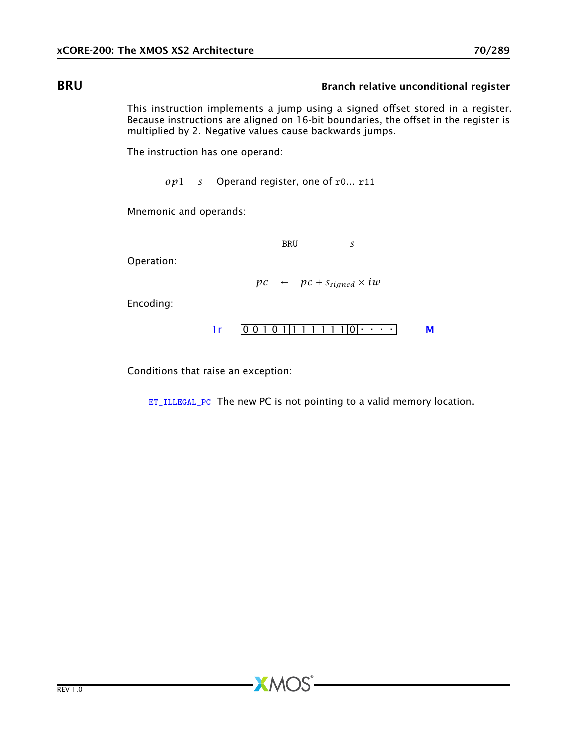## **BRU** Branch relative unconditional register

This instruction implements a jump using a signed offset stored in a register. Because instructions are aligned on 16-bit boundaries, the offset in the register is multiplied by 2. Negative values cause backwards jumps.

The instruction has one operand:

*op*1 *s* Operand register, one of r0... r11

Mnemonic and operands:

BRU *s*

Operation:

 $pc \leftarrow \textit{pc} + s_{signed} \times \textit{i} \textit{w}$ 

Encoding:



Conditions that raise an exception:

[ET\\_ILLEGAL\\_PC](#page-274-0) The new PC is not pointing to a valid memory location.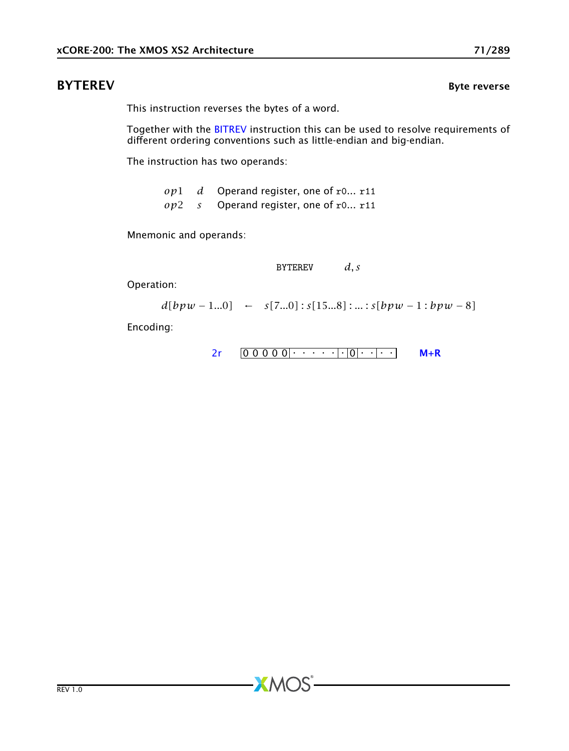## **BYTEREV** Byte reverse

<span id="page-70-0"></span>This instruction reverses the bytes of a word.

Together with the [BITREV](#page-57-0) instruction this can be used to resolve requirements of different ordering conventions such as little-endian and big-endian.

The instruction has two operands:

*op*1 *d* Operand register, one of r0... r11 *op*2 *s* Operand register, one of r0... r11

**XMOS** 

Mnemonic and operands:

BYTEREV *d, s*

Operation:

 $d[bpw - 1...0] \leftarrow s[7...0] : s[15...8] : ... : s[bpw - 1 : bpw - 8]$ 

```
2r 0 0 0 0 0 0 0 0 0 0 0 0 0 0 1 0 0 1 0 0 1 0 0 1 0 1 0 1 0 1 0 1 0 1 0 1 0 1 0 1 0 1 0 1 0 1 0 1 0 1 0 1 0 1 0 1 0 1 0 1 0 1 0 1 0 1 0 1 0 1 0 1 0 1 0 1 0 1 0 1 0 1 0 1 0 1 0 1 0 1 0 1 0 1 0 1 0 1 0 1 0 1 0 1 0 1 0 1 0 1
```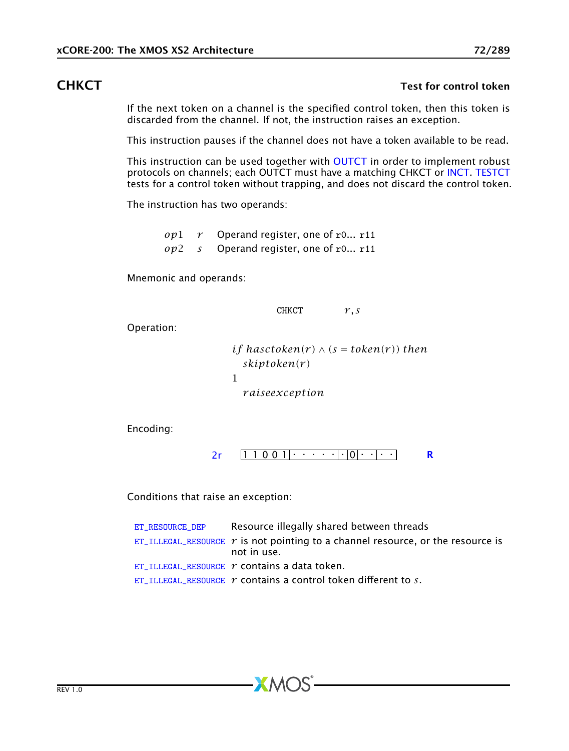### **CHKCT** CHACT **Test for control token**

If the next token on a channel is the specified control token, then this token is discarded from the channel. If not, the instruction raises an exception.

This instruction pauses if the channel does not have a token available to be read.

This instruction can be used together with [OUTCT](#page-175-0) in order to implement robust protocols on channels; each OUTCT must have a matching CHKCT or [INCT.](#page-119-0) [TESTCT](#page-228-0) tests for a control token without trapping, and does not discard the control token.

The instruction has two operands:

*op*1 *r* Operand register, one of r0... r11 *op*2 *s* Operand register, one of r0... r11

Mnemonic and operands:

CHKCT *r, s*

Operation:

*if hasctoken(r)*  $\wedge$  (*s* = *token(r))* then *skiptoken(r )* 1 *r aiseexception*

Encoding:

1 1 0 0 1 . . . . . . 0 . . . . [2r](#page-259-0) [R](#page-286-0)

Conditions that raise an exception:

| ET RESOURCE DEP | Resource illegally shared between threads                                                        |
|-----------------|--------------------------------------------------------------------------------------------------|
|                 | ET_ILLEGAL_RESOURCE $r$ is not pointing to a channel resource, or the resource is<br>not in use. |
|                 | ET ILLEGAL RESOURCE $r$ contains a data token.                                                   |
|                 | ET ILLEGAL RESOURCE $\gamma$ contains a control token different to $\delta$ .                    |

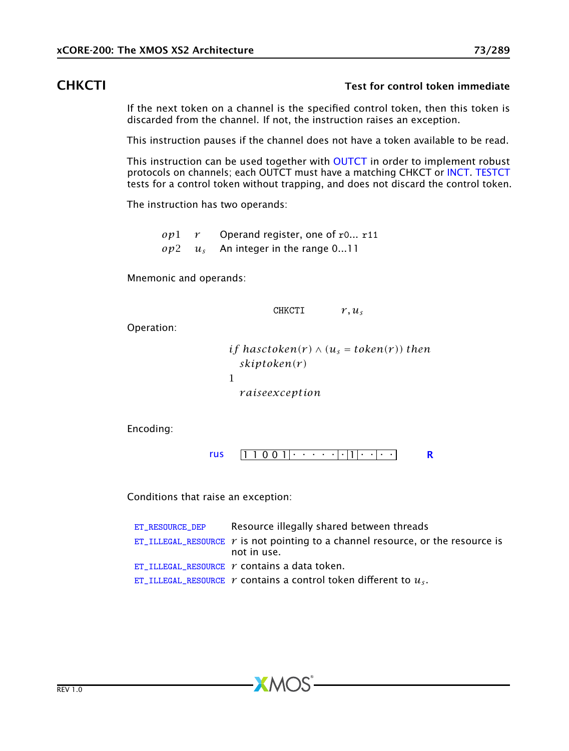### CHKCTI Test for control token immediate

If the next token on a channel is the specified control token, then this token is discarded from the channel. If not, the instruction raises an exception.

This instruction pauses if the channel does not have a token available to be read.

This instruction can be used together with [OUTCT](#page-175-0) in order to implement robust protocols on channels; each OUTCT must have a matching CHKCT or [INCT.](#page-119-0) [TESTCT](#page-228-0) tests for a control token without trapping, and does not discard the control token.

The instruction has two operands:

*op*1 *r* Operand register, one of r0... r11 *op*2 *u<sup>s</sup>* An integer in the range 0...11

Mnemonic and operands:

CHKCTI *r, u<sup>s</sup>*

Operation:

*if hasctoken(r)*  $\wedge$  ( $u_s$  = *token(r))* then *skiptoken(r )* 1 *r aiseexception*

Encoding:

[rus](#page-263-0)  $[1 1 0 0 1$   $\cdots$   $\cdots$   $[1]$   $\cdots$   $\cdots$  [R](#page-286-0)

Conditions that raise an exception:

| ET RESOURCE DEP | Resource illegally shared between threads                                                             |
|-----------------|-------------------------------------------------------------------------------------------------------|
|                 | ET_ILLEGAL_RESOURCE $\gamma$ is not pointing to a channel resource, or the resource is<br>not in use. |
|                 | ET ILLEGAL RESOURCE $r$ contains a data token.                                                        |
|                 | ET_ILLEGAL_RESOURCE $r$ contains a control token different to $u_s$ .                                 |

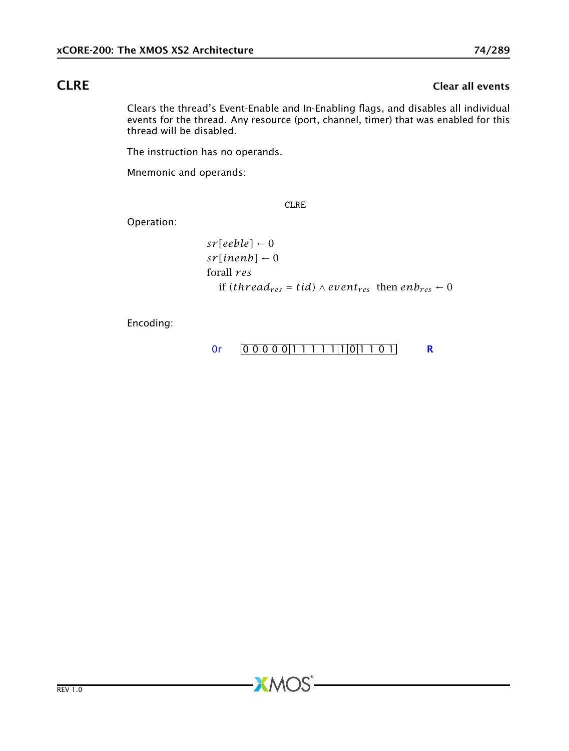# **CLRE** Clear all events

Clears the thread's Event-Enable and In-Enabling flags, and disables all individual events for the thread. Any resource (port, channel, timer) that was enabled for this thread will be disabled.

The instruction has no operands.

Mnemonic and operands:

CLRE

Operation:

$$
sr[eeble] \leftarrow 0
$$
  
sr[inenb] \leftarrow 0  
forall res  
if (thread<sub>res</sub> = tid) \wedge event<sub>res</sub> then enb<sub>res</sub> \leftarrow 0

Encoding:

$$
0r \qquad 0 \qquad 0 \qquad 0 \qquad 0 \qquad 0 \qquad 1 \qquad 1 \qquad 1 \qquad 1 \qquad 1 \qquad 1 \qquad 0 \qquad 1 \qquad 0 \qquad 1 \qquad \qquad R
$$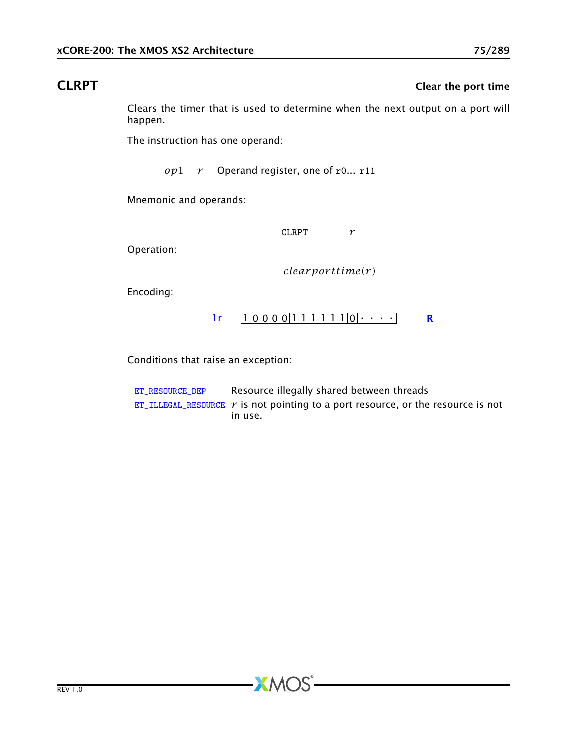CLRPT CLRPT CLRPT CLRPT CLRPT CLRPT CLRPT CLRPT CLRPT CLRPT CLRPT CLRPT CLR

Clears the timer that is used to determine when the next output on a port will happen.

The instruction has one operand:

*op*1 *r* Operand register, one of r0... r11

Mnemonic and operands:

CLRPT *r*

Operation:

*clear por ttime(r )*

Encoding:



Conditions that raise an exception:

| ET RESOURCE DEP | Resource illegally shared between threads                                               |
|-----------------|-----------------------------------------------------------------------------------------|
|                 | ET_ILLEGAL_RESOURCE $\gamma$ is not pointing to a port resource, or the resource is not |
|                 | in use.                                                                                 |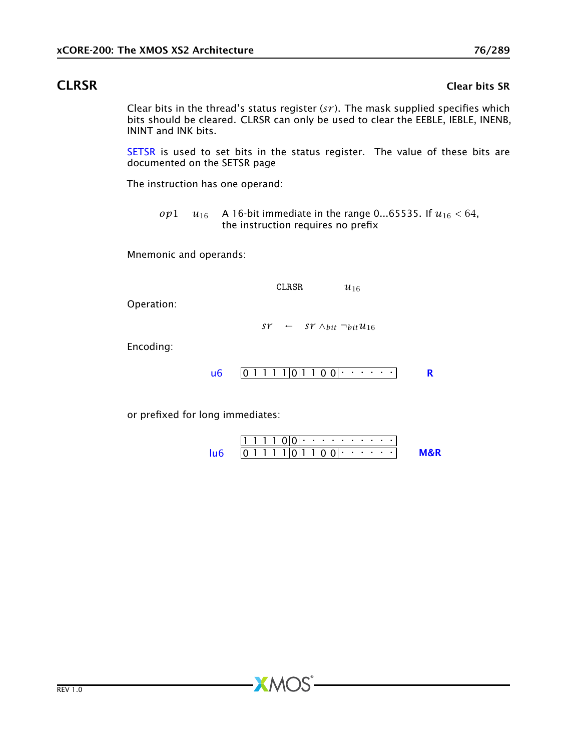### CLRSR Clear bits SR

Clear bits in the thread's status register (*sr* ). The mask supplied specifies which bits should be cleared. CLRSR can only be used to clear the EEBLE, IEBLE, INENB, ININT and INK bits.

[SETSR](#page-202-0) is used to set bits in the status register. The value of these bits are documented on the SETSR page

The instruction has one operand:

*op*1 *u*<sub>16</sub> A 16-bit immediate in the range 0...65535. If  $u_{16}$  < 64, the instruction requires no prefix

Mnemonic and operands:

CLRSR  $u_{16}$ 

Operation:

*sr* ← *sr*  $\wedge$ *bit*  $\neg$ *bit*  $u_{16}$ 

Encoding:

 $\mathsf{u6}$  $\mathsf{u6}$  $\mathsf{u6}$   $\vert 0 \, 1 \, 1 \, 1 \, 1 \, \vert 0 \, \vert 1 \, 1 \, 0 \, 0 \, \vert \cdot \cdot \cdot \cdot \cdot \cdot \cdot \vert$  [R](#page-286-0)

or prefixed for long immediates:

|  |  | --- |  |  | $(11(1) \cdot \cdot \cdot \cdot \cdot \cdot \cdot \cdot \cdot \cdot \cdot \cdot$ |  |  |  |  |
|--|--|-----|--|--|----------------------------------------------------------------------------------|--|--|--|--|
|  |  |     |  |  | 011110111001                                                                     |  |  |  |  |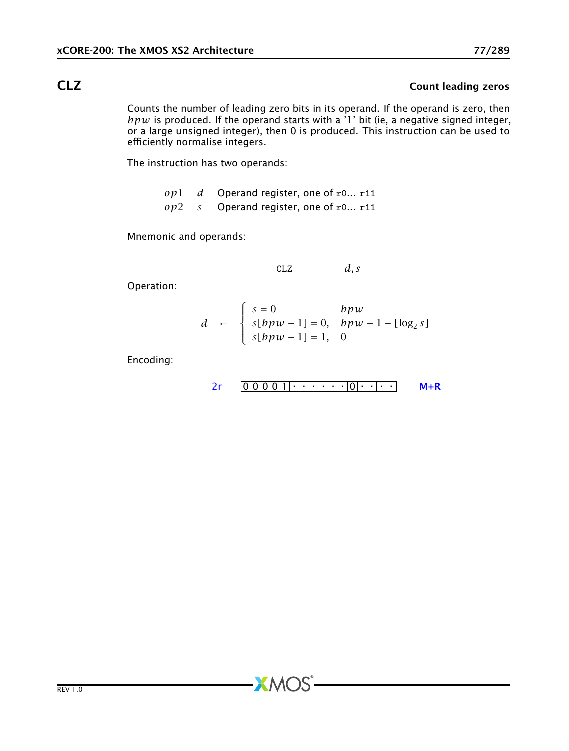# CLZ COUNTERFORM COUNTERFORM COUNTERFORM COUNTERFORM COUNTERFORM COUNTERFORM COUNTERFORM COUNTERFORM COUNTERFORM COUNTERFORM OF THE ORDER OF THE ORDER OF THE ORDER OF THE ORDER OF THE ORDER OF THE ORDER OF THE ORDER OF THE

Counts the number of leading zero bits in its operand. If the operand is zero, then *bpw* is produced. If the operand starts with a '1' bit (ie, a negative signed integer, or a large unsigned integer), then 0 is produced. This instruction can be used to efficiently normalise integers.

The instruction has two operands:

|  | $op1$ d Operand register, one of r0 r11 |
|--|-----------------------------------------|
|  | $op2$ s Operand register, one of r0 r11 |

Mnemonic and operands:

$$
CLZ \t\t d, s
$$

Operation:

$$
d \leftarrow \begin{cases} s = 0 & bpw \\ s[bpw - 1] = 0, & bpw - 1 - \lfloor \log_2 s \rfloor \\ s[bpw - 1] = 1, & 0 \end{cases}
$$

Encoding:

$$
2r \quad 000001 \quad \cdots \quad |0| \quad |0|
$$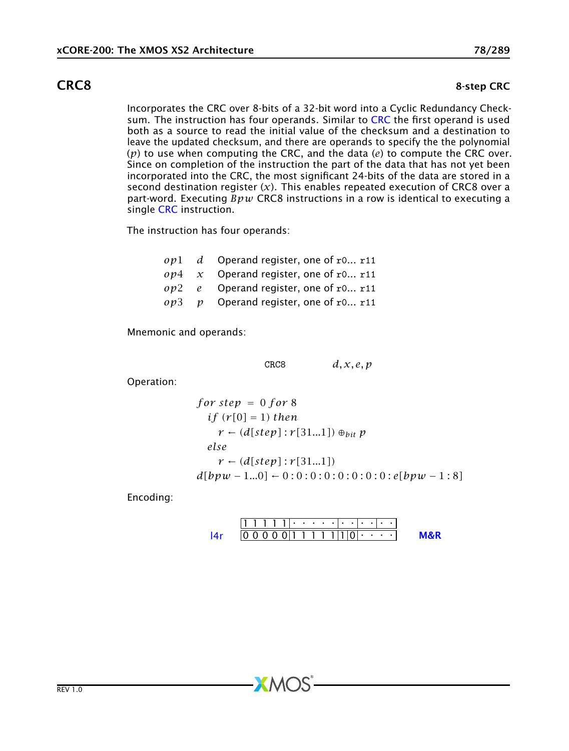### **CRC8** 8-step CRC

Incorporates the CRC over 8-bits of a 32-bit word into a Cyclic Redundancy Check-sum. The instruction has four operands. Similar to [CRC](#page-78-0) the first operand is used both as a source to read the initial value of the checksum and a destination to leave the updated checksum, and there are operands to specify the the polynomial (*p*) to use when computing the CRC, and the data (*e*) to compute the CRC over. Since on completion of the instruction the part of the data that has not yet been incorporated into the CRC, the most significant 24-bits of the data are stored in a second destination register  $(x)$ . This enables repeated execution of CRC8 over a part-word. Executing *Bpw* CRC8 instructions in a row is identical to executing a single [CRC](#page-78-0) instruction.

The instruction has four operands:

|  | $op1$ d Operand register, one of r0 r11    |
|--|--------------------------------------------|
|  | $op4 \, x$ Operand register, one of r0 r11 |
|  | $op2$ e Operand register, one of r0 r11    |
|  | $op3$ p Operand register, one of r0 r11    |

Mnemonic and operands:

CRC8 *d, x, e, p*

Operation:

for step = 0 for 8  
\nif 
$$
(r[0] = 1)
$$
 then  
\n $r \leftarrow (d[step]: r[31...1]) \oplus_{bit} p$   
\nelse  
\n $r \leftarrow (d[step]: r[31...1])$   
\n $d[bpw - 1...0] \leftarrow 0:0:0:0:0:0:0:0:0:0:0: [bpw - 1:8]$ 

Encoding:

1 1 1 1 1 . . . . . . . . . . . 0 0 0 0 0 1 1 1 1 1 1 0 . . . . [l4r](#page-267-0) [M&R](#page-288-1)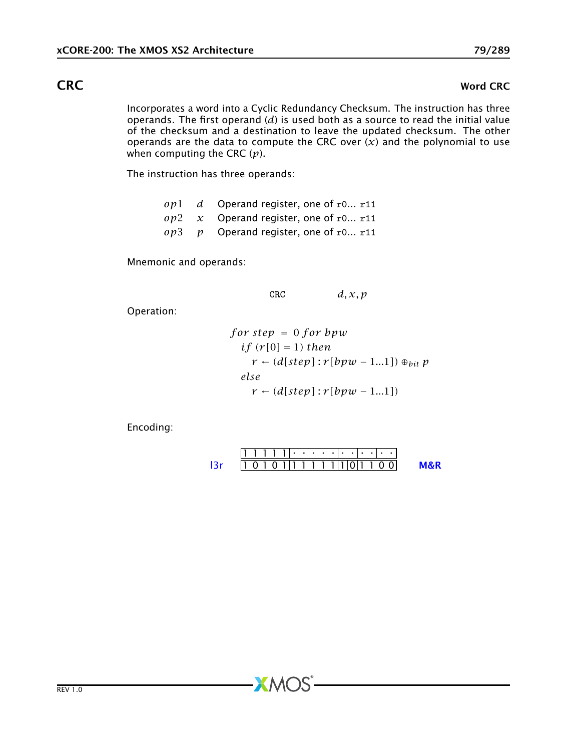### **CRC** Word CRC

<span id="page-78-0"></span>Incorporates a word into a Cyclic Redundancy Checksum. The instruction has three operands. The first operand (*d*) is used both as a source to read the initial value of the checksum and a destination to leave the updated checksum. The other operands are the data to compute the CRC over  $(x)$  and the polynomial to use when computing the CRC (*p*).

The instruction has three operands:

*op*1 *d* Operand register, one of r0... r11 *op*2 *x* Operand register, one of r0... r11 *op*3 *p* Operand register, one of r0... r11

Mnemonic and operands:

 $CRC$   $d, x, p$ 

Operation:

for step = 0 for bpw  
\nif 
$$
(r[0] = 1)
$$
 then  
\n $r \leftarrow (d[step]: r[bpw - 1...1]) \oplus_{bit} p$   
\nelse  
\n $r \leftarrow (d[step]: r[bpw - 1...1])$ 

Encoding:

$$
111111 \cdot \cdot \cdot \cdot \cdot \cdot \cdot \cdot \cdot \cdot \cdot
$$
  
13r 101011111111011100 M&R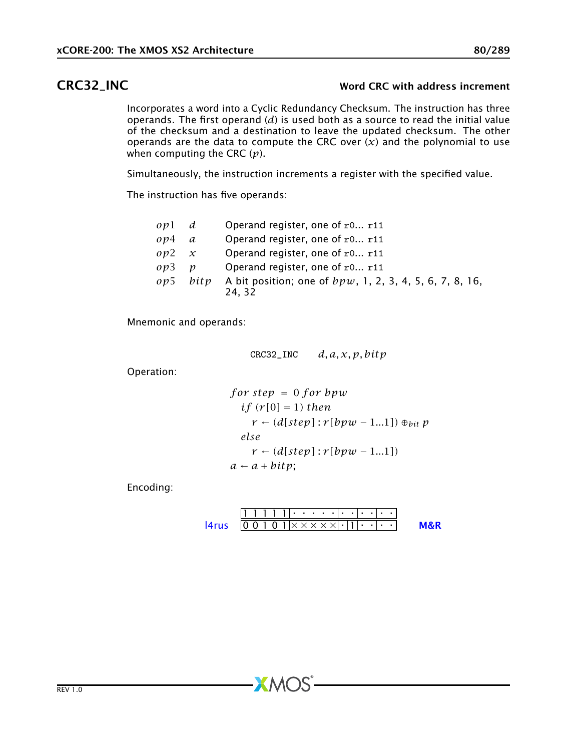### CRC32\_INC Word CRC with address increment

Incorporates a word into a Cyclic Redundancy Checksum. The instruction has three operands. The first operand (*d*) is used both as a source to read the initial value of the checksum and a destination to leave the updated checksum. The other operands are the data to compute the CRC over  $(x)$  and the polynomial to use when computing the CRC (*p*).

Simultaneously, the instruction increments a register with the specified value.

The instruction has five operands:

| $ov1$ d               |                  | Operand register, one of r0 r11                                     |
|-----------------------|------------------|---------------------------------------------------------------------|
| $\omega$ <i>p</i> $4$ | a                | Operand register, one of r0 r11                                     |
| $0\nu$ 2              | $\chi$           | Operand register, one of r0 r11                                     |
| $\omega$ <sup>3</sup> | $\boldsymbol{v}$ | Operand register, one of r0 r11                                     |
| op5                   | bity             | A bit position; one of $bpw$ , 1, 2, 3, 4, 5, 6, 7, 8, 16,<br>24.32 |

Mnemonic and operands:

$$
CRC32\_INC \qquad d, a, x, p, bitp
$$

Operation:

for step = 0 for bpw  
\nif 
$$
(r[0] = 1)
$$
 then  
\n $r \leftarrow (d[step]: r[bpw - 1...1]) \oplus_{bit} p$   
\nelse  
\n $r \leftarrow (d[step]: r[bpw - 1...1])$   
\n $a \leftarrow a + bitp$ ;

Encoding:

1 1 1 1 1 . . . . . . . . . . . 0 0 1 0 1 × × × × × . 1 . . . . [l4rus](#page-269-0) [M&R](#page-288-1)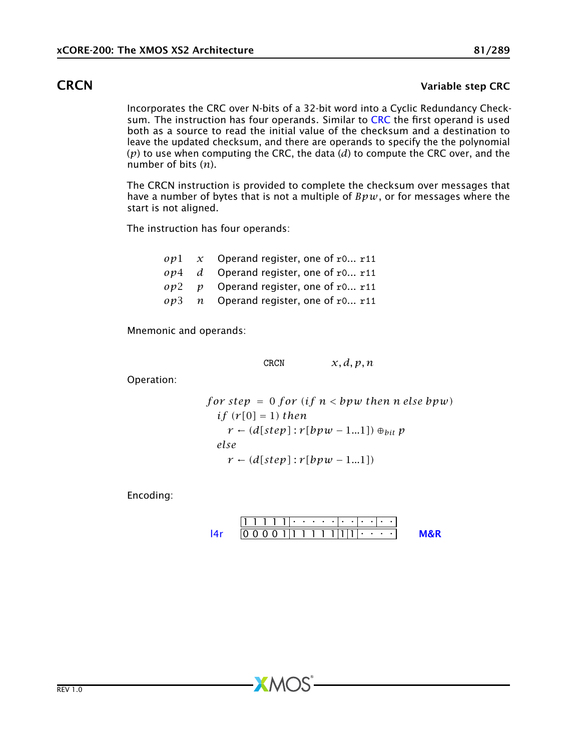### **CRCN** Variable step CRC

Incorporates the CRC over N-bits of a 32-bit word into a Cyclic Redundancy Check-sum. The instruction has four operands. Similar to [CRC](#page-78-0) the first operand is used both as a source to read the initial value of the checksum and a destination to leave the updated checksum, and there are operands to specify the the polynomial (*p*) to use when computing the CRC, the data (*d*) to compute the CRC over, and the number of bits (*n*).

The CRCN instruction is provided to complete the checksum over messages that have a number of bytes that is not a multiple of *Bpw*, or for messages where the start is not aligned.

The instruction has four operands:

|  | op 1 $\alpha$ Operand register, one of r0 r11  |
|--|------------------------------------------------|
|  | $op4$ d Operand register, one of r0 r11        |
|  | $op2$ <i>p</i> Operand register, one of r0 r11 |
|  | $op3$ n Operand register, one of r0 r11        |

Mnemonic and operands:

CRCN  $x, d, p, n$ 

Operation:

for step = 0 for (if n *by* then n else *bpw*)  
if (r[0] = 1) then  

$$
r \leftarrow (d[step]: r[bpw - 1...1]) \oplus_{bit} p
$$
  
else  

$$
r \leftarrow (d[step]: r[bpw - 1...1])
$$

Encoding:

1 1 1 1 1 . . . . . . . . . . . 0 0 0 0 1 1 1 1 1 1 1 1 . . . . [l4r](#page-267-0) [M&R](#page-288-1)

 $X$ M $(S)$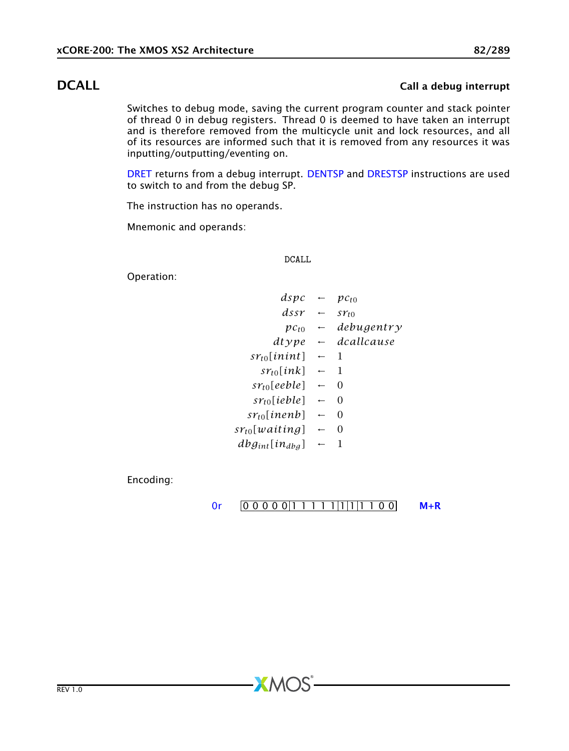## **DCALL** Call a debug interrupt

<span id="page-81-0"></span>Switches to debug mode, saving the current program counter and stack pointer of thread 0 in debug registers. Thread 0 is deemed to have taken an interrupt and is therefore removed from the multicycle unit and lock resources, and all of its resources are informed such that it is removed from any resources it was inputting/outputting/eventing on.

[DRET](#page-87-0) returns from a debug interrupt. [DENTSP](#page-82-0) and [DRESTSP](#page-86-0) instructions are used to switch to and from the debug SP.

The instruction has no operands.

Mnemonic and operands:

### DCALL

Operation:

| dspc                       |                          | $pc_{\rm f0}$ |
|----------------------------|--------------------------|---------------|
| $d$ ssr                    |                          | STt0          |
| $pc_{t0}$                  | $\overline{\phantom{0}}$ | debugentry    |
| dtype                      | $\leftarrow$             | dcallcause    |
| $sr_{t0}$ [inint]          | $\leftarrow$             | 1             |
| $sr_{to}[ink]$             | $\leftarrow$             | 1             |
| $sr_{t0}$ [eeble]          | $\leftarrow$             | $\Omega$      |
| $sr_{to}$ [ieble]          | $\leftarrow$             | $\Omega$      |
| $sr_{t0}$ [inenb]          | $\overline{\phantom{0}}$ | $\Omega$      |
| sr <sub>t0</sub> [waiting] | $\leftarrow$             | $\Omega$      |
| $dbg_{int}[in_{dbg}]$      |                          | 1             |
|                            |                          |               |

Encoding:

### [0r](#page-265-0) 0 0 0 0 0 0 1 1 1 1 1 1 1 1 1 1 0 0 M + R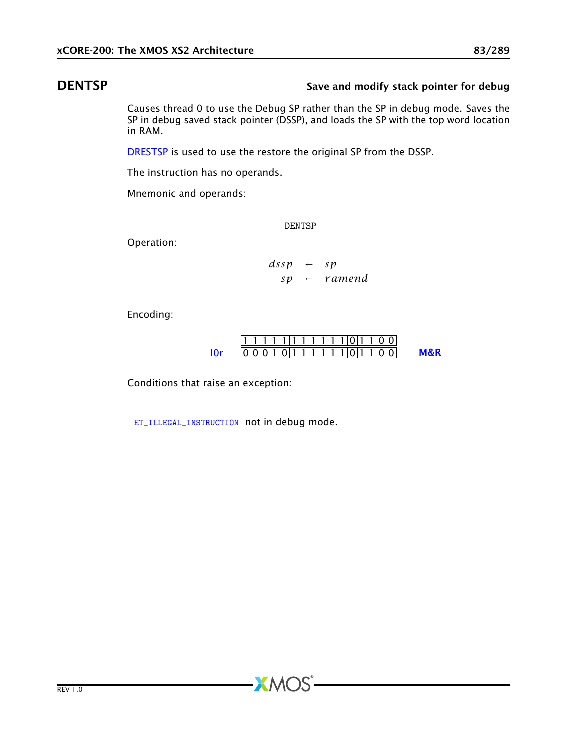## DENTSP Save and modify stack pointer for debug

<span id="page-82-0"></span>Causes thread 0 to use the Debug SP rather than the SP in debug mode. Saves the SP in debug saved stack pointer (DSSP), and loads the SP with the top word location in RAM.

[DRESTSP](#page-86-0) is used to use the restore the original SP from the DSSP.

The instruction has no operands.

Mnemonic and operands:

DENTSP

Operation:

*dssp* ← *sp sp* ← *r amend*

Encoding:

$$
\frac{11111111111100}{00010111111101100}
$$
 **M&R**

Conditions that raise an exception:

[ET\\_ILLEGAL\\_INSTRUCTION](#page-275-0) not in debug mode.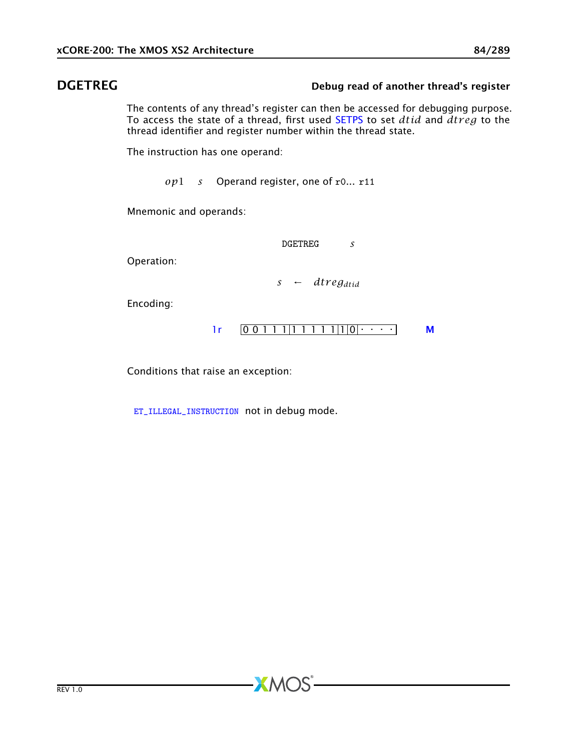### DGETREG DEFINEG Debug read of another thread's register

The contents of any thread's register can then be accessed for debugging purpose. To access the state of a thread, first used [SETPS](#page-197-0) to set *dtid* and *dtr eg* to the thread identifier and register number within the thread state.

The instruction has one operand:

*op*1 *s* Operand register, one of r0... r11

Mnemonic and operands:

DGETREG *s*

Operation:

*s* ← *dtr egdtid*

Encoding:



Conditions that raise an exception:

[ET\\_ILLEGAL\\_INSTRUCTION](#page-275-0) not in debug mode.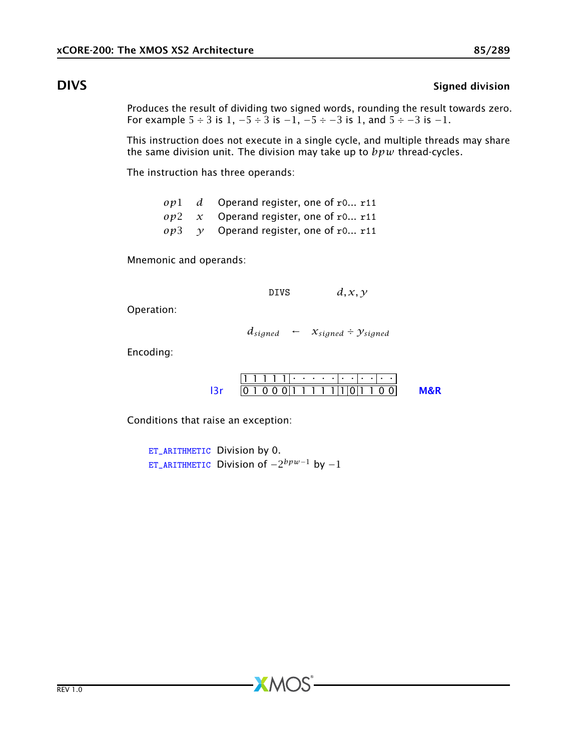### **DIVS** Signed division

Produces the result of dividing two signed words, rounding the result towards zero. For example  $5 \div 3$  is  $1, -5 \div 3$  is  $-1, -5 \div -3$  is  $1,$  and  $5 \div -3$  is  $-1$ .

This instruction does not execute in a single cycle, and multiple threads may share the same division unit. The division may take up to *bpw* thread-cycles.

The instruction has three operands:

|  | $op1$ d Operand register, one of r0 r11       |
|--|-----------------------------------------------|
|  | $op2 \, x$ Operand register, one of r0 r11    |
|  | $op3 \quad y$ Operand register, one of r0 r11 |

Mnemonic and operands:

DIVS  $d, x, y$ 

Operation:

 $d_{signed} \leftarrow x_{signed} \div y_{signed}$ 

Encoding:

|  | 11111.                              |  |  |  |  |  |  |  |
|--|-------------------------------------|--|--|--|--|--|--|--|
|  | 1 0 0 0 1 1 1 1 1 1 1 1 0 1 1 0 0 1 |  |  |  |  |  |  |  |

Conditions that raise an exception:

[ET\\_ARITHMETIC](#page-279-0) Division by 0. [ET\\_ARITHMETIC](#page-279-0) Division of −2 *bpw*−<sup>1</sup> by −1

 $X$ M $(S)$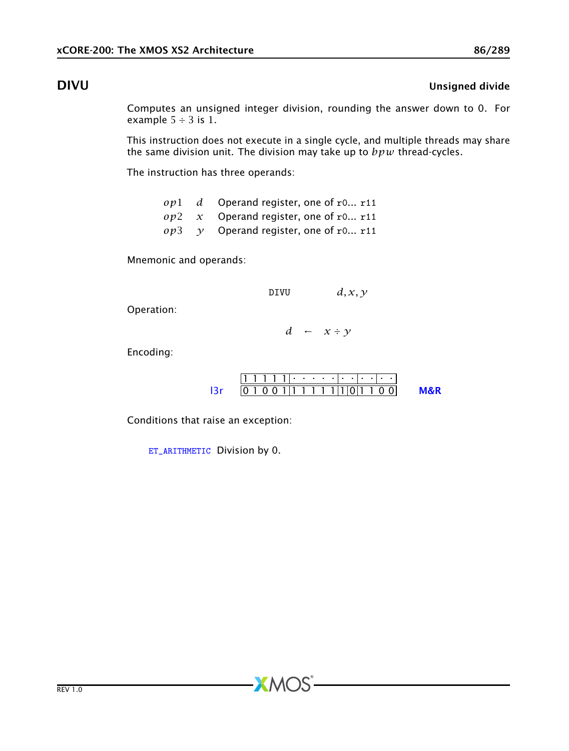## DIVU Unsigned divide

Computes an unsigned integer division, rounding the answer down to 0. For example  $5 \div 3$  is 1.

This instruction does not execute in a single cycle, and multiple threads may share the same division unit. The division may take up to *bpw* thread-cycles.

The instruction has three operands:

|  | $op1$ d Operand register, one of r0 r11    |
|--|--------------------------------------------|
|  | $op2 \, x$ Operand register, one of r0 r11 |
|  | $op3$ y Operand register, one of r0 r11    |

Mnemonic and operands:

DIVU  $d, x, y$ 

Operation:

*d* ← *x* ÷ *y*

Encoding:

|  | 1 0 0 1 1 1 1 1 1 1 1 1 0 1 1 |  |  |  |  |  |  |  |
|--|-------------------------------|--|--|--|--|--|--|--|

 $XMOS$ 

Conditions that raise an exception:

[ET\\_ARITHMETIC](#page-279-0) Division by 0.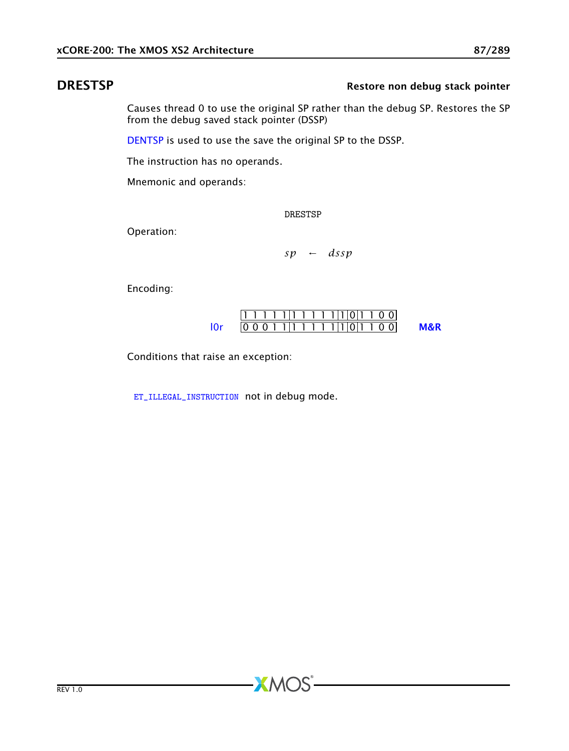## **DRESTSP** Restore non debug stack pointer

<span id="page-86-0"></span>Causes thread 0 to use the original SP rather than the debug SP. Restores the SP from the debug saved stack pointer (DSSP)

[DENTSP](#page-82-0) is used to use the save the original SP to the DSSP.

The instruction has no operands.

Mnemonic and operands:

DRESTSP

Operation:

*sp* ← *dssp*

Encoding:

| $0 0 0 1 1 1 1 1 1 1 1 1 0 1 1 0 0 1$ |  |  |  |  |  |  |  |  |
|---------------------------------------|--|--|--|--|--|--|--|--|

Conditions that raise an exception:

[ET\\_ILLEGAL\\_INSTRUCTION](#page-275-0) not in debug mode.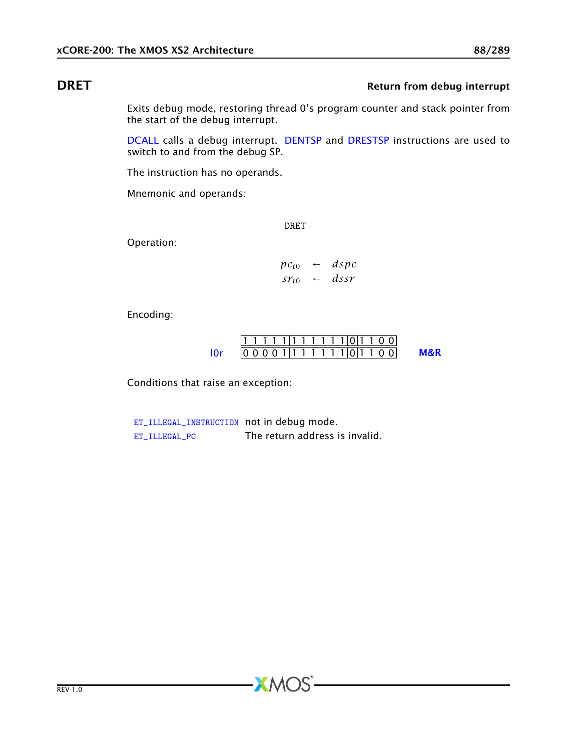## **DRET** Return from debug interrupt

<span id="page-87-0"></span>Exits debug mode, restoring thread 0's program counter and stack pointer from the start of the debug interrupt.

[DCALL](#page-81-0) calls a debug interrupt. [DENTSP](#page-82-0) and [DRESTSP](#page-86-0) instructions are used to switch to and from the debug SP.

The instruction has no operands.

Mnemonic and operands:

DRET

Operation:

 $pc_{t0}$  ← *dspc*  $sr_{t0}$  ← *dssr* 

Encoding:

$$
\frac{11111111111100}{00001111111101100}
$$
 **M&R**

Conditions that raise an exception:

[ET\\_ILLEGAL\\_INSTRUCTION](#page-275-0) not in debug mode. [ET\\_ILLEGAL\\_PC](#page-274-0) The return address is invalid.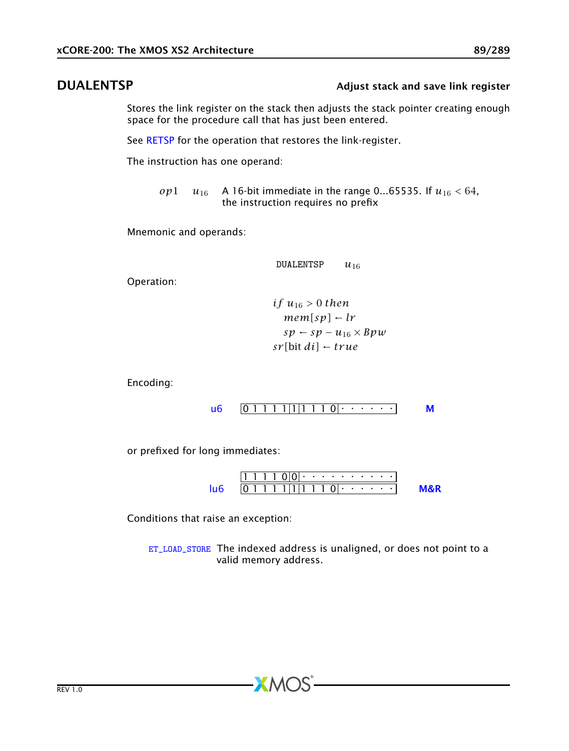### DUALENTSP **CONTRACT CONTROLLENTS** Adjust stack and save link register

Stores the link register on the stack then adjusts the stack pointer creating enough space for the procedure call that has just been entered.

See [RETSP](#page-184-0) for the operation that restores the link-register.

The instruction has one operand:

*op*1 *u*<sub>16</sub> A 16-bit immediate in the range 0...65535. If  $u_{16} < 64$ , the instruction requires no prefix

Mnemonic and operands:

DUALENTSP *u*<sup>16</sup>

Operation:

$$
if u16 > 0 then\nmem[sp] - lr\nsp - sp - u16 × Bpw\nsr[bit di] - true
$$

Encoding:

$$
\mathsf{u6} \quad \boxed{0 \; 1 \; 1 \; 1 \; 1 \; 1 \; 1 \; 1 \; 1 \; 0 \; \cdots \; \cdots} \qquad \mathsf{M}
$$

or prefixed for long immediates:

1 1 1 1 0 0 . . . . . . . . . . 0 1 1 1 1 1 1 1 1 0 . . . . . . [lu6](#page-256-0) [M&R](#page-288-1)

Conditions that raise an exception:

[ET\\_LOAD\\_STORE](#page-277-0) The indexed address is unaligned, or does not point to a valid memory address.

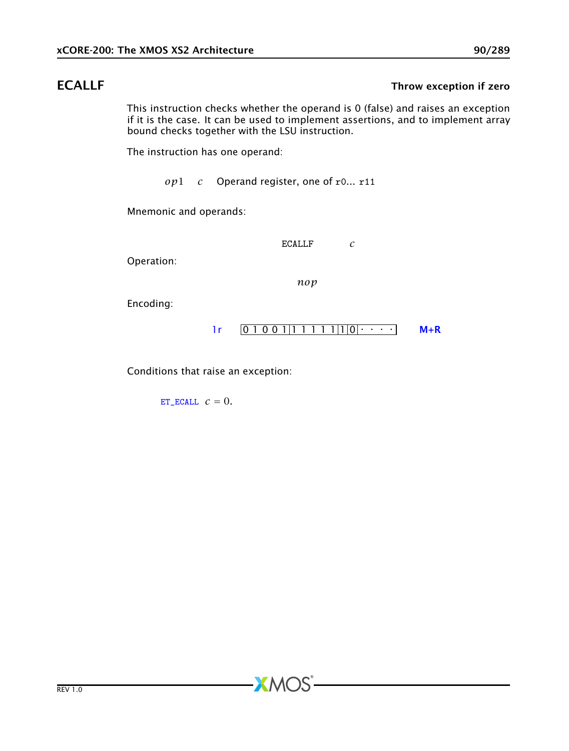### **ECALLF** Throw exception if zero

This instruction checks whether the operand is 0 (false) and raises an exception if it is the case. It can be used to implement assertions, and to implement array bound checks together with the LSU instruction.

The instruction has one operand:

*op*1 *c* Operand register, one of r0... r11

Mnemonic and operands:

ECALLF *c*

Operation:

*nop*

**XMOS** 

Encoding:

 $1r$   $0 1 0 0 1 | 1 1 1 1 1 | 1 | 0 | \cdots$  [M+R](#page-287-0)

Conditions that raise an exception:

[ET\\_ECALL](#page-280-0)  $c = 0$ .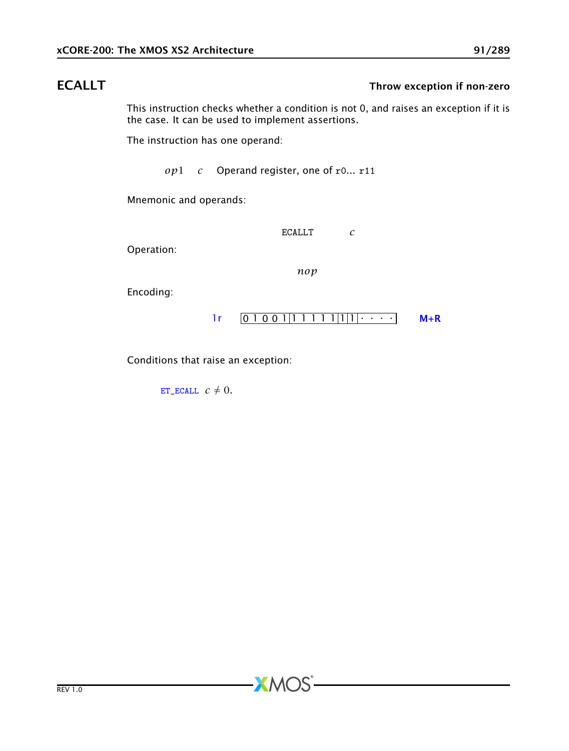## ECALLT Throw exception if non-zero

This instruction checks whether a condition is not 0, and raises an exception if it is the case. It can be used to implement assertions.

The instruction has one operand:

*op*1 *c* Operand register, one of r0... r11

Mnemonic and operands:

ECALLT *c*

Operation:

*nop*

**XMOS** 

Encoding:



Conditions that raise an exception:

[ET\\_ECALL](#page-280-0)  $c \neq 0$ .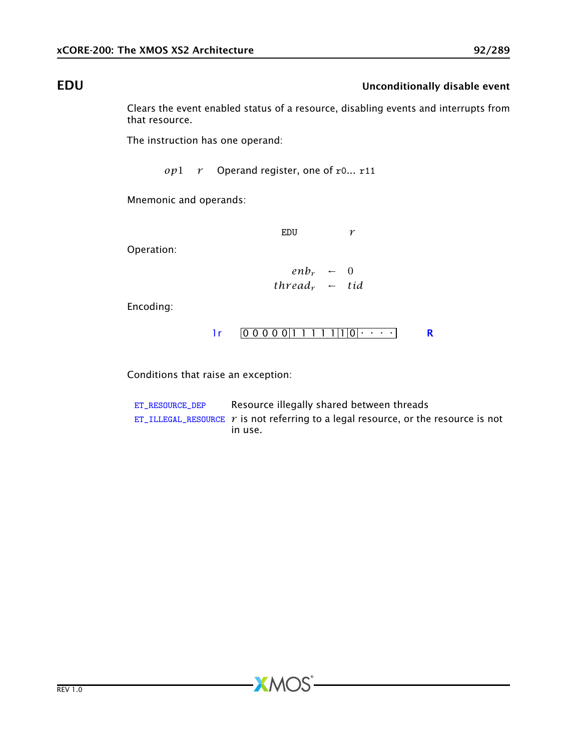## EDU **EDU** Unconditionally disable event

Clears the event enabled status of a resource, disabling events and interrupts from that resource.

The instruction has one operand:

*op*1 *r* Operand register, one of r0... r11

Mnemonic and operands:

EDU *r*

Operation:

$$
enh_r \leftarrow 0
$$
  
thread<sub>r</sub> \leftarrow tid

Encoding:

$$
1r \quad 0 \ 0 \ 0 \ 0 \ 0 \ 0 \ 1 \ 1 \ 1 \ 1 \ 1 \ 1 \ 1 \ 0 \ \cdot \ \cdot \ \cdot \ \cdot \ \qquad \ \ \mathbf{R}
$$

Conditions that raise an exception:

[ET\\_RESOURCE\\_DEP](#page-281-0) Resource illegally shared between threads [ET\\_ILLEGAL\\_RESOURCE](#page-276-0)  $r$  is not referring to a legal resource, or the resource is not in use.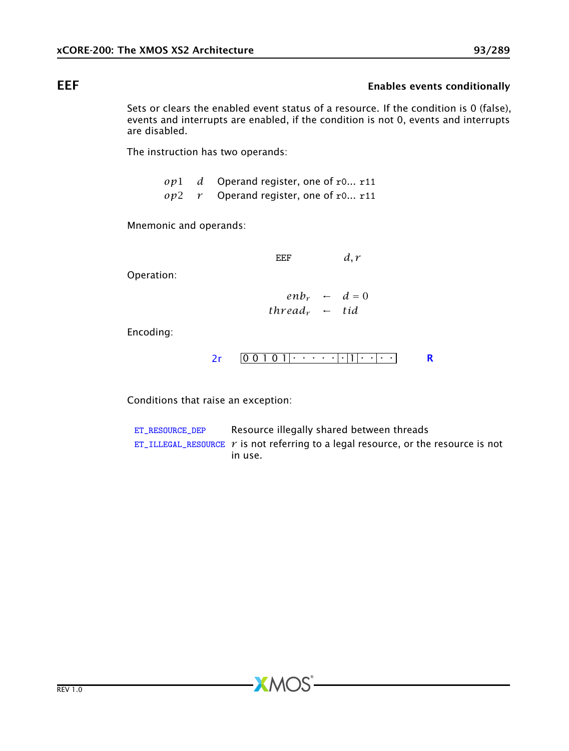## EEF EEF EXAMPLE ENGINEERING CONTROLLER ENGINEERING ENGINEERING CONTROLLER ENGINEERING CONTROLLER ENGINEERING CONTROLLER ENGINEERING CONTROLLER ENGINEERING CONTROLLER ENGINEERING CONTROLLER ENGINEERING CONTROLLER ENGINEERIN

Sets or clears the enabled event status of a resource. If the condition is 0 (false), events and interrupts are enabled, if the condition is not 0, events and interrupts are disabled.

The instruction has two operands:

*op*1 *d* Operand register, one of r0... r11 *op*2 *r* Operand register, one of r0... r11

Mnemonic and operands:

EEF  $d, r$ 

Operation:

 $e^{n b_r}$  ←  $d = 0$  $thread<sub>r</sub> \leftarrow tid$ 

Encoding:

0 0 1 0 1 . . . . . . 1 . . . . [2r](#page-259-0) [R](#page-286-0)

Conditions that raise an exception:

[ET\\_RESOURCE\\_DEP](#page-281-0) Resource illegally shared between threads [ET\\_ILLEGAL\\_RESOURCE](#page-276-0)  $r$  is not referring to a legal resource, or the resource is not in use.

 $AMOS$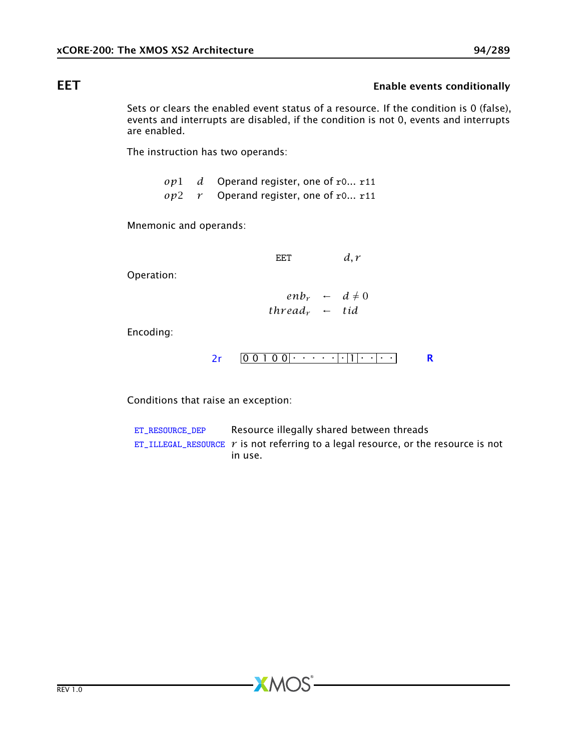## EET EET Enable events conditionally

Sets or clears the enabled event status of a resource. If the condition is 0 (false), events and interrupts are disabled, if the condition is not 0, events and interrupts are enabled.

The instruction has two operands:

*op*1 *d* Operand register, one of r0... r11 *op*2 *r* Operand register, one of r0... r11

Mnemonic and operands:

EET  $d, r$ 

Operation:

 $e^{n b_r}$  ←  $d \neq 0$  $thread<sub>r</sub> \leftarrow tid$ 

Encoding:

0 0 1 0 0 . . . . . . 1 . . . . [2r](#page-259-0) [R](#page-286-0)

Conditions that raise an exception:

[ET\\_RESOURCE\\_DEP](#page-281-0) Resource illegally shared between threads [ET\\_ILLEGAL\\_RESOURCE](#page-276-0)  $r$  is not referring to a legal resource, or the resource is not in use.

 $X$ M $(S)$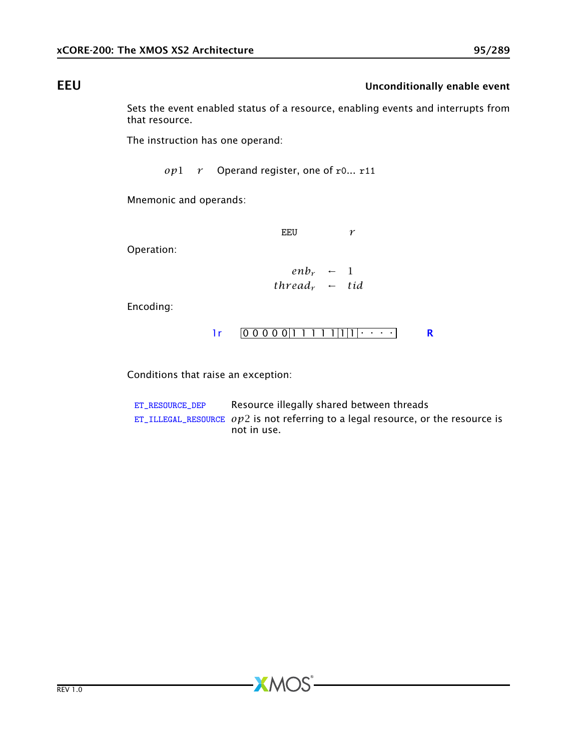## EEU EEU

Sets the event enabled status of a resource, enabling events and interrupts from that resource.

The instruction has one operand:

*op*1 *r* Operand register, one of r0... r11

Mnemonic and operands:

EEU *r*

Operation:

$$
enh_r \leftarrow 1
$$
  
thread<sub>r</sub> \leftarrow tid

Encoding:

[1r](#page-264-0) 0 0 0 0 0 1 1 1 1 1 1 1 . . . . [R](#page-286-0)

Conditions that raise an exception:

[ET\\_RESOURCE\\_DEP](#page-281-0) Resource illegally shared between threads [ET\\_ILLEGAL\\_RESOURCE](#page-276-0) *op*2 is not referring to a legal resource, or the resource is not in use.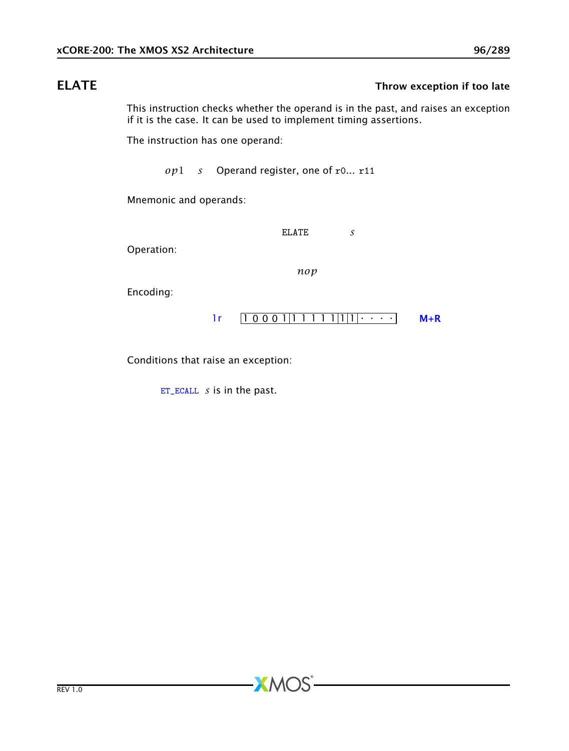## ELATE Throw exception if too late

This instruction checks whether the operand is in the past, and raises an exception if it is the case. It can be used to implement timing assertions.

The instruction has one operand:

*op*1 *s* Operand register, one of r0... r11

Mnemonic and operands:

ELATE *s*

Operation:

*nop*

**XMOS** 

Encoding:



Conditions that raise an exception:

[ET\\_ECALL](#page-280-0) *s* is in the past.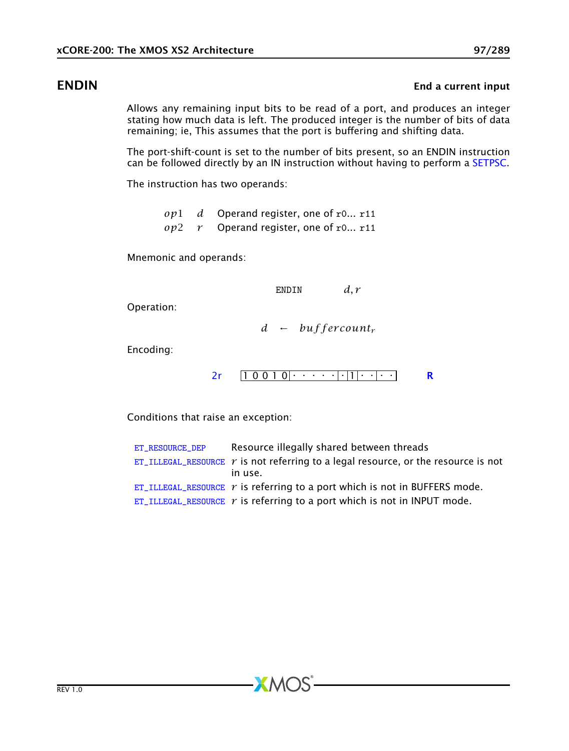### ENDIN ENDINE ENDINE ENDINE ENDINE ENDINE ENDINE ENDINE ENDINE ENDINE ENDINE ENDINE ENDINE ENDINE ENDINE ENDINE

Allows any remaining input bits to be read of a port, and produces an integer stating how much data is left. The produced integer is the number of bits of data remaining; ie, This assumes that the port is buffering and shifting data.

The port-shift-count is set to the number of bits present, so an ENDIN instruction can be followed directly by an IN instruction without having to perform a [SETPSC.](#page-198-0)

The instruction has two operands:

*op*1 *d* Operand register, one of r0... r11 *op*2 *r* Operand register, one of r0... r11

Mnemonic and operands:

ENDIN *d, r*

Operation:

*d* ← *buf f er count<sup>r</sup>*

Encoding:

1 0 0 1 0 . . . . . . 1 . . . . [2r](#page-259-0) [R](#page-286-0)

Conditions that raise an exception:

| ET_RESOURCE_DEP | Resource illegally shared between threads                                                 |
|-----------------|-------------------------------------------------------------------------------------------|
|                 | ET_ILLEGAL_RESOURCE $\gamma$ is not referring to a legal resource, or the resource is not |
|                 | in use.                                                                                   |
|                 | ET_ILLEGAL_RESOURCE $r$ is referring to a port which is not in BUFFERS mode.              |
|                 | ET_ILLEGAL_RESOURCE $r$ is referring to a port which is not in INPUT mode.                |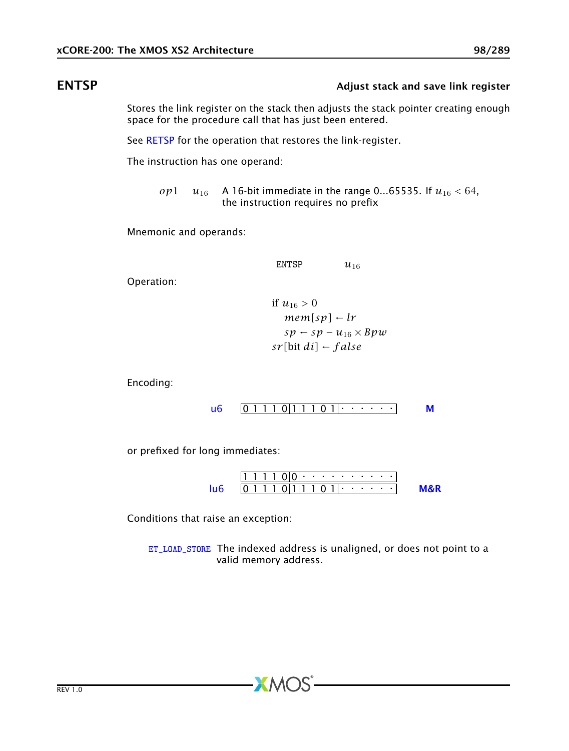### ENTSP **ENTSP Adjust stack and save link register**

Stores the link register on the stack then adjusts the stack pointer creating enough space for the procedure call that has just been entered.

See [RETSP](#page-184-0) for the operation that restores the link-register.

The instruction has one operand:

*op*1 *u*<sub>16</sub> A 16-bit immediate in the range 0...65535. If  $u_{16} < 64$ , the instruction requires no prefix

Mnemonic and operands:

ENTSP  $u_{16}$ 

Operation:

if 
$$
u_{16} > 0
$$
  
\n $mem[sp] \leftarrow lr$   
\n $sp \leftarrow sp - u_{16} \times Bpw$   
\n $sr[bit\,di] \leftarrow false$ 

Encoding:

$$
\mathsf{u6} \quad \boxed{0 \; 1 \; 1 \; 1 \; 0 \; 1 \; 1 \; 1 \; 0 \; 1 \; \cdots \; \cdots} \qquad \mathsf{M}
$$

or prefixed for long immediates:

1 1 1 1 0 0 . . . . . . . . . . 0 1 1 1 0 1 1 1 0 1 . . . . . . [lu6](#page-256-0) [M&R](#page-288-1)

Conditions that raise an exception:

[ET\\_LOAD\\_STORE](#page-277-0) The indexed address is unaligned, or does not point to a valid memory address.

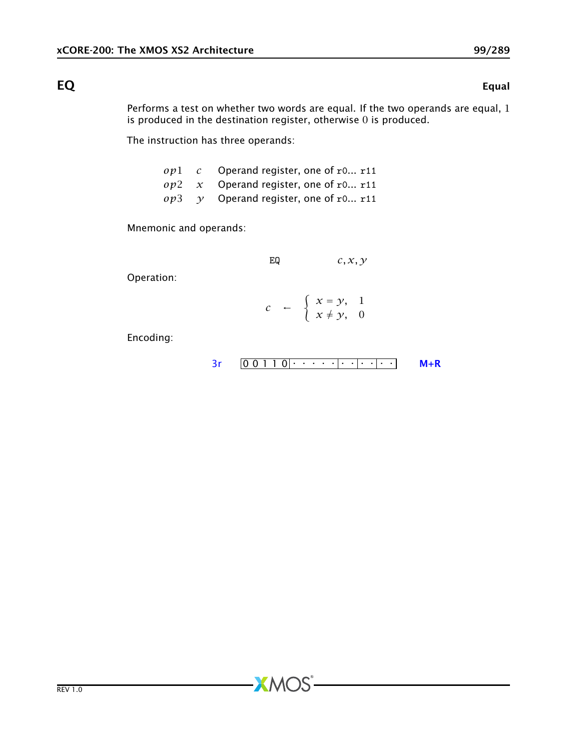### $EQ \hspace{1.6cm}$  EQ

Performs a test on whether two words are equal. If the two operands are equal, 1 is produced in the destination register, otherwise 0 is produced.

The instruction has three operands:

|  | $op1 \, c$ Operand register, one of r0 r11         |
|--|----------------------------------------------------|
|  | $op2 \, x$ Operand register, one of r0 r11         |
|  | $op3 \quad \gamma$ Operand register, one of r0 r11 |

Mnemonic and operands:

$$
EQ \hspace{1.5cm} c,x,y
$$

Operation:

$$
c \quad \leftarrow \quad \left\{ \begin{array}{l} x = y, \quad 1 \\ x \neq y, \quad 0 \end{array} \right.
$$

**XMOS** 

Encoding:

$$
3r \quad 0 \quad 0 \quad 1 \quad 1 \quad 0 \quad \cdots \quad 1 \quad \cdots \quad 1 \quad \cdots
$$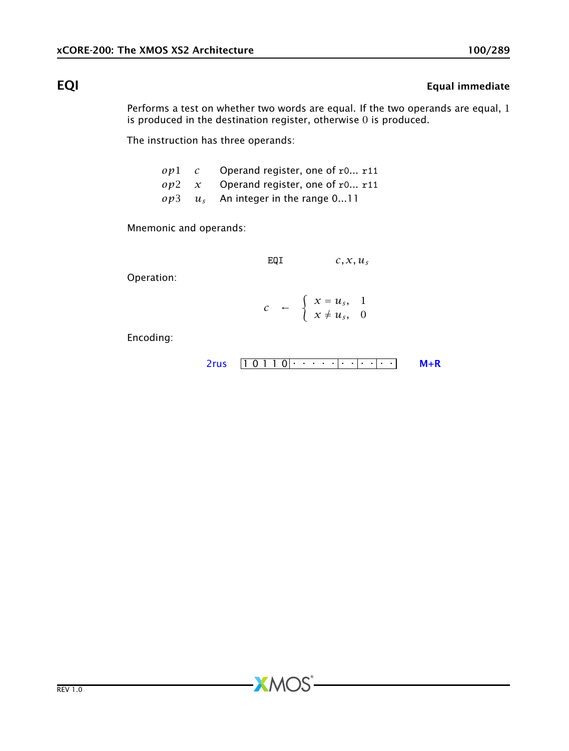# EQI Equal immediate

Performs a test on whether two words are equal. If the two operands are equal, 1 is produced in the destination register, otherwise 0 is produced.

The instruction has three operands:

|  | $op1 \quad c$ Operand register, one of r0 r11 |
|--|-----------------------------------------------|
|  | $op2 \, x$ Operand register, one of r0 r11    |
|  | $op3 \t us$ An integer in the range 011       |

Mnemonic and operands:

$$
EQI \hspace{1.5cm} c,x,u_s
$$

Operation:

$$
c \quad \leftarrow \quad \left\{ \begin{array}{l} x = u_s, \quad 1 \\ x \neq u_s, \quad 0 \end{array} \right.
$$

Encoding:

$$
2rus \quad [1 0 1 1 0| \cdot \cdot \cdot \cdot | \cdot \cdot | \cdot \cdot | \cdot \cdot \cdot | \quad M+R
$$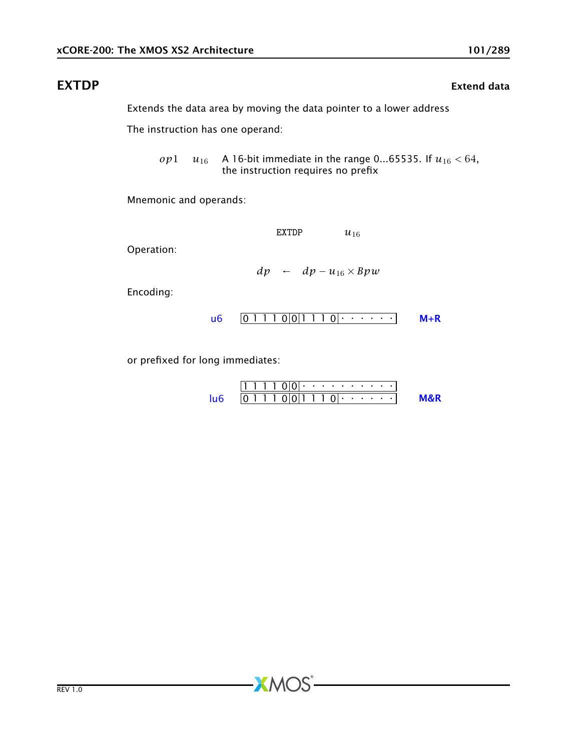## EXTDP EXTERNAL EXTENSION CONTROL EXTENDING THE EXTENDION EXTENDION EXTENDION EXTENDION

The instruction has one operand:

*op*1 *u*<sub>16</sub> A 16-bit immediate in the range 0...65535. If  $u_{16}$  < 64, the instruction requires no prefix

Mnemonic and operands:

EXTDP  $u_{16}$ 

Operation:

$$
dp \leftarrow dp - u_{16} \times Bpw
$$

Encoding:

$$
\mathsf{u6} \quad \boxed{0\ 1\ 1\ 1\ 0}\ \boxed{0\ 1\ 1\ 1\ 0}\ \cdot\ \cdot\ \cdot\ \cdot\ \cdot\ \cdot\ \quad \mathsf{M} + \mathsf{R}
$$

or prefixed for long immediates:

| $111100 \cdot \cdot \cdot \cdot \cdot \cdot \cdot \cdot \cdot \cdot \cdot \cdot \cdot$ |                                                                          |                |
|----------------------------------------------------------------------------------------|--------------------------------------------------------------------------|----------------|
| $106$                                                                                  | $0111001110 \cdot \cdot \cdot \cdot \cdot \cdot \cdot \cdot \cdot \cdot$ | <b>M&amp;R</b> |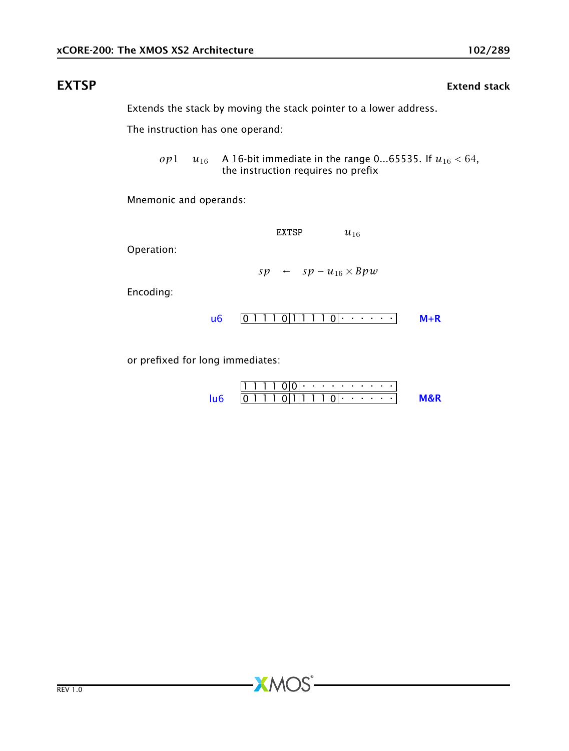## EXTSP EXTERNAL EXTENSION CONTROL EXTENDING THE EXTEND STATE OF THE EXTENDING STATE OF THE EXTENDING OF THE EXTENDING STATE OF THE EXTENDING STATE OF THE EXTENDING OF THE EXTENDING STATE OF THE EXTENDING STATE OF THE EXTEND

Extends the stack by moving the stack pointer to a lower address.

The instruction has one operand:

*op*1  $u_{16}$  A 16-bit immediate in the range 0...65535. If  $u_{16}$  < 64, the instruction requires no prefix

Mnemonic and operands:

EXTSP  $u_{16}$ 

Operation:

$$
sp \leftarrow sp - u_{16} \times Bpw
$$

Encoding:



or prefixed for long immediates:

1 1 1 1 0 0 . . . . . . . . . . 0 1 1 1 0 1 1 1 1 0 . . . . . . [lu6](#page-256-0) [M&R](#page-288-1)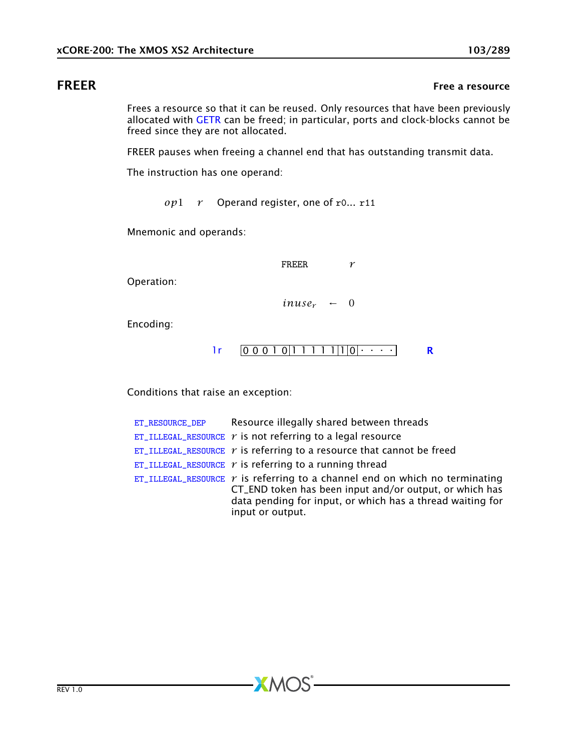## **FREER** FREER **FREER**

Frees a resource so that it can be reused. Only resources that have been previously allocated with [GETR](#page-112-0) can be freed; in particular, ports and clock-blocks cannot be freed since they are not allocated.

FREER pauses when freeing a channel end that has outstanding transmit data.

The instruction has one operand:

*op*1 *r* Operand register, one of r0... r11

Mnemonic and operands:

FREER *r*

Operation:

 $inuse<sub>r</sub> \leftarrow 0$ 

Encoding:

$$
lr \qquad \boxed{0\ 0\ 0\ 1\ 0\ \boxed{1\ 1\ 1\ 1\ 1\ \boxed{1\ 0\ \cdots\ \cdots}}
$$

Conditions that raise an exception:

| ET_RESOURCE_DEP | Resource illegally shared between threads                                                                                                                                                                                    |
|-----------------|------------------------------------------------------------------------------------------------------------------------------------------------------------------------------------------------------------------------------|
|                 | ET_ILLEGAL_RESOURCE $r$ is not referring to a legal resource                                                                                                                                                                 |
|                 | ET_ILLEGAL_RESOURCE $\gamma$ is referring to a resource that cannot be freed                                                                                                                                                 |
|                 | ET_ILLEGAL_RESOURCE $r$ is referring to a running thread                                                                                                                                                                     |
|                 | $ET$ _ILLEGAL_RESOURCE $r$ is referring to a channel end on which no terminating<br>CT_END token has been input and/or output, or which has<br>data pending for input, or which has a thread waiting for<br>input or output. |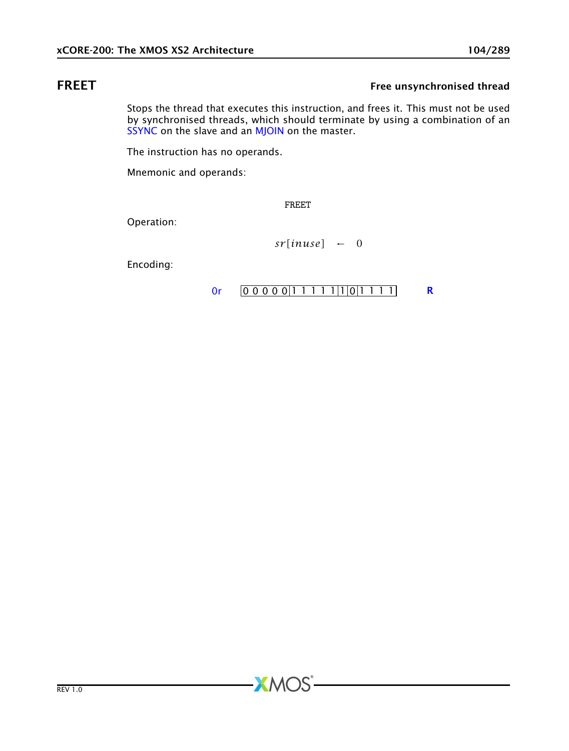## FREET FREET FREET

Stops the thread that executes this instruction, and frees it. This must not be used by synchronised threads, which should terminate by using a combination of an [SSYNC](#page-211-0) on the slave and an [MJOIN](#page-165-0) on the master.

The instruction has no operands.

Mnemonic and operands:

FREET

**XMOS** 

Operation:

 $sr[$ *inuse* $] \leftarrow 0$ 

Encoding:

```
0r [0 0 0 0 0 1 1 1 1 1 1 1 0 1 1 1 1]
```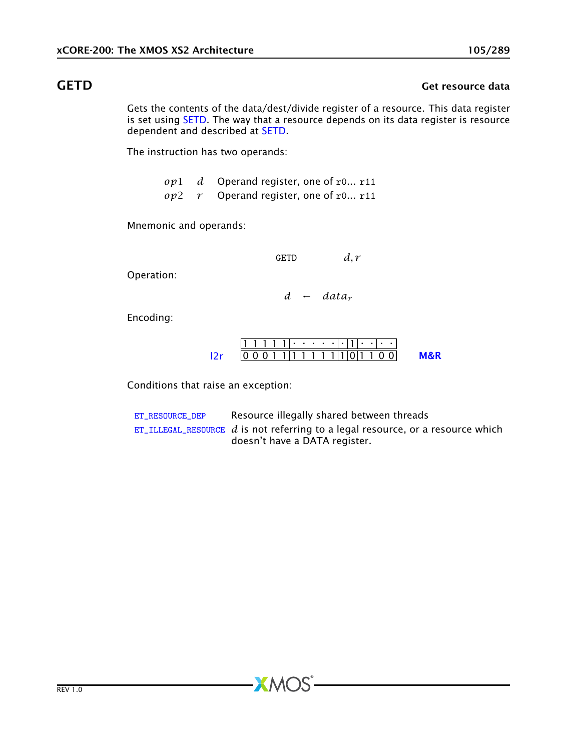### GETD Get resource data

Gets the contents of the data/dest/divide register of a resource. This data register is set using [SETD.](#page-192-0) The way that a resource depends on its data register is resource dependent and described at [SETD.](#page-192-0)

The instruction has two operands:

*op*1 *d* Operand register, one of r0... r11

*op*2 *r* Operand register, one of r0... r11

Mnemonic and operands:

GETD *d, r*

Operation:

*d* ← *data<sup>r</sup>*

Encoding:

|  | 111111.                       |  |  |  |  |  |  |  |
|--|-------------------------------|--|--|--|--|--|--|--|
|  | 0 1 1 1 1 1 1 1 1 1 1 0 1 1 0 |  |  |  |  |  |  |  |

Conditions that raise an exception:

[ET\\_RESOURCE\\_DEP](#page-281-0) Resource illegally shared between threads  $ET$ <sub>LLLEGAL\_RESOURCE</sub>  $d$  is not referring to a legal resource, or a resource which doesn't have a DATA register.

 $X$ M $(S)$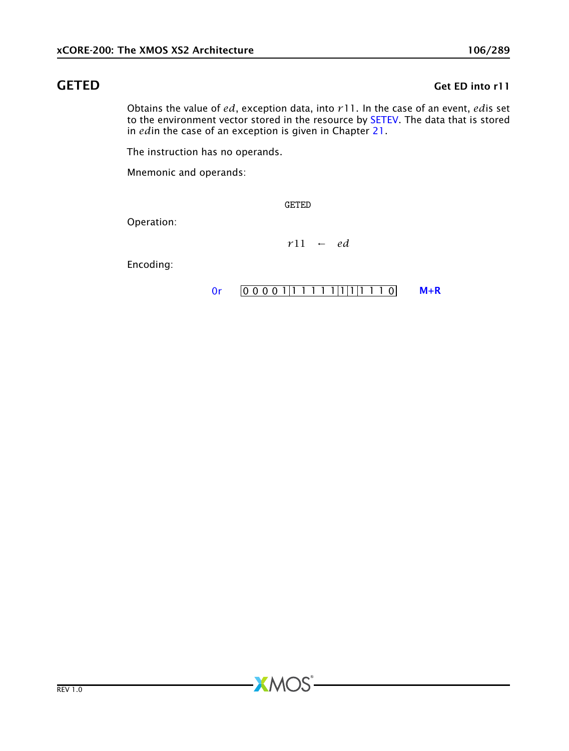## GETED Get ED into r11

Obtains the value of *ed*, exception data, into *r*11. In the case of an event, *ed*is set to the environment vector stored in the resource by [SETEV.](#page-194-0) The data that is stored in *ed*in the case of an exception is given in Chapter [21.](#page-272-0)

The instruction has no operands.

Mnemonic and operands:

GETED

**XMOS** 

Operation:

*r*11 ← *ed*

Encoding:

[0r](#page-265-0)  $[0 0 0 0 1 1 1 1 1 1 1 1 1 1 0]$  [M+R](#page-287-0)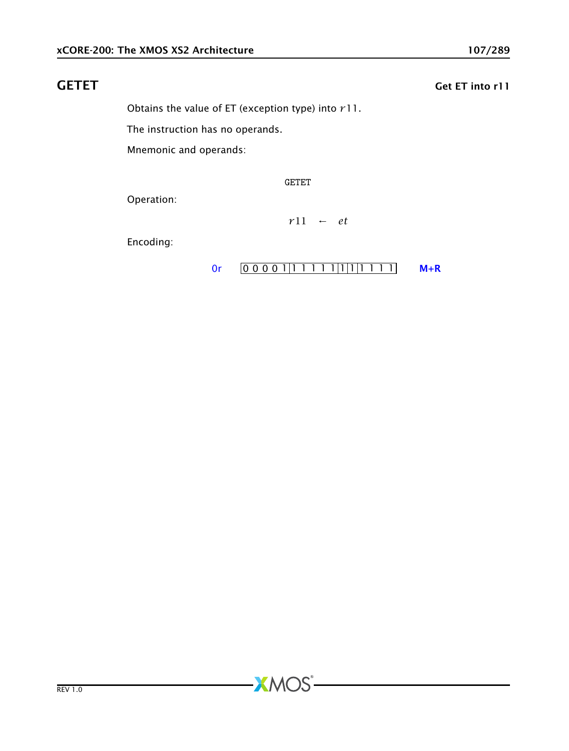# GETET Get ET into r11

Obtains the value of ET (exception type) into *r*11.

The instruction has no operands.

Mnemonic and operands:

GETET

**XMOS** 

Operation:

*r*11 ← *et*

Encoding:

[0r](#page-265-0)  $[0 0 0 0 1 1 1 1 1 1 1 1 1 1 1 1]$  [M+R](#page-287-0)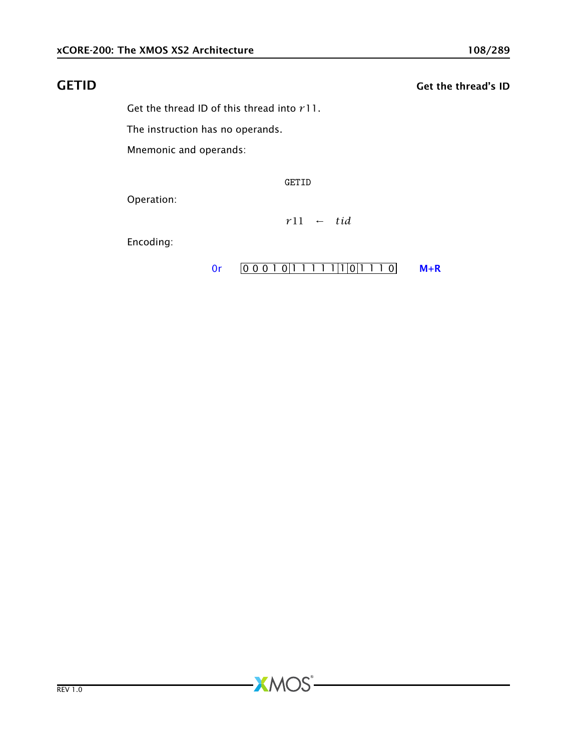# GETID Get the thread's ID

Get the thread ID of this thread into *r*11.

The instruction has no operands.

Mnemonic and operands:

GETID

**XMOS** 

Operation:

*r*11 ← *tid*

Encoding:

[0r](#page-265-0)  $[0 0 0 1 0 1 1 1 1 1 1 0 1 1 0 1 1 0 1 + R]$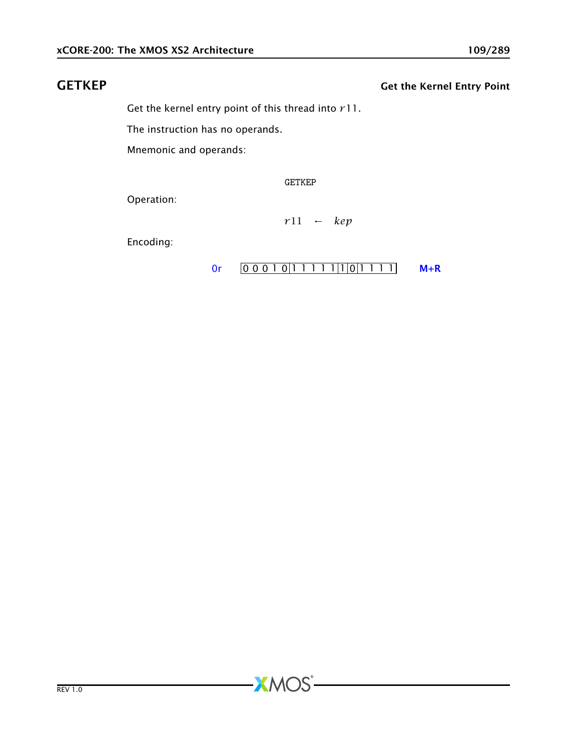# GETKEP GETKEP GETKEP

Get the kernel entry point of this thread into *r*11.

The instruction has no operands.

Mnemonic and operands:

GETKEP

**XMOS** 

Operation:

*r*11 ← *kep*

Encoding:

[0r](#page-265-0)  $[0 0 0 1 0 1 1 1 1 1 1 0 1 1 1 1]$  [M+R](#page-287-0)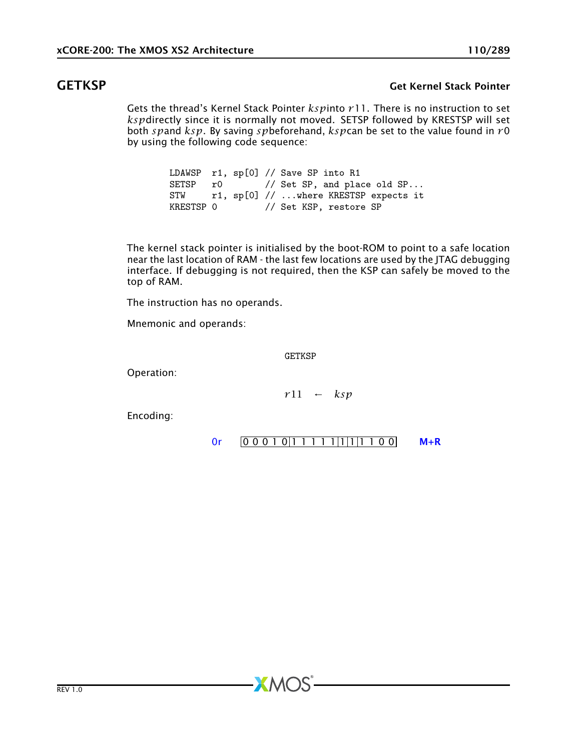## GETKSP Get Kernel Stack Pointer

Gets the thread's Kernel Stack Pointer *ksp*into *r*11. There is no instruction to set *ksp*directly since it is normally not moved. SETSP followed by KRESTSP will set both *sp*and *ksp*. By saving *sp*beforehand, *ksp*can be set to the value found in *r*0 by using the following code sequence:

> LDAWSP r1, sp[0] // Save SP into R1 SETSP r0 // Set SP, and place old SP...<br>STW r1. sp[0] // ...where KRESTSP expects it STW r1,  $sp[0]$  // ...where KRESTSP expects it<br>KRESTSP 0 // Set KSP, restore SP // Set KSP, restore SP

The kernel stack pointer is initialised by the boot-ROM to point to a safe location near the last location of RAM - the last few locations are used by the JTAG debugging interface. If debugging is not required, then the KSP can safely be moved to the top of RAM.

The instruction has no operands.

Mnemonic and operands:

**GETKSP** 

 $X$ M $(S)$ 

Operation:

*r*11 ← *ksp*

Encoding:

```
0rM+R
```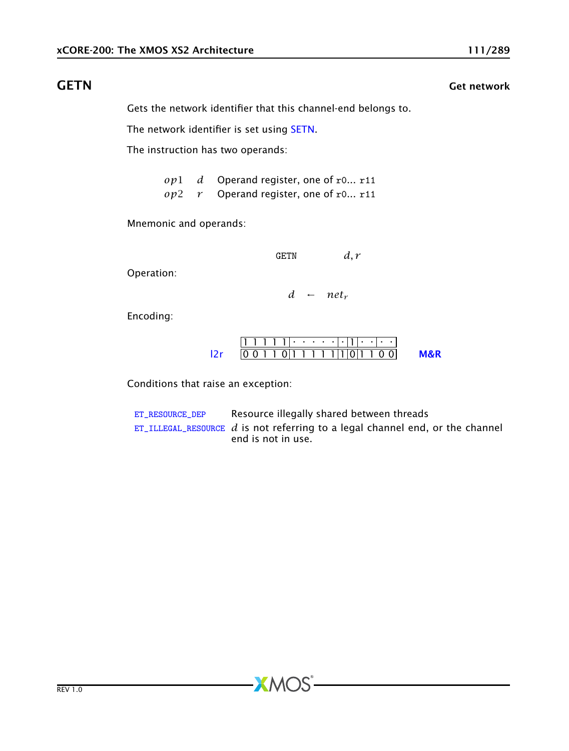# **GETN** Get network **GETN**

Gets the network identifier that this channel-end belongs to.

The network identifier is set using [SETN.](#page-196-0)

The instruction has two operands:

*op*1 *d* Operand register, one of r0... r11 *op*2 *r* Operand register, one of r0... r11

Mnemonic and operands:

GETN *d, r*

Operation:

 $d \leftarrow net_r$ 

Encoding:

$$
\frac{111111 \cdot \cdot \cdot \cdot \cdot | \cdot | \cdot | \cdot \cdot \cdot \cdot |}{00110111111101100} \qquad \text{M&R}
$$

Conditions that raise an exception:

[ET\\_RESOURCE\\_DEP](#page-281-0) Resource illegally shared between threads [ET\\_ILLEGAL\\_RESOURCE](#page-276-0) *d* is not referring to a legal channel end, or the channel end is not in use.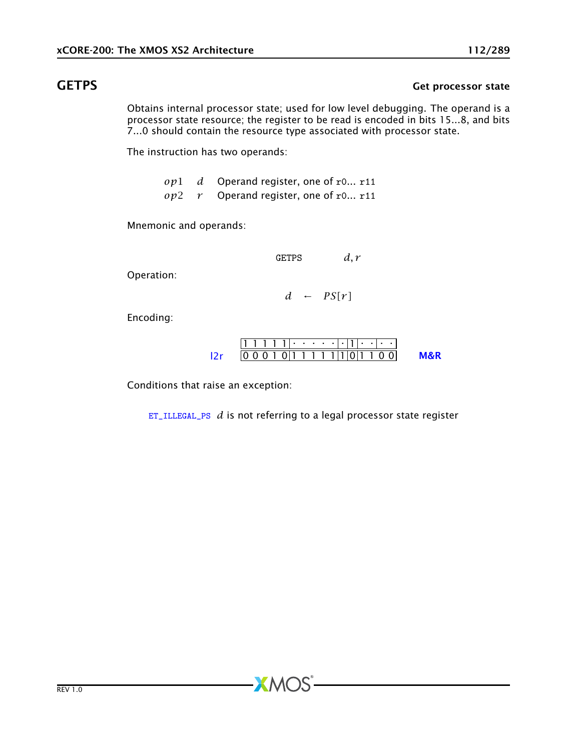# GETPS Get processor state

Obtains internal processor state; used for low level debugging. The operand is a processor state resource; the register to be read is encoded in bits 15...8, and bits 7...0 should contain the resource type associated with processor state.

The instruction has two operands:

*op*1 *d* Operand register, one of r0... r11

*op*2 *r* Operand register, one of r0... r11

Mnemonic and operands:

GETPS *d, r*

Operation:

 $d \leftarrow PS[r]$ 

Encoding:

|  |  | 10 0 0 1 0 1 1 1 1 1 1 1 1 0 1 1 0 0 1 |  |  |  |  |  |  |
|--|--|----------------------------------------|--|--|--|--|--|--|

Conditions that raise an exception:

[ET\\_ILLEGAL\\_PS](#page-278-0) *d* is not referring to a legal processor state register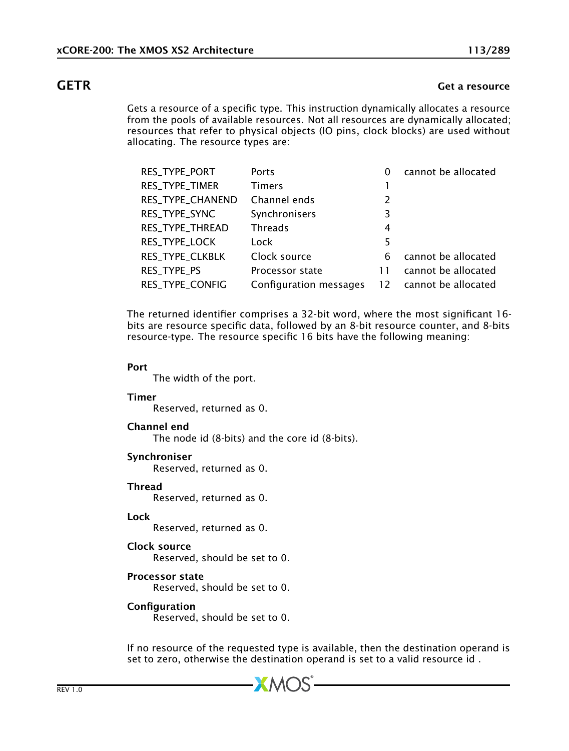### **GETR** Get a resource

Gets a resource of a specific type. This instruction dynamically allocates a resource from the pools of available resources. Not all resources are dynamically allocated; resources that refer to physical objects (IO pins, clock blocks) are used without allocating. The resource types are:

| RES_TYPE_PORT    | Ports                  | 0  | cannot be allocated |
|------------------|------------------------|----|---------------------|
| RES_TYPE_TIMER   | <b>Timers</b>          |    |                     |
| RES_TYPE_CHANEND | Channel ends           | 2  |                     |
| RES_TYPE_SYNC    | Synchronisers          | 3  |                     |
| RES_TYPE_THREAD  | Threads                | 4  |                     |
| RES_TYPE_LOCK    | Lock                   | 5  |                     |
| RES_TYPE_CLKBLK  | Clock source           | 6  | cannot be allocated |
| RES_TYPE_PS      | Processor state        |    | cannot be allocated |
| RES_TYPE_CONFIG  | Configuration messages | 12 | cannot be allocated |

The returned identifier comprises a 32-bit word, where the most significant 16 bits are resource specific data, followed by an 8-bit resource counter, and 8-bits resource-type. The resource specific 16 bits have the following meaning:

### Port

The width of the port.

### Timer

Reserved, returned as 0.

### Channel end

The node id (8-bits) and the core id (8-bits).

### Synchroniser

Reserved, returned as 0.

### **Thread**

Reserved, returned as 0.

### Lock

Reserved, returned as 0.

### Clock source

Reserved, should be set to 0.

### Processor state

Reserved, should be set to 0.

### Configuration

Reserved, should be set to 0.

If no resource of the requested type is available, then the destination operand is set to zero, otherwise the destination operand is set to a valid resource id .

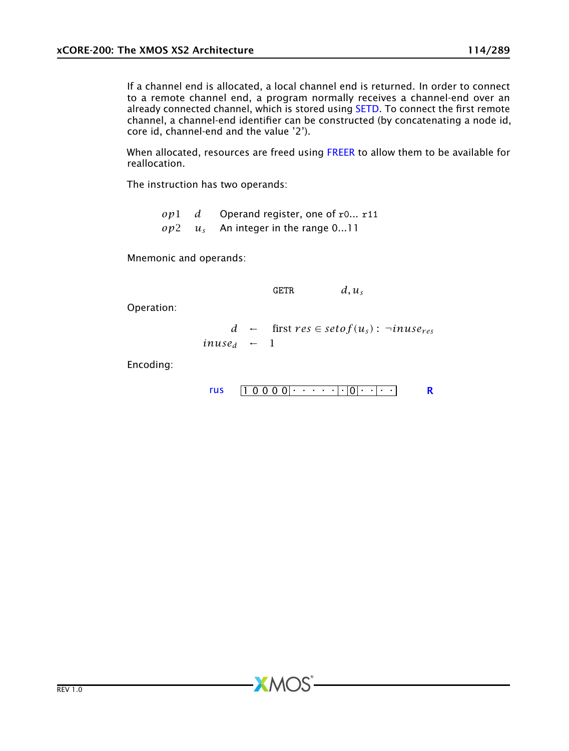If a channel end is allocated, a local channel end is returned. In order to connect to a remote channel end, a program normally receives a channel-end over an already connected channel, which is stored using [SETD.](#page-192-0) To connect the first remote channel, a channel-end identifier can be constructed (by concatenating a node id, core id, channel-end and the value '2').

When allocated, resources are freed using [FREER](#page-102-0) to allow them to be available for reallocation.

The instruction has two operands:

*op*1 *d* Operand register, one of r0... r11 *op*2 *u<sup>s</sup>* An integer in the range 0...11

Mnemonic and operands:

$$
GETR \hspace{1cm} d,u_s
$$

Operation:

$$
d \leftarrow \text{first } res \in setof(u_s): \neg inuse_{res}
$$
  
 
$$
inuse_d \leftarrow 1
$$

Encoding:

$$
rus \qquad \boxed{1\ 0\ 0\ 0\ 0} \qquad \cdots \qquad \boxed{|\,|0|\cdots|\cdots|}
$$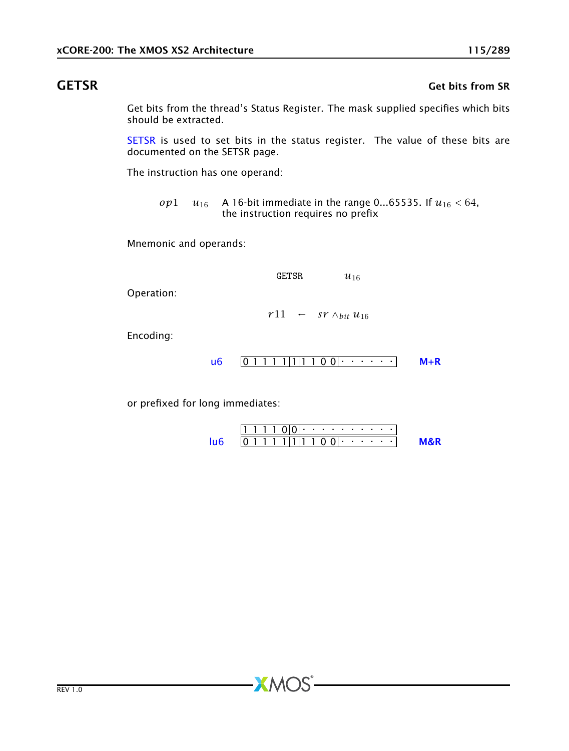### GETSR Get bits from SR

Get bits from the thread's Status Register. The mask supplied specifies which bits should be extracted.

[SETSR](#page-202-0) is used to set bits in the status register. The value of these bits are documented on the SETSR page.

The instruction has one operand:

*op*1 *u*<sub>16</sub> A 16-bit immediate in the range 0...65535. If  $u_{16} < 64$ , the instruction requires no prefix

Mnemonic and operands:

GETSR  $u_{16}$ 

Operation:

 $r11$  ← *sr*  $\wedge$ *bit*  $u_{16}$ 

Encoding:

0 1 1 1 1 1 1 1 0 0 . . . . . . [u6](#page-255-0) [M+R](#page-287-0)

or prefixed for long immediates:

| 71 L L L |  |  |  |            |  |  |  |  |
|----------|--|--|--|------------|--|--|--|--|
|          |  |  |  | 1111111100 |  |  |  |  |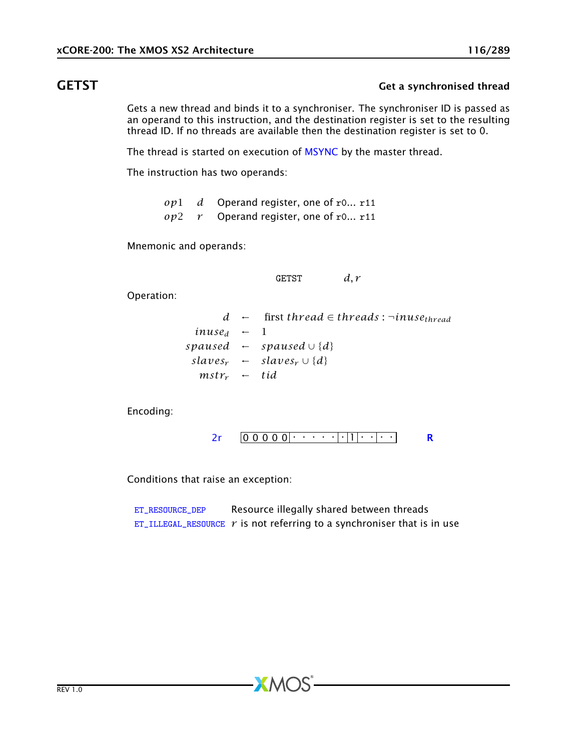## GETST Get a synchronised thread

Gets a new thread and binds it to a synchroniser. The synchroniser ID is passed as an operand to this instruction, and the destination register is set to the resulting thread ID. If no threads are available then the destination register is set to 0.

The thread is started on execution of [MSYNC](#page-168-0) by the master thread.

The instruction has two operands:

*op*1 *d* Operand register, one of r0... r11 *op*2 *r* Operand register, one of r0... r11

Mnemonic and operands:

GETST *d, r*

Operation:

 $d \leftarrow$  first *thread*  $\in$  *threads* :  $\neg$ *inuse<sub>thread</sub>*  $inuse<sub>d</sub> \leftarrow 1$ *spaused* ← *spaused* ∪ {*d*}  $slaves_r$  ←  $slaves_r \cup \{d\}$  $mstr_r$  ← *tid* 

Encoding:

0 0 0 0 0 . . . . . . 1 . . . . [2r](#page-259-0) [R](#page-286-0)

Conditions that raise an exception:

[ET\\_RESOURCE\\_DEP](#page-281-0) Resource illegally shared between threads [ET\\_ILLEGAL\\_RESOURCE](#page-276-0)  $r$  is not referring to a synchroniser that is in use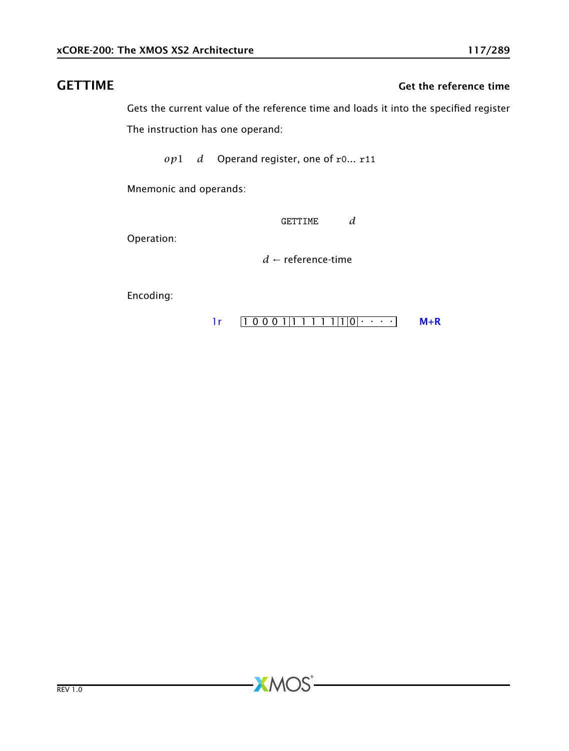### GETTIME Get the reference time

Gets the current value of the reference time and loads it into the specified register The instruction has one operand:

*op*1 *d* Operand register, one of r0... r11

Mnemonic and operands:

GETTIME *d*

Operation:

*d* ← reference-time

**XMOS** 

Encoding:

 $1 r \left[ 1 0 0 0 1 | 1 1 1 1 | 1 | 0 | \cdots \right]$  [M+R](#page-287-0)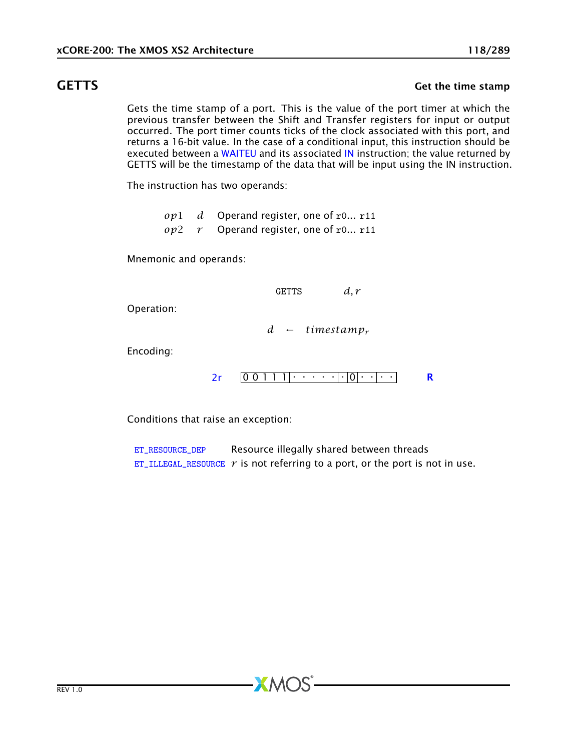## GETTS GETTS GET SALL CONTROLLER STATES AND THE STATE GET TO GET THE STATE OF STATES GET THE STATE OF STATES AND THE STATES OF STATES AND THE STATES OF STATES AND THE STATES OF STATES OF STATES AND THE STATES OF STATES AND

Gets the time stamp of a port. This is the value of the port timer at which the previous transfer between the Shift and Transfer registers for input or output occurred. The port timer counts ticks of the clock associated with this port, and returns a 16-bit value. In the case of a conditional input, this instruction should be executed between a [WAITEU](#page-242-0) and its associated [IN](#page-118-0) instruction; the value returned by GETTS will be the timestamp of the data that will be input using the IN instruction.

The instruction has two operands:

*op*1 *d* Operand register, one of r0... r11 *op*2 *r* Operand register, one of r0... r11

Mnemonic and operands:

GETTS *d, r*

Operation:

*d* ← *timestamp<sup>r</sup>*

Encoding:

$$
2r \qquad 0 \qquad 0 \qquad 1 \qquad 1 \qquad 1 \qquad \cdots \qquad \qquad \frac{|0| \qquad \cdots |0|}{r} \qquad \qquad R
$$

Conditions that raise an exception:

[ET\\_RESOURCE\\_DEP](#page-281-0) Resource illegally shared between threads [ET\\_ILLEGAL\\_RESOURCE](#page-276-0)  $r$  is not referring to a port, or the port is not in use.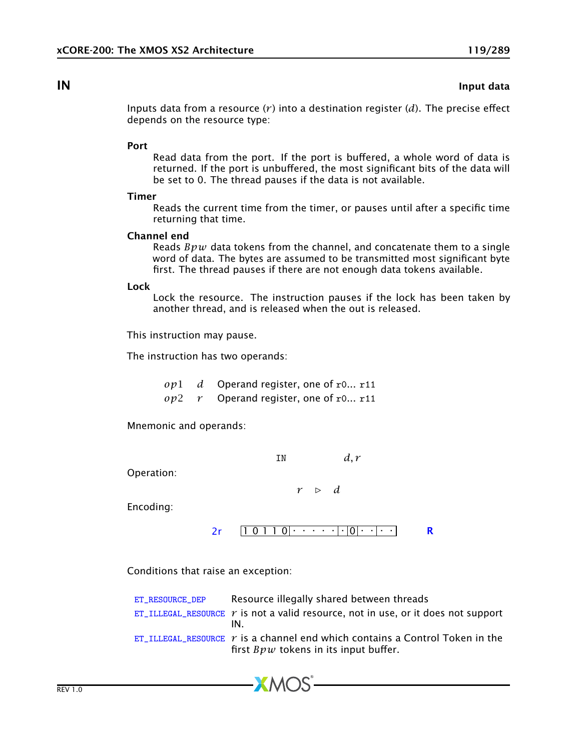### **IN** Input data

<span id="page-118-0"></span>Inputs data from a resource  $(r)$  into a destination register  $(d)$ . The precise effect depends on the resource type:

### Port

Read data from the port. If the port is buffered, a whole word of data is returned. If the port is unbuffered, the most significant bits of the data will be set to 0. The thread pauses if the data is not available.

### Timer

Reads the current time from the timer, or pauses until after a specific time returning that time.

### Channel end

Reads *Bpw* data tokens from the channel, and concatenate them to a single word of data. The bytes are assumed to be transmitted most significant byte first. The thread pauses if there are not enough data tokens available.

### Lock

Lock the resource. The instruction pauses if the lock has been taken by another thread, and is released when the out is released.

This instruction may pause.

The instruction has two operands:

*op*1 *d* Operand register, one of r0... r11 *op*2 *r* Operand register, one of r0... r11

Mnemonic and operands:

IN  $d, r$ 

Operation:

 $r \geq d$ 

Encoding:

1 0 1 1 0 . . . . . . 0 . . . . [2r](#page-259-0) [R](#page-286-0)

Conditions that raise an exception:

| ET RESOURCE DEP | Resource illegally shared between threads                                                                                 |
|-----------------|---------------------------------------------------------------------------------------------------------------------------|
|                 | $ET$ _ILLEGAL_RESOURCE $r$ is not a valid resource, not in use, or it does not support<br>IN.                             |
|                 | ET_ILLEGAL_RESOURCE $r$ is a channel end which contains a Control Token in the<br>first $Bpw$ tokens in its input buffer. |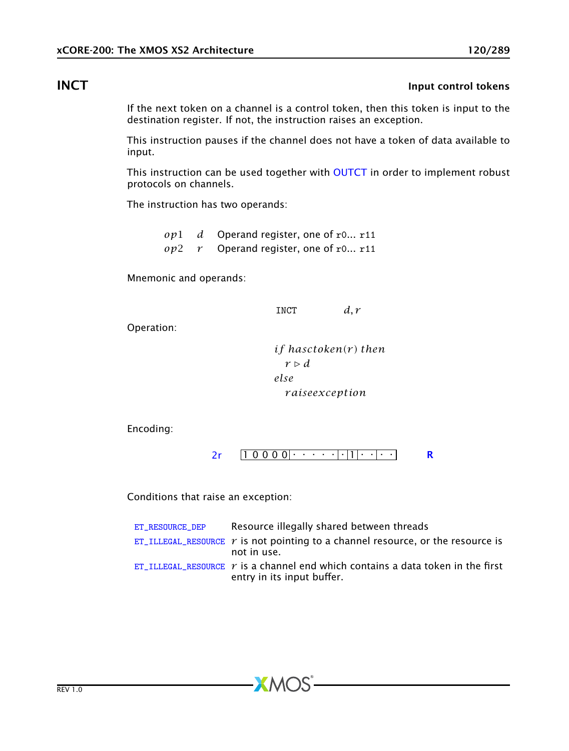# INCT **INCT** Input control tokens

If the next token on a channel is a control token, then this token is input to the destination register. If not, the instruction raises an exception.

This instruction pauses if the channel does not have a token of data available to input.

This instruction can be used together with [OUTCT](#page-175-0) in order to implement robust protocols on channels.

The instruction has two operands:

*op*1 *d* Operand register, one of r0... r11 *op*2 *r* Operand register, one of r0... r11

Mnemonic and operands:

INCT  $d, r$ 

Operation:

*if hasctoken(r ) then*  $r \triangleright d$ *else r aiseexception*

Encoding:

[2r](#page-259-0)  $[1 0 0 0 0 \cdot \cdot \cdot \cdot \cdot \cdot \cdot \cdot \cdot \cdot]$  [R](#page-286-0)

Conditions that raise an exception:

| ET RESOURCE DEP | Resource illegally shared between threads                                                                            |
|-----------------|----------------------------------------------------------------------------------------------------------------------|
|                 | $ET$ _ILLEGAL_RESOURCE $r$ is not pointing to a channel resource, or the resource is<br>not in use.                  |
|                 | ET ILLEGAL RESOURCE $\gamma$ is a channel end which contains a data token in the first<br>entry in its input buffer. |

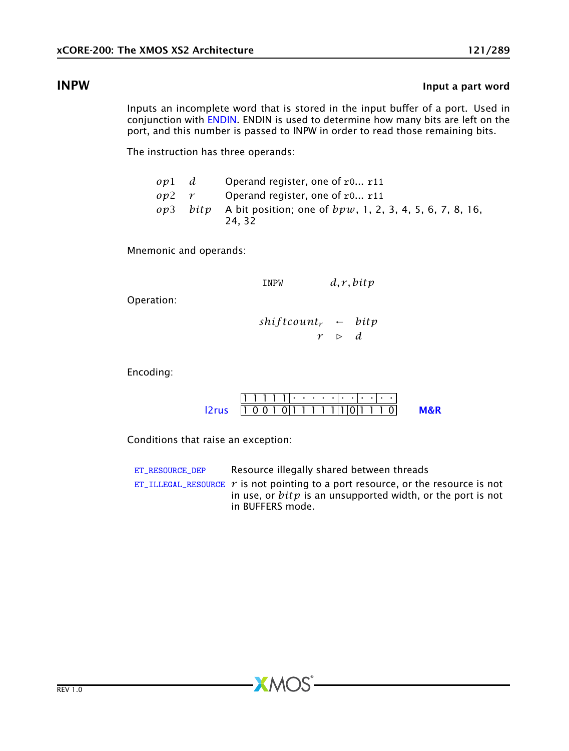## **INPW** Input a part word

Inputs an incomplete word that is stored in the input buffer of a port. Used in conjunction with [ENDIN.](#page-96-0) ENDIN is used to determine how many bits are left on the port, and this number is passed to INPW in order to read those remaining bits.

The instruction has three operands:

| ov1 d                     | Operand register, one of $r0$ r11                                               |
|---------------------------|---------------------------------------------------------------------------------|
| $op2 \rightharpoondown r$ | Operand register, one of $r0$ $r11$                                             |
|                           | $op3$ bit p A bit position; one of $bpw$ , 1, 2, 3, 4, 5, 6, 7, 8, 16,<br>24.32 |

Mnemonic and operands:

| <b>TNPW</b>                      |                  | d, r, bitp |
|----------------------------------|------------------|------------|
| $shiftcount_r$ $\leftarrow$ bitp |                  |            |
|                                  | $\triangleright$ | d          |

Encoding:

Operation:

|                                                 |  |  |  |  |  |  |  | ن باب بلب بلب ب ب ب بل1 1 1 1 1 ب |  |
|-------------------------------------------------|--|--|--|--|--|--|--|-----------------------------------|--|
| $ 2rus$     0 0 1 0   1 1 1 1   1   0   1 1 1 0 |  |  |  |  |  |  |  |                                   |  |

Conditions that raise an exception:

| ET RESOURCE DEP | Resource illegally shared between threads                                                                                                                               |
|-----------------|-------------------------------------------------------------------------------------------------------------------------------------------------------------------------|
|                 | ET_ILLEGAL_RESOURCE $r$ is not pointing to a port resource, or the resource is not<br>in use, or $bitp$ is an unsupported width, or the port is not<br>in BUFFERS mode. |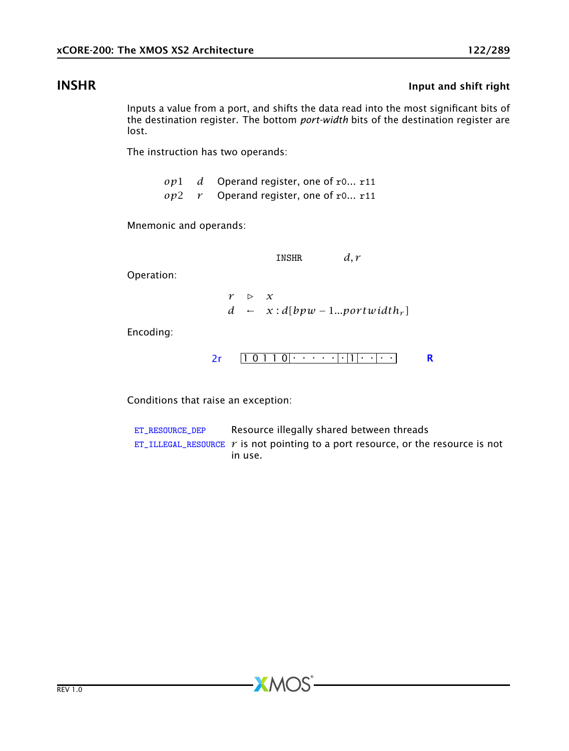# **INSHR** Input and shift right

Inputs a value from a port, and shifts the data read into the most significant bits of the destination register. The bottom *port-width* bits of the destination register are lost.

The instruction has two operands:

*op*1 *d* Operand register, one of r0... r11 *op*2 *r* Operand register, one of r0... r11

Mnemonic and operands:

INSHR *d, r*

Operation:

 $r \rightarrow x$ *d* ←  $x: d[bpw − 1...portwidth<sub>r</sub>]$ 

Encoding:

$$
2r \qquad \boxed{1 \ 0 \ 1 \ 1 \ 0} \cdot \cdot \cdot \cdot \cdot \cdot \cdot \cdot \cdot \cdot \cdot \cdot \cdot \cdot \cdot \qquad \mathbf{R}
$$

Conditions that raise an exception:

| ET RESOURCE DEP | Resource illegally shared between threads                                             |
|-----------------|---------------------------------------------------------------------------------------|
|                 | $ET$ _ILLEGAL_RESOURCE $r$ is not pointing to a port resource, or the resource is not |
|                 | in use.                                                                               |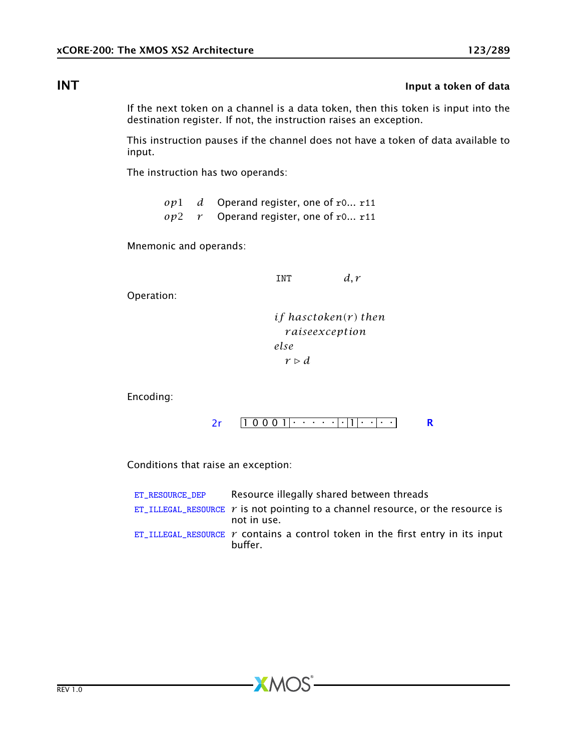# **INT** INT **INT**

If the next token on a channel is a data token, then this token is input into the destination register. If not, the instruction raises an exception.

This instruction pauses if the channel does not have a token of data available to input.

The instruction has two operands:

*op*1 *d* Operand register, one of r0... r11 *op*2 *r* Operand register, one of r0... r11

Mnemonic and operands:

INT  $d, r$ 

Operation:

*if hasctoken(r ) then r aiseexception else*  $r \triangleright d$ 

Encoding:

$$
2r \qquad \boxed{1\ 0\ 0\ 0\ 1} \qquad \cdots \qquad \boxed{|\,|1|\cdots|\cdots|}
$$

Conditions that raise an exception:

| ET RESOURCE DEP | Resource illegally shared between threads                                                             |
|-----------------|-------------------------------------------------------------------------------------------------------|
|                 | ET_ILLEGAL_RESOURCE $\gamma$ is not pointing to a channel resource, or the resource is<br>not in use. |
|                 | ET_ILLEGAL_RESOURCE $\gamma$ contains a control token in the first entry in its input<br>buffer.      |

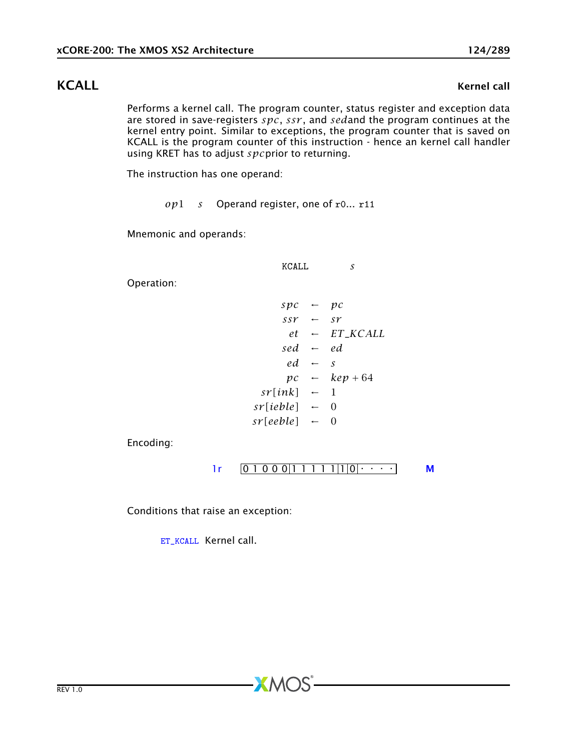### KCALL EXAMPLE RESERVE TO A SERVE THE RESERVE TO A SERVE THE RESERVE TO A SERVE THE RESERVE TO A SERVE THE RESERVE TO A SERVE THE RESERVE TO A SERVE THE RESERVE TO A SERVE THE RESERVE TO A SERVE THE RESERVE TO A SERVE THE R

Performs a kernel call. The program counter, status register and exception data are stored in save-registers *spc*, *ssr* , and *sed*and the program continues at the kernel entry point. Similar to exceptions, the program counter that is saved on KCALL is the program counter of this instruction - hence an kernel call handler using KRET has to adjust *spc*prior to returning.

The instruction has one operand:

*op*1 *s* Operand register, one of r0... r11

Mnemonic and operands:

Operation:

 $spc \leftarrow pc$  $ssr \leftarrow sr$ *et* ← *ET*\_*KCALL sed* ← *ed*  $ed \leftarrow s$  $pc \leftarrow \text{kep} + 64$  $sr[ink]$  ← 1  $sr[ieble] \leftarrow 0$  $sr[eeble] \leftarrow 0$ 

KCALL *s*

Encoding:

 $1r$   $[0 1 0 0 0 1 1 1 1 1 1 1 0$   $\cdots$  [M](#page-285-0)

 $X$ M $(S)$ 

Conditions that raise an exception:

[ET\\_KCALL](#page-282-0) Kernel call.

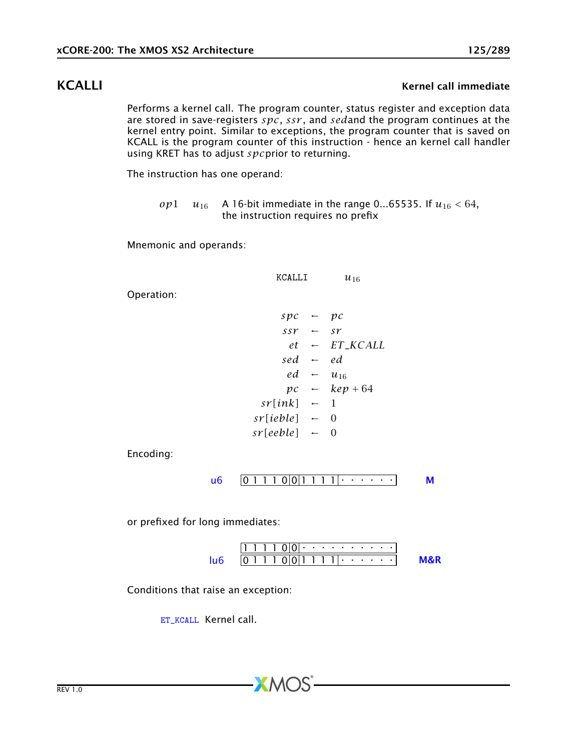## KCALLI KALLI KERNEL CALLI IMMEDIATE SUN SERVER AT A SERVER AND METALLI IMMEDIATE SUN SERVER AT A SERVER AND ME

Performs a kernel call. The program counter, status register and exception data are stored in save-registers *spc*, *ssr* , and *sed*and the program continues at the kernel entry point. Similar to exceptions, the program counter that is saved on KCALL is the program counter of this instruction - hence an kernel call handler using KRET has to adjust *spc*prior to returning.

The instruction has one operand:

*op*1 *u*<sub>16</sub> A 16-bit immediate in the range 0...65535. If  $u_{16} < 64$ , the instruction requires no prefix

Mnemonic and operands:

KCALLI  $u_{16}$  $spec \leftarrow pc$  $ssr \leftarrow sr$  $et$  ← *ET KCALL sed* ← *ed ed* ← *u*<sup>16</sup> *pc* ← *kep* + 64  $sr[ink]$  ← 1  $sr[ieble] \leftarrow 0$  $sr[eeble] \leftarrow 0$ 

Encoding:

Operation:

$$
\mathsf{u6} \quad \boxed{0\ 1\ 1\ 1\ 0} \boxed{0\ 1\ 1\ 1\ 1\ 1} \cdot \cdot \cdot \cdot \cdot \cdot \cdot \cdot \mathsf{M}
$$

or prefixed for long immediates:

|  | .    |  |  |  | . |  |  |  |  |
|--|------|--|--|--|---|--|--|--|--|
|  | 1111 |  |  |  |   |  |  |  |  |

 $XMOS$ 

Conditions that raise an exception:

[ET\\_KCALL](#page-282-0) Kernel call.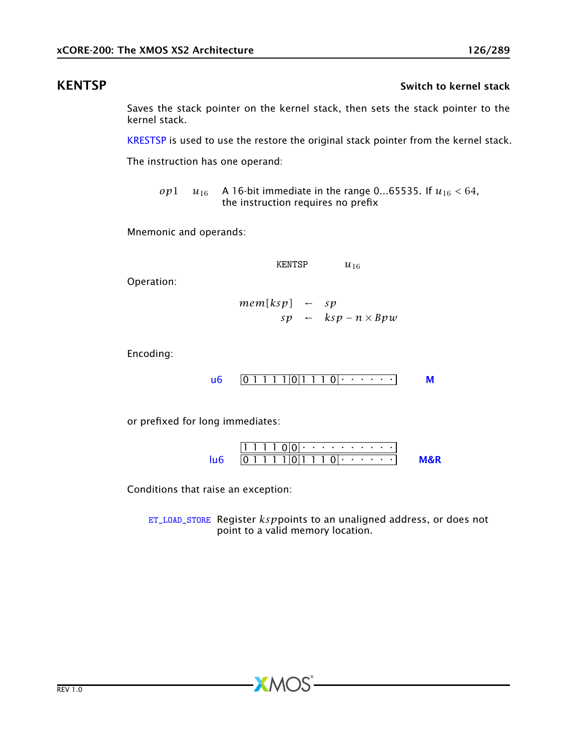### KENTSP Switch to kernel stack the switch to kernel stack

<span id="page-125-0"></span>Saves the stack pointer on the kernel stack, then sets the stack pointer to the kernel stack.

[KRESTSP](#page-126-0) is used to use the restore the original stack pointer from the kernel stack.

The instruction has one operand:

*op*1 *u*<sub>16</sub> A 16-bit immediate in the range 0...65535. If  $u_{16} < 64$ , the instruction requires no prefix

Mnemonic and operands:

$$
KEY 16
$$

Operation:

$$
mem[ksp] \leftarrow sp
$$
  
sp \leftarrow ksp - n \times Bpw

Encoding:

$$
\mathsf{u6} \quad \boxed{0 \; 1 \; 1 \; 1 \; 1 \; 0 \; 1 \; 1 \; 1 \; 0 \; \cdots \; \cdots} \qquad \mathsf{M}
$$

or prefixed for long immediates:

1 1 1 1 0 0 . . . . . . . . . . 0 1 1 1 1 0 1 1 1 0 . . . . . . [lu6](#page-256-0) [M&R](#page-288-1)

Conditions that raise an exception:

[ET\\_LOAD\\_STORE](#page-277-0) Register *ksp*points to an unaligned address, or does not point to a valid memory location.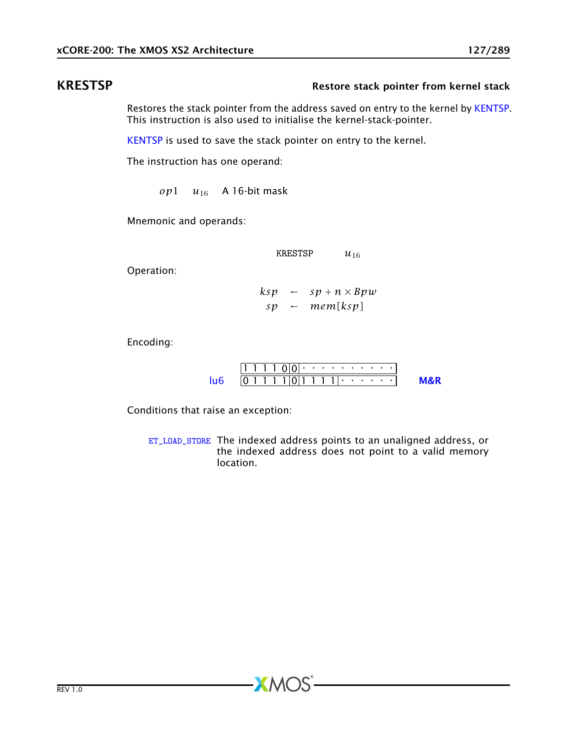### KRESTSP **Restore stack pointer from kernel stack**

<span id="page-126-0"></span>Restores the stack pointer from the address saved on entry to the kernel by [KENTSP.](#page-125-0) This instruction is also used to initialise the kernel-stack-pointer.

[KENTSP](#page-125-0) is used to save the stack pointer on entry to the kernel.

The instruction has one operand:

 $op1 \quad u_{16}$  A 16-bit mask

Mnemonic and operands:

KRESTSP *u*<sup>16</sup>

Operation:

 $ksp \leftarrow sp + n \times Bpw$  $sp \leftarrow \textit{mem}$ [ $ksp$ ]

Encoding:

1 1 1 1 0 0 . . . . . . . . . . 0 1 1 1 1 0 1 1 1 1 . . . . . . [lu6](#page-256-0) [M&R](#page-288-1)

Conditions that raise an exception:

[ET\\_LOAD\\_STORE](#page-277-0) The indexed address points to an unaligned address, or the indexed address does not point to a valid memory location.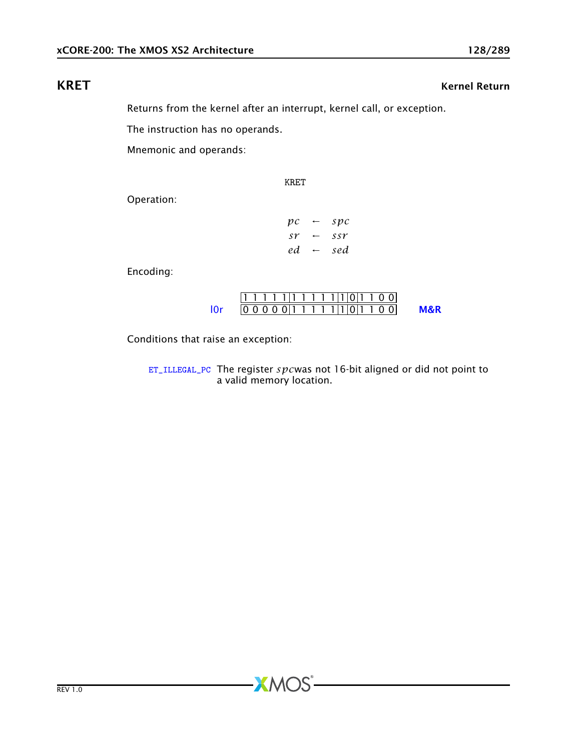# KRET Kernel Return

Returns from the kernel after an interrupt, kernel call, or exception.

KRET

The instruction has no operands.

Mnemonic and operands:

Operation:

| $\mathfrak{p}$ $\mathfrak{c}$ | $\overline{\phantom{m}}$ | spc |
|-------------------------------|--------------------------|-----|
| sr                            | $\leftarrow$             | SSY |
| ed.                           | $\leftarrow$             | sed |

Encoding:

|     |  |  |  |  |  |  |  | 1111111111111011100    |                |
|-----|--|--|--|--|--|--|--|------------------------|----------------|
| 10r |  |  |  |  |  |  |  | $ 00000111111 0 1100 $ | <b>M&amp;R</b> |

Conditions that raise an exception:

[ET\\_ILLEGAL\\_PC](#page-274-0) The register *spc*was not 16-bit aligned or did not point to a valid memory location.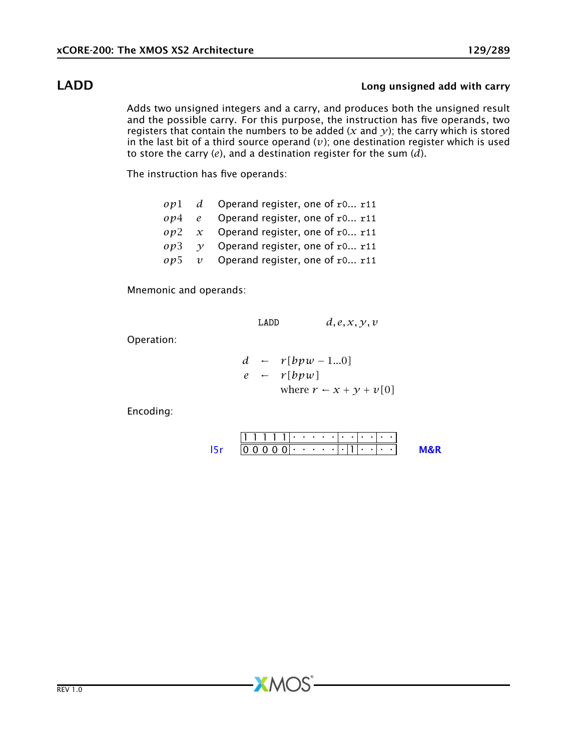## LADD Long unsigned add with carry

Adds two unsigned integers and a carry, and produces both the unsigned result and the possible carry. For this purpose, the instruction has five operands, two registers that contain the numbers to be added ( $x$  and  $y$ ); the carry which is stored in the last bit of a third source operand  $(v)$ ; one destination register which is used to store the carry (*e*), and a destination register for the sum (*d*).

The instruction has five operands:

- *op*1 *d* Operand register, one of r0... r11
- *op*4 *e* Operand register, one of r0... r11
- *op*2 *x* Operand register, one of r0... r11
- $op3 \quad y$  Operand register, one of r0... r11
- *op*5 *v* Operand register, one of r0... r11

Mnemonic and operands:

$$
LADD \qquad d, e, x, y, v
$$

Operation:

$$
d \leftarrow r[bpw - 1...0]
$$
  
\n
$$
e \leftarrow r[bpw]
$$
  
\nwhere  $r \leftarrow x + y + v[0]$ 

Encoding:

1 1 1 1 1 . . . . . . . . . . . 0 0 0 0 0 . . . . . . 1 . . . . [l5r](#page-270-0) [M&R](#page-288-1)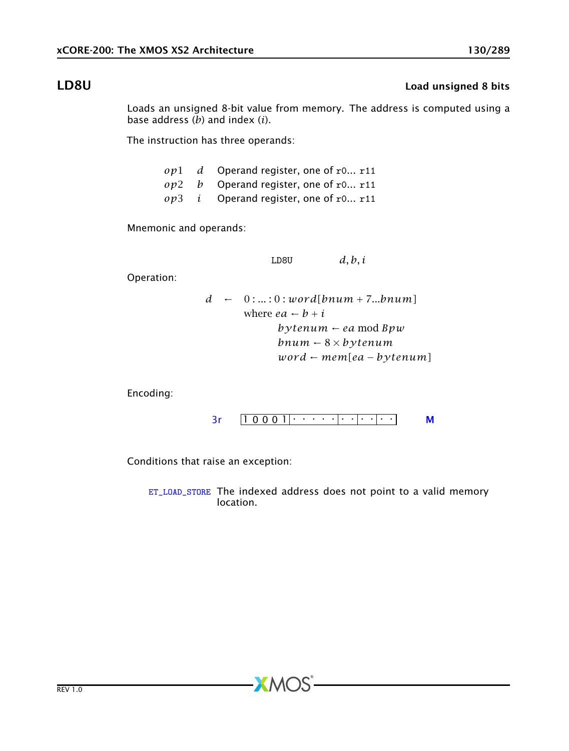## LD8U Load unsigned 8 bits

Loads an unsigned 8-bit value from memory. The address is computed using a base address (*b*) and index (*i*).

The instruction has three operands:

|  | $op1$ d Operand register, one of r0 r11        |
|--|------------------------------------------------|
|  | $op2$ b Operand register, one of r0 r11        |
|  | $op3$ <i>i</i> Operand register, one of r0 r11 |

Mnemonic and operands:

LD8U *d, b, i*

Operation:

$$
d - 0: ...: 0: word[bnum + 7...bnum]
$$
  
where  $ea - b + i$   
 $bytenum - ea mod Bpw$   
 $bnum - 8 \times bytenum$   
 $word - mem[ea - bytenum]$ 

Encoding:



Conditions that raise an exception:

[ET\\_LOAD\\_STORE](#page-277-0) The indexed address does not point to a valid memory location.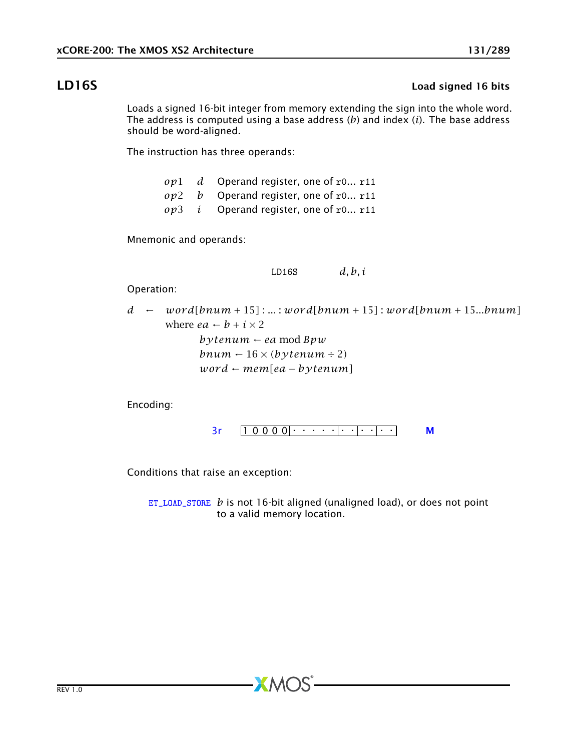## LD16S Load signed 16 bits

Loads a signed 16-bit integer from memory extending the sign into the whole word. The address is computed using a base address (*b*) and index (*i*). The base address should be word-aligned.

The instruction has three operands:

*op*1 *d* Operand register, one of r0... r11 *op*2 *b* Operand register, one of r0... r11 *op*3 *i* Operand register, one of r0... r11

Mnemonic and operands:

LD16S *d, b, i*

Operation:

|  | $d \leftarrow word[bnum + 15] :  : word[bnum + 15] : word[bnum + 15bnum]$ |
|--|---------------------------------------------------------------------------|
|  | where $ea \leftarrow b + i \times 2$                                      |
|  | $b$ v tenum $\leftarrow$ ea mod Bpw                                       |
|  | bnum $-16 \times (b \nu tenum \div 2)$                                    |
|  | $word \leftarrow mem[ea - bytenum]$                                       |

Encoding:

[3r](#page-249-0) 1 0 0 0 0 . . . . . . . . . . . [M](#page-285-0)

Conditions that raise an exception:

[ET\\_LOAD\\_STORE](#page-277-0) *b* is not 16-bit aligned (unaligned load), or does not point to a valid memory location.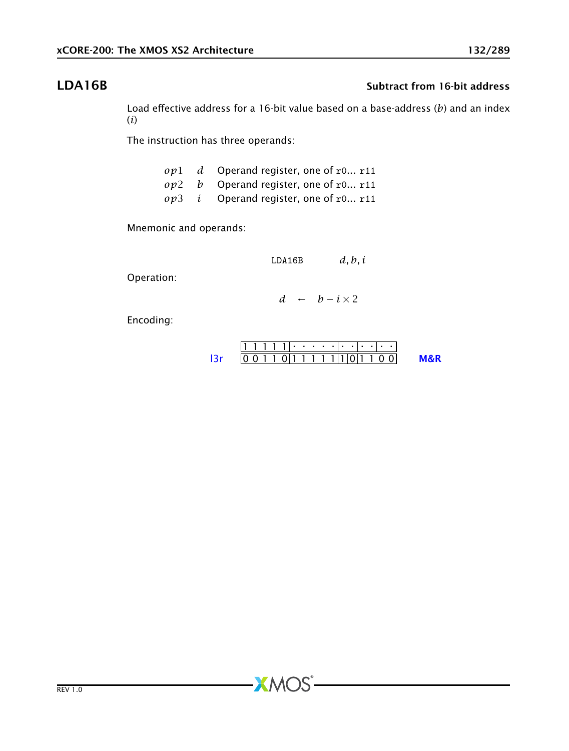# LDA16B Subtract from 16-bit address

Load effective address for a 16-bit value based on a base-address (*b*) and an index (*i*)

The instruction has three operands:

|  | $op1$ d Operand register, one of r0 r11        |
|--|------------------------------------------------|
|  | $op2$ b Operand register, one of r0 r11        |
|  | $op3$ <i>i</i> Operand register, one of r0 r11 |

Mnemonic and operands:

LDA16B *d, b, i*

Operation:

*d* ←  $b - i \times 2$ 

Encoding:

| 10 0 1 1 0 1 1 1 1 1 1 1 1 0 1 1 0 0 1 |  |  |  |  |  |  |  |  |
|----------------------------------------|--|--|--|--|--|--|--|--|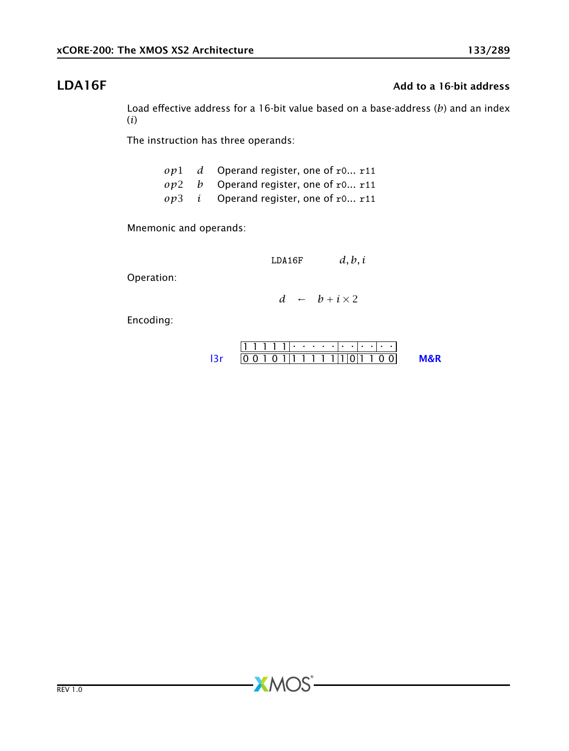# **LDA16F** Add to a 16-bit address

Load effective address for a 16-bit value based on a base-address (*b*) and an index (*i*)

The instruction has three operands:

|  | $op1$ d Operand register, one of r0 r11        |
|--|------------------------------------------------|
|  | $op2$ b Operand register, one of r0 r11        |
|  | $op3$ <i>i</i> Operand register, one of r0 r11 |

Mnemonic and operands:

LDA16F *d, b, i*

Operation:

 $d \leftarrow b + i \times 2$ 

Encoding:

| 11 1 1 1 1 1 1 <i>.</i> . |  |                                 |  |  |  |  |  |  |  |
|---------------------------|--|---------------------------------|--|--|--|--|--|--|--|
|                           |  | 0 1 0 1 1 1 1 1 1 1 1 1 0 1 0 1 |  |  |  |  |  |  |  |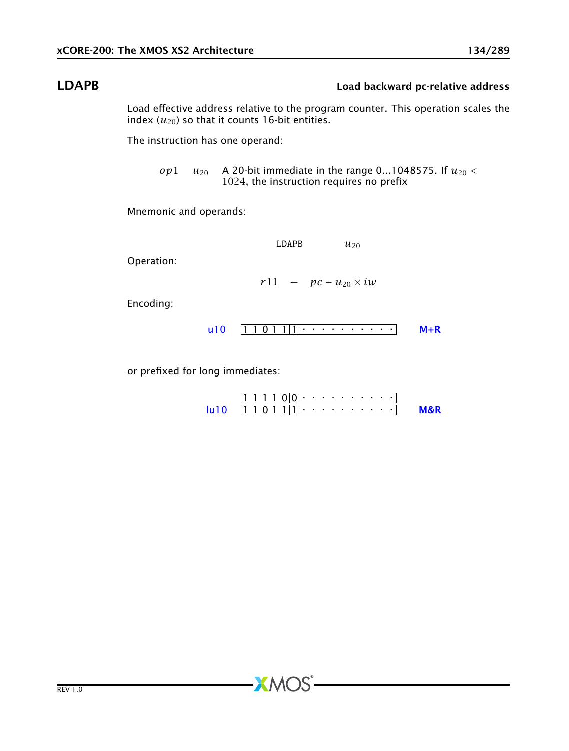## LDAPB Load backward pc-relative address

Load effective address relative to the program counter. This operation scales the index  $(u_{20})$  so that it counts 16-bit entities.

The instruction has one operand:

*op*1  $u_{20}$  A 20-bit immediate in the range 0...1048575. If  $u_{20}$  < 1024, the instruction requires no prefix

Mnemonic and operands:

LDAPB  $u_{20}$ 

Operation:

 $r11 \leftarrow pc - u_{20} \times iw$ 

Encoding:



or prefixed for long immediates:

|  |  | 11 10 1 1 1 1 1 |  |  |  |  |  |  |
|--|--|-----------------|--|--|--|--|--|--|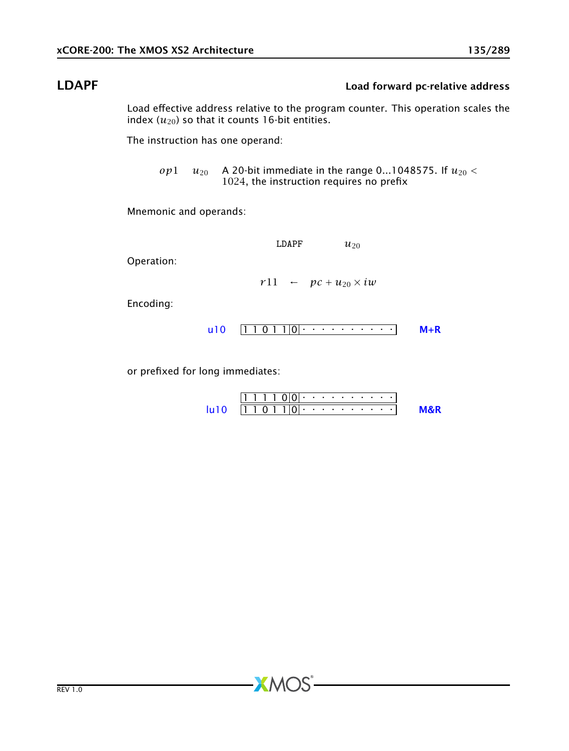## LDAPF Load forward pc-relative address

Load effective address relative to the program counter. This operation scales the index  $(u_{20})$  so that it counts 16-bit entities.

The instruction has one operand:

*op*1  $u_{20}$  A 20-bit immediate in the range 0...1048575. If  $u_{20}$  < 1024, the instruction requires no prefix

Mnemonic and operands:

LDAPF  $u_{20}$ 

Operation:

 $r11 \leftarrow pc + u_{20} \times iw$ 

Encoding:



or prefixed for long immediates:

|  |  | 11 1 1 1 0 10 1 · · · · · · · · · |  |  |  |  |  |  |
|--|--|-----------------------------------|--|--|--|--|--|--|
|  |  | $11 1 0 1 1 10 1$ .               |  |  |  |  |  |  |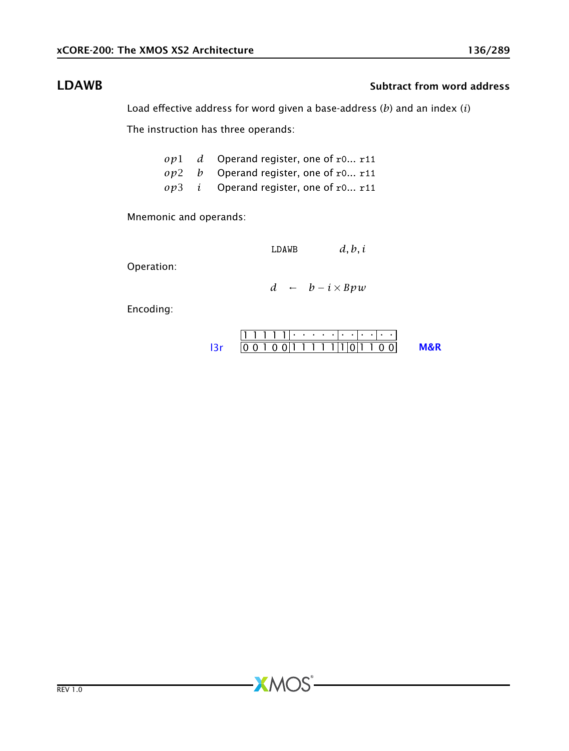## LDAWB Subtract from word address

Load effective address for word given a base-address (*b*) and an index (*i*)

The instruction has three operands:

|  | $op1$ d Operand register, one of r0 r11        |
|--|------------------------------------------------|
|  | $op2$ b Operand register, one of r0 r11        |
|  | $op3$ <i>i</i> Operand register, one of r0 r11 |

Mnemonic and operands:

LDAWB *d, b, i*

Operation:

*d* ← *b* − *i* × *Bpw*

Encoding:

$$
111111 \cdot \cdot \cdot \cdot \cdot \cdot \cdot \cdot \cdot \cdot \cdot \cdot
$$
  
13r 001001111111011100 M&R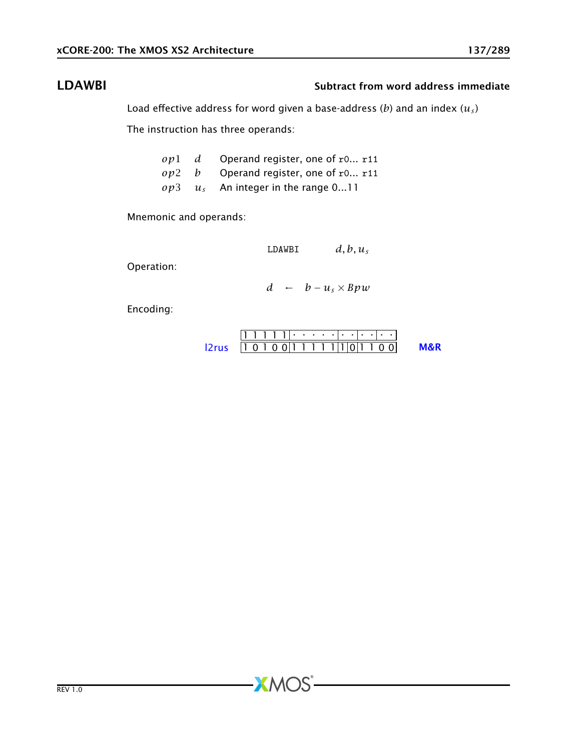## LDAWBI Subtract from word address immediate

Load effective address for word given a base-address (*b*) and an index (*u<sup>s</sup>* )

The instruction has three operands:

|  | $op1$ d Operand register, one of r0 r11     |
|--|---------------------------------------------|
|  | $op2$ b Operand register, one of r0 r11     |
|  | $op3 \quad u_s$ An integer in the range 011 |

Mnemonic and operands:

| LDAWBI | $d, b, u_s$ |
|--------|-------------|
|--------|-------------|

Operation:

*d* ←  $b - u_s \times Bpw$ 

Encoding:

1 1 1 1 1 . . . . . . . . . . . [l2rus](#page-252-0) 1 0 1 0 0 1 1 1 1 1 1 0 1 1 0 0 [M&R](#page-288-1)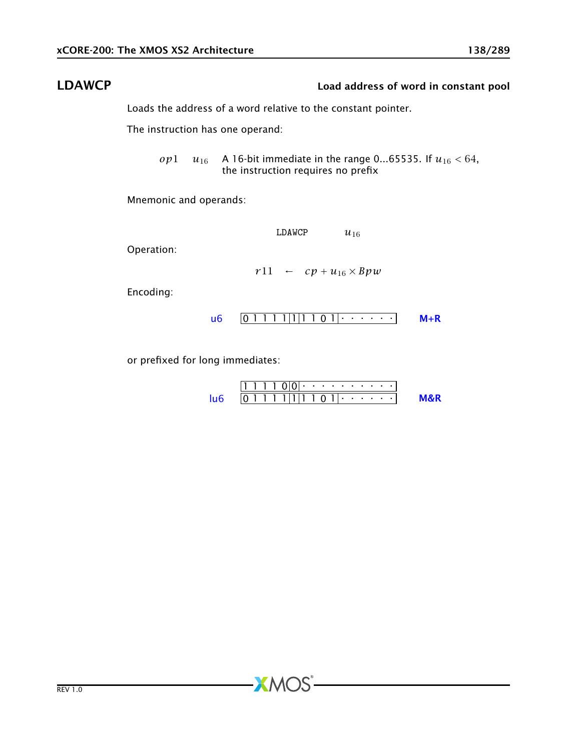## LDAWCP Load address of word in constant pool

Loads the address of a word relative to the constant pointer.

The instruction has one operand:

*op*1  $u_{16}$  A 16-bit immediate in the range 0...65535. If  $u_{16}$  < 64, the instruction requires no prefix

Mnemonic and operands:

LDAWCP  $u_{16}$ 

Operation:

$$
r11 \quad \leftarrow \quad cp + u_{16} \times Bpw
$$

Encoding:



or prefixed for long immediates:

1 1 1 1 0 0 . . . . . . . . . . 0 1 1 1 1 1 1 1 0 1 . . . . . . [lu6](#page-256-0) [M&R](#page-288-1)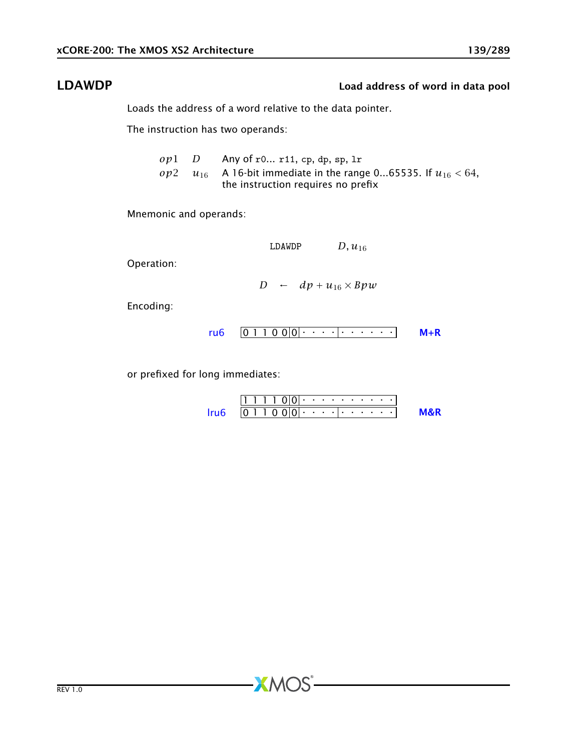## LDAWDP Load address of word in data pool

Loads the address of a word relative to the data pointer.

The instruction has two operands:

*op*1 *D* Any of r0... r11, cp, dp, sp, lr *op*2 *u*<sub>16</sub> A 16-bit immediate in the range 0...65535. If  $u_{16}$  < 64, the instruction requires no prefix

Mnemonic and operands:

LDAWDP  $D, u_{16}$ 

Operation:

*D* ←  $dp + u_{16} \times Bpw$ 

Encoding:

$$
ru6 \quad 0 \quad 1 \quad 1 \quad 0 \quad 0 \quad 0 \quad 0 \quad \cdots \quad 0 \quad \cdots
$$

or prefixed for long immediates:

$$
\mathsf{Iru6} \quad \overbrace{\mathsf{0}\,1\,1\,0\,0\,0\,\cdots\,\cdots\cdots}^{\boxed{1\,1\,1\,1\,0\,0\,0\,\cdots\,\cdots\,\cdots\cdots}}
$$

 $AMOS$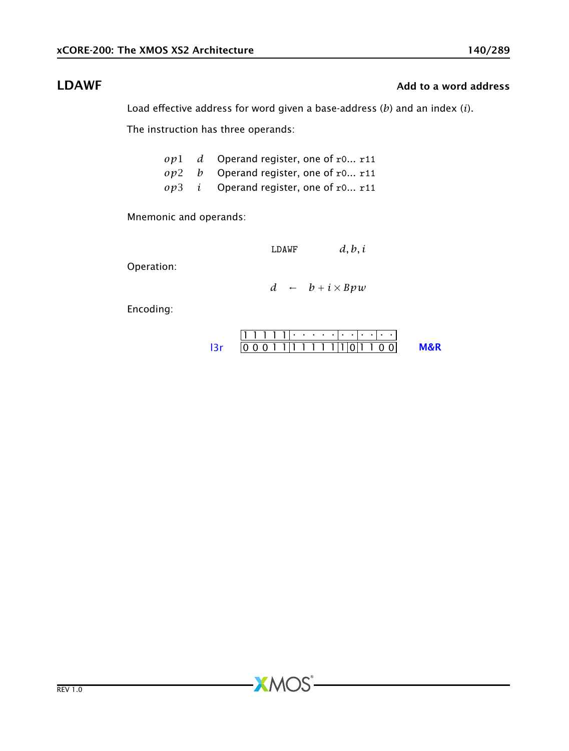# **LDAWF** Add to a word address and a series and a series and a series and a series and a series and a series and a series and a series and a series and a series and a series and a series and a series and a series and a seri

Load effective address for word given a base-address (*b*) and an index (*i*).

The instruction has three operands:

|  | $op1$ d Operand register, one of r0 r11        |
|--|------------------------------------------------|
|  | $op2$ b Operand register, one of r0 r11        |
|  | $op3$ <i>i</i> Operand register, one of r0 r11 |

Mnemonic and operands:

LDAWF *d, b, i*

Operation:

*d* ← *b* + *i* × *Bpw*

Encoding:

$$
111111 \cdot \cdot \cdot \cdot \cdot \cdot \cdot \cdot \cdot \cdot \cdot \cdot
$$
  
13r 000111111111001100 M&R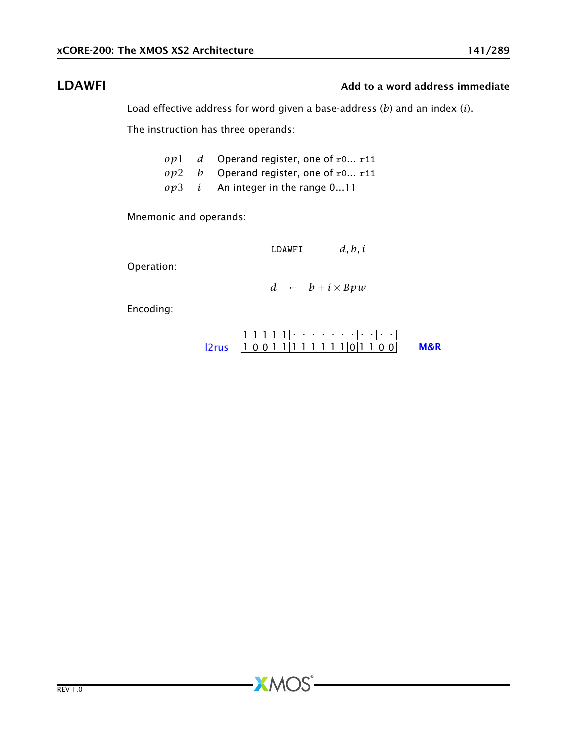# LDAWFI **LEGAL Add to a word address immediate**

Load effective address for word given a base-address (*b*) and an index (*i*).

The instruction has three operands:

|  | $op1$ d Operand register, one of r0 r11    |
|--|--------------------------------------------|
|  | $op2$ b Operand register, one of r0 r11    |
|  | $op3$ <i>i</i> An integer in the range 011 |

Mnemonic and operands:

LDAWFI *d, b, i*

Operation:

*d* ← *b* + *i* × *Bpw*

Encoding:

| $111111 \cdot \cdots \cdot \cdot \cdot \cdot \cdot \cdot \cdot \cdot \cdot \cdot$ |                     |     |
|-----------------------------------------------------------------------------------|---------------------|-----|
| 12rus                                                                             | $10011111111101100$ | M&R |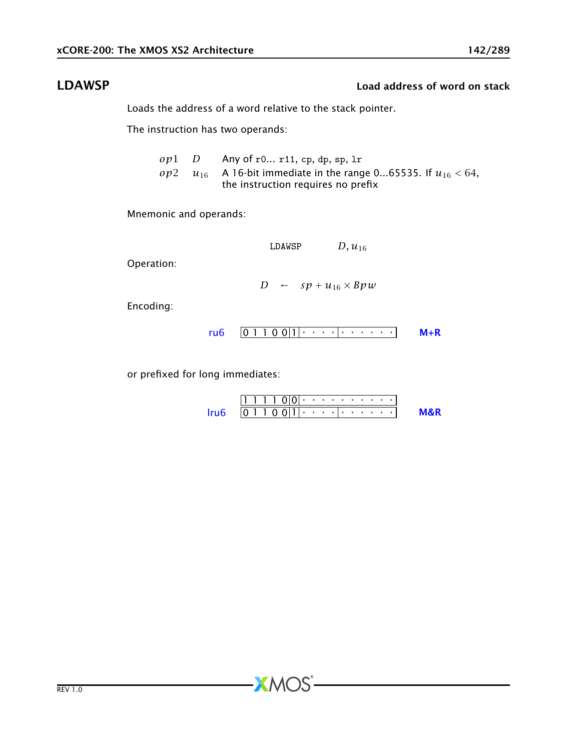# LDAWSP Load address of word on stack

Loads the address of a word relative to the stack pointer.

The instruction has two operands:

*op*1 *D* Any of r0... r11, cp, dp, sp, lr *op*2 *u*<sub>16</sub> A 16-bit immediate in the range 0...65535. If  $u_{16} < 64$ , the instruction requires no prefix

Mnemonic and operands:

LDAWSP  $D, u_{16}$ 

Operation:

*D* ←  $sp + u_{16} \times Bpw$ 

Encoding:

0 1 1 0 0 1 . . . . . . . . . . [ru6](#page-253-0) [M+R](#page-287-0)

or prefixed for long immediates:

1 1 1 1 0 0 . . . . . . . . . . 0 1 1 0 0 1 . . . . . . . . . . [lru6](#page-254-0) [M&R](#page-288-1)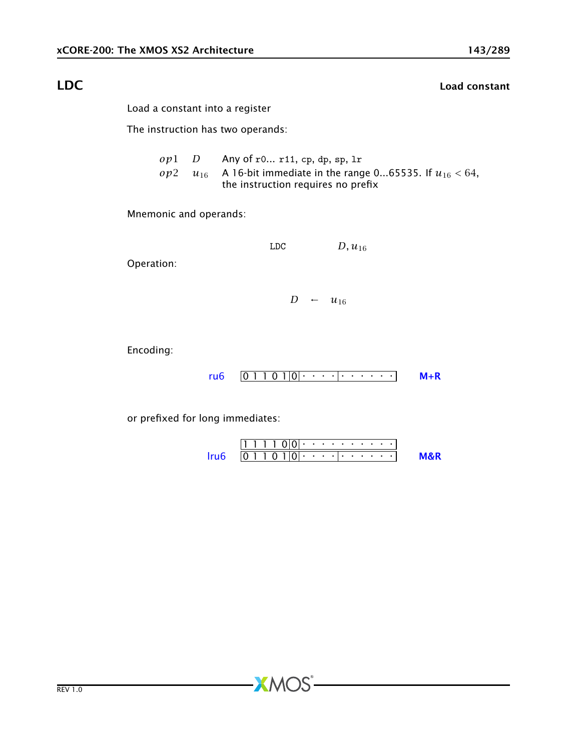# LDC Load constant

Load a constant into a register

The instruction has two operands:

*op*1 *D* Any of r0... r11, cp, dp, sp, lr *op*2 *u*<sub>16</sub> A 16-bit immediate in the range 0...65535. If  $u_{16}$  < 64, the instruction requires no prefix

Mnemonic and operands:

LDC  $D, u_{16}$ 

Operation:

 $D \leftarrow u_{16}$ 

Encoding:

0 1 1 0 1 0 . . . . . . . . . . [ru6](#page-253-0) [M+R](#page-287-0)

or prefixed for long immediates:

1 1 1 1 0 0 . . . . . . . . . . 0 1 1 0 1 0 . . . . . . . . . . [lru6](#page-254-0) [M&R](#page-288-1)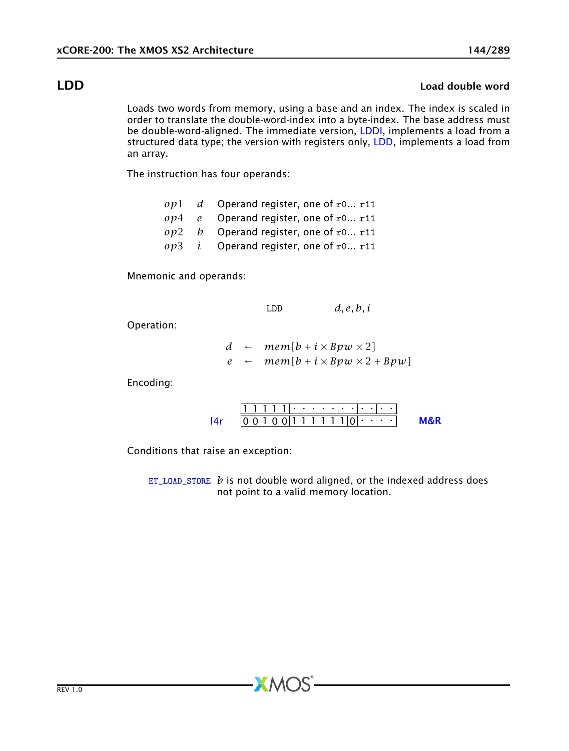### LDD Load double word

<span id="page-143-0"></span>Loads two words from memory, using a base and an index. The index is scaled in order to translate the double-word-index into a byte-index. The base address must be double-word-aligned. The immediate version, [LDDI,](#page-144-0) implements a load from a structured data type; the version with registers only, [LDD,](#page-143-0) implements a load from an array.

The instruction has four operands:

|  | $op1$ d Operand register, one of r0 r11        |
|--|------------------------------------------------|
|  | $op4$ e Operand register, one of r0 r11        |
|  | $op2$ b Operand register, one of r0 r11        |
|  | $op3$ <i>i</i> Operand register, one of r0 r11 |

Mnemonic and operands:

LDD *d, e, b, i*

Operation:

*d* ←  $mem[b + i \times Bpw \times 2]$  $e \leftarrow \textit{mem}[b + i \times \textit{Bpw} \times 2 + \textit{Bpw}]$ 

Encoding:

|                                            |  | , , , , , , , , , , , , , |  |  |  |  |  |  |  |
|--------------------------------------------|--|---------------------------|--|--|--|--|--|--|--|
| $ 0\;0\;1\;0\;0 1\;1\;1\;1\;1\;1\;10\;1\;$ |  |                           |  |  |  |  |  |  |  |

Conditions that raise an exception:

[ET\\_LOAD\\_STORE](#page-277-0) *b* is not double word aligned, or the indexed address does not point to a valid memory location.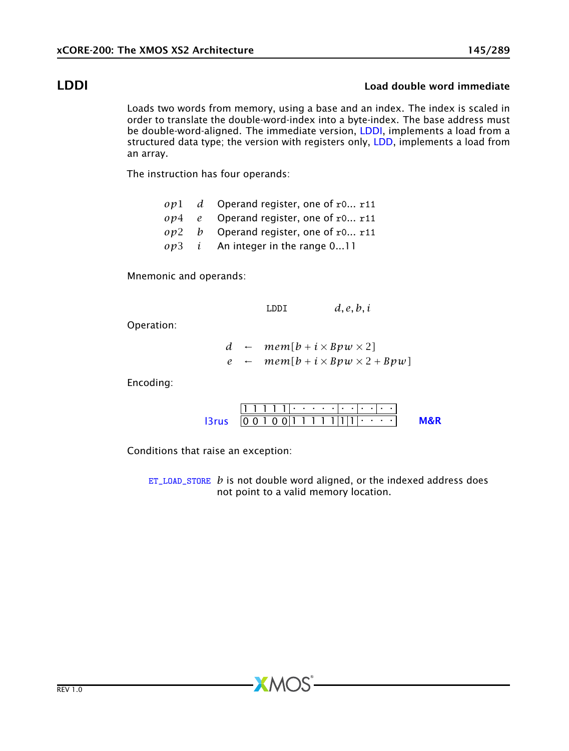### LDDI Load double word immediate

<span id="page-144-0"></span>Loads two words from memory, using a base and an index. The index is scaled in order to translate the double-word-index into a byte-index. The base address must be double-word-aligned. The immediate version, [LDDI,](#page-144-0) implements a load from a structured data type; the version with registers only, [LDD,](#page-143-0) implements a load from an array.

The instruction has four operands:

- *op*1 *d* Operand register, one of r0... r11 *op*4 *e* Operand register, one of r0... r11 *op*2 *b* Operand register, one of r0... r11
- *op*3 *i* An integer in the range 0...11

Mnemonic and operands:

LDDI *d, e, b, i*

Operation:

*d* ←  $mem[b + i \times Bpw \times 2]$  $e \leftarrow \textit{mem}[b + i \times \textit{Bpw} \times 2 + \textit{Bpw}]$ 

Encoding:

|                                                   | $[1 \ 1 \ 1 \ 1 \ 1]$ , and a set of a set of $\alpha$ |  |  |  |  |  |  |  |  |
|---------------------------------------------------|--------------------------------------------------------|--|--|--|--|--|--|--|--|
| $ 3rus   00100  1111  1 1  1 \cdot \cdot \cdot  $ |                                                        |  |  |  |  |  |  |  |  |

Conditions that raise an exception:

[ET\\_LOAD\\_STORE](#page-277-0) *b* is not double word aligned, or the indexed address does not point to a valid memory location.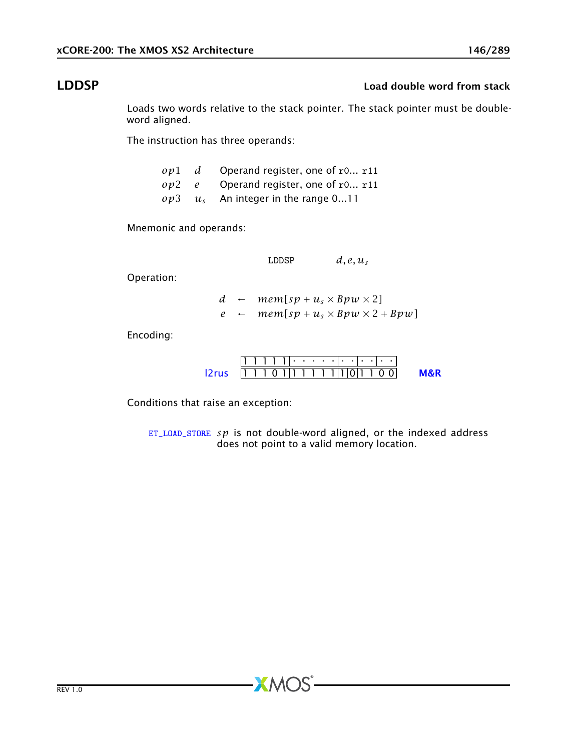### LDDSP Load double word from stack

Loads two words relative to the stack pointer. The stack pointer must be doubleword aligned.

The instruction has three operands:

|  | $op1$ d Operand register, one of r0 r11 |
|--|-----------------------------------------|
|  | $op2$ e Operand register, one of r0 r11 |
|  | $op3 \t us$ An integer in the range 011 |

Mnemonic and operands:

LDDSP  $d, e, u_s$ 

Operation:

*d* ←  $mem[sp + u<sub>s</sub> \times Bpw \times 2]$  $e \leftarrow \text{mem}[sp + u_s \times \text{Bpw} \times 2 + \text{Bpw}]$ 

Encoding:

| $ 2rus$   1 1 0 1 1 1 1 1 1 1 1 1 0 1 1 0 0 1 |  |  |  |  |  |  |  |  |  |
|-----------------------------------------------|--|--|--|--|--|--|--|--|--|

Conditions that raise an exception:

[ET\\_LOAD\\_STORE](#page-277-0) *sp* is not double-word aligned, or the indexed address does not point to a valid memory location.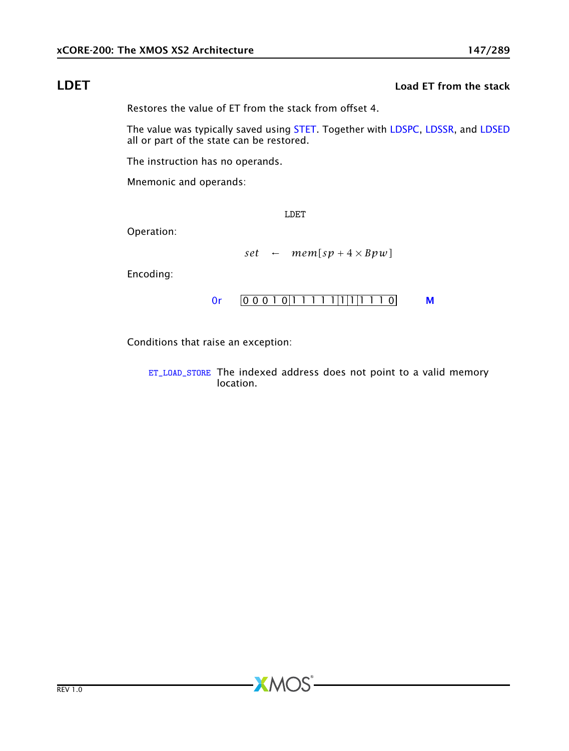## **LDET Load ET from the stack**

<span id="page-146-0"></span>Restores the value of ET from the stack from offset 4.

The value was typically saved using [STET.](#page-217-0) Together with [LDSPC,](#page-149-0) [LDSSR,](#page-150-0) and [LDSED](#page-148-0) all or part of the state can be restored.

The instruction has no operands.

Mnemonic and operands:

LDET

Operation:

$$
set \leftarrow \textit{mem}[sp+4\times\textit{Bpw}]
$$

Encoding:



Conditions that raise an exception:

[ET\\_LOAD\\_STORE](#page-277-0) The indexed address does not point to a valid memory location.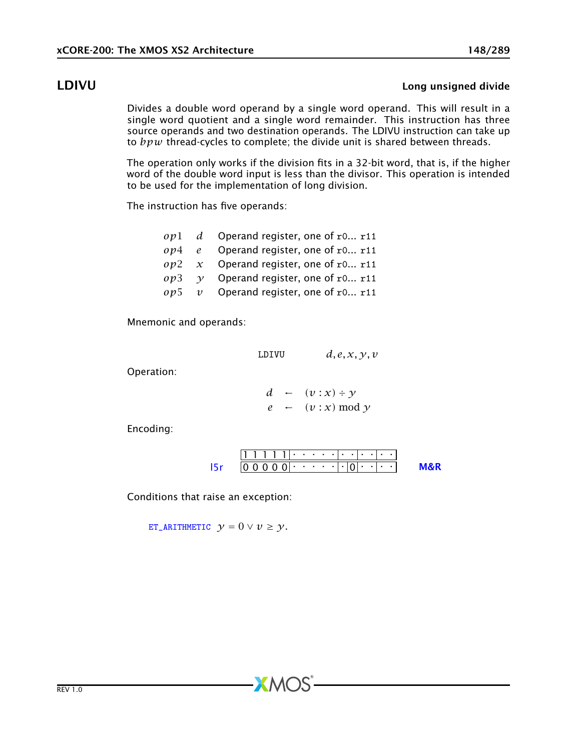### LDIVU Long unsigned divide

Divides a double word operand by a single word operand. This will result in a single word quotient and a single word remainder. This instruction has three source operands and two destination operands. The LDIVU instruction can take up to *bpw* thread-cycles to complete; the divide unit is shared between threads.

The operation only works if the division fits in a 32-bit word, that is, if the higher word of the double word input is less than the divisor. This operation is intended to be used for the implementation of long division.

The instruction has five operands:

|  | $op1$ d Operand register, one of r0 r11            |
|--|----------------------------------------------------|
|  | $op4$ e Operand register, one of r0 r11            |
|  | $op2 \, x$ Operand register, one of r0 r11         |
|  | $op3 \quad \gamma$ Operand register, one of r0 r11 |
|  | $op5$ v Operand register, one of r0 r11            |

Mnemonic and operands:

LDIVU 
$$
d, e, x, y, v
$$

Operation:

$$
d \leftarrow (v : x) \div y
$$
  

$$
e \leftarrow (v : x) \mod y
$$

Encoding:



 $X$ M $(S)$ 

Conditions that raise an exception:

[ET\\_ARITHMETIC](#page-279-0)  $y = 0 \lor v \geq y$ .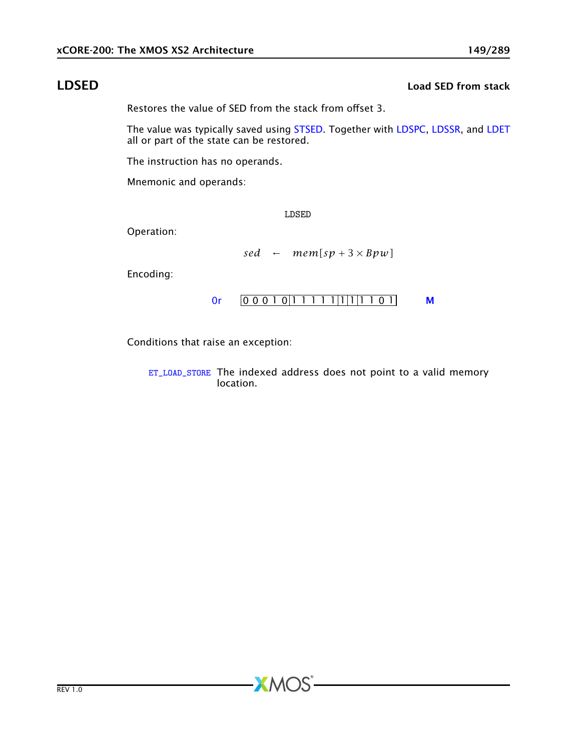## LDSED Load SED from stack

<span id="page-148-0"></span>Restores the value of SED from the stack from offset 3.

The value was typically saved using [STSED.](#page-218-0) Together with [LDSPC,](#page-149-0) [LDSSR,](#page-150-0) and [LDET](#page-146-0) all or part of the state can be restored.

The instruction has no operands.

Mnemonic and operands:

LDSED

Operation:

$$
sed \leftarrow mem[sp+3\times Bpw]
$$

Encoding:



Conditions that raise an exception:

[ET\\_LOAD\\_STORE](#page-277-0) The indexed address does not point to a valid memory location.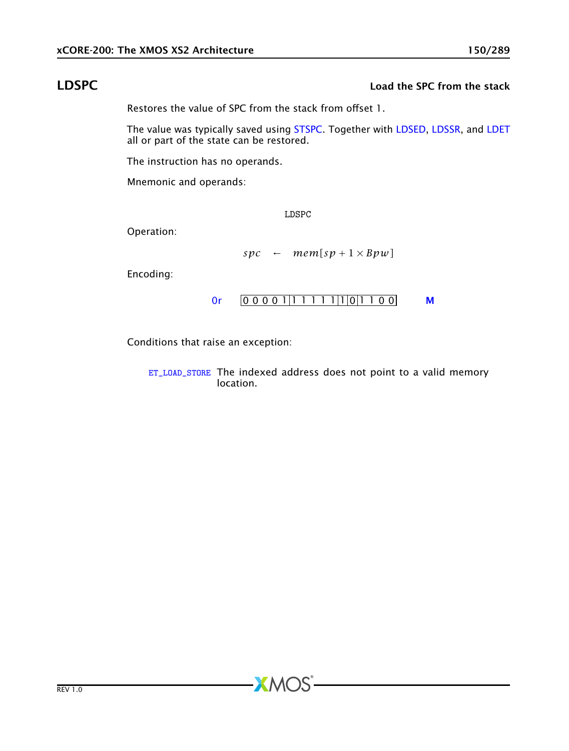### LDSPC Load the SPC from the stack

<span id="page-149-0"></span>Restores the value of SPC from the stack from offset 1.

The value was typically saved using [STSPC.](#page-219-0) Together with [LDSED,](#page-148-0) [LDSSR,](#page-150-0) and [LDET](#page-146-0) all or part of the state can be restored.

The instruction has no operands.

Mnemonic and operands:

LDSPC

Operation:

$$
spc \leftarrow mem[sp + 1 \times Bpw]
$$

Encoding:

$$
0r \qquad 000001|11111|1|0|1100 \qquad M
$$

Conditions that raise an exception:

[ET\\_LOAD\\_STORE](#page-277-0) The indexed address does not point to a valid memory location.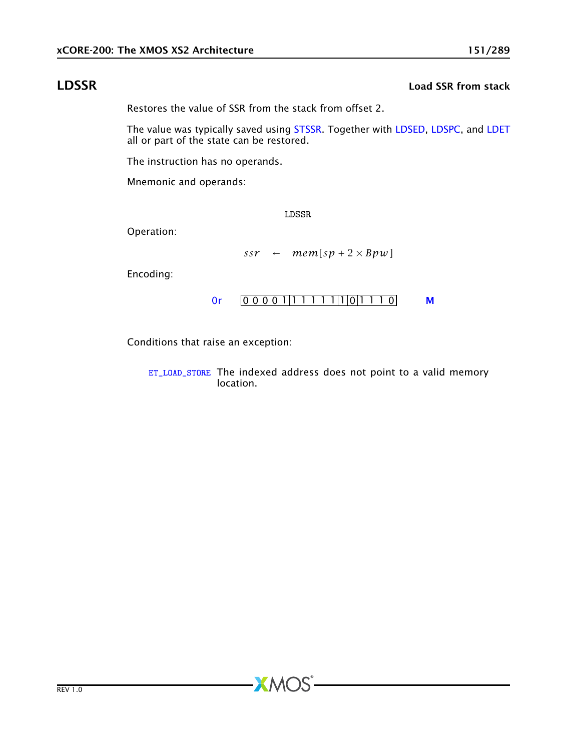### **LDSSR** Load SSR from stack

<span id="page-150-0"></span>Restores the value of SSR from the stack from offset 2.

The value was typically saved using [STSSR.](#page-220-0) Together with [LDSED,](#page-148-0) [LDSPC,](#page-149-0) and [LDET](#page-146-0) all or part of the state can be restored.

The instruction has no operands.

Mnemonic and operands:

LDSSR

Operation:

$$
ssr \leftarrow \textit{mem}[sp + 2 \times \textit{Bpw}]
$$

Encoding:

$$
0r \qquad 000001|11111|1|0|1110 \qquad M
$$

Conditions that raise an exception:

[ET\\_LOAD\\_STORE](#page-277-0) The indexed address does not point to a valid memory location.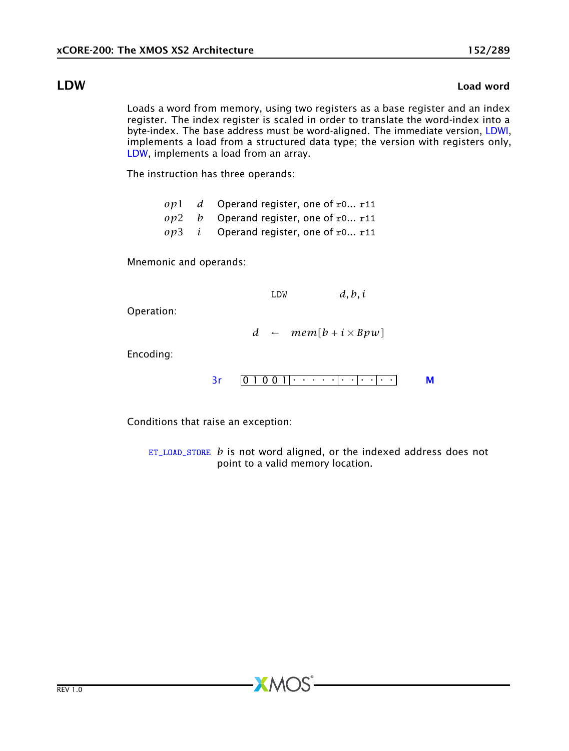### LDW Load word

<span id="page-151-0"></span>Loads a word from memory, using two registers as a base register and an index register. The index register is scaled in order to translate the word-index into a byte-index. The base address must be word-aligned. The immediate version, [LDWI,](#page-152-0) implements a load from a structured data type; the version with registers only, [LDW,](#page-151-0) implements a load from an array.

The instruction has three operands:

|  | $op1$ d Operand register, one of r0 r11        |
|--|------------------------------------------------|
|  | $op2$ b Operand register, one of r0 r11        |
|  | $op3$ <i>i</i> Operand register, one of r0 r11 |

Mnemonic and operands:

LDW *d, b, i*

Operation:

*d* ←  $mem[b + i \times Bpw]$ 

Encoding:

[3r](#page-249-0) 0 1 0 0 1 . . . . . . . . . . . [M](#page-285-0)

Conditions that raise an exception:

[ET\\_LOAD\\_STORE](#page-277-0) *b* is not word aligned, or the indexed address does not point to a valid memory location.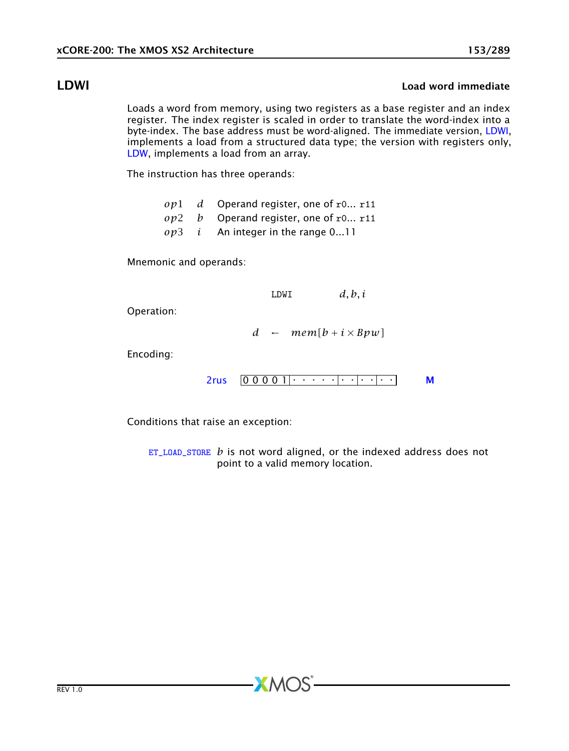### LDWI Load word immediate

<span id="page-152-0"></span>Loads a word from memory, using two registers as a base register and an index register. The index register is scaled in order to translate the word-index into a byte-index. The base address must be word-aligned. The immediate version, [LDWI,](#page-152-0) implements a load from a structured data type; the version with registers only, [LDW,](#page-151-0) implements a load from an array.

The instruction has three operands:

- *op*1 *d* Operand register, one of r0... r11
- *op*2 *b* Operand register, one of r0... r11
- *op*3 *i* An integer in the range 0...11

Mnemonic and operands:

LDWI *d, b, i*

Operation:

*d* ←  $mem[b + i \times Bpw]$ 

Encoding:

0 0 0 0 1 . . . . . . . . . . . [2rus](#page-251-0) [M](#page-285-0)

Conditions that raise an exception:

[ET\\_LOAD\\_STORE](#page-277-0) *b* is not word aligned, or the indexed address does not point to a valid memory location.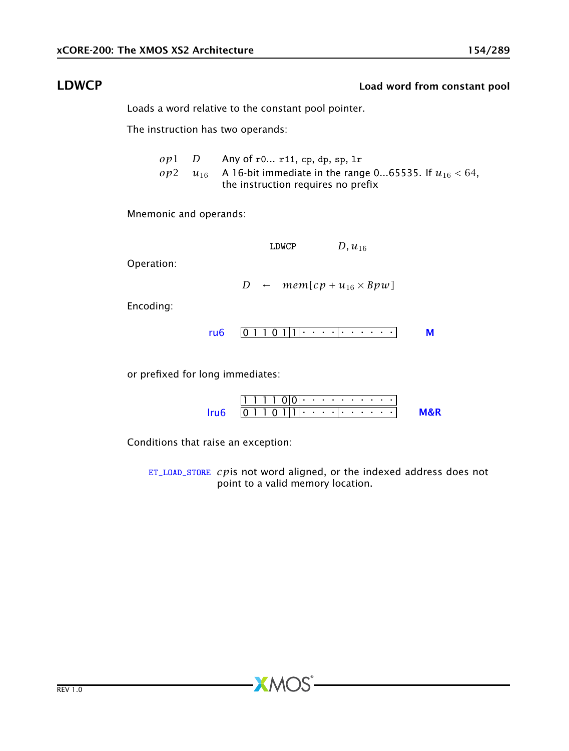### LDWCP Load word from constant pool

<span id="page-153-0"></span>Loads a word relative to the constant pool pointer.

The instruction has two operands:

*op*1 *D* Any of r0... r11, cp, dp, sp, lr *op*2 *u*<sub>16</sub> A 16-bit immediate in the range 0...65535. If  $u_{16}$  < 64, the instruction requires no prefix

Mnemonic and operands:

LDWCP  $D, u_{16}$ 

Operation:

*D* ←  $mem[cp + u_{16} \times Bpw]$ 

Encoding:

$$
ru6 \quad 0 \quad 1 \quad 0 \quad 1 \quad 1 \quad 1 \quad 1 \quad \cdots \quad 1 \quad \cdots \quad \cdots \quad \qquad M
$$

or prefixed for long immediates:

| $ 1 $ $ 1 $ $ 0 0 $ $ 0 $ $ 0 $ $ 0 $ $ 0 $ $ 0 $ $ 0 $ $ 0 $ $ 0 $ $ 0 $ $ 0 $ $ 0 $ $ 0 $ $ 0 $ $ 0 $ $ 0 $ $ 0 $ $ 0 $ $ 0 $ $ 0 $ $ 0 $ $ 0 $ $ 0 $ $ 0 $ $ 0 $ $ 0 $ $ 0 $ $ 0 $ $ 0 $ $ 0 $ $ 0 $ $ 0 $ $ 0 $ $ 0 $ $ 0$ |  |  |  |  |  |  |  |  |
|--------------------------------------------------------------------------------------------------------------------------------------------------------------------------------------------------------------------------------|--|--|--|--|--|--|--|--|
| $[0\ 1\ 1\ 0\ 1]$ $[1\cdot\cdot\cdot\cdot]$ $[0\ 1\ 1\ 0\ 1]$                                                                                                                                                                  |  |  |  |  |  |  |  |  |

Conditions that raise an exception:

[ET\\_LOAD\\_STORE](#page-277-0) *cp*is not word aligned, or the indexed address does not point to a valid memory location.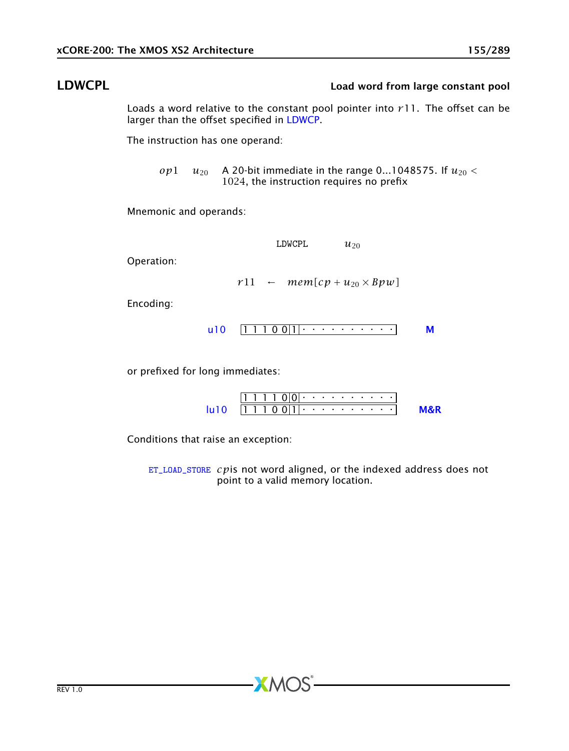# LDWCPL Load word from large constant pool

Loads a word relative to the constant pool pointer into *r*11. The offset can be larger than the offset specified in [LDWCP.](#page-153-0)

The instruction has one operand:

*op*1  $u_{20}$  A 20-bit immediate in the range 0...1048575. If  $u_{20}$  < 1024, the instruction requires no prefix

Mnemonic and operands:

| LDWCPL | $u_{20}$ |
|--------|----------|
|--------|----------|

Operation:

 $r11$  ←  $mem[cp + u_{20} \times Bpw]$ 

Encoding:

1 1 1 0 0 1 . . . . . . . . . . [u10](#page-257-0) [M](#page-285-0)

or prefixed for long immediates:

|                        |  |  |  |  |  |  |  | 11 1 1 1 0 10 1 · · · · · · · · · · · 1 |  |
|------------------------|--|--|--|--|--|--|--|-----------------------------------------|--|
| $\overline{1}$ 1110011 |  |  |  |  |  |  |  |                                         |  |

Conditions that raise an exception:

[ET\\_LOAD\\_STORE](#page-277-0) *cp*is not word aligned, or the indexed address does not point to a valid memory location.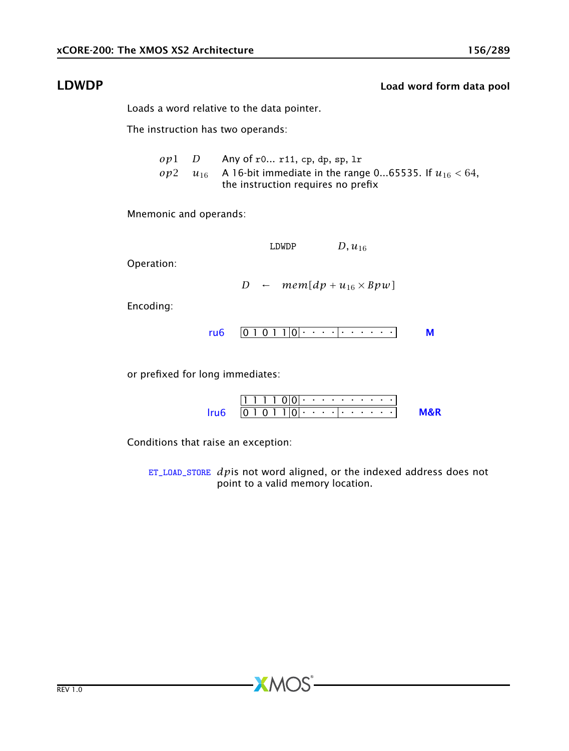### LDWDP Load word form data pool

Loads a word relative to the data pointer.

The instruction has two operands:

*op*1 *D* Any of r0... r11, cp, dp, sp, lr *op*2 *u*<sub>16</sub> A 16-bit immediate in the range 0...65535. If  $u_{16}$  < 64, the instruction requires no prefix

Mnemonic and operands:

LDWDP  $D, u_{16}$ 

Operation:

*D* ←  $mem[dp + u_{16} \times Bpw]$ 

Encoding:

$$
ru6 \quad \boxed{0 1 0 1 1 |0| \cdot \cdot \cdot \cdot | \cdot \cdot \cdot \cdot \cdot \cdot \cdot}
$$

or prefixed for long immediates:

| $ 1 $ $ 1 $ $ 1 $ $ 0 $ $ 0 $ $ 0 $ $ 0 $ $ 0 $ $ 0 $ $ 0 $ $ 0 $ $ 0 $ $ 0 $ $ 0 $ $ 0 $ $ 0 $ $ 0 $ $ 0 $ $ 0 $ $ 0 $ $ 0 $ $ 0 $ $ 0 $ $ 0 $ $ 0 $ $ 0 $ $ 0 $ $ 0 $ $ 0 $ $ 0 $ $ 0 $ $ 0 $ $ 0 $ $ 0 $ $ 0 $ $ 0 $ $ 0 $ |  |
|-------------------------------------------------------------------------------------------------------------------------------------------------------------------------------------------------------------------------------|--|
| $ 0\ 1\ 0\ 1\ 1 0 $                                                                                                                                                                                                           |  |

Conditions that raise an exception:

[ET\\_LOAD\\_STORE](#page-277-0) *dp*is not word aligned, or the indexed address does not point to a valid memory location.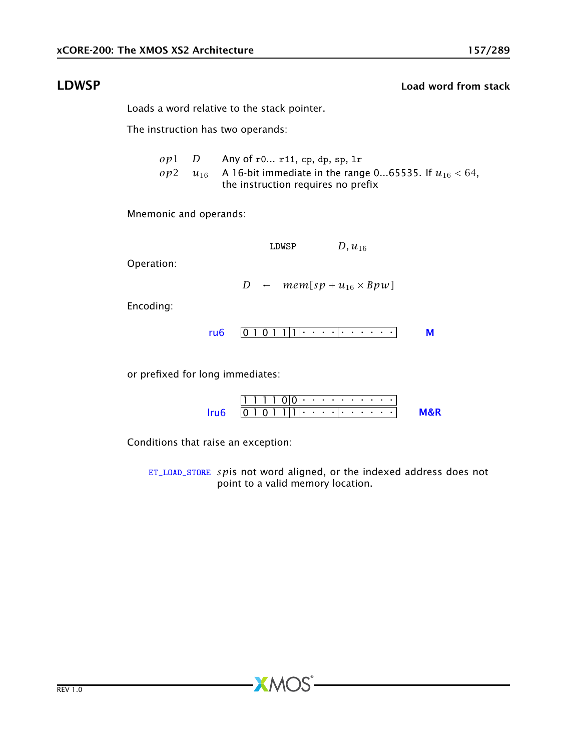### **LDWSP Load word from stack**

Loads a word relative to the stack pointer.

The instruction has two operands:

*op*1 *D* Any of r0... r11, cp, dp, sp, lr *op*2 *u*<sub>16</sub> A 16-bit immediate in the range 0...65535. If  $u_{16}$  < 64, the instruction requires no prefix

Mnemonic and operands:

LDWSP  $D, u_{16}$ 

Operation:

*D* ←  $mem[sp + u_{16} \times Bpw]$ 

Encoding:

$$
ru6 \quad \boxed{0 1 0 1 1 | 1 | \cdot \cdot \cdot \cdot | \cdot \cdot \cdot \cdot \cdot \cdot \cdot \cdot}
$$

or prefixed for long immediates:

| $ 1 + 1 + 0 0 + 1 + 1 + 1 + 1 + 1 $ |  |  |  |  |  |  |  |  |
|-------------------------------------|--|--|--|--|--|--|--|--|
| 01011                               |  |  |  |  |  |  |  |  |

Conditions that raise an exception:

[ET\\_LOAD\\_STORE](#page-277-0) *sp*is not word aligned, or the indexed address does not point to a valid memory location.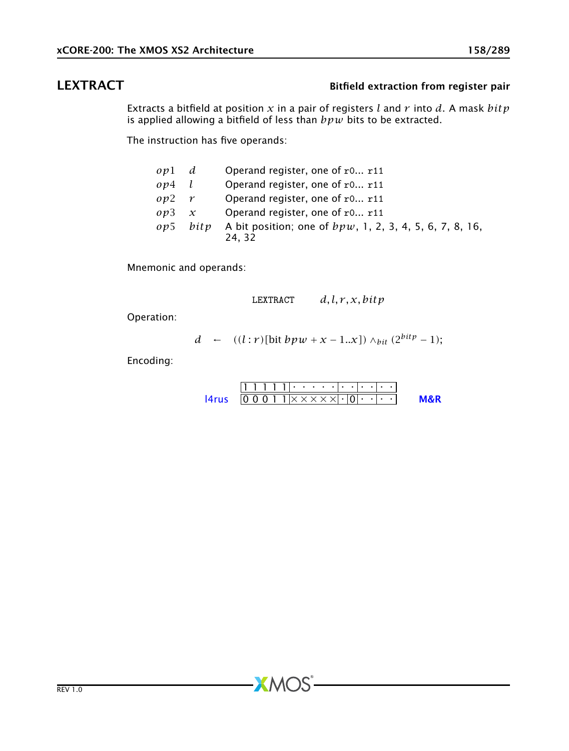## LEXTRACT Bitfield extraction from register pair

Extracts a bitfield at position *x* in a pair of registers *l* and *r* into *d*. A mask *bitp* is applied allowing a bitfield of less than *bpw* bits to be extracted.

The instruction has five operands:

| ov1          | d                | Operand register, one of r0 r11                                     |
|--------------|------------------|---------------------------------------------------------------------|
| op4          |                  | Operand register, one of r0 r11                                     |
| op2          | $\boldsymbol{r}$ | Operand register, one of r0 r11                                     |
| ov3          | $\mathcal{X}$    | Operand register, one of r0 r11                                     |
| $\omega v$ 5 | bity             | A bit position; one of $bpw$ , 1, 2, 3, 4, 5, 6, 7, 8, 16,<br>24.32 |

Mnemonic and operands:

$$
LEXTRACT \qquad d, l, r, x, bitp
$$

Operation:

$$
d \leftarrow ((l:r)[\text{bit }bpw + x - 1..x]) \wedge_{bit} (2^{bitp} - 1);
$$

Encoding:

|                                                               |  |  |  |  | $11 + 11 + 11 + 11$ |  |  |  |  |
|---------------------------------------------------------------|--|--|--|--|---------------------|--|--|--|--|
| $[0\;0\;0\;1\;1\;1\times\times\times\times\times\;1\;0]\cdot$ |  |  |  |  |                     |  |  |  |  |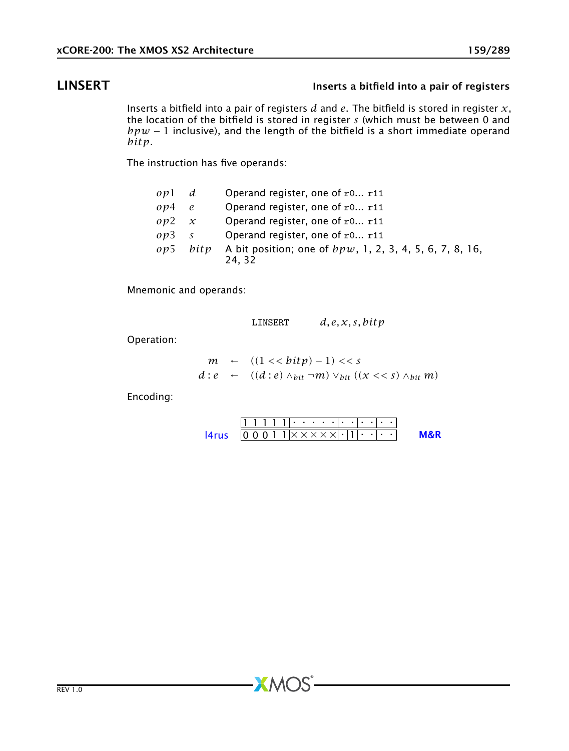# LINSERT Inserts a bitfield into a pair of registers

Inserts a bitfield into a pair of registers *d* and *e*. The bitfield is stored in register *x*, the location of the bitfield is stored in register *s* (which must be between 0 and  $bpw - 1$  inclusive), and the length of the bitfield is a short immediate operand *bitp*.

The instruction has five operands:

| opl d      |               | Operand register, one of r0 r11                                     |
|------------|---------------|---------------------------------------------------------------------|
| op4        | e             | Operand register, one of r0 r11                                     |
| $op2 \; x$ |               | Operand register, one of r0 r11                                     |
| op3        | $\mathcal{S}$ | Operand register, one of r0 r11                                     |
| o p 5      | bitp          | A bit position; one of $bpw$ , 1, 2, 3, 4, 5, 6, 7, 8, 16,<br>24.32 |

Mnemonic and operands:

LINSERT *d, e, x, s, bitp m* ←  $((1 \le \frac{b}{tp}) - 1) \le s$ 

$$
d: e \leftarrow ((d:e) \wedge_{bit} \neg m) \vee_{bit} ((x<
$$

Encoding:

Operation:

1 1 1 1 1 . . . . . . . . . . . 0 0 0 1 1 × × × × × . 1 . . . . [l4rus](#page-269-0) [M&R](#page-288-1)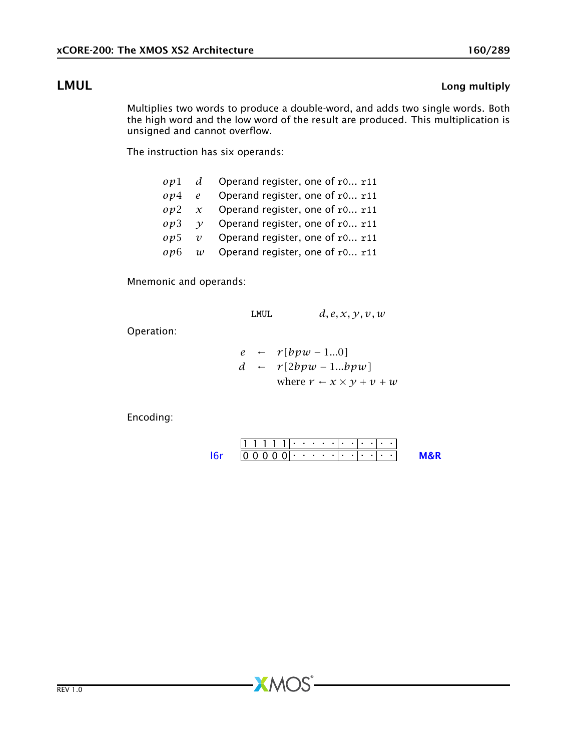# **LMUL** Long multiply

<span id="page-159-0"></span>Multiplies two words to produce a double-word, and adds two single words. Both the high word and the low word of the result are produced. This multiplication is unsigned and cannot overflow.

The instruction has six operands:

|  | $op1$ d Operand register, one of r0 r11       |
|--|-----------------------------------------------|
|  | $op4$ e Operand register, one of r0 r11       |
|  | $op2 \, x$ Operand register, one of r0 r11    |
|  | $op3 \quad y$ Operand register, one of r0 r11 |
|  | $op5$ v Operand register, one of r0 r11       |
|  | $op6$ w Operand register, one of r0 r11       |

Mnemonic and operands:

$$
LMUL \qquad d, e, x, y, v, w
$$

Operation:

$$
e \leftarrow r[bpw - 1...0]
$$
  
\n
$$
d \leftarrow r[2bpw - 1...bpw]
$$
  
\nwhere  $r \leftarrow x \times y + v + w$ 

Encoding:

1 1 1 1 1 . . . . . . . . . . . 0 0 0 0 0 . . . . . . . . . . . [l6r](#page-271-0) [M&R](#page-288-1)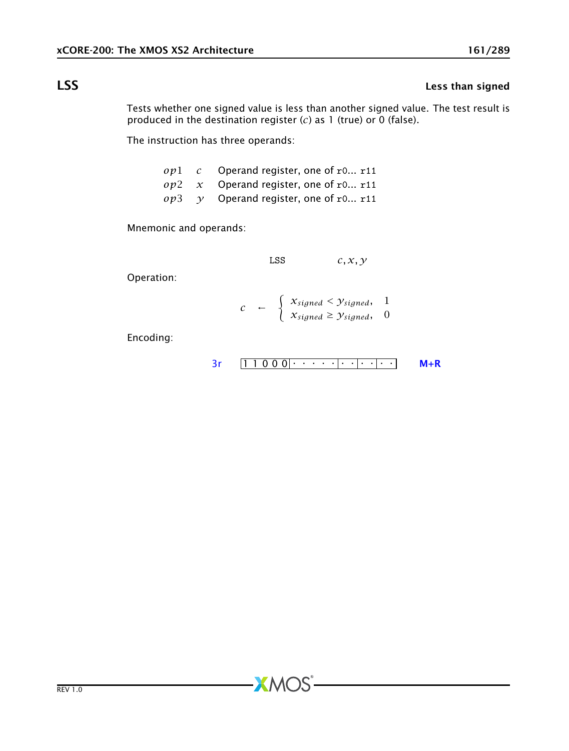# **LSS** Less than signed

Tests whether one signed value is less than another signed value. The test result is produced in the destination register (*c*) as 1 (true) or 0 (false).

The instruction has three operands:

|  | $op1 \, c$ Operand register, one of r0 r11         |
|--|----------------------------------------------------|
|  | $op2 \, x$ Operand register, one of r0 r11         |
|  | $op3 \quad \gamma$ Operand register, one of r0 r11 |

Mnemonic and operands:

$$
LSS \t\t c, x, y
$$

Operation:

$$
c \leftarrow \begin{cases} X_{signed} < Y_{signed}, & 1 \\ X_{signed} \geq Y_{signed}, & 0 \end{cases}
$$

**XMOS** 

$$
3r \qquad \boxed{1\ 1\ 0\ 0\ 0} \qquad \cdots \qquad \boxed{1\ \cdot 1\ \cdot 0\ 0\ 0}
$$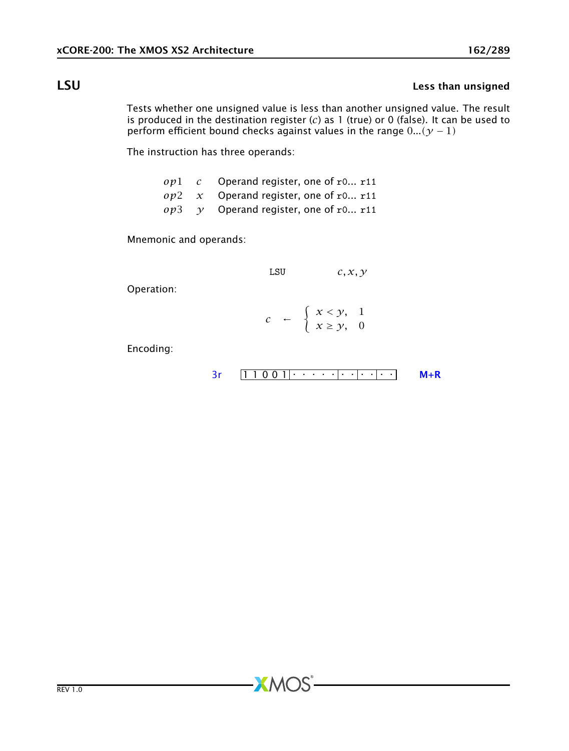# LSU Less than unsigned

Tests whether one unsigned value is less than another unsigned value. The result is produced in the destination register (*c*) as 1 (true) or 0 (false). It can be used to perform efficient bound checks against values in the range  $0$ ... $(y - 1)$ 

The instruction has three operands:

- *op*1 *c* Operand register, one of r0... r11
- *op*2 *x* Operand register, one of r0... r11
- $op3 \quad y$  Operand register, one of r0... r11

Mnemonic and operands:

LSU *c, x, y*

Operation:

|  | $c \quad \leftarrow \quad \left\{ \begin{array}{l} x < y, \quad 1 \\ x \geq y, \quad 0 \end{array} \right.$ |  |
|--|-------------------------------------------------------------------------------------------------------------|--|

 $X$ M $(S)$ 

$$
3r \quad [1\ 1\ 0\ 0\ 1] \cdot \cdot \cdot \cdot \cdot \cdot ] \cdot \cdot ] \cdot \cdot ] \qquad M+R
$$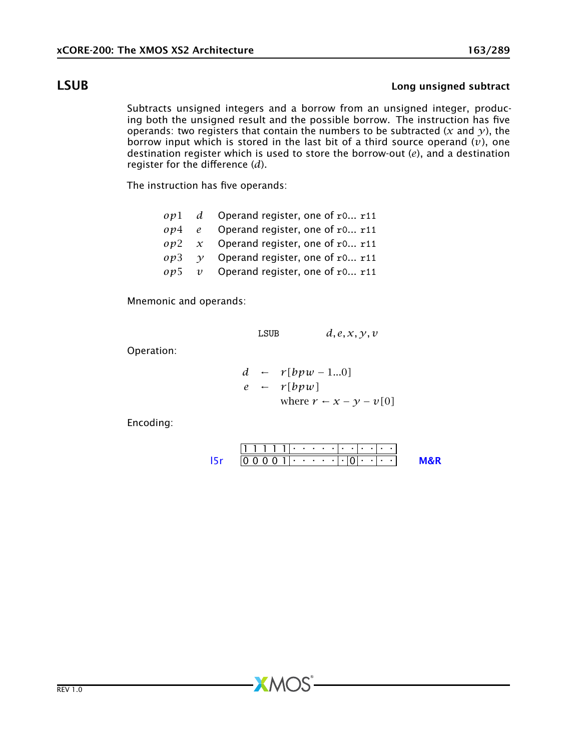### LSUB Long unsigned subtract

Subtracts unsigned integers and a borrow from an unsigned integer, producing both the unsigned result and the possible borrow. The instruction has five operands: two registers that contain the numbers to be subtracted ( $x$  and  $y$ ), the borrow input which is stored in the last bit of a third source operand (*v*), one destination register which is used to store the borrow-out (*e*), and a destination register for the difference (*d*).

The instruction has five operands:

- *op*1 *d* Operand register, one of r0... r11
- *op*4 *e* Operand register, one of r0... r11
- *op*2 *x* Operand register, one of r0... r11
- *op*3 *y* Operand register, one of r0... r11
- *op*5 *v* Operand register, one of r0... r11

Mnemonic and operands:

LSUB  $d, e, x, y, v$ 

Operation:

$$
d \leftarrow r[bpw - 1...0]
$$
  
\n
$$
e \leftarrow r[bpw]
$$
  
\nwhere  $r \leftarrow x - y - v[0]$ 

Encoding:

1 1 1 1 1 . . . . . . . . . . . 0 0 0 0 1 . . . . . . 0 . . . . [l5r](#page-270-0) [M&R](#page-288-1)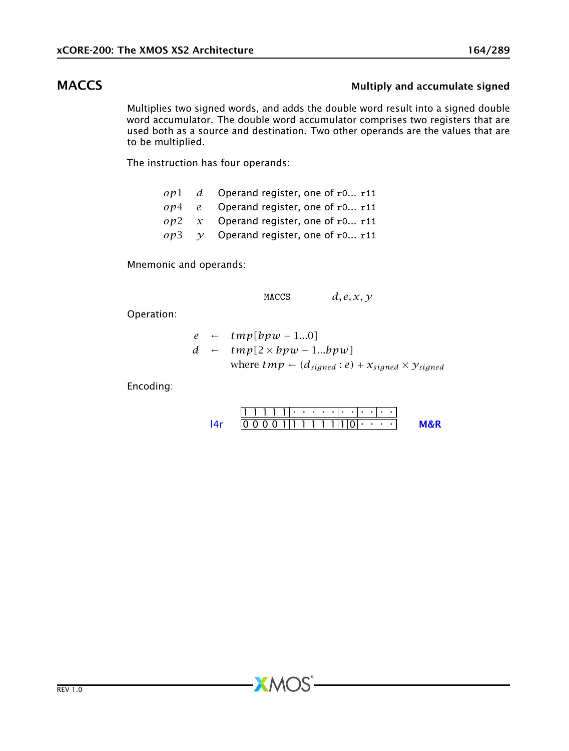## MACCS MUltiply and accumulate signed

<span id="page-163-0"></span>Multiplies two signed words, and adds the double word result into a signed double word accumulator. The double word accumulator comprises two registers that are used both as a source and destination. Two other operands are the values that are to be multiplied.

The instruction has four operands:

|  | $op1$ d Operand register, one of r0 r11            |
|--|----------------------------------------------------|
|  | $op4$ e Operand register, one of r0 r11            |
|  | $op2 \, x$ Operand register, one of r0 r11         |
|  | $op3 \quad \gamma$ Operand register, one of r0 r11 |

Mnemonic and operands:

MACCS  $d, e, x, y$ 

Operation:

$$
e \leftarrow tmp[bpw - 1...0]
$$
  

$$
d \leftarrow tmp[2 \times bpw - 1...bpw]
$$
  
where  $tmp \leftarrow (d_{signed}:e) + x_{signed} \times y_{signed}$ 

Encoding:

1 1 1 1 1 . . . . . . . . . . . 0 0 0 0 1 1 1 1 1 1 1 0 . . . . [l4r](#page-267-0) [M&R](#page-288-1)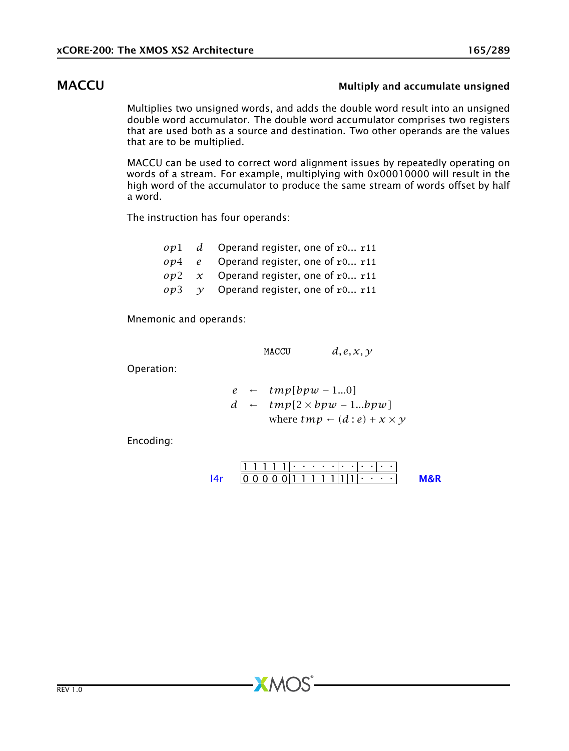### MACCU **MACCU Multiply and accumulate unsigned**

<span id="page-164-0"></span>Multiplies two unsigned words, and adds the double word result into an unsigned double word accumulator. The double word accumulator comprises two registers that are used both as a source and destination. Two other operands are the values that are to be multiplied.

MACCU can be used to correct word alignment issues by repeatedly operating on words of a stream. For example, multiplying with 0x00010000 will result in the high word of the accumulator to produce the same stream of words offset by half a word.

The instruction has four operands:

|  | $op1$ d Operand register, one of r0 r11            |
|--|----------------------------------------------------|
|  | $op4$ e Operand register, one of r0 r11            |
|  | $op2 \, x$ Operand register, one of r0 r11         |
|  | $op3 \quad \gamma$ Operand register, one of r0 r11 |

Mnemonic and operands:

MACCU  $d, e, x, y$ 

 $XMOS$ 

Operation:

*e* ← *tmp[bpw* − 1*...*0*] d* ← *tmp[*2 × *bpw* − 1*...bpw]* where  $tmp \leftarrow (d : e) + x \times y$ 

1 1 1 1 1 . . . . . . . . . . . 0 0 0 0 0 1 1 1 1 1 1 1 . . . . [l4r](#page-267-0) [M&R](#page-288-1)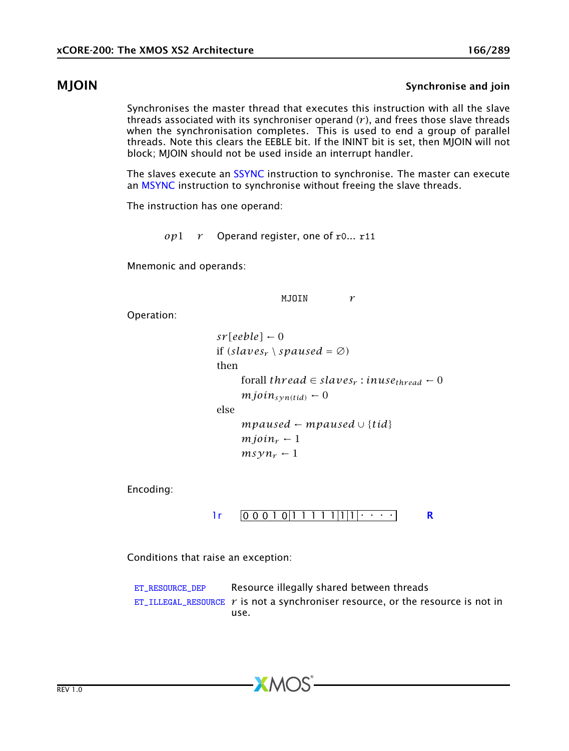### MJOIN Synchronise and join

<span id="page-165-0"></span>Synchronises the master thread that executes this instruction with all the slave threads associated with its synchroniser operand  $(r)$ , and frees those slave threads when the synchronisation completes. This is used to end a group of parallel threads. Note this clears the EEBLE bit. If the ININT bit is set, then MJOIN will not block; MJOIN should not be used inside an interrupt handler.

The slaves execute an [SSYNC](#page-211-0) instruction to synchronise. The master can execute an [MSYNC](#page-168-0) instruction to synchronise without freeing the slave threads.

The instruction has one operand:

*op*1 *r* Operand register, one of r0... r11

Mnemonic and operands:

MJOIN *r*

Operation:

```
sr[eeble] \leftarrow 0if (slaves_r \setminus spaused = \emptyset)then
for all thread \in slaves_r: in use_{thread} \leftarrow 0mjoin_{syn(tid)} \leftarrow 0else
mpaused ← mpaused \cup {tid}
mjoin<sub>r</sub> \leftarrow 1
m_S y n_r - 1
```
Encoding:



Conditions that raise an exception:

[ET\\_RESOURCE\\_DEP](#page-281-0) Resource illegally shared between threads [ET\\_ILLEGAL\\_RESOURCE](#page-276-0)  $r$  is not a synchroniser resource, or the resource is not in use.

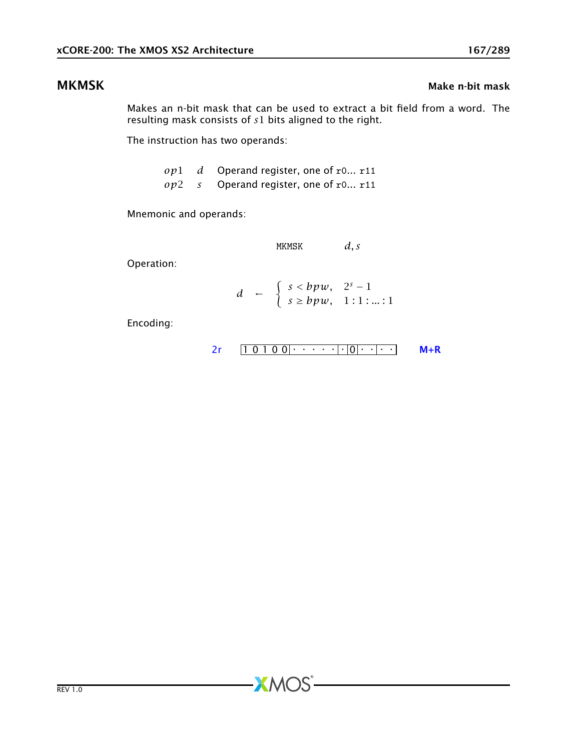### MKMSK Make n-bit mask and the matrix of the matrix of the matrix of the matrix of the matrix of the matrix of the matrix of the matrix of the matrix of the matrix of the matrix of the matrix of the matrix of the matrix of

Makes an n-bit mask that can be used to extract a bit field from a word. The resulting mask consists of *s*1 bits aligned to the right.

The instruction has two operands:

*op*1 *d* Operand register, one of r0... r11 *op*2 *s* Operand register, one of r0... r11

Mnemonic and operands:

MKMSK *d, s*

Operation:

 $d \leftarrow \begin{cases} s < bpw, & 2^s - 1 \\ s > hww, & 1, 1, \end{cases}$ *s* ≥ *bpw,* 1 : 1 : *...* : 1

**XMOS** 

$$
2r \qquad \boxed{1 \ 0 \ 1 \ 0 \ 0} \qquad \cdots \qquad \boxed{0} \qquad \boxed{0} \qquad \boxed{M+R}
$$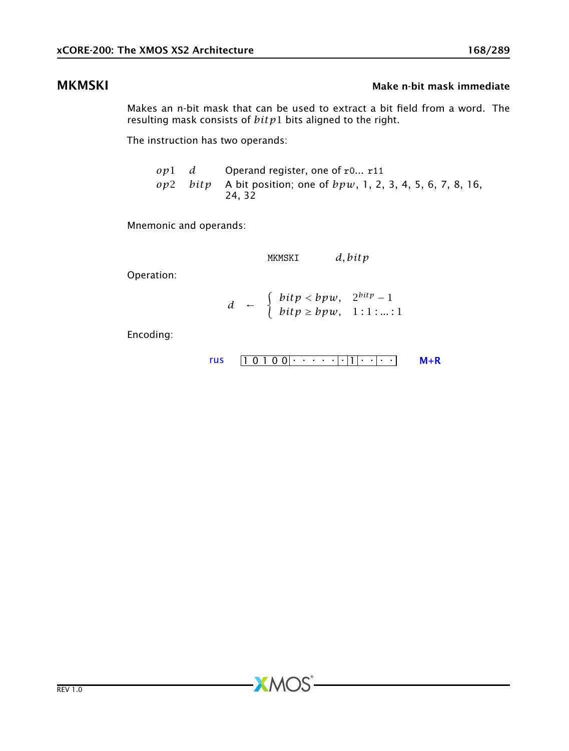### MKMSKI MKMSKI Make n-bit mask immediate

Makes an n-bit mask that can be used to extract a bit field from a word. The resulting mask consists of *bitp*1 bits aligned to the right.

The instruction has two operands:

|  | $op1$ d Operand register, one of r0 r11                                        |
|--|--------------------------------------------------------------------------------|
|  | $op2$ bitp A bit position; one of $bpw$ , 1, 2, 3, 4, 5, 6, 7, 8, 16,<br>24.32 |

Mnemonic and operands:

MKMSKI *d, bitp*

Operation:

$$
d \leftarrow \begin{cases} \text{bitp} < \text{bpw}, \quad 2^{\text{bitp}} - 1 \\ \text{bitp} > \text{bpw}, \quad 1:1:...:1 \end{cases}
$$

**XMOS** 

$$
rus \qquad \boxed{1 \ 0 \ 1 \ 0 \ 0} \cdot \cdot \cdot \cdot \cdot \cdot \cdot \cdot \cdot \cdot \cdot \cdot \cdot \cdot \qquad \qquad \text{M+R}
$$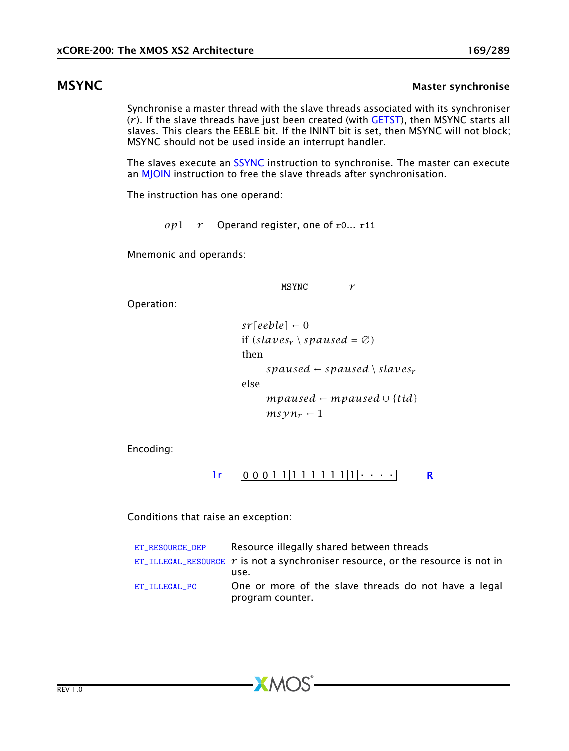### MSYNC MASTER MASTER MASTER SYNCHRONIC METAL MASTER SYNCHRONISE

<span id="page-168-0"></span>Synchronise a master thread with the slave threads associated with its synchroniser (*r* ). If the slave threads have just been created (with [GETST\)](#page-115-0), then MSYNC starts all slaves. This clears the EEBLE bit. If the ININT bit is set, then MSYNC will not block; MSYNC should not be used inside an interrupt handler.

The slaves execute an **[SSYNC](#page-211-0)** instruction to synchronise. The master can execute an [MJOIN](#page-165-0) instruction to free the slave threads after synchronisation.

The instruction has one operand:

*op*1 *r* Operand register, one of r0... r11

Mnemonic and operands:

MSYNC *r*

Operation:

 $sr[eeble] \leftarrow 0$ if  $(slaves_r \setminus spaused = \emptyset)$ then *spaused* ← *spaused* \ *slaves*<sup>*r*</sup> else *mpaused* ← *mpaused* ∪ {*tid*}  $msvn_r - 1$ 

Encoding:

 $1r$  0 0 0 1 1 1 1 1 1 1 1 1 1 1  $1$   $\cdot \cdot \cdot$  [R](#page-286-0)

Conditions that raise an exception:

| ET RESOURCE DEP | Resource illegally shared between threads                                                 |
|-----------------|-------------------------------------------------------------------------------------------|
|                 | ET_ILLEGAL_RESOURCE $r$ is not a synchroniser resource, or the resource is not in<br>use. |
| ET ILLEGAL PC   | One or more of the slave threads do not have a legal<br>program counter.                  |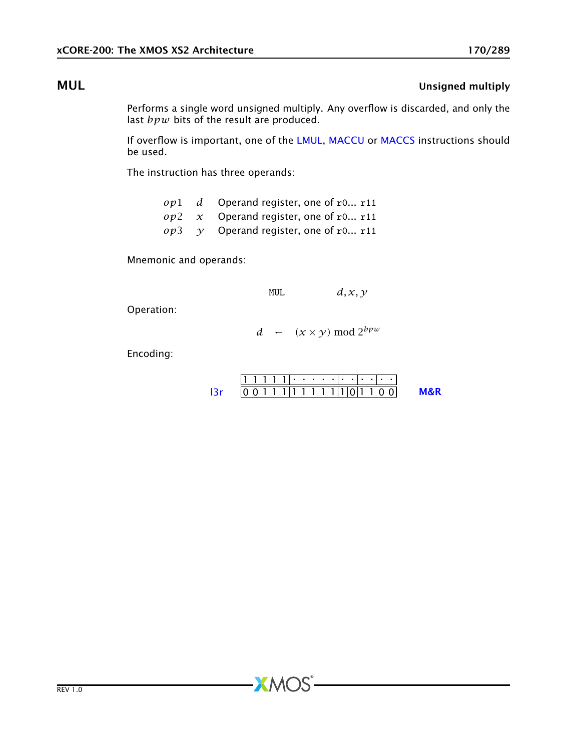### MUL **MUL** Unsigned multiply

Performs a single word unsigned multiply. Any overflow is discarded, and only the last *bpw* bits of the result are produced.

If overflow is important, one of the [LMUL,](#page-159-0) [MACCU](#page-164-0) or [MACCS](#page-163-0) instructions should be used.

The instruction has three operands:

|  | $op1$ d Operand register, one of r0 r11    |
|--|--------------------------------------------|
|  | $op2 \, x$ Operand register, one of r0 r11 |
|  | $op3$ y Operand register, one of r0 r11    |

Mnemonic and operands:

MUL  $d, x, y$ 

Operation:

$$
d \leftarrow (x \times y) \mod 2^{bpw}
$$

Encoding:

|  |  | .                               |  |  |  |  |  |  |
|--|--|---------------------------------|--|--|--|--|--|--|
|  |  | . 1 1 1 1 1 1 1 1 1 1 1 0 1 1 1 |  |  |  |  |  |  |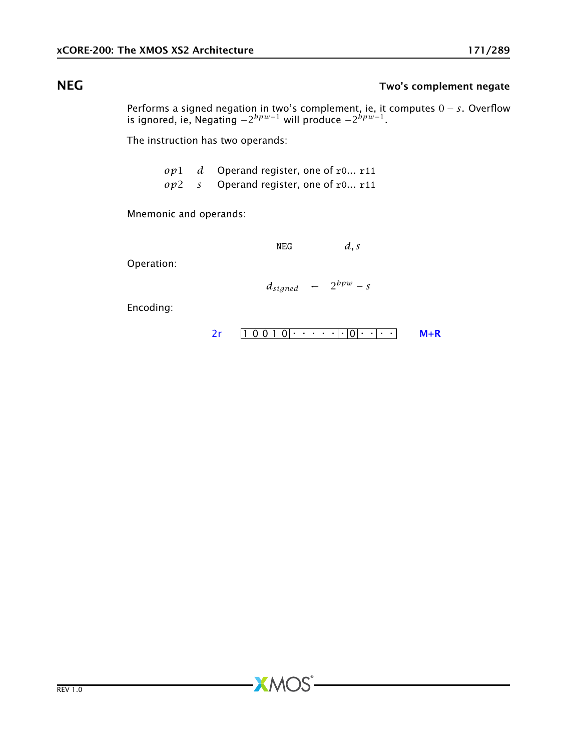## NEG Two's complement negate

Performs a signed negation in two's complement, ie, it computes 0 − *s*. Overflow is ignored, ie, Negating −2 *bpw*−<sup>1</sup> will produce −2 *bpw*−1 .

The instruction has two operands:

*op*1 *d* Operand register, one of r0... r11 *op*2 *s* Operand register, one of r0... r11

**XMOS** 

Mnemonic and operands:

 $NEG$  *d, s* 

Operation:

 $d_{signed}$  ←  $2^{bpw} - s$ 

$$
2r \qquad 1 \qquad 0 \qquad 0 \qquad 1 \qquad 0 \qquad \cdots \qquad \qquad |0| \qquad \cdots
$$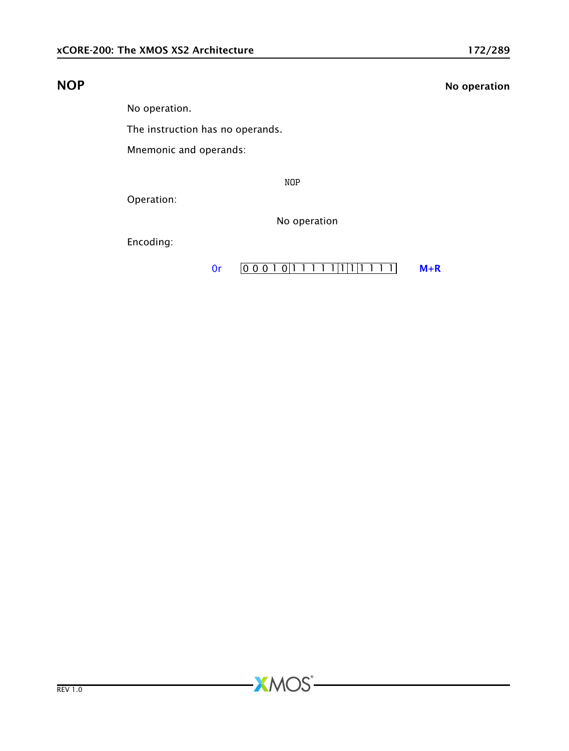## NOP NO operation

No operation.

The instruction has no operands.

Mnemonic and operands:

NOP

**XMOS** 

Operation:

No operation

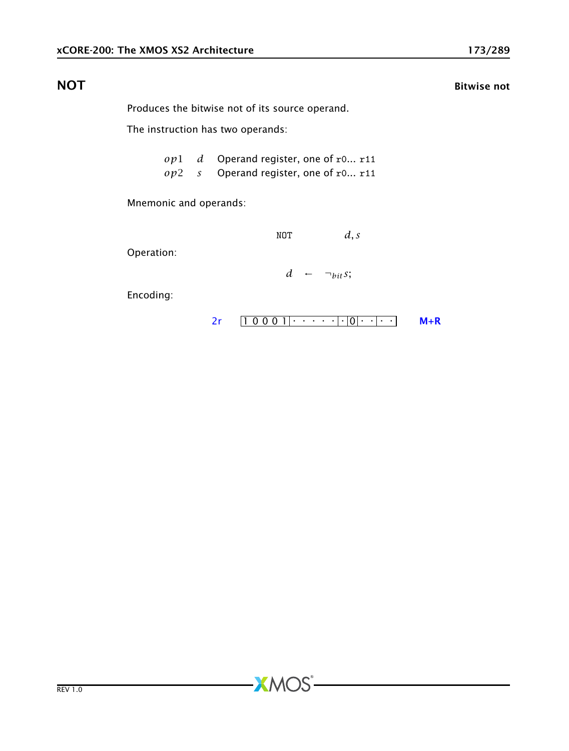### **NOT** Bitwise not

Produces the bitwise not of its source operand.

The instruction has two operands:

*op*1 *d* Operand register, one of r0... r11 *op*2 *s* Operand register, one of r0... r11

**XMOS** 

Mnemonic and operands:

NOT *d, s*

Operation:

 $d \leftarrow \neg_{bit} s$ ;

Encoding:

 $2r$   $10001$   $0$   $0$   $1$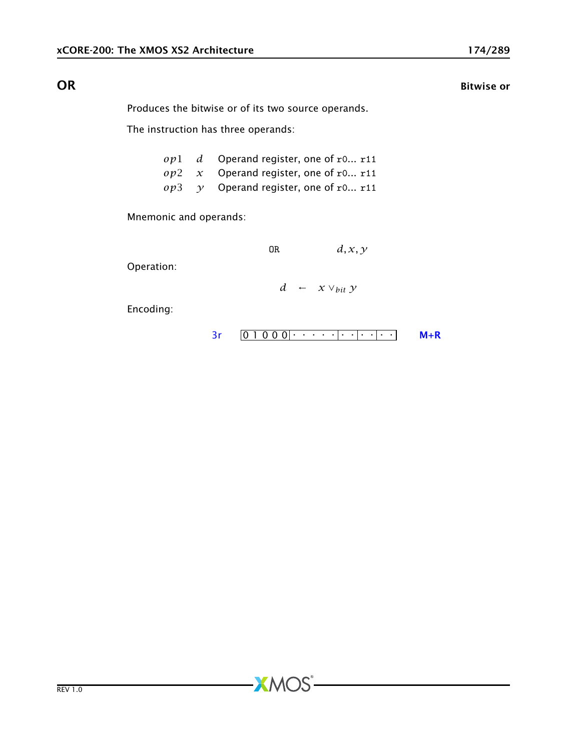**OR** Bitwise or

Produces the bitwise or of its two source operands.

The instruction has three operands:

|  | $op1$ d Operand register, one of r0 r11            |
|--|----------------------------------------------------|
|  | $op2 \, x$ Operand register, one of r0 r11         |
|  | $op3 \quad \gamma$ Operand register, one of r0 r11 |

**XMOS** 

Mnemonic and operands:

OR 
$$
d, x, y
$$

Operation:

*d* ← *x* ∨*bit y*

0 1 0 0 0 . . . . . . . . . . . [3r](#page-249-0) [M+R](#page-287-0)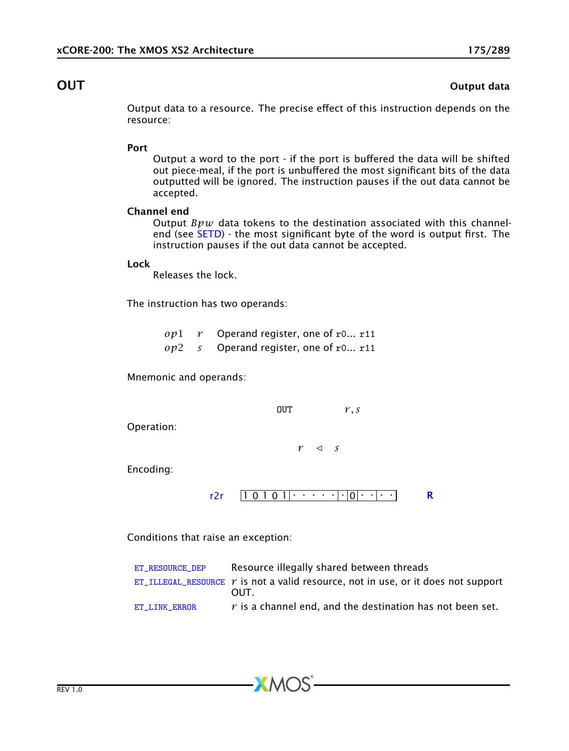### **OUT** OUT

Output data to a resource. The precise effect of this instruction depends on the resource:

### Port

Output a word to the port - if the port is buffered the data will be shifted out piece-meal, if the port is unbuffered the most significant bits of the data outputted will be ignored. The instruction pauses if the out data cannot be accepted.

### Channel end

Output *Bpw* data tokens to the destination associated with this channelend (see [SETD\)](#page-192-0) - the most significant byte of the word is output first. The instruction pauses if the out data cannot be accepted.

### Lock

Releases the lock.

The instruction has two operands:

*op*1 *r* Operand register, one of r0... r11 *op*2 *s* Operand register, one of r0... r11

Mnemonic and operands:

 $V, S$ 

Operation:

 $r \leq s$ 

Encoding:

$$
r2r \quad [1 \ 0 \ 1 \ 0 \ 1] \cdot \cdot \cdot \cdot \cdot \cdot | \cdot [0] \cdot \cdot | \cdot \cdot \cdot \quad \mathbf{R}
$$

Conditions that raise an exception:

| ET RESOURCE DEP | Resource illegally shared between threads                                                |
|-----------------|------------------------------------------------------------------------------------------|
|                 | ET_ILLEGAL_RESOURCE $\gamma$ is not a valid resource, not in use, or it does not support |
|                 | OUT.                                                                                     |
| ET LINK ERROR   | $r$ is a channel end, and the destination has not been set.                              |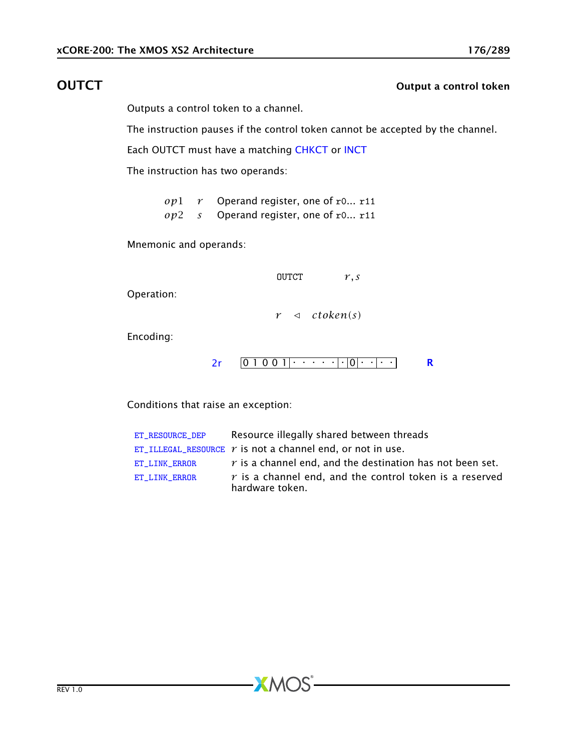## **OUTCT** OUTCOME OUTCOME OUTCOME OUTCOME OUTCOME OUTCOME OUTCOME OUTCOME OUTCOME OUTCOME OUTCOME OUTCOME OUTCOME OUTCOME OUTCOME OUTCOME OUTCOME OUTCOME OUTCOME OUTCOME OUTCOME OUTCOME OUTCOME OUTCOME OUTCOME OUTCOME OUTCOM

Outputs a control token to a channel.

The instruction pauses if the control token cannot be accepted by the channel.

Each OUTCT must have a matching [CHKCT](#page-71-0) or [INCT](#page-119-0)

The instruction has two operands:

*op*1 *r* Operand register, one of r0... r11 *op*2 *s* Operand register, one of r0... r11

Mnemonic and operands:

OUTCT *r, s*

Operation:

 $r \triangleleft ctoken(s)$ 

Encoding:

$$
2r \quad 01001 |\cdot \cdot \cdot \cdot| \cdot |0| \cdot \cdot |\cdot \cdot| \quad R
$$

Conditions that raise an exception:

| ET RESOURCE DEP | Resource illegally shared between threads                                    |
|-----------------|------------------------------------------------------------------------------|
|                 | ET_ILLEGAL_RESOURCE $r$ is not a channel end, or not in use.                 |
| ET LINK ERROR   | $r$ is a channel end, and the destination has not been set.                  |
| ET LINK ERROR   | $r$ is a channel end, and the control token is a reserved<br>hardware token. |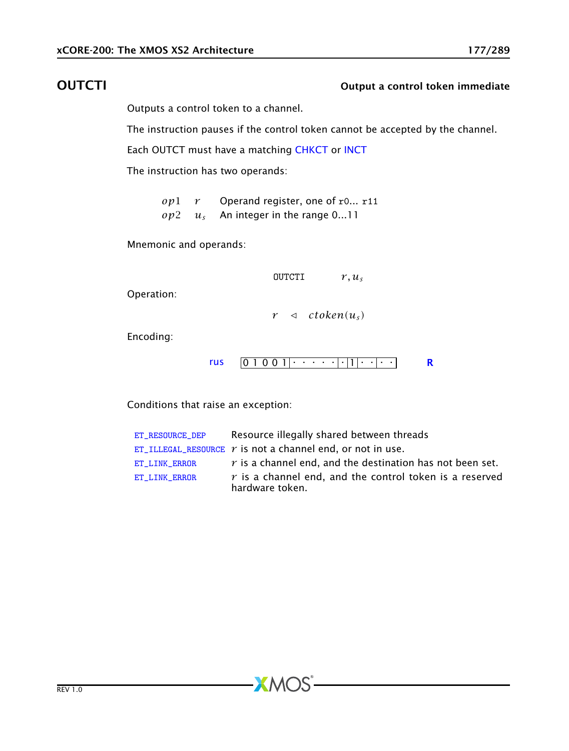## OUTCTI Output a control token immediate

Outputs a control token to a channel.

The instruction pauses if the control token cannot be accepted by the channel.

Each OUTCT must have a matching [CHKCT](#page-71-0) or [INCT](#page-119-0)

The instruction has two operands:

*op*1 *r* Operand register, one of r0... r11 *op*2 *u<sup>s</sup>* An integer in the range 0...11

Mnemonic and operands:

 $\text{OUTCTI}$   $r, u_s$ 

Operation:

 $r \leq ctoken(u_s)$ 

Encoding:



Conditions that raise an exception:

| ET RESOURCE DEP | Resource illegally shared between threads                                    |
|-----------------|------------------------------------------------------------------------------|
|                 | ET_ILLEGAL_RESOURCE $r$ is not a channel end, or not in use.                 |
| ET LINK ERROR   | $r$ is a channel end, and the destination has not been set.                  |
| ET LINK ERROR   | $r$ is a channel end, and the control token is a reserved<br>hardware token. |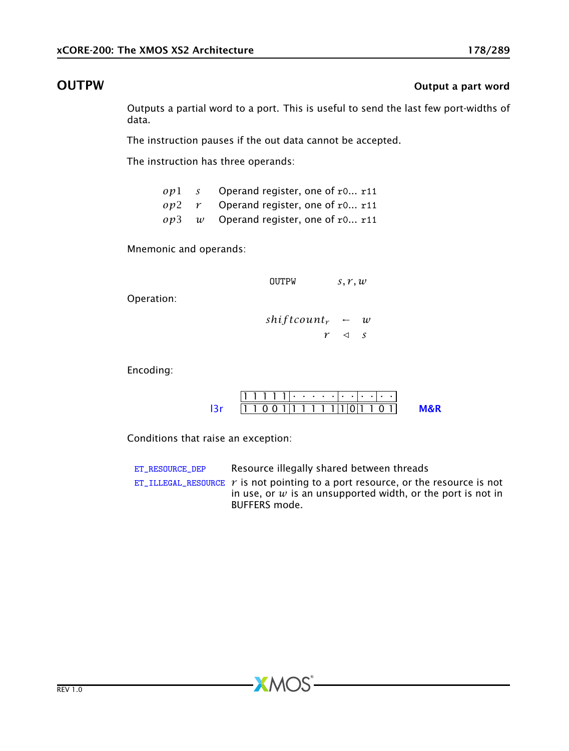### **OUTPW** OUTPUM **OUTPUM OUTPUM**

Outputs a partial word to a port. This is useful to send the last few port-widths of data.

The instruction pauses if the out data cannot be accepted.

The instruction has three operands:

|  | $op1$ s Operand register, one of r0 r11 |
|--|-----------------------------------------|
|  | $op2$ r Operand register, one of r0 r11 |
|  | $op3$ w Operand register, one of r0 r11 |

Mnemonic and operands:

OUTPW *s, r, w*

Operation:

 $shiftcount_r$  ← *w*  $r \leq s$ 

Encoding:

|  | .                                 |  |  |  |  |  |  |  |
|--|-----------------------------------|--|--|--|--|--|--|--|
|  | 1 1 0 0 1 1 1 1 1 1 1 1 1 0 1 1 0 |  |  |  |  |  |  |  |

Conditions that raise an exception:

| ET RESOURCE DEP | Resource illegally shared between threads                                                                                                                            |
|-----------------|----------------------------------------------------------------------------------------------------------------------------------------------------------------------|
|                 | ET_ILLEGAL_RESOURCE $r$ is not pointing to a port resource, or the resource is not<br>in use, or $w$ is an unsupported width, or the port is not in<br>BUFFERS mode. |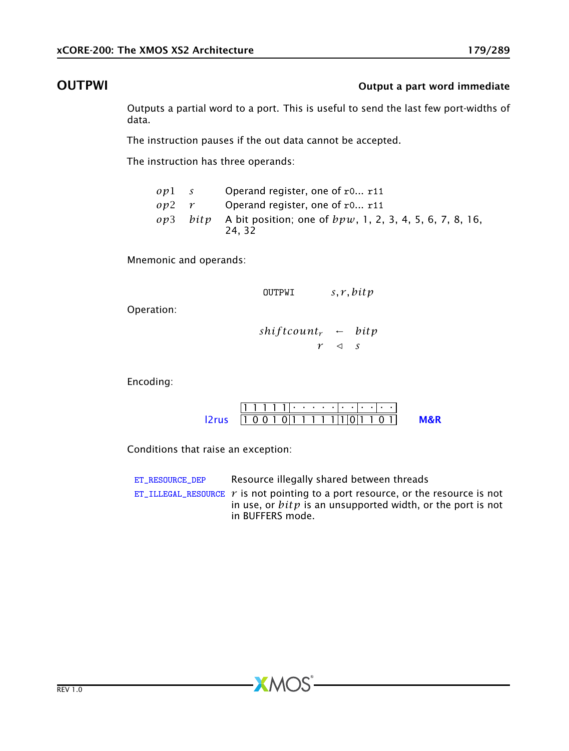## OUTPWI **OUTPWI OUTPWI OUTPWI**

Outputs a partial word to a port. This is useful to send the last few port-widths of data.

The instruction pauses if the out data cannot be accepted.

The instruction has three operands:

| $ov1$ s |                           | Operand register, one of $r0$ r11                                            |
|---------|---------------------------|------------------------------------------------------------------------------|
|         | $op2 \rightharpoondown r$ | Operand register, one of $r0$ r11                                            |
|         |                           | op3 bitp A bit position; one of $bpw$ , 1, 2, 3, 4, 5, 6, 7, 8, 16,<br>24.32 |

Mnemonic and operands:

OUTPWI *s, r, bitp*

Operation:

*shif tcount<sup>r</sup>* ← *bitp*  $r \leq s$ 

Encoding:

|                                   |  |  |  |  | 11. |  |  |  |
|-----------------------------------|--|--|--|--|-----|--|--|--|
| $1 0 0 1 0 1 1 1 1 1 1 1 0 1 1 1$ |  |  |  |  |     |  |  |  |

Conditions that raise an exception:

| ET RESOURCE DEP | Resource illegally shared between threads                                                                                                           |
|-----------------|-----------------------------------------------------------------------------------------------------------------------------------------------------|
|                 | ET_ILLEGAL_RESOURCE $r$ is not pointing to a port resource, or the resource is not<br>in use, or $bitp$ is an unsupported width, or the port is not |
|                 | in BUFFERS mode.                                                                                                                                    |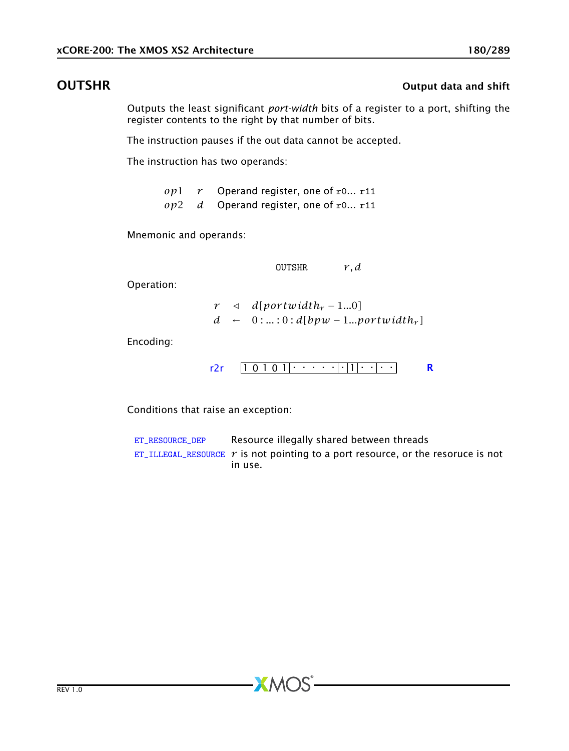### **OUTSHR** OUTSHR OUTSHR OUTSHR OUTSHR OUTSHR

Outputs the least significant *port-width* bits of a register to a port, shifting the register contents to the right by that number of bits.

The instruction pauses if the out data cannot be accepted.

The instruction has two operands:

*op*1 *r* Operand register, one of r0... r11 *op*2 *d* Operand register, one of r0... r11

Mnemonic and operands:

OUTSHR *r, d*

Operation:

 $r \leq d[$ *portwidth<sub>r</sub>* − 1...0]  $d \leftarrow 0$ :...:0: $d[bpw - 1...portwidth_r]$ 

Encoding:

1 0 1 0 1 . . . . . . 1 . . . . [r2r](#page-260-0) [R](#page-286-0)

Conditions that raise an exception:

[ET\\_RESOURCE\\_DEP](#page-281-0) Resource illegally shared between threads [ET\\_ILLEGAL\\_RESOURCE](#page-276-0)  $r$  is not pointing to a port resource, or the resoruce is not in use.

 $AMOS$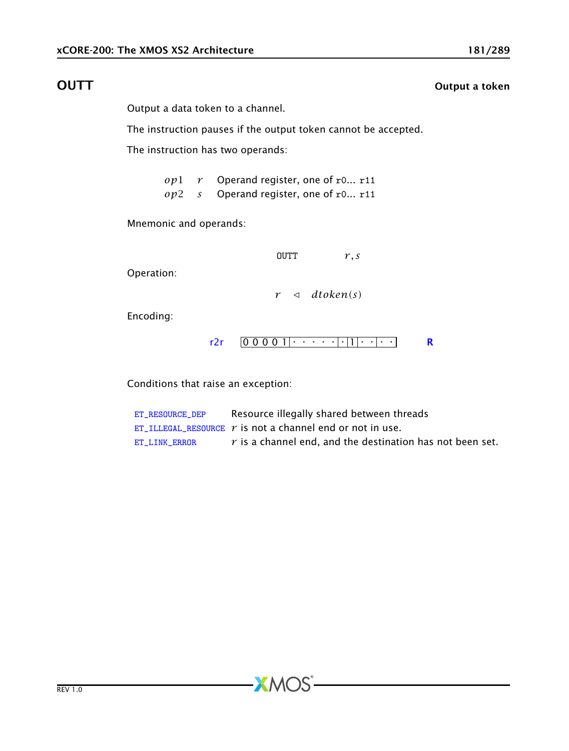# **OUTT** Output a token

Output a data token to a channel.

The instruction pauses if the output token cannot be accepted.

The instruction has two operands:

*op*1 *r* Operand register, one of r0... r11 *op*2 *s* Operand register, one of r0... r11

Mnemonic and operands:

 $OUTT$   $r, s$ 

Operation:

 $r \leq dt$ oken(s)

Encoding:

0 0 0 0 1 . . . . . . 1 . . . . [r2r](#page-260-0) [R](#page-286-0)

Conditions that raise an exception:

| ET RESOURCE DEP | Resource illegally shared between threads                   |
|-----------------|-------------------------------------------------------------|
|                 | ET_ILLEGAL_RESOURCE $r$ is not a channel end or not in use. |
| ET LINK ERROR   | $r$ is a channel end, and the destination has not been set. |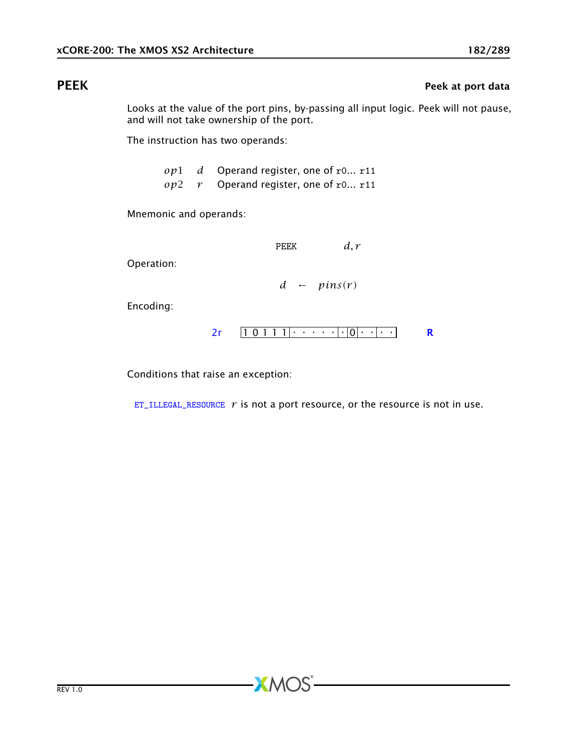# PEEK PEEK PEEK Peek at port data

Looks at the value of the port pins, by-passing all input logic. Peek will not pause, and will not take ownership of the port.

The instruction has two operands:

*op*1 *d* Operand register, one of r0... r11 *op*2 *r* Operand register, one of r0... r11

Mnemonic and operands:

PEEK *d, r*

Operation:

 $d \leftarrow \text{pins}(r)$ 

Encoding:

1 0 1 1 1 . . . . . . 0 . . . . [2r](#page-259-0) [R](#page-286-0)

Conditions that raise an exception:

[ET\\_ILLEGAL\\_RESOURCE](#page-276-0)  $r$  is not a port resource, or the resource is not in use.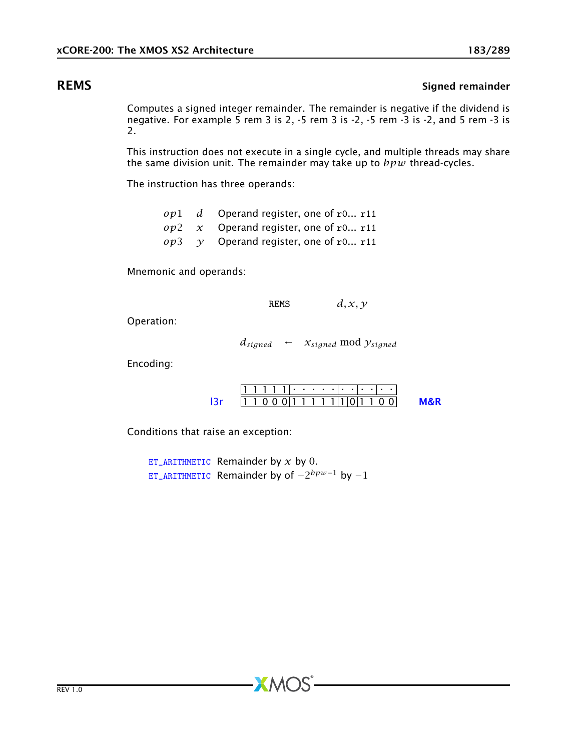## **REMS** Signed remainder

Computes a signed integer remainder. The remainder is negative if the dividend is negative. For example 5 rem 3 is 2, -5 rem 3 is -2, -5 rem -3 is -2, and 5 rem -3 is 2.

This instruction does not execute in a single cycle, and multiple threads may share the same division unit. The remainder may take up to *bpw* thread-cycles.

The instruction has three operands:

|  | $op1$ d Operand register, one of r0 r11    |
|--|--------------------------------------------|
|  | $op2 \, x$ Operand register, one of r0 r11 |
|  | $op3 \t y$ Operand register, one of r0 r11 |

Mnemonic and operands:

REMS  $d, x, y$ 

Operation:

 $d_{signed} \leftarrow x_{signed} \mod y_{signed}$ 

Encoding:

|  | 1 1 0 0 0 1 1 1 1 1 1 0 1 1 0 0 |  |  |  |  |  |  |  |
|--|---------------------------------|--|--|--|--|--|--|--|

Conditions that raise an exception:

[ET\\_ARITHMETIC](#page-279-0) Remainder by *x* by 0. [ET\\_ARITHMETIC](#page-279-0) Remainder by of −2 *bpw*−<sup>1</sup> by −1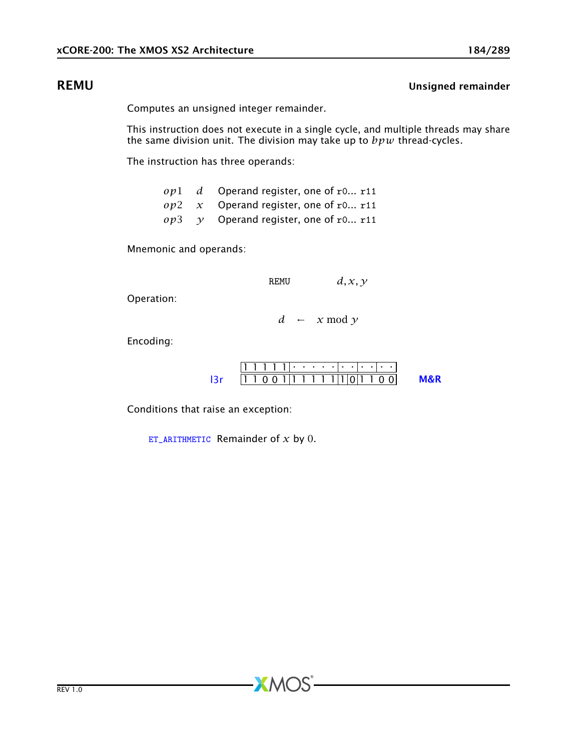## REMU Unsigned remainder

Computes an unsigned integer remainder.

This instruction does not execute in a single cycle, and multiple threads may share the same division unit. The division may take up to *bpw* thread-cycles.

The instruction has three operands:

*op*1 *d* Operand register, one of r0... r11 *op*2 *x* Operand register, one of r0... r11  $op3 \quad \gamma$  Operand register, one of r0... r11

Mnemonic and operands:

REMU *d, x, y*

Operation:

 $d \leftarrow x \mod y$ 

Encoding:

|  | 111111.                            |  |  |  |  |  |  |  |
|--|------------------------------------|--|--|--|--|--|--|--|
|  | 11 1 0 0 1 1 1 1 1 1 1 1 1 0 1 1 0 |  |  |  |  |  |  |  |

Conditions that raise an exception:

[ET\\_ARITHMETIC](#page-279-0) Remainder of *x* by 0.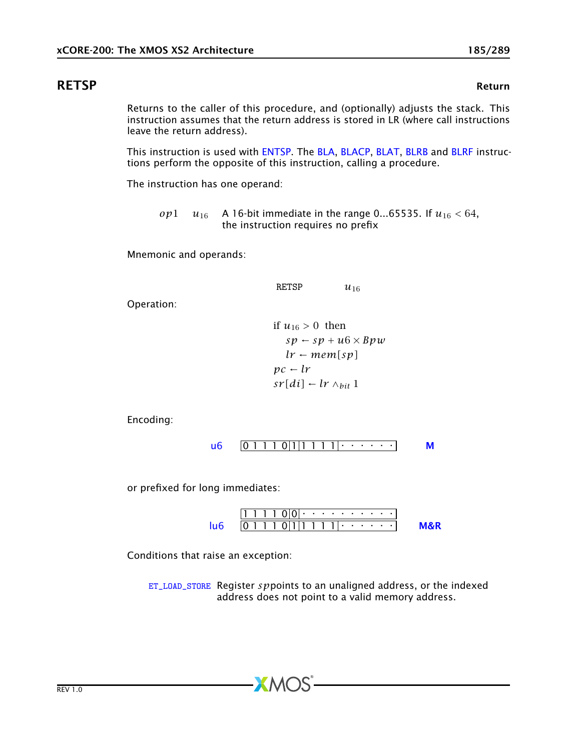# RETSP Return

<span id="page-184-0"></span>Returns to the caller of this procedure, and (optionally) adjusts the stack. This instruction assumes that the return address is stored in LR (where call instructions leave the return address).

This instruction is used with [ENTSP.](#page-97-0) The [BLA,](#page-58-0) [BLACP,](#page-59-0) [BLAT,](#page-60-0) [BLRB](#page-61-0) and [BLRF](#page-62-0) instructions perform the opposite of this instruction, calling a procedure.

The instruction has one operand:

*op*1 *u*<sub>16</sub> A 16-bit immediate in the range 0...65535. If  $u_{16}$  < 64, the instruction requires no prefix

Mnemonic and operands:

RETSP  $u_{16}$ 

Operation:

if 
$$
u_{16} > 0
$$
 then  
\n $sp - sp + u6 \times Bpw$   
\n $lr - mem[sp]$   
\n $pc - lr$   
\n $sr[di] - lr \wedge_{bit} 1$ 

Encoding:

$$
u6 \quad \boxed{0 \ 1 \ 1 \ 1 \ 0 \ |1 \ |1 \ 1 \ 1 \ 1} \ \cdots \ \cdots \qquad M
$$

or prefixed for long immediates:

1 1 1 1 0 0 . . . . . . . . . . 0 1 1 1 0 1 1 1 1 1 . . . . . . [lu6](#page-256-0) [M&R](#page-288-1)

Conditions that raise an exception:

[ET\\_LOAD\\_STORE](#page-277-0) Register *sp*points to an unaligned address, or the indexed address does not point to a valid memory address.

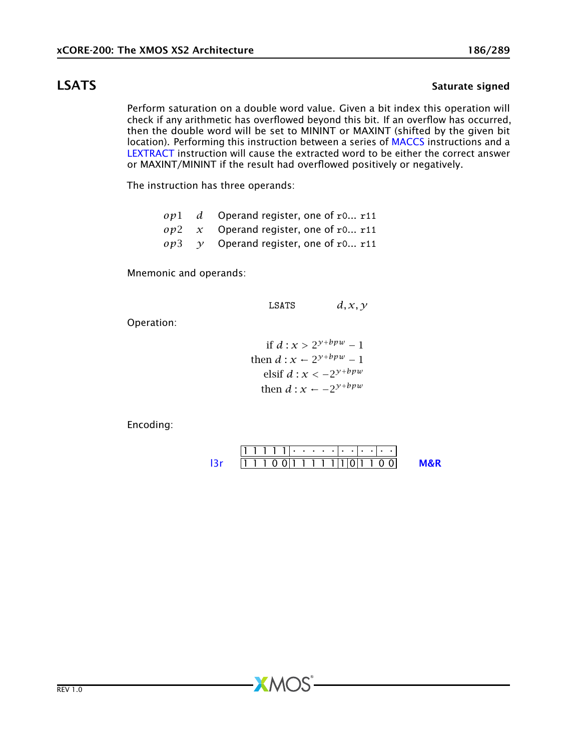# LSATS Saturate signed

Perform saturation on a double word value. Given a bit index this operation will check if any arithmetic has overflowed beyond this bit. If an overflow has occurred, then the double word will be set to MININT or MAXINT (shifted by the given bit location). Performing this instruction between a series of [MACCS](#page-163-0) instructions and a [LEXTRACT](#page-157-0) instruction will cause the extracted word to be either the correct answer or MAXINT/MININT if the result had overflowed positively or negatively.

The instruction has three operands:

|  | $op1$ d Operand register, one of r0 r11       |
|--|-----------------------------------------------|
|  | $op2 \, x$ Operand register, one of r0 r11    |
|  | $op3 \quad v$ Operand register, one of r0 r11 |

Mnemonic and operands:

LSATS  $d, x, y$ 

Operation:

if 
$$
d: x > 2^{y + bpw} - 1
$$
, then  $d: x \leftarrow 2^{y + bpw} - 1$ ,  $d: x < -2^{y + bpw}$ , then  $d: x \leftarrow -2^{y + bpw}$ .

**XMOS** 

Encoding:

$$
111111 \cdot \cdot \cdot \cdot \cdot \cdot \cdot \cdot \cdot \cdot \cdot
$$
  
13r 11100|11111|10|1100 MR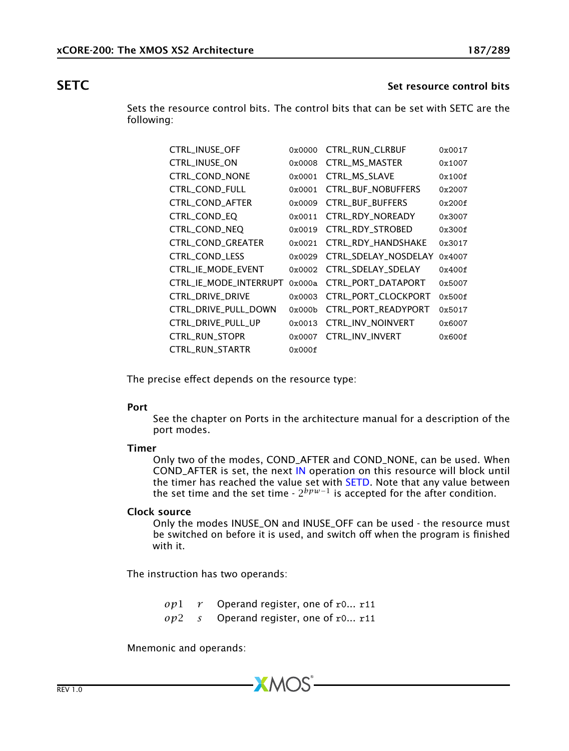## **SETC** Set resource control bits and the set of the set resource control bits and the set of the set of the set of the set of the set of the set of the set of the set of the set of the set of the set of the set of the set

<span id="page-186-0"></span>Sets the resource control bits. The control bits that can be set with SETC are the following:

| CTRL_INUSE_OFF         | 0x0000 | <b>CTRL_RUN_CLRBUF</b>    | 0x0017 |
|------------------------|--------|---------------------------|--------|
| CTRL_INUSE_ON          | 0x0008 | CTRL_MS_MASTER            | 0x1007 |
| CTRL_COND_NONE         | 0x0001 | CTRL_MS_SLAVE             | 0x100f |
| CTRL_COND_FULL         | 0x0001 | <b>CTRL_BUF_NOBUFFERS</b> | 0x2007 |
| CTRL_COND_AFTER        | 0x0009 | CTRL_BUF_BUFFERS          | 0x200f |
| CTRL_COND_EQ           | 0x0011 | CTRL_RDY_NOREADY          | 0x3007 |
| CTRL_COND_NEQ          | 0x0019 | CTRL_RDY_STROBED          | 0x300f |
| CTRL_COND_GREATER      | 0x0021 | CTRL_RDY_HANDSHAKE        | 0x3017 |
| <b>CTRL COND LESS</b>  | 0x0029 | CTRL_SDELAY_NOSDELAY      | 0x4007 |
| CTRL_IE_MODE_EVENT     | 0x0002 | CTRL_SDELAY_SDELAY        | 0x400f |
| CTRL IE MODE INTERRUPT | 0x000a | CTRL PORT DATAPORT        | 0x5007 |
| CTRL_DRIVE_DRIVE       | 0x0003 | CTRL_PORT_CLOCKPORT       | 0x500f |
| CTRL_DRIVE_PULL_DOWN   | 0x000b | CTRL_PORT_READYPORT       | 0x5017 |
| CTRL_DRIVE_PULL_UP     | 0x0013 | CTRL_INV_NOINVERT         | 0x6007 |
| CTRL_RUN_STOPR         | 0x0007 | CTRL_INV_INVERT           | 0x600f |
| CTRL_RUN_STARTR        | 0x000f |                           |        |

The precise effect depends on the resource type:

### Port

See the chapter on Ports in the architecture manual for a description of the port modes.

### Timer

Only two of the modes, COND\_AFTER and COND\_NONE, can be used. When COND\_AFTER is set, the next [IN](#page-118-0) operation on this resource will block until the timer has reached the value set with [SETD.](#page-192-0) Note that any value between the set time and the set time -  $2^{bpw-1}$  is accepted for the after condition.

### Clock source

Only the modes INUSE\_ON and INUSE\_OFF can be used - the resource must be switched on before it is used, and switch off when the program is finished with it.

The instruction has two operands:

*op*1 *r* Operand register, one of r0... r11 *op*2 *s* Operand register, one of r0... r11

**XMOS** 

Mnemonic and operands: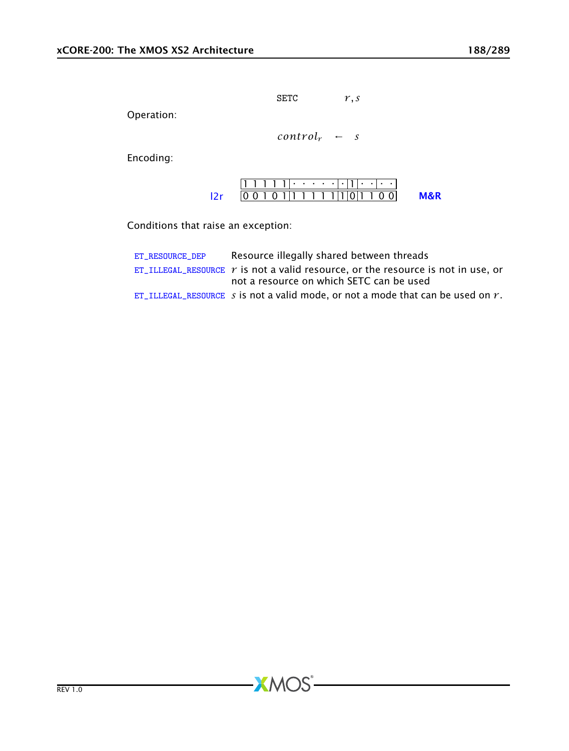SETC *r, s*

Operation:

 $control_r$  ← *s* 

Encoding:

1 1 1 1 1 . . . . . . 1 . . . . [l2r](#page-261-0) 0 0 1 0 1 1 1 1 1 1 1 0 1 1 0 0 [M&R](#page-288-1)

Conditions that raise an exception:

| ET RESOURCE DEP | Resource illegally shared between threads                                               |
|-----------------|-----------------------------------------------------------------------------------------|
|                 | ET ILLEGAL RESOURCE $\gamma$ is not a valid resource, or the resource is not in use, or |
|                 | not a resource on which SETC can be used                                                |
|                 | ET ILLEGAL RESOURCE s is not a valid mode, or not a mode that can be used on $r$ .      |

 $-MOS$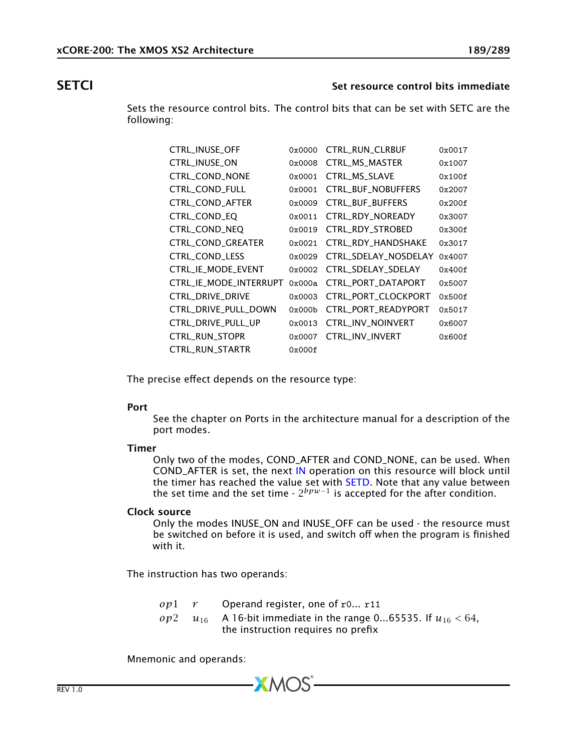## SETCI SETCI Set resource control bits immediate

Sets the resource control bits. The control bits that can be set with SETC are the following:

| CTRL_INUSE_OFF         | 0x0000 | <b>CTRL_RUN_CLRBUF</b>    | 0x0017 |
|------------------------|--------|---------------------------|--------|
| CTRL_INUSE_ON          | 0x0008 | CTRL_MS_MASTER            | 0x1007 |
| CTRL_COND_NONE         | 0x0001 | CTRL_MS_SLAVE             | 0x100f |
| CTRL_COND_FULL         | 0x0001 | <b>CTRL_BUF_NOBUFFERS</b> | 0x2007 |
| CTRL_COND_AFTER        | 0x0009 | CTRL_BUF_BUFFERS          | 0x200f |
| CTRL_COND_EQ           | 0x0011 | CTRL RDY NOREADY          | 0x3007 |
| CTRL_COND_NEQ          | 0x0019 | CTRL_RDY_STROBED          | 0x300f |
| CTRL_COND_GREATER      | 0x0021 | CTRL_RDY_HANDSHAKE        | 0x3017 |
| CTRL_COND_LESS         | 0x0029 | CTRL_SDELAY_NOSDELAY      | 0x4007 |
| CTRL_IE_MODE_EVENT     | 0x0002 | CTRL_SDELAY_SDELAY        | 0x400f |
| CTRL IE MODE INTERRUPT | 0x000a | CTRL_PORT_DATAPORT        | 0x5007 |
| CTRL DRIVE DRIVE       | 0x0003 | CTRL_PORT_CLOCKPORT       | 0x500f |
| CTRL_DRIVE_PULL_DOWN   | 0x000b | CTRL_PORT_READYPORT       | 0x5017 |
| CTRL_DRIVE_PULL_UP     | 0x0013 | CTRL_INV_NOINVERT         | 0x6007 |
| CTRL_RUN_STOPR         | 0x0007 | CTRL_INV_INVERT           | 0x600f |
| CTRL_RUN_STARTR        | 0x000f |                           |        |

The precise effect depends on the resource type:

### Port

See the chapter on Ports in the architecture manual for a description of the port modes.

### Timer

Only two of the modes, COND\_AFTER and COND\_NONE, can be used. When COND\_AFTER is set, the next [IN](#page-118-0) operation on this resource will block until the timer has reached the value set with [SETD.](#page-192-0) Note that any value between the set time and the set time -  $2^{bpw-1}$  is accepted for the after condition.

### Clock source

Only the modes INUSE\_ON and INUSE\_OFF can be used - the resource must be switched on before it is used, and switch off when the program is finished with it.

The instruction has two operands:

| $op1$ r | Operand register, one of $r0$ r11                                  |
|---------|--------------------------------------------------------------------|
| op2     | $u_{16}$ A 16-bit immediate in the range 065535. If $u_{16}$ < 64, |
|         | the instruction requires no prefix                                 |

**XMOS** 

Mnemonic and operands: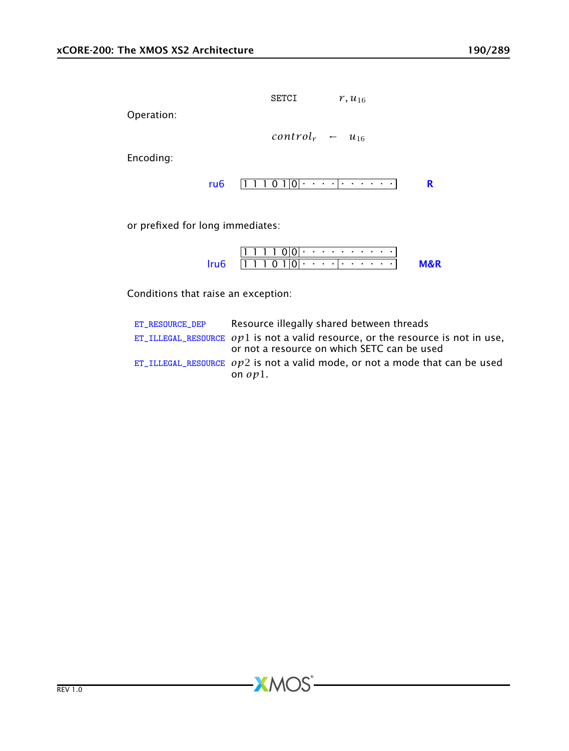**SETCI** 
$$
r, u_{16}
$$

Operation:

$$
control_r \leftarrow u_{16}
$$

Encoding:

$$
ru6 \quad [1\ 1\ 1\ 0\ 1]0|\cdot \cdot \cdot \cdot|\cdot \cdot \cdot \cdot \cdot \cdot \cdot \cdot \cdot \cdot \quad \mathbf{R}
$$

or prefixed for long immediates:

| $[1\ 1\ 1\ 0\ 1]0]$ |  |  |  |  |  |  |  |  |  |
|---------------------|--|--|--|--|--|--|--|--|--|

Conditions that raise an exception:

| ET RESOURCE DEP | Resource illegally shared between threads                                                                                        |
|-----------------|----------------------------------------------------------------------------------------------------------------------------------|
|                 | ET_ILLEGAL_RESOURCE $op1$ is not a valid resource, or the resource is not in use,<br>or not a resource on which SETC can be used |
|                 | ET_ILLEGAL_RESOURCE $op2$ is not a valid mode, or not a mode that can be used<br>on $op1.$                                       |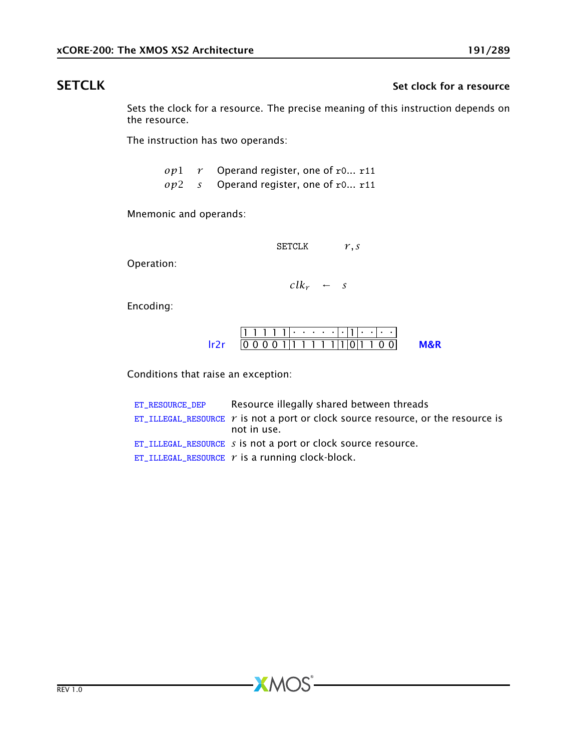# SETCLK SETCLK SETCLK Set clock for a resource

<span id="page-190-0"></span>Sets the clock for a resource. The precise meaning of this instruction depends on the resource.

The instruction has two operands:

| op1 | $r$ Operand register, one of r0 r11     |  |
|-----|-----------------------------------------|--|
|     | $op2$ s Operand register, one of r0 r11 |  |

Mnemonic and operands:

SETCLK *r, s*

Operation:

 $clk_r$  ← *s* 

Encoding:

$$
\frac{111111\cdot\cdots\cdot\cdot\cdot\cdot\cdot\cdot\cdot\cdot\cdot}{000001|111111|0|1100} \qquad \text{M&R}
$$

Conditions that raise an exception:

| ET_RESOURCE_DEP | Resource illegally shared between threads                                                              |
|-----------------|--------------------------------------------------------------------------------------------------------|
|                 | ET_ILLEGAL_RESOURCE $\gamma$ is not a port or clock source resource, or the resource is<br>not in use. |
|                 | $ET$ _ILLEGAL_RESOURCE $s$ is not a port or clock source resource.                                     |
|                 | ET_ILLEGAL_RESOURCE $r$ is a running clock-block.                                                      |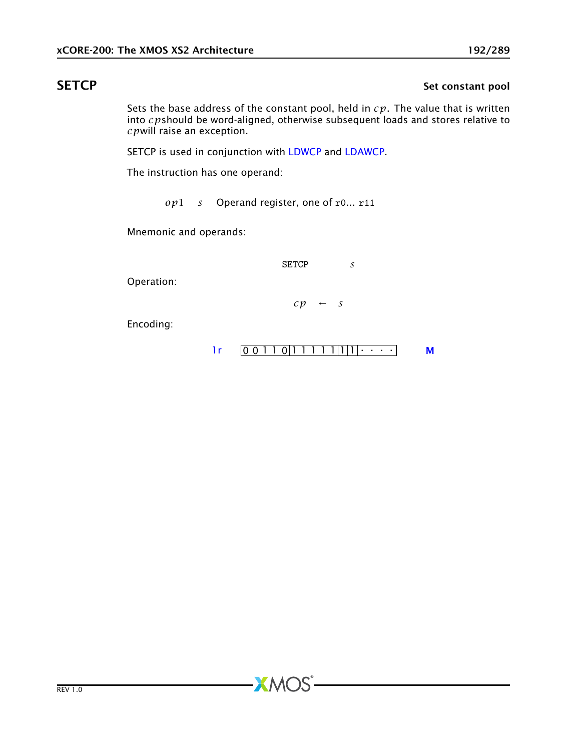# SETCP SETCP Set constant pool

Sets the base address of the constant pool, held in *cp*. The value that is written into *cp*should be word-aligned, otherwise subsequent loads and stores relative to *cp*will raise an exception.

SETCP is used in conjunction with [LDWCP](#page-153-0) and [LDAWCP.](#page-137-0)

The instruction has one operand:

*op*1 *s* Operand register, one of r0... r11

**XMOS** 

Mnemonic and operands:

SETCP *s*

Operation:

 $cp \leftarrow s$ 

Encoding:

$$
lr \qquad \boxed{0\ 0\ 1\ 1\ 0\ 1\ 1\ 1\ 1\ 1\ 1\ 1\ 1\ 1\ 1\ 1\ \cdots \qquad \qquad M}
$$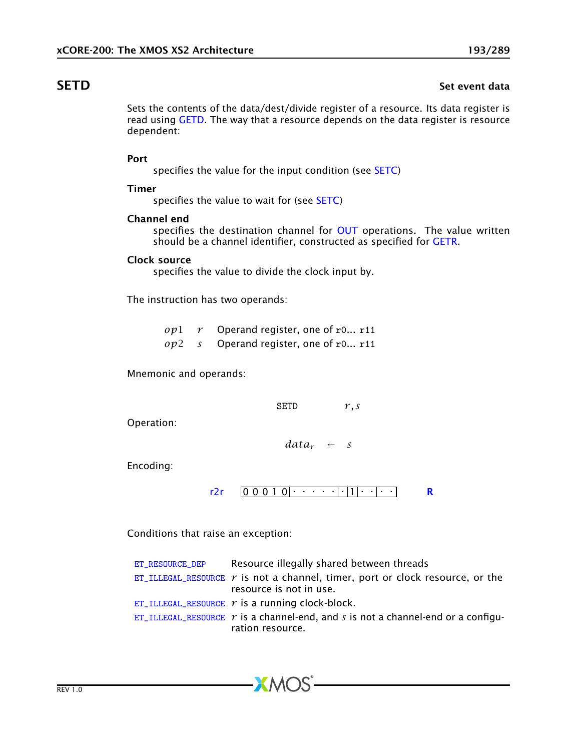# SETD SET EXAMPLE SET EXAMPLE THE SET EXAMPLE SET EXAMPLE SET EXAMPLE SET EXAMPLE SET EXAMPLE SET EXAMPLE SET E

<span id="page-192-0"></span>Sets the contents of the data/dest/divide register of a resource. Its data register is read using [GETD.](#page-104-0) The way that a resource depends on the data register is resource dependent:

### Port

specifies the value for the input condition (see [SETC\)](#page-186-0)

### Timer

specifies the value to wait for (see [SETC\)](#page-186-0)

### Channel end

specifies the destination channel for [OUT](#page-174-0) operations. The value written should be a channel identifier, constructed as specified for [GETR.](#page-112-0)

### Clock source

specifies the value to divide the clock input by.

The instruction has two operands:

*op*1 *r* Operand register, one of r0... r11 *op*2 *s* Operand register, one of r0... r11

Mnemonic and operands:

SETD *r, s*

Operation:

*data<sup>r</sup>* ← *s*

Encoding:

$$
r2r \quad 0 \quad 0 \quad 0 \quad 1 \quad 0 \mid \cdot \cdot \cdot \cdot \cdot \cdot \mid \cdot \mid 1 \mid \cdot \cdot \cdot \mid \cdot \cdot \cdot \mid \cdot \cdot \mid \cdot
$$

Conditions that raise an exception:

| ET_RESOURCE_DEP | Resource illegally shared between threads                                                                       |
|-----------------|-----------------------------------------------------------------------------------------------------------------|
|                 | ET_ILLEGAL_RESOURCE $\gamma$ is not a channel, timer, port or clock resource, or the<br>resource is not in use. |
|                 | ET_ILLEGAL_RESOURCE $r$ is a running clock-block.                                                               |
|                 | ET_ILLEGAL_RESOURCE $\gamma$ is a channel-end, and s is not a channel-end or a configu-<br>ration resource.     |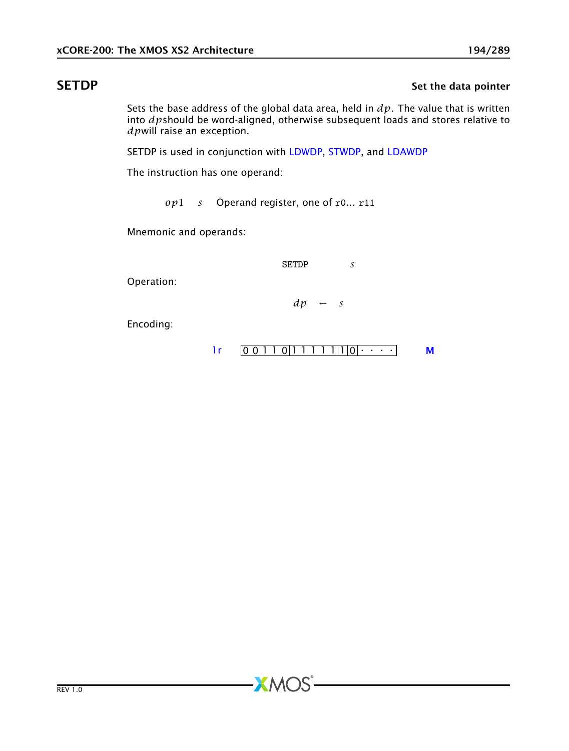# SETDP SET SET UP AND SET UP AND SET UP AND SET UP AND SET UP AND SET UP AND SET UP AND SET UP AND SET UP AND SET UP AND SET UP AND SET UP AND SET UP AND SET UP AND SET UP AND SET UP AND SET UP AND SET UP AND SET UP AND SET

Sets the base address of the global data area, held in *dp*. The value that is written into *dp*should be word-aligned, otherwise subsequent loads and stores relative to *dp*will raise an exception.

SETDP is used in conjunction with [LDWDP,](#page-155-0) [STWDP,](#page-223-0) and [LDAWDP](#page-138-0)

The instruction has one operand:

*op*1 *s* Operand register, one of r0... r11

**XMOS** 

Mnemonic and operands:

SETDP *s*

Operation:

*dp* ← *s*

Encoding:

$$
lr \qquad 0 \qquad 0 \qquad 1 \qquad 1 \qquad 0 \qquad 1 \qquad 1 \qquad 1 \qquad 1 \qquad 1 \qquad 1 \qquad 0 \qquad 0 \qquad \cdots
$$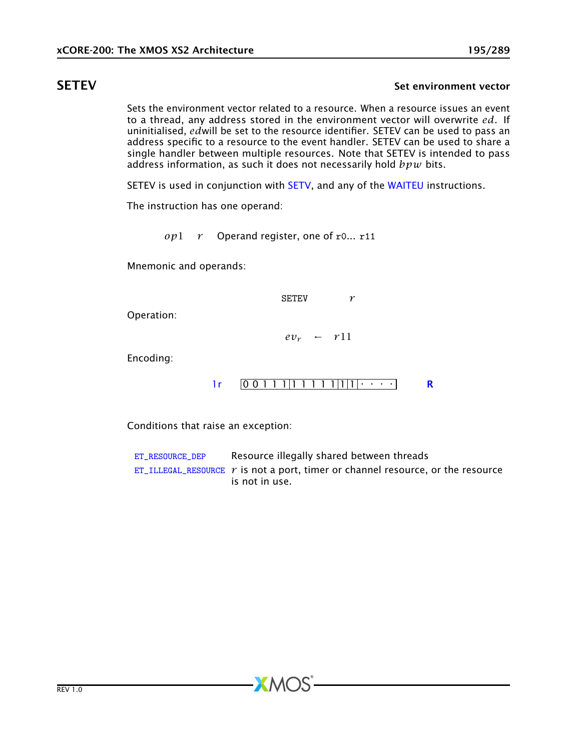## SETEV SETEV SETEV SET EN EXPLORER SET EN EXPLORER SET EN EXPLORER SET EN EXPLORER SET EN ELECTRICIAL SET EN EL

<span id="page-194-0"></span>Sets the environment vector related to a resource. When a resource issues an event to a thread, any address stored in the environment vector will overwrite *ed*. If uninitialised, *ed*will be set to the resource identifier. SETEV can be used to pass an address specific to a resource to the event handler. SETEV can be used to share a single handler between multiple resources. Note that SETEV is intended to pass address information, as such it does not necessarily hold *bpw* bits.

SETEV is used in conjunction with [SETV,](#page-204-0) and any of the [WAITEU](#page-242-0) instructions.

The instruction has one operand:

*op*1 *r* Operand register, one of r0... r11

Mnemonic and operands:

SETEV *r*

Operation:

 $ev_r$  ←  $r11$ 

Encoding:



Conditions that raise an exception:

[ET\\_RESOURCE\\_DEP](#page-281-0) Resource illegally shared between threads [ET\\_ILLEGAL\\_RESOURCE](#page-276-0)  $r$  is not a port, timer or channel resource, or the resource is not in use.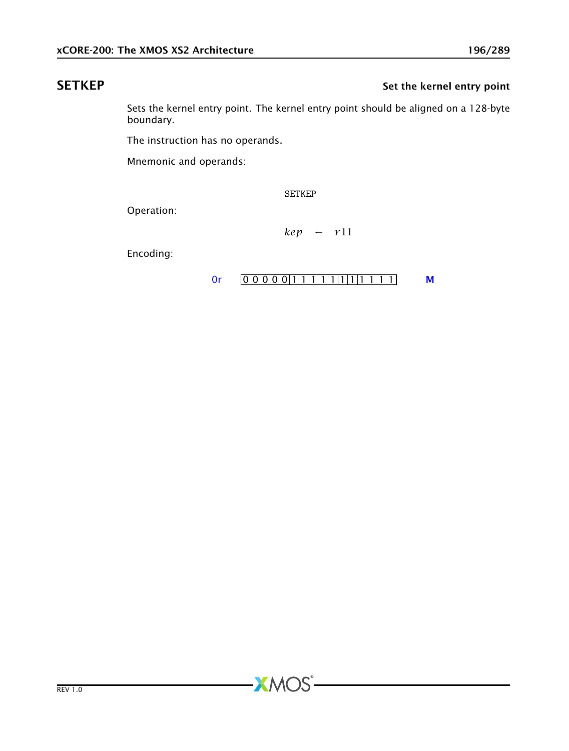# SETKEP Set the kernel entry point

Sets the kernel entry point. The kernel entry point should be aligned on a 128-byte boundary.

The instruction has no operands.

Mnemonic and operands:

SETKEP

**XMOS** 

Operation:

*kep* ← *r*11

Encoding:

### [0r](#page-265-0)  $[0 0 0 0 0 1 1 1 1 1 1 1 1 1 1 1]$  [M](#page-285-0)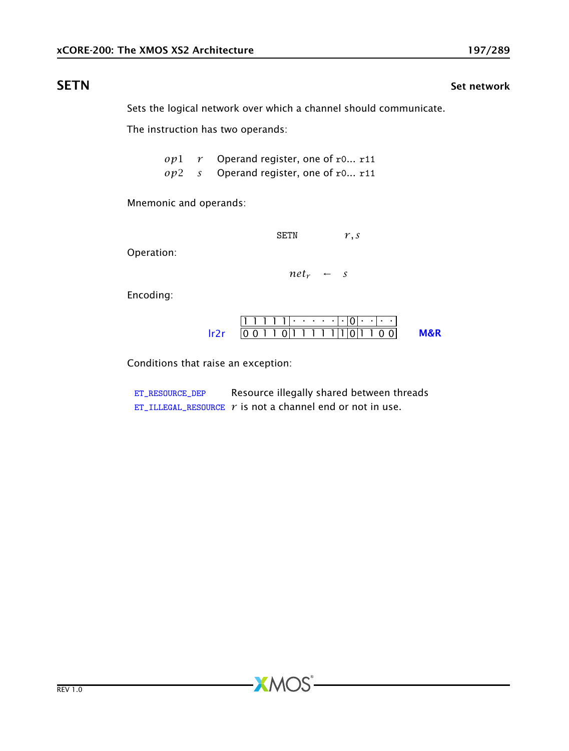Sets the logical network over which a channel should communicate.

The instruction has two operands:

*op*1 *r* Operand register, one of r0... r11 *op*2 *s* Operand register, one of r0... r11

Mnemonic and operands:

SETN *r, s*

Operation:

 $net<sub>r</sub> \leftarrow s$ 

Encoding:

$$
\frac{111111 \cdot \cdot \cdot \cdot \cdot |0| \cdot |0 \cdot}{00110111111101100} \quad \text{M&R}
$$

Conditions that raise an exception:

[ET\\_RESOURCE\\_DEP](#page-281-0) Resource illegally shared between threads [ET\\_ILLEGAL\\_RESOURCE](#page-276-0)  $r$  is not a channel end or not in use.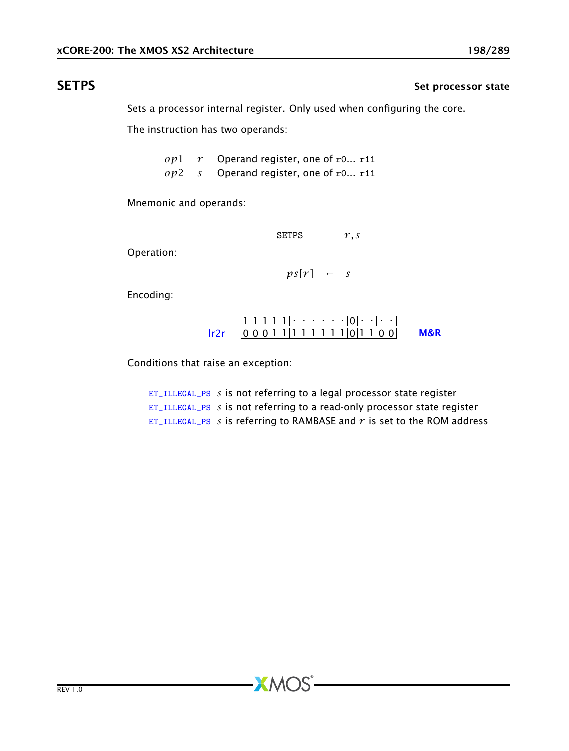# SETPS Set processor state

Sets a processor internal register. Only used when configuring the core.

The instruction has two operands:

*op*1 *r* Operand register, one of r0... r11 *op*2 *s* Operand register, one of r0... r11

Mnemonic and operands:

SETPS *r, s*

Operation:

 $ps[r]$  ← *s* 

Encoding:

$$
\frac{111111 \cdot \cdot \cdot \cdot \cdot |0| \cdot |0 \cdot}{0001111111110011100} \quad \text{M&R}
$$

Conditions that raise an exception:

[ET\\_ILLEGAL\\_PS](#page-278-0) *s* is not referring to a legal processor state register [ET\\_ILLEGAL\\_PS](#page-278-0) *s* is not referring to a read-only processor state register [ET\\_ILLEGAL\\_PS](#page-278-0) *s* is referring to RAMBASE and *r* is set to the ROM address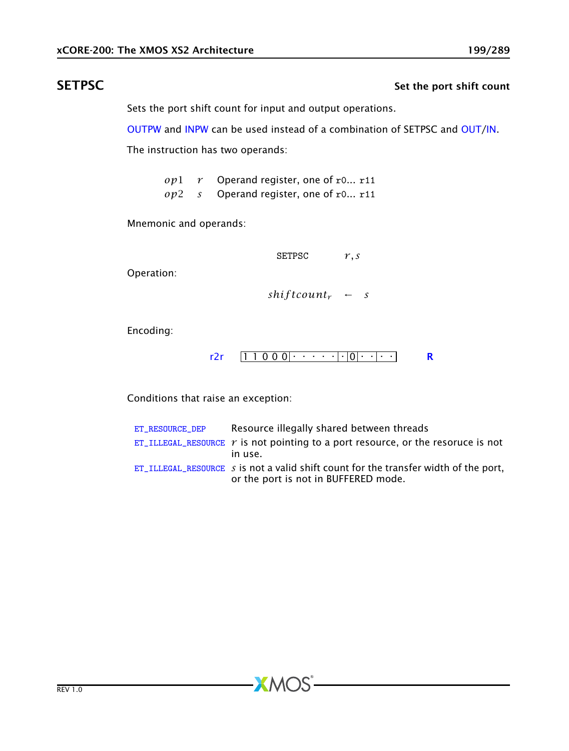# SETPSC SETPS Set the port shift count

Sets the port shift count for input and output operations.

[OUTPW](#page-177-0) and [INPW](#page-120-0) can be used instead of a combination of SETPSC and [OUT/](#page-174-0)[IN.](#page-118-0)

The instruction has two operands:

*op*1 *r* Operand register, one of r0... r11 *op*2 *s* Operand register, one of r0... r11

Mnemonic and operands:

SETPSC *r, s*

Operation:

 $shiftcount_r$  ← *s* 

Encoding:

$$
r2r \quad [11000] \cdot \cdot \cdot [0] \cdot [0]
$$

Conditions that raise an exception:

| ET RESOURCE DEP | Resource illegally shared between threads                                                                                         |
|-----------------|-----------------------------------------------------------------------------------------------------------------------------------|
|                 | ET_ILLEGAL_RESOURCE $r$ is not pointing to a port resource, or the resoruce is not<br>in use.                                     |
|                 | ET_ILLEGAL_RESOURCE $\,$ s is not a valid shift count for the transfer width of the port,<br>or the port is not in BUFFERED mode. |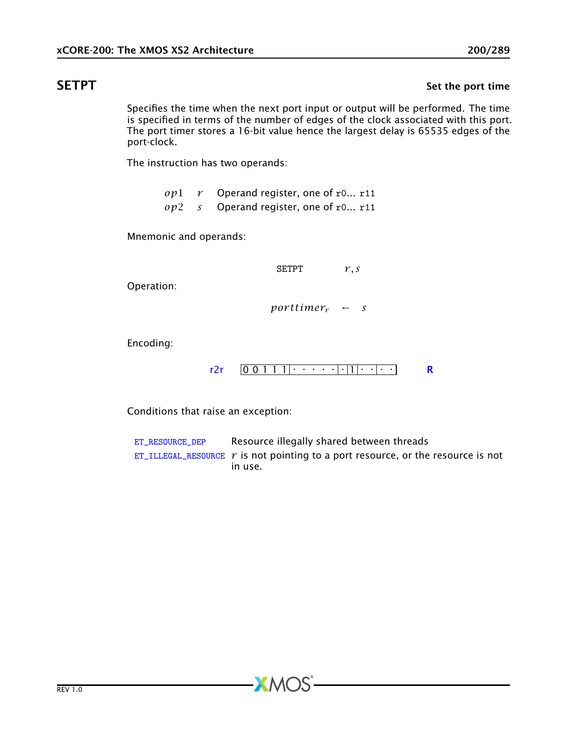## SETPT SET SET THE SET OF SET OF SET OF SET OF SET OF SET OF SET OF SET OF SET OF SET OF SET OF SET OF SET OF S

Specifies the time when the next port input or output will be performed. The time is specified in terms of the number of edges of the clock associated with this port. The port timer stores a 16-bit value hence the largest delay is 65535 edges of the port-clock.

The instruction has two operands:

*op*1 *r* Operand register, one of r0... r11 *op*2 *s* Operand register, one of r0... r11

Mnemonic and operands:

SETPT *r, s*

Operation:

 $porttimer_r$  ← *s* 

Encoding:

 $r2r$   $[0 0 1 1 1] \cdot \cdot \cdot \cdot \cdot \cdot | \cdot | 1 | \cdot \cdot \cdot | \cdot \cdot$  [R](#page-286-0)

Conditions that raise an exception:

[ET\\_RESOURCE\\_DEP](#page-281-0) Resource illegally shared between threads [ET\\_ILLEGAL\\_RESOURCE](#page-276-0)  $r$  is not pointing to a port resource, or the resource is not in use.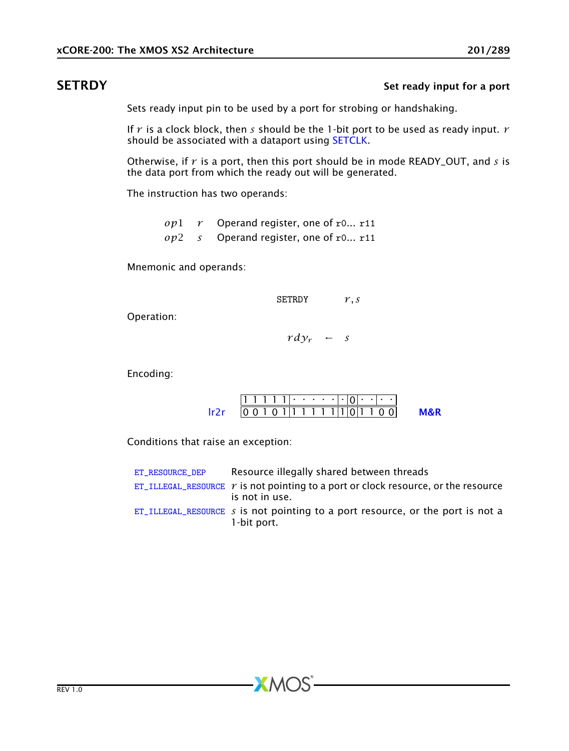## **SETRDY** SETRO SETRO SET REALLY SET REALLY SET REALLY SET REALLY SET REALLY SET REALLY SET REALLY SET A POST OF A POST OF A POST OF A POST OF A POST OF A POST OF A POST OF A POST OF A POST OF A POST OF A POST OF A POST OF

Sets ready input pin to be used by a port for strobing or handshaking.

If *r* is a clock block, then *s* should be the 1-bit port to be used as ready input. *r* should be associated with a dataport using [SETCLK.](#page-190-0)

Otherwise, if *r* is a port, then this port should be in mode READY\_OUT, and *s* is the data port from which the ready out will be generated.

The instruction has two operands:

*op*1 *r* Operand register, one of r0... r11 *op*2 *s* Operand register, one of r0... r11

Mnemonic and operands:

$$
\begin{array}{ccc}\n\text{SETRDY} & r, s \\
\text{Vd}y_r & \leftarrow & s\n\end{array}
$$

Encoding:

Operation:

| 0010111111101100 |  |  |  |  |  |  |  |  |
|------------------|--|--|--|--|--|--|--|--|

Conditions that raise an exception:

| ET RESOURCE DEP | Resource illegally shared between threads                                                                   |
|-----------------|-------------------------------------------------------------------------------------------------------------|
|                 | ET_ILLEGAL_RESOURCE $\gamma$ is not pointing to a port or clock resource, or the resource<br>is not in use. |
|                 | ET_ILLEGAL_RESOURCE s is not pointing to a port resource, or the port is not a<br>1-bit port.               |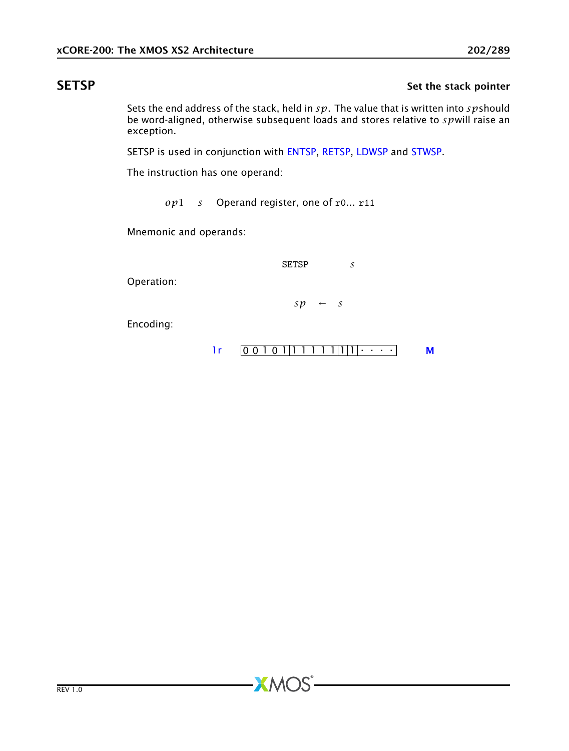# SETSP Set the stack pointer

Sets the end address of the stack, held in *sp*. The value that is written into *sp*should be word-aligned, otherwise subsequent loads and stores relative to *sp*will raise an exception.

SETSP is used in conjunction with [ENTSP,](#page-97-0) [RETSP,](#page-184-0) [LDWSP](#page-156-0) and [STWSP.](#page-224-0)

The instruction has one operand:

*op*1 *s* Operand register, one of r0... r11

**XMOS** 

Mnemonic and operands:

SETSP *s*

Operation:

 $sp \leftarrow s$ 

Encoding:

$$
lr \qquad \boxed{00101|11111|1|1|1111}
$$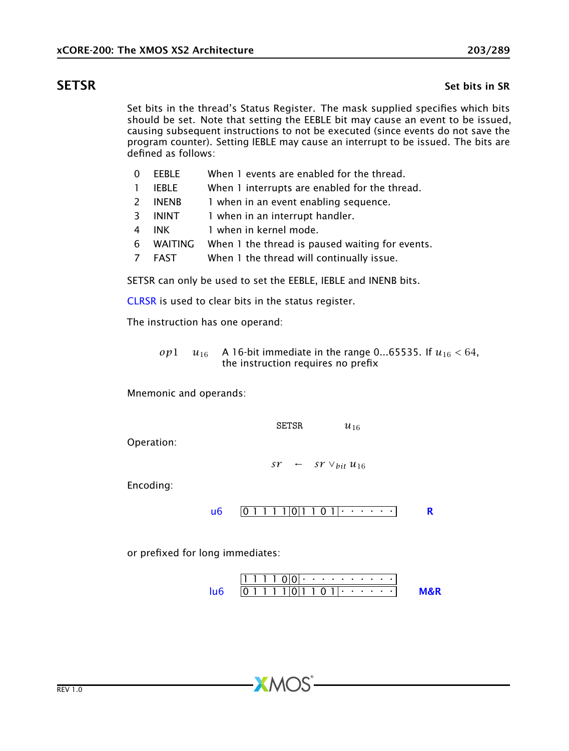### **SETSR** Set bits in SR

Set bits in the thread's Status Register. The mask supplied specifies which bits should be set. Note that setting the EEBLE bit may cause an event to be issued, causing subsequent instructions to not be executed (since events do not save the program counter). Setting IEBLE may cause an interrupt to be issued. The bits are defined as follows:

- 0 EEBLE When 1 events are enabled for the thread.
- 1 IEBLE When 1 interrupts are enabled for the thread.
- 2 INENB 1 when in an event enabling sequence.
- 3 ININT 1 when in an interrupt handler.
- 4 INK 1 when in kernel mode.
- 6 WAITING When 1 the thread is paused waiting for events.
- 7 FAST When 1 the thread will continually issue.

SETSR can only be used to set the EEBLE, IEBLE and INENB bits.

[CLRSR](#page-75-0) is used to clear bits in the status register.

The instruction has one operand:

*op*1 *u*<sub>16</sub> A 16-bit immediate in the range 0...65535. If  $u_{16} < 64$ , the instruction requires no prefix

Mnemonic and operands:

SETSR  $u_{16}$ 

Operation:

*sr* ← *sr*  $∨$ *bit*  $u_{16}$ 

Encoding:

 $\frac{1}{10}$  0 1 1 1 1 0 1 1 0 1  $\cdots$ 

or prefixed for long immediates:

$$
\frac{111100\cdot\cdot\cdot\cdot\cdot\cdot\cdot\cdot\cdot\cdot}{011110011011\cdot\cdot\cdot\cdot\cdot\cdot}
$$
 **M&R**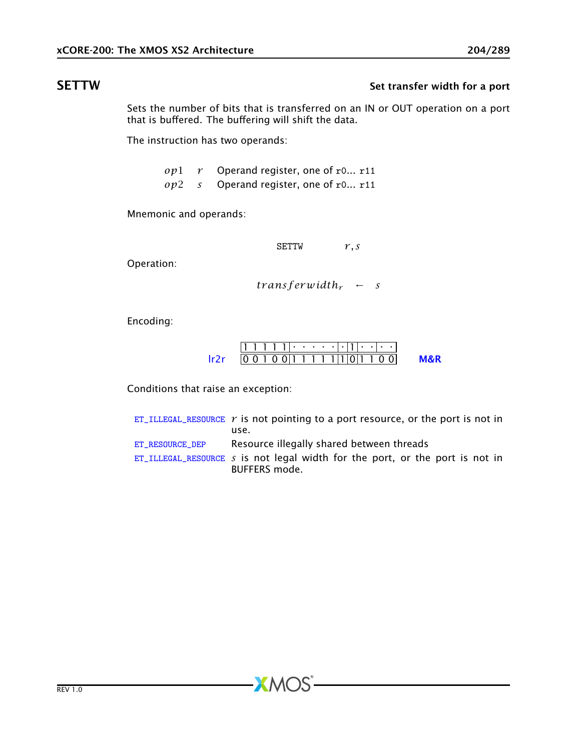# SETTW Set transfer width for a port

Sets the number of bits that is transferred on an IN or OUT operation on a port that is buffered. The buffering will shift the data.

The instruction has two operands:

*op*1 *r* Operand register, one of r0... r11 *op*2 *s* Operand register, one of r0... r11

Mnemonic and operands:

SETTW *r, s*

Operation:

 $transf$ *erwidth<sub>r</sub>* ← *s* 

Encoding:

|  |  | 10 1 1 0 1 1 1 1 1 1 1 1 1 1 1 1 0 |  |  |  |  |  |  |  |
|--|--|------------------------------------|--|--|--|--|--|--|--|

Conditions that raise an exception:

[ET\\_ILLEGAL\\_RESOURCE](#page-276-0)  $r$  is not pointing to a port resource, or the port is not in use. [ET\\_RESOURCE\\_DEP](#page-281-0) Resource illegally shared between threads [ET\\_ILLEGAL\\_RESOURCE](#page-276-0) *s* is not legal width for the port, or the port is not in BUFFERS mode.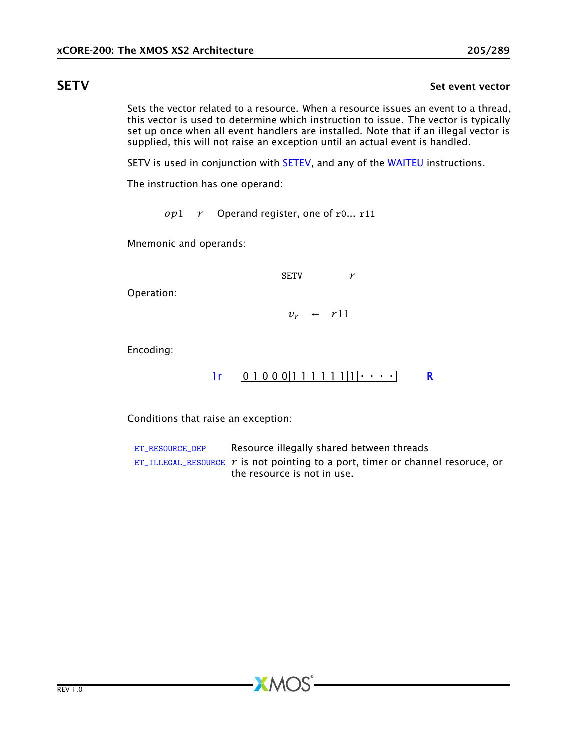## **SETV** Set event vector

<span id="page-204-0"></span>Sets the vector related to a resource. When a resource issues an event to a thread, this vector is used to determine which instruction to issue. The vector is typically set up once when all event handlers are installed. Note that if an illegal vector is supplied, this will not raise an exception until an actual event is handled.

SETV is used in conjunction with [SETEV,](#page-194-0) and any of the [WAITEU](#page-242-0) instructions.

The instruction has one operand:

*op*1 *r* Operand register, one of r0... r11

Mnemonic and operands:

SETV *r*

Operation:

 $v_r \leftarrow r11$ 

Encoding:

[1r](#page-264-0) 0 1 0 0 0 1 1 1 1 1 1 1 . . . . [R](#page-286-0)

Conditions that raise an exception:

[ET\\_RESOURCE\\_DEP](#page-281-0) Resource illegally shared between threads [ET\\_ILLEGAL\\_RESOURCE](#page-276-0)  $r$  is not pointing to a port, timer or channel resoruce, or the resource is not in use.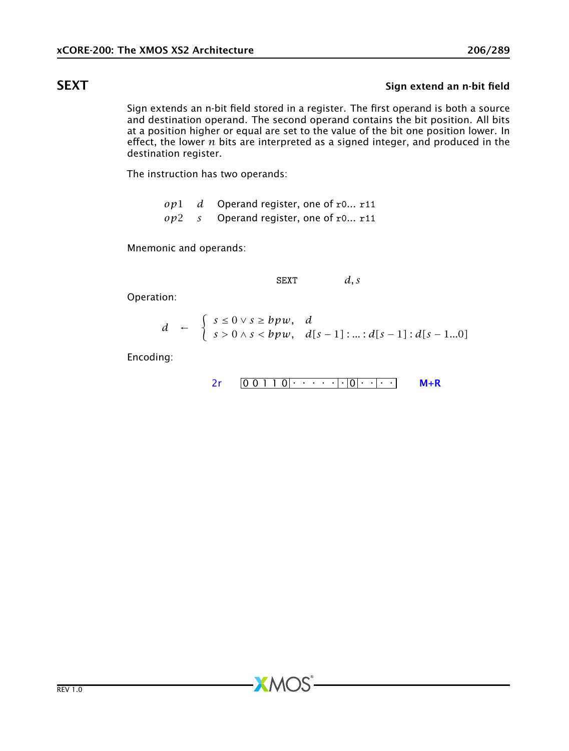# **SEXT** SEXT

Sign extends an n-bit field stored in a register. The first operand is both a source and destination operand. The second operand contains the bit position. All bits at a position higher or equal are set to the value of the bit one position lower. In effect, the lower *n* bits are interpreted as a signed integer, and produced in the destination register.

The instruction has two operands:

*op*1 *d* Operand register, one of r0... r11 *op*2 *s* Operand register, one of r0... r11

Mnemonic and operands:

SEXT *d, s*

Operation:

$$
d \leftarrow \begin{cases} s \leq 0 \vee s \geq bpw, & d \\ s > 0 \wedge s < bpw, \end{cases} d[s-1] \cdot \ldots \cdot d[s-1] \cdot d[s-1...0]
$$

 $XMOS$ 

Encoding:

$$
2r \qquad 0 \qquad 0 \qquad 1 \qquad 1 \qquad 0 \qquad \cdots \qquad \qquad \cdot \qquad |0| \qquad \cdot \qquad \cdot \qquad \qquad \mathsf{M} + \mathsf{R}
$$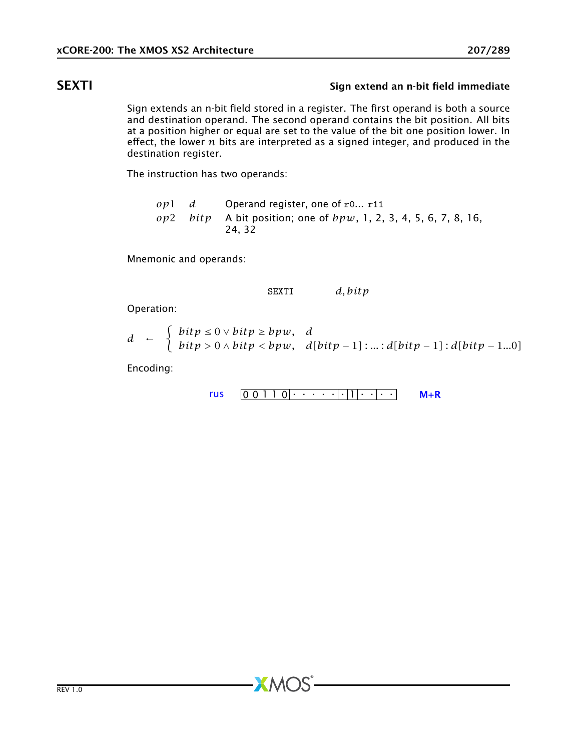# SEXTI SEXTI Sign extend an n-bit field immediate

Sign extends an n-bit field stored in a register. The first operand is both a source and destination operand. The second operand contains the bit position. All bits at a position higher or equal are set to the value of the bit one position lower. In effect, the lower *n* bits are interpreted as a signed integer, and produced in the destination register.

The instruction has two operands:

*op*1 *d* Operand register, one of r0... r11 *op*2 *bitp* A bit position; one of *bpw*, 1, 2, 3, 4, 5, 6, 7, 8, 16, 24, 32

Mnemonic and operands:

SEXTI *d, bitp*

Operation:

$$
d \leftarrow \begin{cases} \text{bit } p \leq 0 \vee \text{bit } p \geq b p w, & d \\ \text{bit } p > 0 \wedge \text{bit } p < b p w, & d[\text{bit } p-1] : ... : d[\text{bit } p-1] : d[\text{bit } p-1...0] \end{cases}
$$

Encoding:

$$
rus \quad \boxed{0\ 0\ 1\ 1\ 0} \cdot \cdot \cdot \cdot \cdot \cdot \cdot \cdot \cdot \cdot \cdot \cdot \cdot \cdot \cdot \quad \mathsf{M} + \mathsf{R}
$$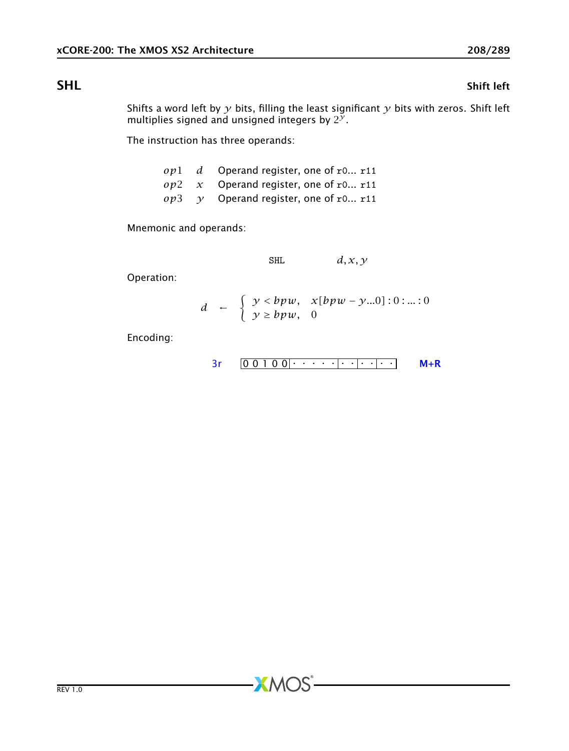## SHL Shift left

Shifts a word left by *y* bits, filling the least significant *y* bits with zeros. Shift left multiplies signed and unsigned integers by  $2^y$ .

The instruction has three operands:

|  | $op1$ d Operand register, one of r0 r11            |
|--|----------------------------------------------------|
|  | $op2 \, x$ Operand register, one of r0 r11         |
|  | $op3 \quad \gamma$ Operand register, one of r0 r11 |

Mnemonic and operands:

$$
\text{SHL} \qquad d, x, y
$$

Operation:

$$
d \quad \leftarrow \quad \left\{ \begin{array}{ll} y < bpw, & x[bpw - y...0]:0:...:0 \\ y \geq bpw, & 0 \end{array} \right.
$$

**XMOS** 

Encoding:

[3r](#page-249-0) 0 0 1 0 0 . . . . . . . . . . . [M+R](#page-287-0)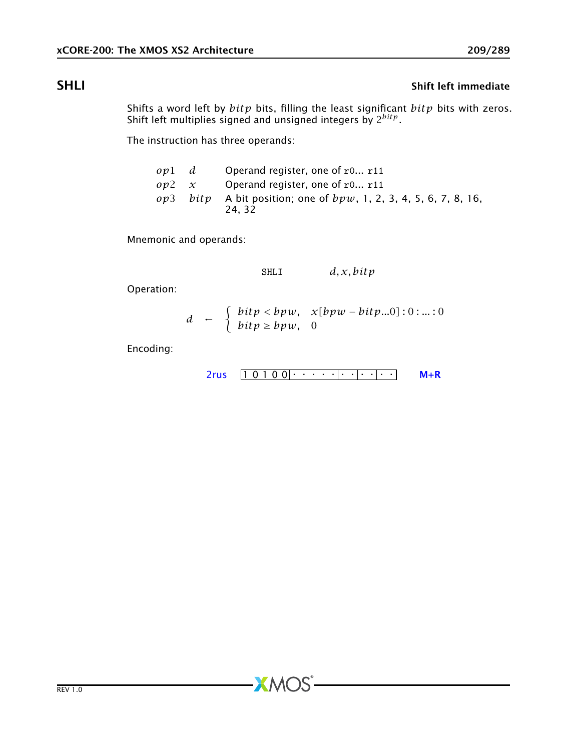# **SHLI** SHLI SHELI SHELI Shift left immediate

Shifts a word left by *bitp* bits, filling the least significant *bitp* bits with zeros. Shift left multiplies signed and unsigned integers by 2 *bitp*.

The instruction has three operands:

| ov1 d | Operand register, one of $r0$ $r11$                                   |
|-------|-----------------------------------------------------------------------|
|       | $op2 \, x$ Operand register, one of r0 r11                            |
|       | $op3$ bitp A bit position; one of $bpw$ , 1, 2, 3, 4, 5, 6, 7, 8, 16, |
|       | 24.32                                                                 |

Mnemonic and operands:

$$
\mathtt{SHLI} \qquad d, x, bitp
$$

Operation:

$$
d \leftarrow \begin{cases} \text{bitp} < \text{bpw}, & \text{x}[\text{bpw} - \text{bitp}...0]:0:...:0 \\ \text{bitp} \ge \text{bpw}, & 0 \end{cases}
$$

Encoding:

$$
2rus \quad [1 0 1 0 0] \cdot \cdot \cdot \cdot ] \cdot \cdot ] \cdot \cdot \cdot \quad \mathsf{M} + \mathsf{R}
$$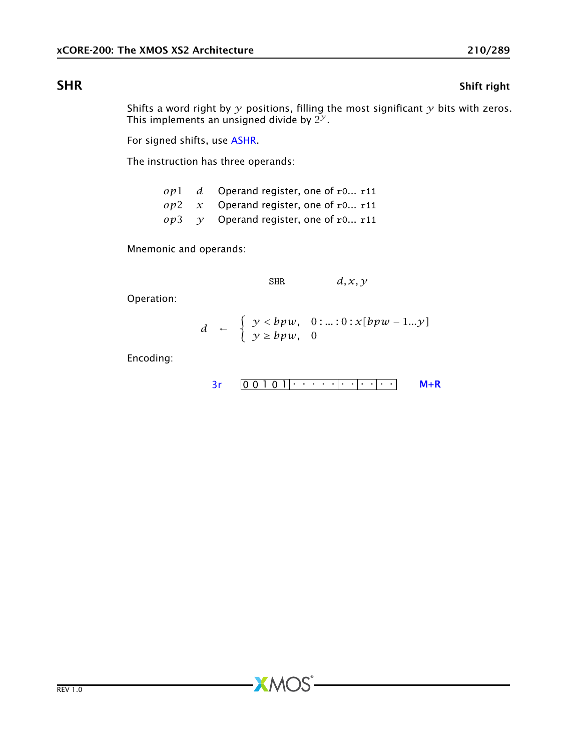# **SHR** SHR

Shifts a word right by *y* positions, filling the most significant *y* bits with zeros. This implements an unsigned divide by  $2^\mathcal{Y}.$ 

For signed shifts, use [ASHR.](#page-54-0)

The instruction has three operands:

|  | $op1$ d Operand register, one of r0 r11            |
|--|----------------------------------------------------|
|  | $op2 \, x$ Operand register, one of r0 r11         |
|  | $op3 \quad \gamma$ Operand register, one of r0 r11 |

Mnemonic and operands:

SHR *d, x, y*

Operation:

$$
d \leftarrow \begin{cases} y < bpw, & 0: \ldots: 0: x[bpw - 1...y] \\ y \ge bpw, & 0 \end{cases}
$$

**XMOS** 

Encoding:

$$
3r \qquad 0 \qquad 0 \qquad 1 \qquad 0 \qquad 1 \qquad 1 \qquad \cdots \qquad 1 \qquad \cdots \qquad 0
$$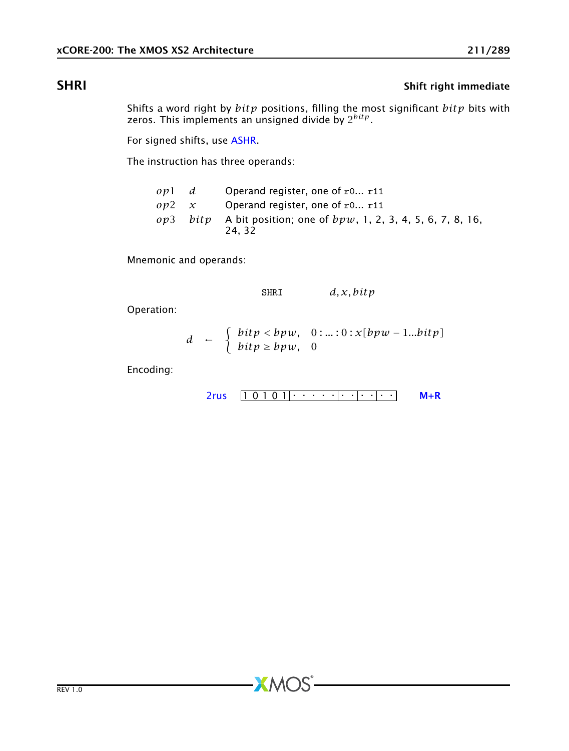# SHRI SHRI SHRI SHERI SHERI SHERI SHERI SHERI SHERI SHERI SHERI SHERI SHERI SHERI SHERI SHERI SHERI SHERI SHERI SHERI SHERI SHERI SHERI SHERI SHERI SHERI SHERI SHERI SHERI SHERI SHERI SHERI SHERI SHERI SHERI SHERI SHERI SHE

Shifts a word right by *bitp* positions, filling the most significant *bitp* bits with zeros. This implements an unsigned divide by 2 *bitp*.

For signed shifts, use [ASHR.](#page-54-0)

The instruction has three operands:

| ov1 d |               | Operand register, one of $r0$ r11                                            |
|-------|---------------|------------------------------------------------------------------------------|
|       | $op2 \quad x$ | Operand register, one of $r0$ $r11$                                          |
|       |               | op3 bitp A bit position; one of $bpw$ , 1, 2, 3, 4, 5, 6, 7, 8, 16,<br>24.32 |

Mnemonic and operands:

SHRI *d, x, bitp*

Operation:

$$
d \leftarrow \begin{cases} \text{bitp} < \text{bpw}, \quad 0: \ldots: 0: x[\text{bpw} - 1 \ldots \text{bitp}] \\ \text{bitp} \ge \text{bpw}, \quad 0 \end{cases}
$$

Encoding:

$$
2rus \quad \boxed{1 \ 0 \ 1 \ 0 \ 1} \cdot \cdot \cdot \cdot \cdot \cdot \cdot \cdot \cdot \cdot \cdot \cdot \quad \text{M+R}
$$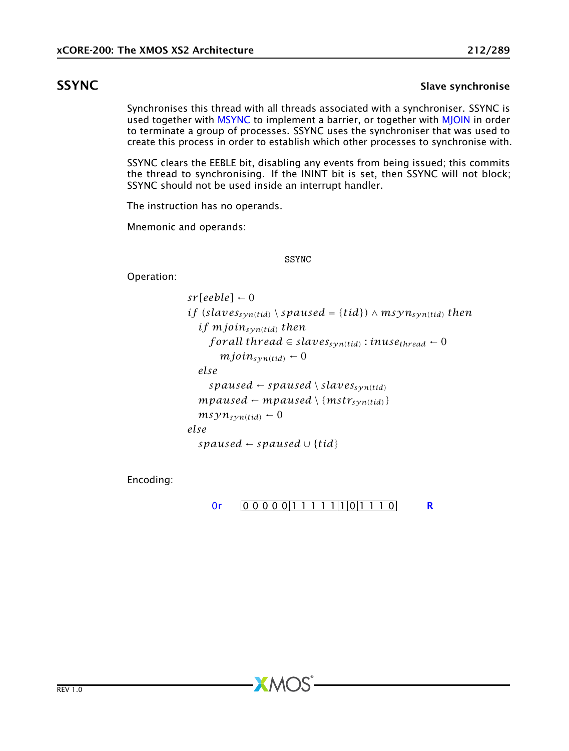## SSYNC SEXET STATES SAND STATES SEXET STATES STATES STATES STATES STATES STATES STATES STATES STATES STATES STATES STATES STATES STATES STATES STATES STATES STATES STATES STATES STATES STATES STATES STATES STATES STATES STA

Synchronises this thread with all threads associated with a synchroniser. SSYNC is used together with [MSYNC](#page-168-0) to implement a barrier, or together with [MJOIN](#page-165-0) in order to terminate a group of processes. SSYNC uses the synchroniser that was used to create this process in order to establish which other processes to synchronise with.

SSYNC clears the EEBLE bit, disabling any events from being issued; this commits the thread to synchronising. If the ININT bit is set, then SSYNC will not block; SSYNC should not be used inside an interrupt handler.

The instruction has no operands.

Mnemonic and operands:

SSYNC

Operation:

 $sr[eeble] \leftarrow 0$ *if* (*slaves*<sub>*syn*(*tid*)</sub>  $\setminus$  *spaused* = {*tid*} $\setminus$   $\land$  *msyn*<sub>*syn*(*tid*) *then*</sub> *if mjoinsyn(tid) then f* or all thread  $\in$  *slaves*<sub>*syn*(tid)</sub> : *inuse<sub>thread</sub>*  $\leftarrow$  0  $mjoin_{syn(tid)} \leftarrow 0$ *else*  $spansed \leftarrow spaused \setminus slaves_{syn(tid)}$  $mpaused \leftarrow mpaused \setminus \{mstr_{syn(tid)}\}$  $msyn_{syn(tid)} \leftarrow 0$ *else spaused* ← *spaused* ∪ {*tid*}

Encoding:

$$
0r \qquad 0 \qquad 0 \qquad 0 \qquad 0 \qquad 0 \qquad 1 \qquad 1 \qquad 1 \qquad 1 \qquad 1 \qquad 1 \qquad 1 \qquad 0 \qquad 0
$$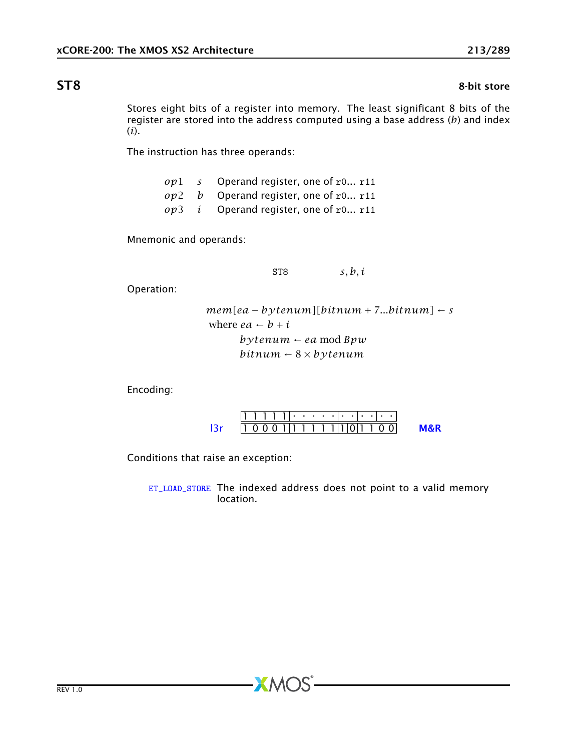### **ST8** 8-bit store

Stores eight bits of a register into memory. The least significant 8 bits of the register are stored into the address computed using a base address (*b*) and index (*i*).

The instruction has three operands:

*op*1 *s* Operand register, one of r0... r11 *op*2 *b* Operand register, one of r0... r11 *op*3 *i* Operand register, one of r0... r11

Mnemonic and operands:

ST8 *s, b, i*

Operation:

```
mem[ea − bytenum][bitnum + 7...bitnum] ← s
where ea \leftarrow b + i
      bytenum ← ea mod Bpw
      bitnum ← 8 × bytenum
```
Encoding:



Conditions that raise an exception:

[ET\\_LOAD\\_STORE](#page-277-0) The indexed address does not point to a valid memory location.

 $\bm{X}$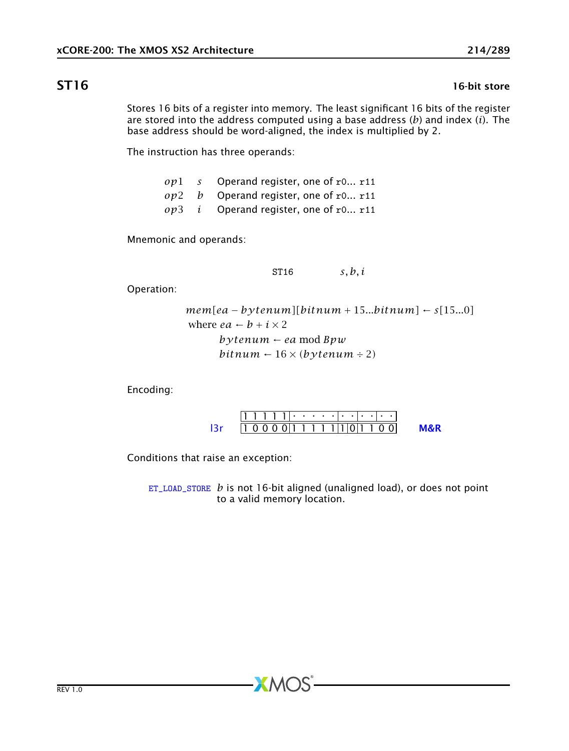### $ST16$  16-bit store

Stores 16 bits of a register into memory. The least significant 16 bits of the register are stored into the address computed using a base address (*b*) and index (*i*). The base address should be word-aligned, the index is multiplied by 2.

The instruction has three operands:

*op*1 *s* Operand register, one of r0... r11 *op*2 *b* Operand register, one of r0... r11 *op*3 *i* Operand register, one of r0... r11

Mnemonic and operands:

ST16 *s, b, i*

Operation:

```
mem[ea − bytenum][bitnum + 15...bitnum] ← s[15...0]
where ea \leftarrow b + i \times 2
       bytenum ← ea mod Bpw
       bitnum \leftarrow 16 \times (bytenum \div 2)
```
Encoding:



Conditions that raise an exception:

[ET\\_LOAD\\_STORE](#page-277-0) *b* is not 16-bit aligned (unaligned load), or does not point to a valid memory location.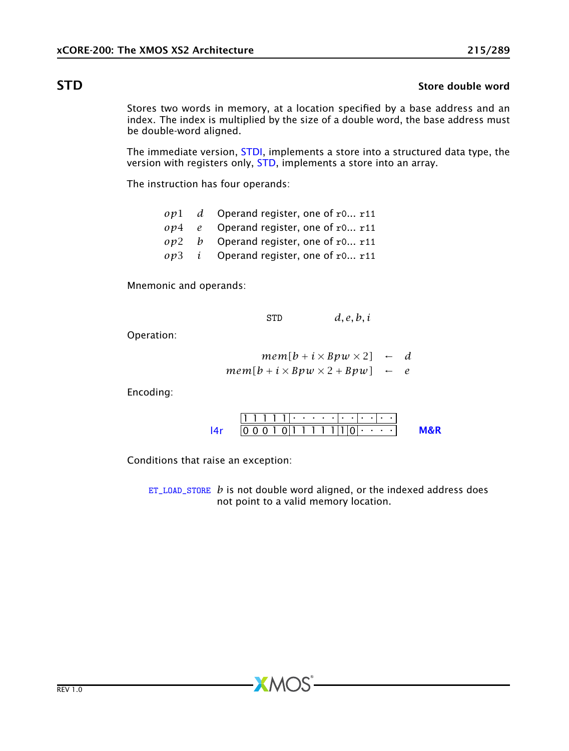# STD STD Store double word and the store double word store double word store double word store double word in the store of  $\sim$

<span id="page-214-0"></span>Stores two words in memory, at a location specified by a base address and an index. The index is multiplied by the size of a double word, the base address must be double-word aligned.

The immediate version, [STDI,](#page-215-0) implements a store into a structured data type, the version with registers only, [STD,](#page-214-0) implements a store into an array.

The instruction has four operands:

|  | $op1$ d Operand register, one of r0 r11 |
|--|-----------------------------------------|
|  | $op4$ e Operand register, one of r0 r11 |
|  | $op2$ b Operand register, one of r0 r11 |

*op*3 *i* Operand register, one of r0... r11

Mnemonic and operands:

$$
\texttt{STD} \qquad d, e, b, i
$$

Operation:

$$
mem[b + i \times Bpw \times 2] \leftarrow d
$$
  
mem[b + i \times Bpw \times 2 + Bpw] \leftarrow e

Encoding:

1 1 1 1 1 . . . . . . . . . . . 0 0 0 1 0 1 1 1 1 1 1 0 . . . . [l4r](#page-267-0) [M&R](#page-288-1)

Conditions that raise an exception:

[ET\\_LOAD\\_STORE](#page-277-0) *b* is not double word aligned, or the indexed address does not point to a valid memory location.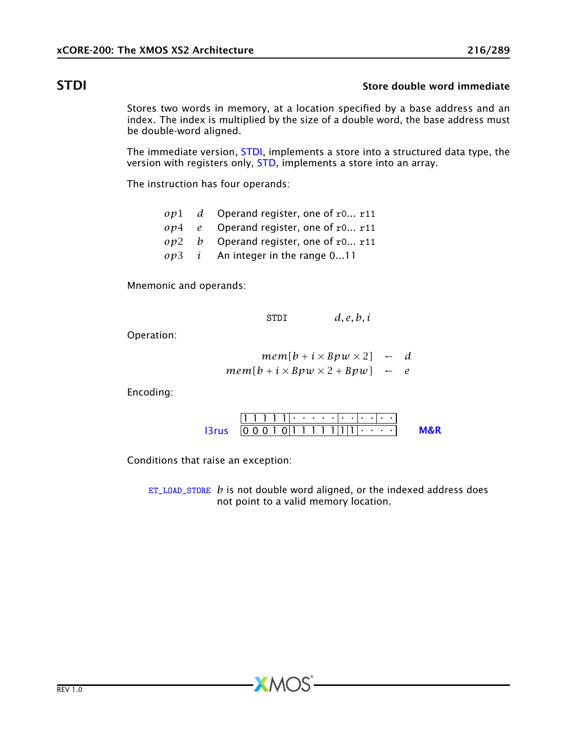# STDI STOP Store double word immediate

<span id="page-215-0"></span>Stores two words in memory, at a location specified by a base address and an index. The index is multiplied by the size of a double word, the base address must be double-word aligned.

The immediate version, [STDI,](#page-215-0) implements a store into a structured data type, the version with registers only, [STD,](#page-214-0) implements a store into an array.

The instruction has four operands:

- *op*1 *d* Operand register, one of r0... r11
- *op*4 *e* Operand register, one of r0... r11
- *op*2 *b* Operand register, one of r0... r11
- *op*3 *i* An integer in the range 0...11

Mnemonic and operands:

$$
\texttt{STDI} \qquad d, e, b, i
$$

Operation:

$$
mem[b + i \times Bpw \times 2] \leftarrow d
$$
  
mem[b + i \times Bpw \times 2 + Bpw] \leftarrow e

Encoding:

1 1 1 1 1 . . . . . . . . . . . 0 0 0 1 0 1 1 1 1 1 1 1 . . . . [l3rus](#page-268-0) [M&R](#page-288-1)

Conditions that raise an exception:

[ET\\_LOAD\\_STORE](#page-277-0) *b* is not double word aligned, or the indexed address does not point to a valid memory location.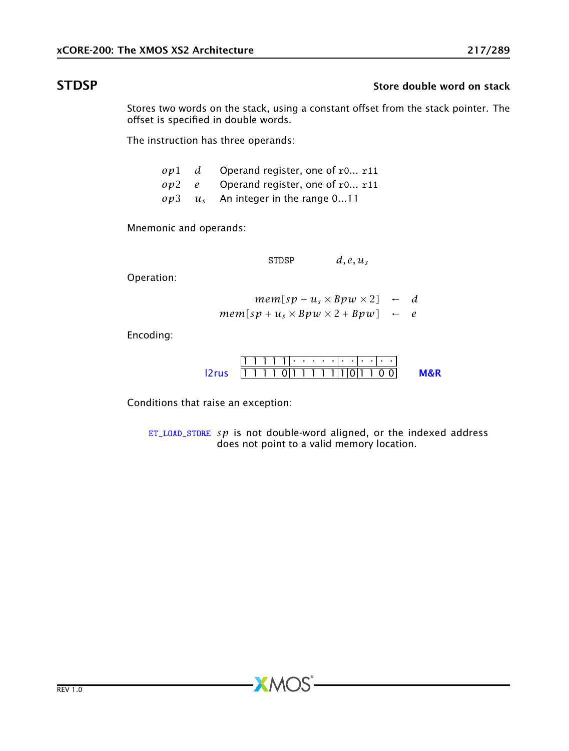## STDSP STDSP Store double word on stack

Stores two words on the stack, using a constant offset from the stack pointer. The offset is specified in double words.

The instruction has three operands:

|  | $op1$ d Operand register, one of r0 r11 |
|--|-----------------------------------------|
|  | $op2$ e Operand register, one of r0 r11 |
|  | $op3 \t us$ An integer in the range 011 |

Mnemonic and operands:

STDSP  $d, e, u_s$ 

Operation:

$$
mem[sp+u_s \times Bpw \times 2] \leftarrow d
$$
  

$$
mem[sp+u_s \times Bpw \times 2 + Bpw] \leftarrow e
$$

Encoding:

1 1 1 1 1 . . . . . . . . . . . [l2rus](#page-252-0) 1 1 1 1 0 1 1 1 1 1 1 0 1 1 0 0 [M&R](#page-288-1)

Conditions that raise an exception:

[ET\\_LOAD\\_STORE](#page-277-0) *sp* is not double-word aligned, or the indexed address does not point to a valid memory location.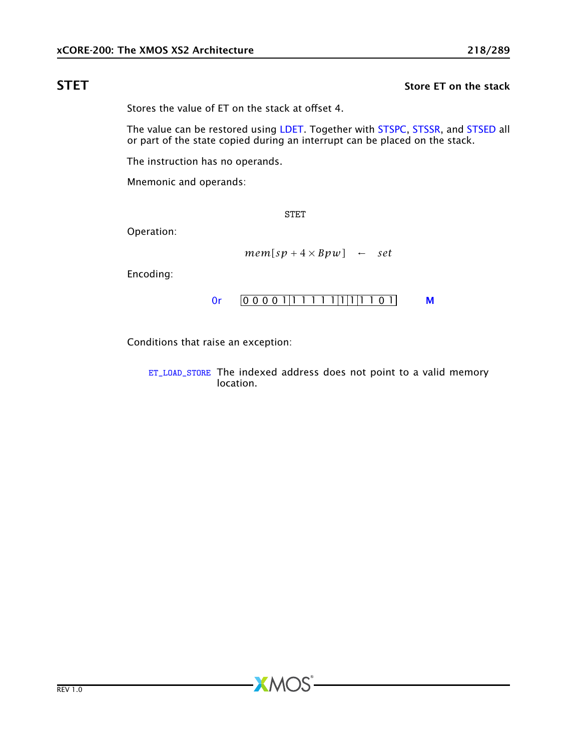# STET STET STET STEET STEEP STEEP STEEP STEEP STEEP STEEP STEEP STEEP STEEP STEEP STEEP STEEP STEEP STEEP STEEP

<span id="page-217-0"></span>Stores the value of ET on the stack at offset 4.

The value can be restored using [LDET.](#page-146-0) Together with [STSPC,](#page-219-0) [STSSR,](#page-220-0) and [STSED](#page-218-0) all or part of the state copied during an interrupt can be placed on the stack.

The instruction has no operands.

Mnemonic and operands:

STET

Operation:

$$
mem[sp+4\times Bpw] \leftarrow set
$$

Encoding:

$$
0r \qquad 000001|111111|1|1101 \qquad M
$$

Conditions that raise an exception:

[ET\\_LOAD\\_STORE](#page-277-0) The indexed address does not point to a valid memory location.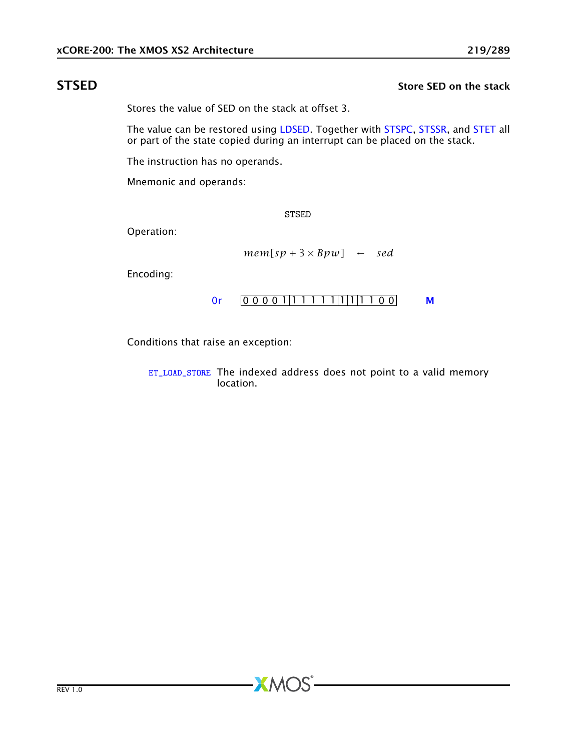## STSED STORE SED on the stack

<span id="page-218-0"></span>Stores the value of SED on the stack at offset 3.

The value can be restored using [LDSED.](#page-148-0) Together with [STSPC,](#page-219-0) [STSSR,](#page-220-0) and [STET](#page-217-0) all or part of the state copied during an interrupt can be placed on the stack.

The instruction has no operands.

Mnemonic and operands:

STSED

Operation:

$$
mem[sp+3\times Bpw] \leftarrow sed
$$

Encoding:

$$
0r \qquad 000001|111111|1|1100 \qquad M
$$

Conditions that raise an exception:

[ET\\_LOAD\\_STORE](#page-277-0) The indexed address does not point to a valid memory location.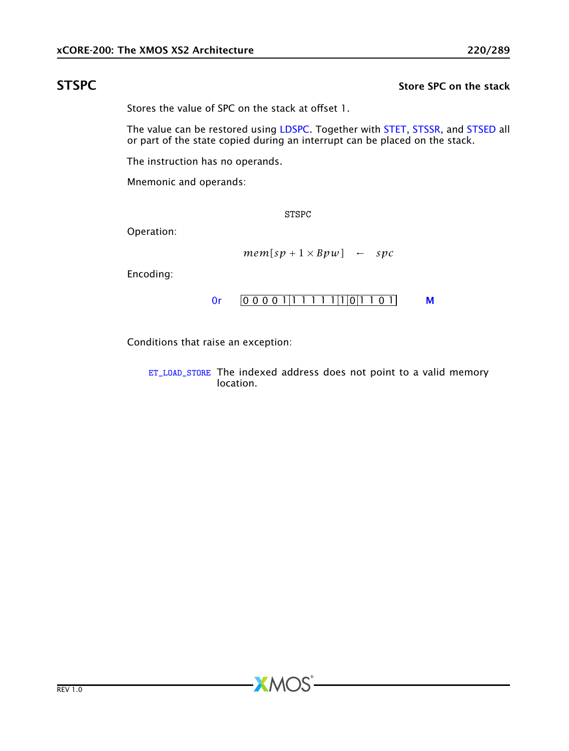## STSPC STSPC Store SPC on the stack

<span id="page-219-0"></span>Stores the value of SPC on the stack at offset 1.

The value can be restored using [LDSPC.](#page-149-0) Together with [STET,](#page-217-0) [STSSR,](#page-220-0) and [STSED](#page-218-0) all or part of the state copied during an interrupt can be placed on the stack.

The instruction has no operands.

Mnemonic and operands:

STSPC

Operation:

$$
mem[sp + 1 \times Bpw] \leftarrow spc
$$

Encoding:

$$
0r \qquad 000001|11111|1|0|1101 \qquad M
$$

Conditions that raise an exception:

[ET\\_LOAD\\_STORE](#page-277-0) The indexed address does not point to a valid memory location.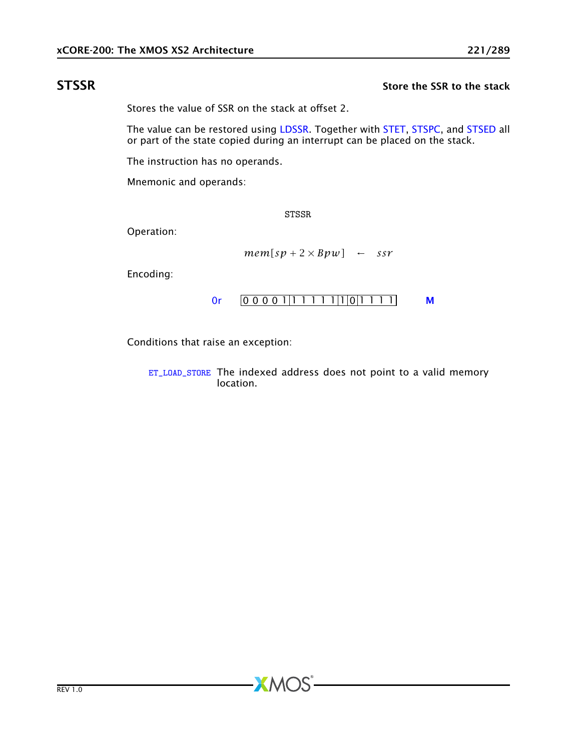### STSSR STSSR STSSR Store the SSR to the stack

<span id="page-220-0"></span>Stores the value of SSR on the stack at offset 2.

The value can be restored using [LDSSR.](#page-150-0) Together with [STET,](#page-217-0) [STSPC,](#page-219-0) and [STSED](#page-218-0) all or part of the state copied during an interrupt can be placed on the stack.

The instruction has no operands.

Mnemonic and operands:

STSSR

Operation:

$$
mem[sp + 2 \times Bpw] \leftarrow ssr
$$

Encoding:

[0r](#page-265-0) 0 0 0 0 1 1 1 1 1 1 1 0 1 1 1 1 [M](#page-285-0)

Conditions that raise an exception:

[ET\\_LOAD\\_STORE](#page-277-0) The indexed address does not point to a valid memory location.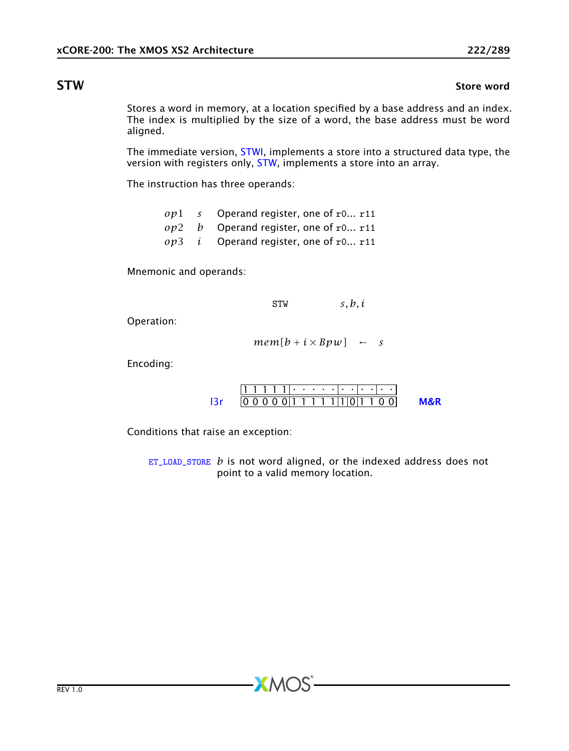### **STW** Store word

<span id="page-221-0"></span>Stores a word in memory, at a location specified by a base address and an index. The index is multiplied by the size of a word, the base address must be word aligned.

The immediate version, [STWI,](#page-222-0) implements a store into a structured data type, the version with registers only, [STW,](#page-221-0) implements a store into an array.

The instruction has three operands:

|  | $op1$ s Operand register, one of r0 r11        |
|--|------------------------------------------------|
|  | $op2$ b Operand register, one of r0 r11        |
|  | $op3$ <i>i</i> Operand register, one of r0 r11 |

Mnemonic and operands:

STW *s, b, i*

Operation:

$$
mem[b + i \times Bpw] \leftarrow s
$$

Encoding:

| $[0 0 0 0 0 0] 1 1 1 1 1 1 1 0 1 1 0 0]$ |  |  |  |  |  |  |  |  |
|------------------------------------------|--|--|--|--|--|--|--|--|

Conditions that raise an exception:

[ET\\_LOAD\\_STORE](#page-277-0) *b* is not word aligned, or the indexed address does not point to a valid memory location.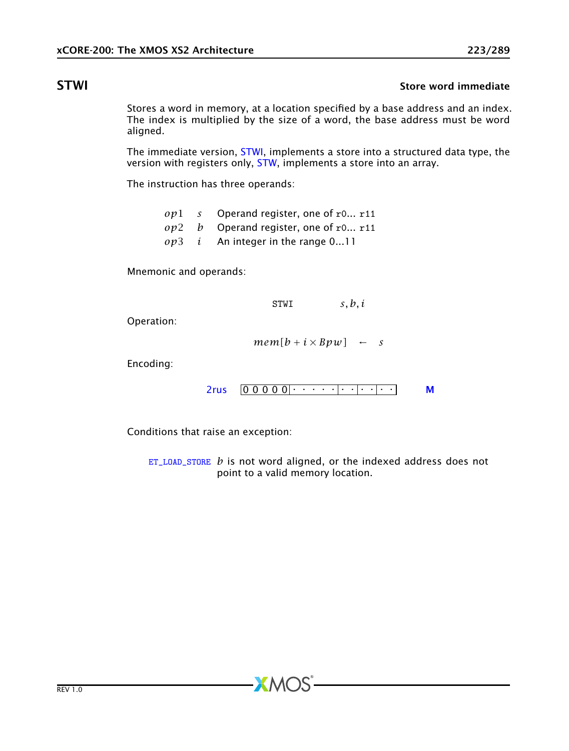### STWI Store word immediate

<span id="page-222-0"></span>Stores a word in memory, at a location specified by a base address and an index. The index is multiplied by the size of a word, the base address must be word aligned.

The immediate version, [STWI,](#page-222-0) implements a store into a structured data type, the version with registers only, [STW,](#page-221-0) implements a store into an array.

The instruction has three operands:

|  | $op1$ s Operand register, one of r0 r11    |
|--|--------------------------------------------|
|  | $op2$ b Operand register, one of r0 r11    |
|  | $op3$ <i>i</i> An integer in the range 011 |

Mnemonic and operands:

STWI *s, b, i*

Operation:

 $mem[b + i \times Bpw] \leftarrow s$ 

Encoding:

0 0 0 0 0 . . . . . . . . . . . [2rus](#page-251-0) [M](#page-285-0)

Conditions that raise an exception:

[ET\\_LOAD\\_STORE](#page-277-0) *b* is not word aligned, or the indexed address does not point to a valid memory location.

 $AMOS$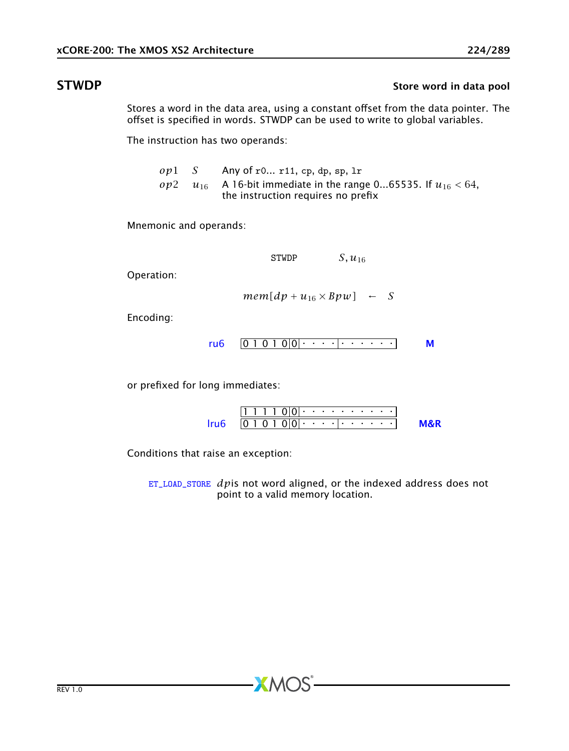# STWDP STWDP STEER STEER STEER STEER STEER STEER STEER STEER STEER STEER STEER STEER STEER STEER STEER STEER STEER STEER STEER STEER STEER STEER STEER STEER STEER STEER STEER STEER STEER STEER STEER STEER STEER STEER STEER

Stores a word in the data area, using a constant offset from the data pointer. The offset is specified in words. STWDP can be used to write to global variables.

The instruction has two operands:

| $op1$ S | Any of r0 r11, cp, dp, sp, 1r                                                                                        |
|---------|----------------------------------------------------------------------------------------------------------------------|
|         | <i>op</i> 2 $u_{16}$ A 16-bit immediate in the range 065535. If $u_{16}$ < 64,<br>the instruction requires no prefix |

Mnemonic and operands:

STWDP  $S, u_{16}$ 

Operation:

 $mem[dp + u_{16} \times Bpw] \leftarrow S$ 

Encoding:

$$
ru6 \quad \boxed{01010|0| \cdot \cdot \cdot \cdot \cdot \cdot \cdot \cdot \cdot \cdot \cdot \cdot \cdot \cdot \cdot \cdot}
$$

or prefixed for long immediates:

|  |  |  |  |  |  |  |  |  | $\frac{1}{2}$   0 1 0 1 0   0   $\cdots$   $\cdots$   $\cdots$   $\cdots$   $\cdots$   $\cdots$   $\cdots$   $\cdots$   $\cdots$   $\cdots$   $\cdots$   $\cdots$   $\cdots$   $\cdots$   $\cdots$   $\cdots$   $\cdots$   $\cdots$   $\cdots$   $\cdots$   $\cdots$   $\cdots$   $\cdots$   $\cdots$ |
|--|--|--|--|--|--|--|--|--|-------------------------------------------------------------------------------------------------------------------------------------------------------------------------------------------------------------------------------------------------------------------------------------------------------|

Conditions that raise an exception:

[ET\\_LOAD\\_STORE](#page-277-0) *dp*is not word aligned, or the indexed address does not point to a valid memory location.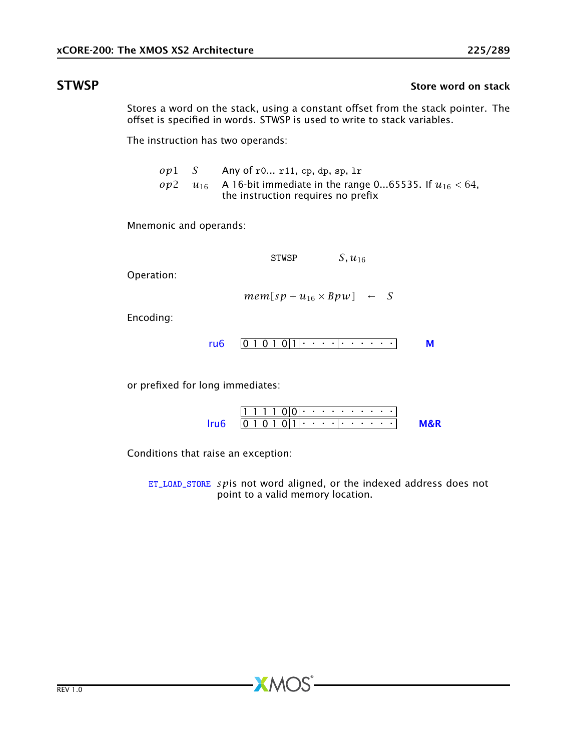## STWSP STWSP Store word on stack

Stores a word on the stack, using a constant offset from the stack pointer. The offset is specified in words. STWSP is used to write to stack variables.

The instruction has two operands:

| $ov1$ S | Any of $r0$ $r11$ , $cp$ , dp, $sp$ , $lr$                                                                            |
|---------|-----------------------------------------------------------------------------------------------------------------------|
|         | <i>op</i> 2 $u_{16}$ A 16-bit immediate in the range 065535. If $u_{16} < 64$ ,<br>the instruction requires no prefix |

Mnemonic and operands:

STWSP  $S, u_{16}$ 

Operation:

 $mem[sp + u_{16} \times Bpw] \leftarrow S$ 

Encoding:

$$
ru6 \quad \boxed{0 1 0 1 0 |1| \cdot \cdot \cdot \cdot \cdot \cdot \cdot \cdot \cdot \cdot \cdot \cdot \cdot \cdot \cdot \cdot \cdot \cdot}
$$

or prefixed for long immediates:

| the company |  |  | [0 1 0 1 0 1 1] |  |  |  |  |  |  |
|-------------|--|--|-----------------|--|--|--|--|--|--|

Conditions that raise an exception:

[ET\\_LOAD\\_STORE](#page-277-0) *sp*is not word aligned, or the indexed address does not point to a valid memory location.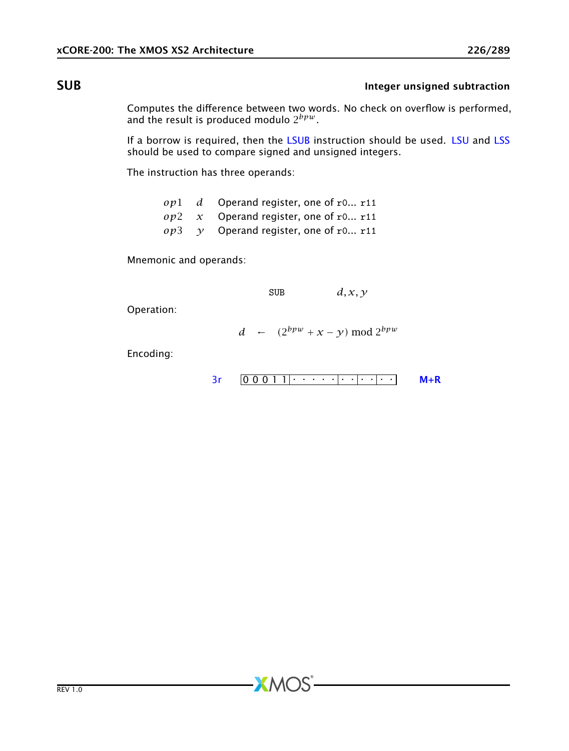# **SUB** Integer unsigned subtraction

<span id="page-225-0"></span>Computes the difference between two words. No check on overflow is performed, and the result is produced modulo 2 *bpw* .

If a borrow is required, then the [LSUB](#page-162-0) instruction should be used. [LSU](#page-161-0) and [LSS](#page-160-0) should be used to compare signed and unsigned integers.

The instruction has three operands:

|  | $op1$ d Operand register, one of r0 r11       |
|--|-----------------------------------------------|
|  | $op2 \, x$ Operand register, one of r0 r11    |
|  | $op3 \quad y$ Operand register, one of r0 r11 |

Mnemonic and operands:

SUB  $d, x, y$ 

Operation:

$$
d \leftarrow (2^{bpw} + x - y) \bmod 2^{bpw}
$$

**XMOS** 

Encoding:

$$
3r \qquad 0 \qquad 0 \qquad 0 \qquad 1 \qquad 1 \qquad \cdots \qquad \qquad \cdot \qquad \cdot \qquad \cdot \qquad \cdot \qquad \qquad \mathsf{M} + \mathsf{R}
$$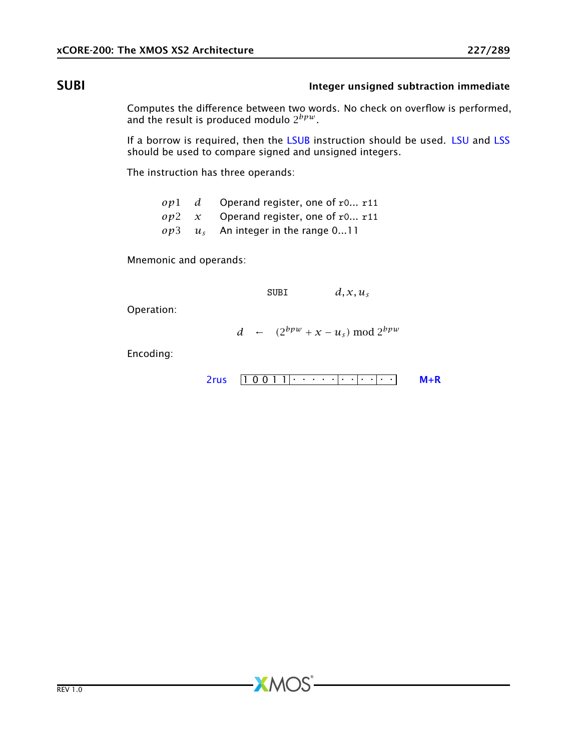# SUBI Integer unsigned subtraction immediate

<span id="page-226-0"></span>Computes the difference between two words. No check on overflow is performed, and the result is produced modulo 2 *bpw* .

If a borrow is required, then the [LSUB](#page-162-0) instruction should be used. [LSU](#page-161-0) and [LSS](#page-160-0) should be used to compare signed and unsigned integers.

The instruction has three operands:

*op*1 *d* Operand register, one of r0... r11 *op*2 *x* Operand register, one of r0... r11 *op*3 *u<sup>s</sup>* An integer in the range 0...11

Mnemonic and operands:

 $SUBI$  *d, x, u<sub>s</sub>* 

Operation:

*d* ←  $(2^{bpw} + x - u_s) \text{ mod } 2^{bpw}$ 

Encoding:

$$
2rus \quad \boxed{1\ 0\ 0\ 1\ 1} \cdot \cdot \cdot \cdot \cdot \cdot \cdot \cdot \cdot \cdot \cdot \cdot \cdot \cdot \cdot \cdot \quad \mathsf{M} + \mathsf{R}
$$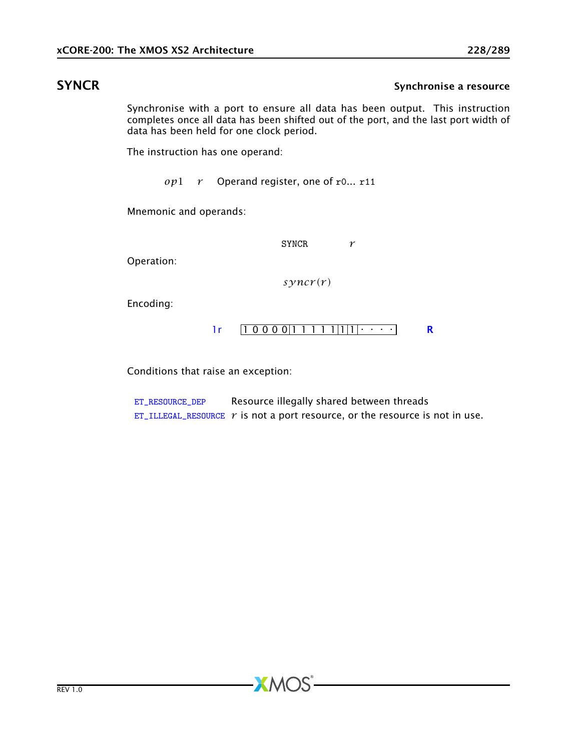## SYNCR SYNCR Synchronise a resource

Synchronise with a port to ensure all data has been output. This instruction completes once all data has been shifted out of the port, and the last port width of data has been held for one clock period.

The instruction has one operand:

*op*1 *r* Operand register, one of r0... r11

Mnemonic and operands:

SYNCR *r*

Operation:

 $s\gamma$ *ncr*(*r*)

Encoding:

 $1r$   $[10000|11111|1|1|\cdots]$  [R](#page-286-0)

Conditions that raise an exception:

[ET\\_RESOURCE\\_DEP](#page-281-0) Resource illegally shared between threads [ET\\_ILLEGAL\\_RESOURCE](#page-276-0)  $r$  is not a port resource, or the resource is not in use.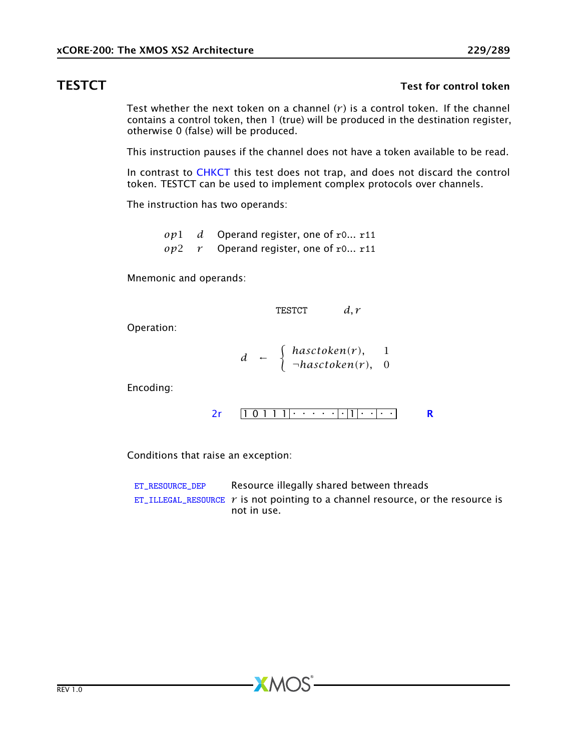### TESTCT TEST FOR THE STATE TEST FOR THE STATE THE STATE THAT THE STATE THE STATE THE STATE THE STATE THE STATE THE STATE THE STATE THE STATE THE STATE THE STATE THE STATE THE STATE THE STATE THE STATE THE STATE THE STATE TH

Test whether the next token on a channel  $(r)$  is a control token. If the channel contains a control token, then 1 (true) will be produced in the destination register, otherwise 0 (false) will be produced.

This instruction pauses if the channel does not have a token available to be read.

In contrast to [CHKCT](#page-71-0) this test does not trap, and does not discard the control token. TESTCT can be used to implement complex protocols over channels.

The instruction has two operands:

*op*1 *d* Operand register, one of r0... r11 *op*2 *r* Operand register, one of r0... r11

Mnemonic and operands:

$$
TESTCT \qquad d,r
$$

Operation:

$$
d \leftarrow \begin{cases} hasctoken(r), & 1\\ \neg hasctoken(r), & 0 \end{cases}
$$

Encoding:

$$
2r \qquad \boxed{1 \ 0 \ 1 \ 1 \ 1} \cdot \cdot \cdot \cdot \cdot \cdot \cdot \cdot \cdot \cdot \cdot \cdot \cdot \cdot \cdot \cdot \cdot \qquad \mathbf{R}
$$

Conditions that raise an exception:

| ET RESOURCE DEP | Resource illegally shared between threads                                            |
|-----------------|--------------------------------------------------------------------------------------|
|                 | $ET$ _ILLEGAL_RESOURCE $r$ is not pointing to a channel resource, or the resource is |
|                 | not in use.                                                                          |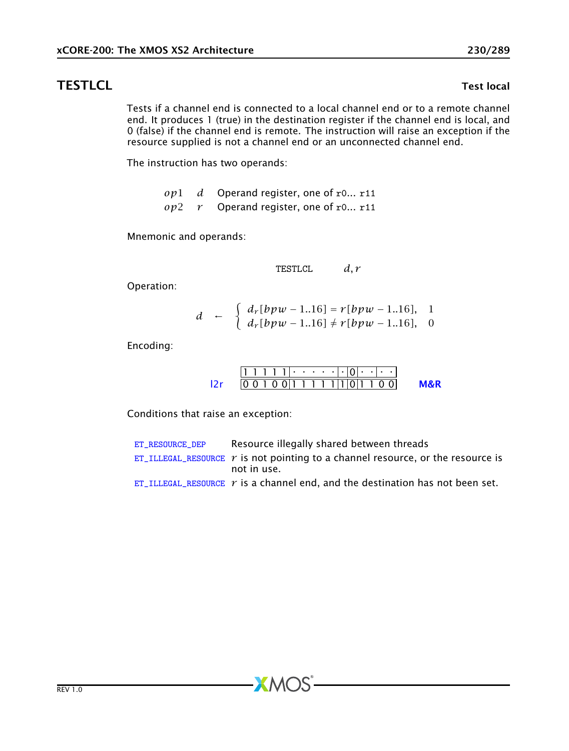## **TESTLCL** TESTLCL TEST IN THE STRUCK THE STRUCK THAT THE STRUCK THE STRUCK THAT THE STRUCK THE STRUCK THAT THE STRUCK THE STRUCK THE STRUCK THAT THE STRUCK THE STRUCK THAT THE STRUCK THAT THE STRUCK THAT THE STRUCK THAT TH

Tests if a channel end is connected to a local channel end or to a remote channel end. It produces 1 (true) in the destination register if the channel end is local, and 0 (false) if the channel end is remote. The instruction will raise an exception if the resource supplied is not a channel end or an unconnected channel end.

The instruction has two operands:

*op*1 *d* Operand register, one of r0... r11 *op*2 *r* Operand register, one of r0... r11

Mnemonic and operands:

$$
TESTLCL \qquad d,r
$$

Operation:

$$
d \leftarrow \begin{cases} d_r[bpw - 1..16] = r[bpw - 1..16], & 1 \\ d_r[bpw - 1..16] \neq r[bpw - 1..16], & 0 \end{cases}
$$

Encoding:

$$
\frac{111111 \cdot \cdot \cdot \cdot \cdot |0| \cdot | \cdot \cdot}{00100111111101100}
$$
 **M&R**

Conditions that raise an exception:

| ET RESOURCE DEP | Resource illegally shared between threads                                              |
|-----------------|----------------------------------------------------------------------------------------|
|                 | ET_ILLEGAL_RESOURCE $\gamma$ is not pointing to a channel resource, or the resource is |
|                 | not in use.                                                                            |
|                 | ET ILLEGAL RESOURCE $r$ is a channel end, and the destination has not been set.        |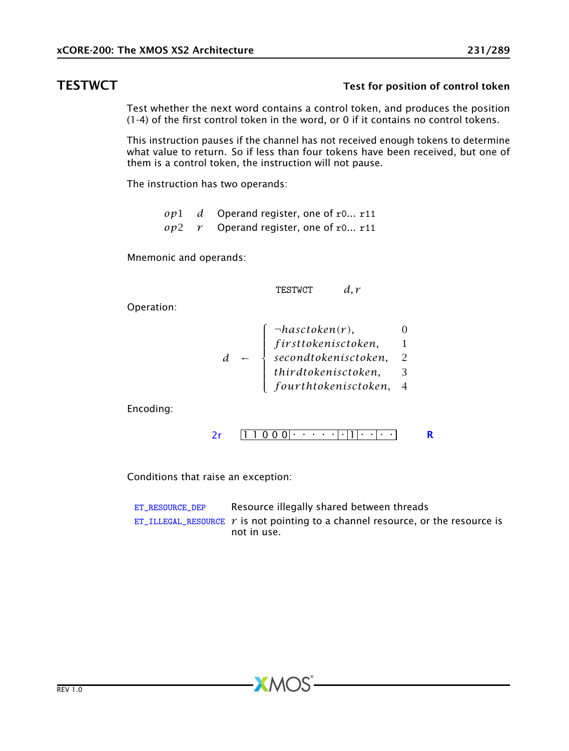# TESTWCT TESTWCT TESTWCT

Test whether the next word contains a control token, and produces the position (1-4) of the first control token in the word, or 0 if it contains no control tokens.

This instruction pauses if the channel has not received enough tokens to determine what value to return. So if less than four tokens have been received, but one of them is a control token, the instruction will not pause.

The instruction has two operands:

*op*1 *d* Operand register, one of r0... r11 *op*2 *r* Operand register, one of r0... r11

Mnemonic and operands:

TESTWCT *d, r*

Operation:

$$
d \leftarrow \left\{\begin{array}{ll}\neg hasctoken(r), & 0\\firsttoken isctoken, & 1\\secondtoken isctoken, & 2\\thirdtoken isctoken, & 3\\fourthtoken isctoken, & 4\end{array}\right.
$$

Encoding:

$$
2r \qquad \boxed{1\ 1\ 0\ 0\ 0} \qquad \qquad \boxed{1\ 1\ 0\ 0\ 0} \qquad \qquad \boxed{R}
$$

Conditions that raise an exception:

| ET RESOURCE DEP | Resource illegally shared between threads                                                                      |
|-----------------|----------------------------------------------------------------------------------------------------------------|
|                 | $ET$ <sub>LILLEGAL</sub> RESOURCE $r$ is not pointing to a channel resource, or the resource is<br>not in use. |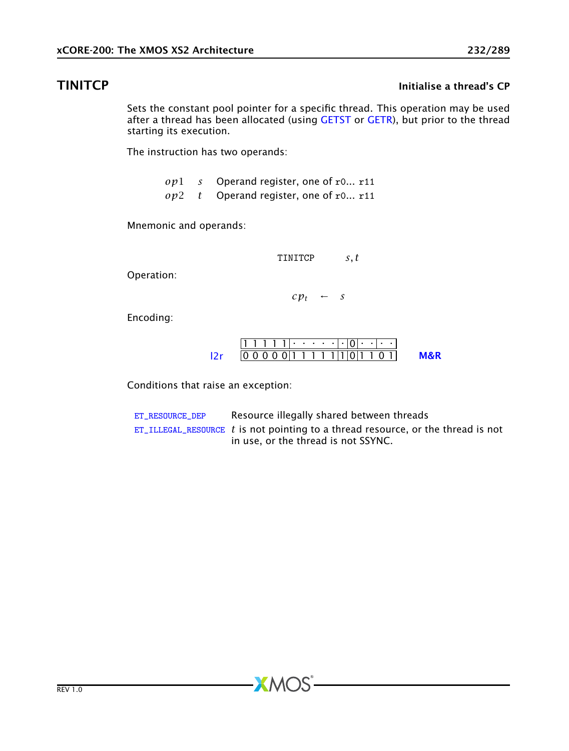## **TINITCP Initialise a thread's CP**

Sets the constant pool pointer for a specific thread. This operation may be used after a thread has been allocated (using [GETST](#page-115-0) or [GETR\)](#page-112-0), but prior to the thread starting its execution.

The instruction has two operands:

- *op*1 *s* Operand register, one of r0... r11
- *op*2 *t* Operand register, one of r0... r11

Mnemonic and operands:

TINITCP *s, t*

Operation:

 $c p_t \leftarrow s$ 

Encoding:

|  |  |  | .      |  |  |  |  |  |
|--|--|--|--------|--|--|--|--|--|
|  |  |  | 011111 |  |  |  |  |  |

Conditions that raise an exception:

[ET\\_RESOURCE\\_DEP](#page-281-0) Resource illegally shared between threads [ET\\_ILLEGAL\\_RESOURCE](#page-276-0) *t* is not pointing to a thread resource, or the thread is not in use, or the thread is not SSYNC.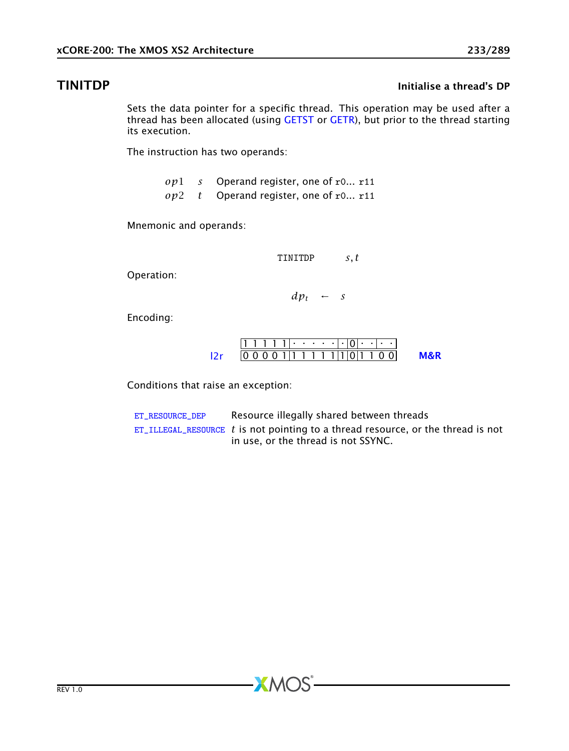### **TINITDP Initialise a thread's DP**

Sets the data pointer for a specific thread. This operation may be used after a thread has been allocated (using [GETST](#page-115-0) or [GETR\)](#page-112-0), but prior to the thread starting its execution.

The instruction has two operands:

- *op*1 *s* Operand register, one of r0... r11
- *op*2 *t* Operand register, one of r0... r11

Mnemonic and operands:

TINITDP *s, t*

Operation:

 $dp_t$  ← *s* 

Encoding:

|  |  |  |  |  |  |  |  | 00011111111011001 |  |
|--|--|--|--|--|--|--|--|-------------------|--|

Conditions that raise an exception:

[ET\\_RESOURCE\\_DEP](#page-281-0) Resource illegally shared between threads [ET\\_ILLEGAL\\_RESOURCE](#page-276-0) *t* is not pointing to a thread resource, or the thread is not in use, or the thread is not SSYNC.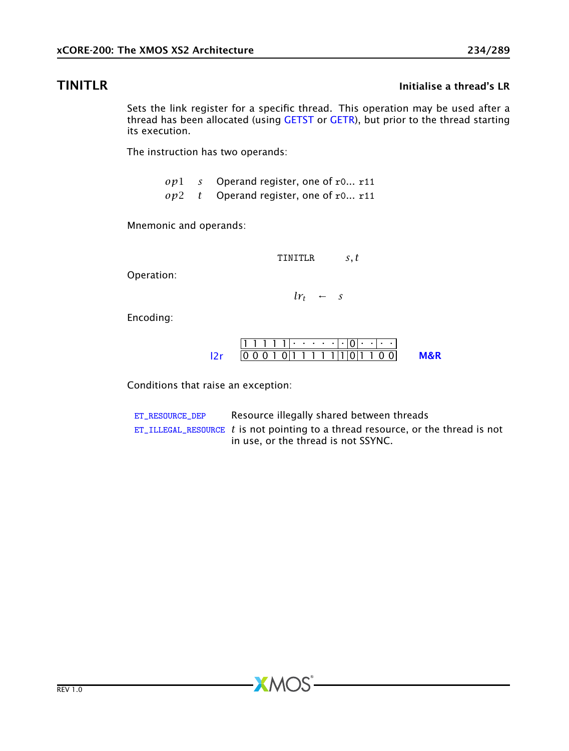### TINITLR Initialise a thread's LR

Sets the link register for a specific thread. This operation may be used after a thread has been allocated (using [GETST](#page-115-0) or [GETR\)](#page-112-0), but prior to the thread starting its execution.

The instruction has two operands:

- *op*1 *s* Operand register, one of r0... r11
- *op*2 *t* Operand register, one of r0... r11

Mnemonic and operands:

TINITLR *s, t*

Operation:

 $lr_t$  ← *s* 

Encoding:

|  |  | 11 1 1 1 1 1 1 |  |  |  |  |  |                                     |  |
|--|--|----------------|--|--|--|--|--|-------------------------------------|--|
|  |  |                |  |  |  |  |  | 0 0 1 0 1 1 1 1 1 1 1 1 0 1 1 0 0 1 |  |

Conditions that raise an exception:

[ET\\_RESOURCE\\_DEP](#page-281-0) Resource illegally shared between threads [ET\\_ILLEGAL\\_RESOURCE](#page-276-0) *t* is not pointing to a thread resource, or the thread is not in use, or the thread is not SSYNC.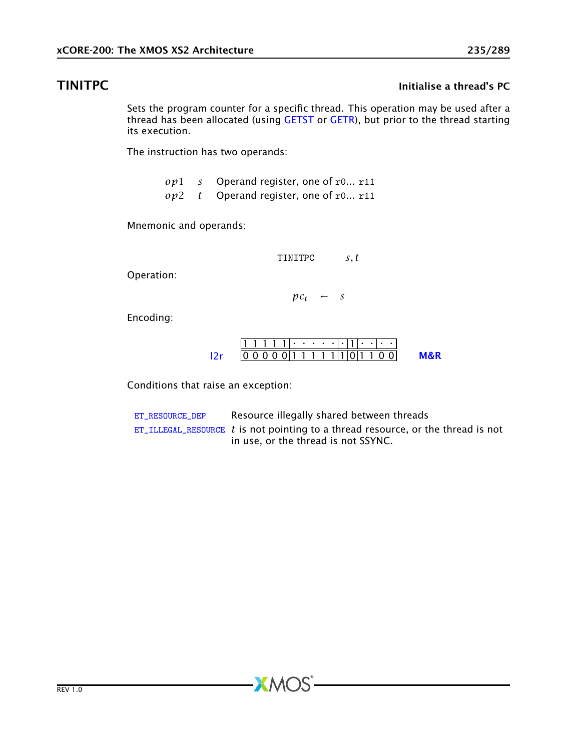## **TINITPC** TINITPC **Initialise a thread's PC**

<span id="page-234-0"></span>Sets the program counter for a specific thread. This operation may be used after a thread has been allocated (using [GETST](#page-115-0) or [GETR\)](#page-112-0), but prior to the thread starting its execution.

The instruction has two operands:

- *op*1 *s* Operand register, one of r0... r11
- *op*2 *t* Operand register, one of r0... r11

Mnemonic and operands:

TINITPC *s, t*

Operation:

 $pc_t$  ← *s* 

Encoding:

|  |  |  |  |  |  |  |  | 0000 1 1 1 1 1 1 1 1 0 1 1 0 0 1 |  |
|--|--|--|--|--|--|--|--|----------------------------------|--|

Conditions that raise an exception:

[ET\\_RESOURCE\\_DEP](#page-281-0) Resource illegally shared between threads [ET\\_ILLEGAL\\_RESOURCE](#page-276-0) *t* is not pointing to a thread resource, or the thread is not in use, or the thread is not SSYNC.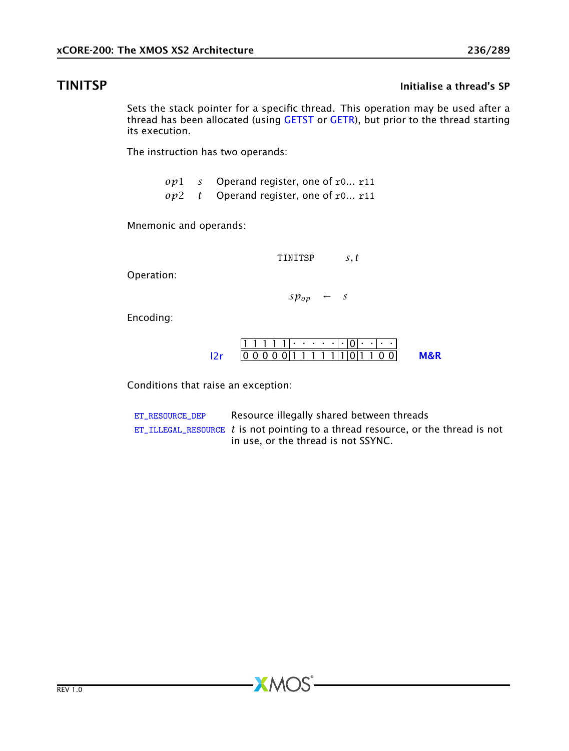# **TINITSP** Initialise a thread's SP

Sets the stack pointer for a specific thread. This operation may be used after a thread has been allocated (using [GETST](#page-115-0) or [GETR\)](#page-112-0), but prior to the thread starting its execution.

The instruction has two operands:

- *op*1 *s* Operand register, one of r0... r11
- *op*2 *t* Operand register, one of r0... r11

Mnemonic and operands:

TINITSP *s, t*

Operation:

 $s p_{op}$  ← *s* 

Encoding:

|  |  |  |  |  |  |  |  | 0000 1 1 1 1 1 1 1 1 0 1 1 0 0 1 |  |
|--|--|--|--|--|--|--|--|----------------------------------|--|

Conditions that raise an exception:

[ET\\_RESOURCE\\_DEP](#page-281-0) Resource illegally shared between threads [ET\\_ILLEGAL\\_RESOURCE](#page-276-0) *t* is not pointing to a thread resource, or the thread is not in use, or the thread is not SSYNC.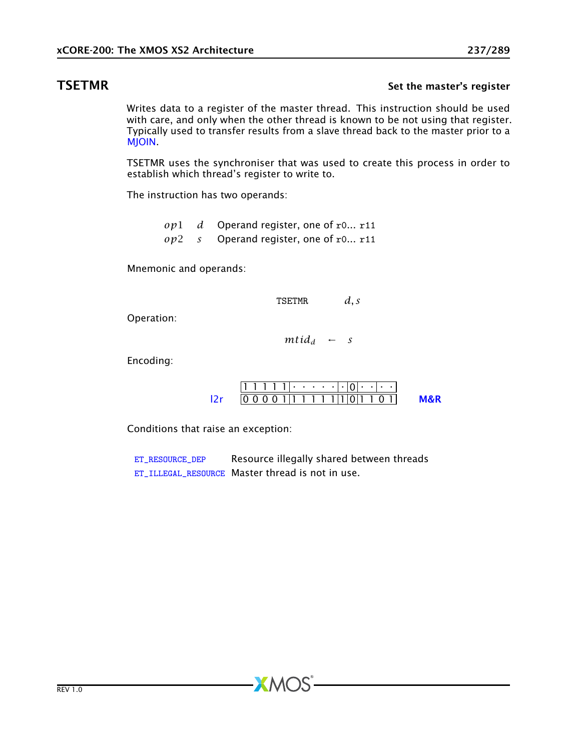### **TSETMR** Set the master's register

Writes data to a register of the master thread. This instruction should be used with care, and only when the other thread is known to be not using that register. Typically used to transfer results from a slave thread back to the master prior to a **MIOIN** 

TSETMR uses the synchroniser that was used to create this process in order to establish which thread's register to write to.

The instruction has two operands:

*op*1 *d* Operand register, one of r0... r11 *op*2 *s* Operand register, one of r0... r11

Mnemonic and operands:

TSETMR *d, s*

Operation:

 $\text{mtid}_d$  ← *s* 

Encoding:

|  |  |  | . |  |  |  |  |  |
|--|--|--|---|--|--|--|--|--|
|  |  |  |   |  |  |  |  |  |

Conditions that raise an exception:

[ET\\_RESOURCE\\_DEP](#page-281-0) Resource illegally shared between threads ET ILLEGAL RESOURCE Master thread is not in use.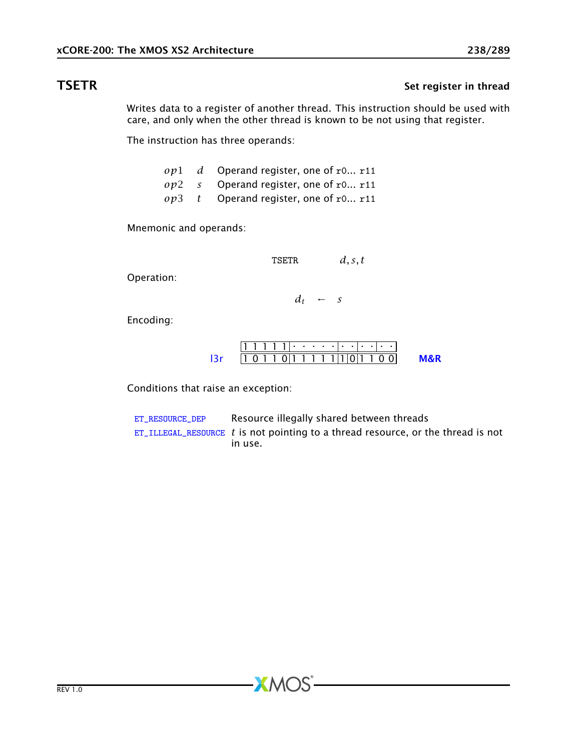## TSETR Set register in thread

<span id="page-237-0"></span>Writes data to a register of another thread. This instruction should be used with care, and only when the other thread is known to be not using that register.

The instruction has three operands:

|  | $op1$ d Operand register, one of r0 r11 |
|--|-----------------------------------------|
|  | $op2$ s Operand register, one of r0 r11 |
|  | $op3$ t Operand register, one of r0 r11 |

Mnemonic and operands:

TSETR *d, s, t*

Operation:

 $d_t$  ← *s* 

Encoding:

|  |  | 111111                             |  |  |  |  |  |  |
|--|--|------------------------------------|--|--|--|--|--|--|
|  |  | $ 1 \t0 1 1 0 1 1 1 1 1 1 0 1 1 0$ |  |  |  |  |  |  |

Conditions that raise an exception:

[ET\\_RESOURCE\\_DEP](#page-281-0) Resource illegally shared between threads [ET\\_ILLEGAL\\_RESOURCE](#page-276-0) *t* is not pointing to a thread resource, or the thread is not in use.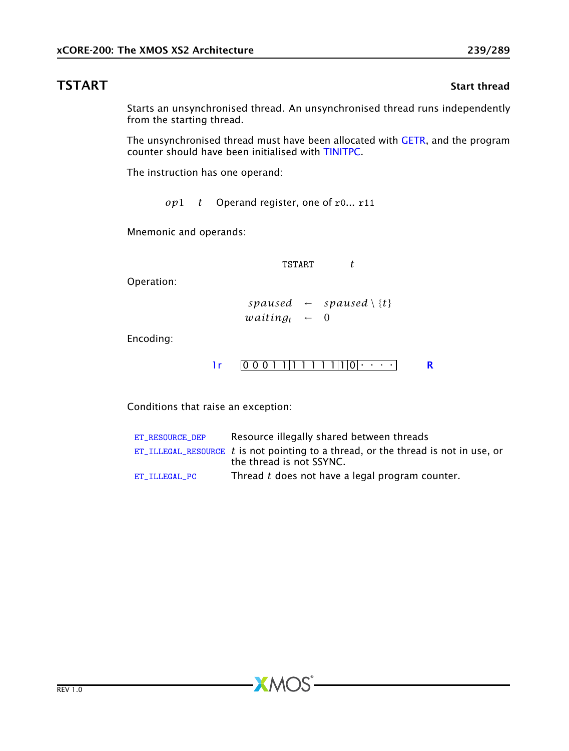### **TSTART** Start thread

Starts an unsynchronised thread. An unsynchronised thread runs independently from the starting thread.

The unsynchronised thread must have been allocated with [GETR,](#page-112-0) and the program counter should have been initialised with [TINITPC.](#page-234-0)

The instruction has one operand:

*op*1 *t* Operand register, one of r0... r11

Mnemonic and operands:

TSTART *t*

Operation:

 $spansed \leftarrow spaused \setminus \{t\}$  $wating_t \leftarrow 0$ 

Encoding:



Conditions that raise an exception:

| ET RESOURCE DEP | Resource illegally shared between threads                                            |
|-----------------|--------------------------------------------------------------------------------------|
|                 | $ET$ ILLEGAL RESOURCE t is not pointing to a thread, or the thread is not in use, or |
|                 | the thread is not SSYNC.                                                             |
| ET ILLEGAL PC   | Thread t does not have a legal program counter.                                      |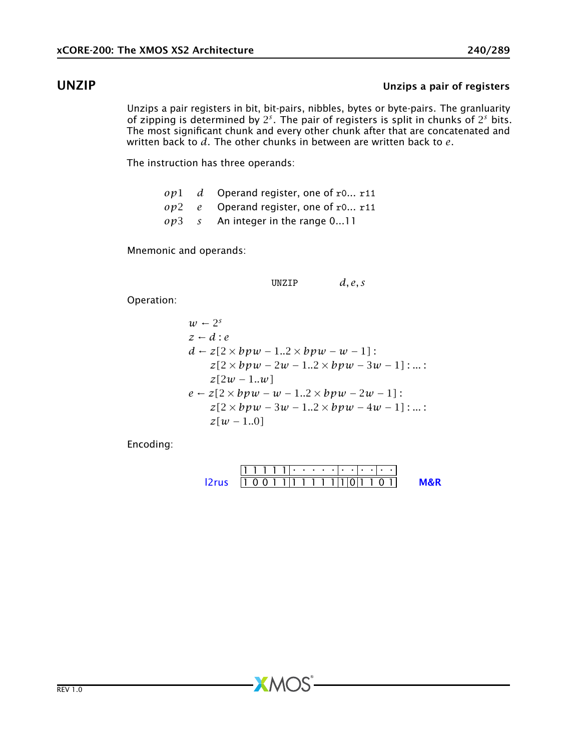## UNZIP Unzips a pair of registers

Unzips a pair registers in bit, bit-pairs, nibbles, bytes or byte-pairs. The granluarity of zipping is determined by 2 *s* . The pair of registers is split in chunks of 2 *<sup>s</sup>* bits. The most significant chunk and every other chunk after that are concatenated and written back to *d*. The other chunks in between are written back to *e*.

The instruction has three operands:

|  | $op1$ d Operand register, one of r0 r11 |
|--|-----------------------------------------|
|  | $op2$ e Operand register, one of r0 r11 |
|  | $op3 \t s$ An integer in the range 011  |

Mnemonic and operands:

UNZIP *d, e, s*

Operation:

$$
w-2s\nz - d : e\nd - z[2 \times bpw - 1..2 \times bpw - w - 1]:\nz[2 \times bpw - 2w - 1..2 \times bpw - 3w - 1] : ...\nz[2w - 1..w]\ne - z[2 \times bpw - w - 1..2 \times bpw - 2w - 1]:\nz[2 \times bpw - 3w - 1..2 \times bpw - 4w - 1] : ...\nz[w - 1..0]
$$

Encoding:

1 1 1 1 1 . . . . . . . . . . . [l2rus](#page-252-0) 1 0 0 1 1 1 1 1 1 1 1 0 1 1 0 1 [M&R](#page-288-1)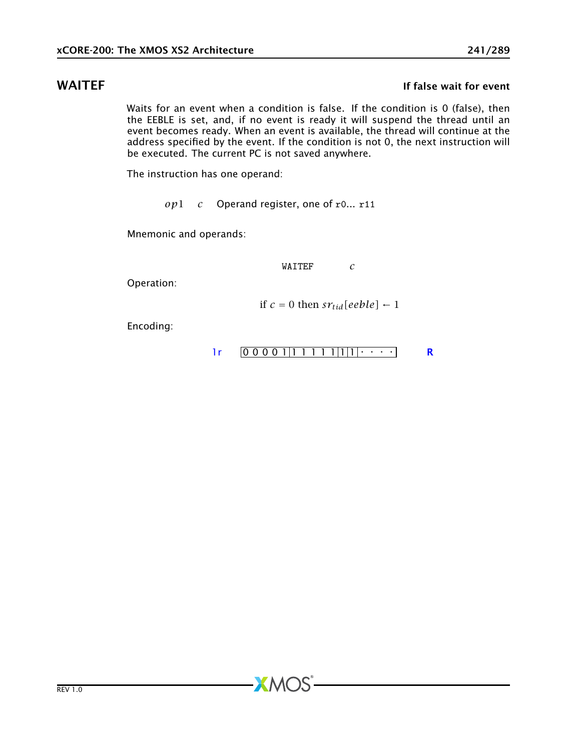### WAITEF **If the UK and SOUTH IT FALL** If false wait for event

Waits for an event when a condition is false. If the condition is 0 (false), then the EEBLE is set, and, if no event is ready it will suspend the thread until an event becomes ready. When an event is available, the thread will continue at the address specified by the event. If the condition is not 0, the next instruction will be executed. The current PC is not saved anywhere.

The instruction has one operand:

*op*1 *c* Operand register, one of r0... r11

**XMOS** 

Mnemonic and operands:

WAITEF *c*

Operation:

if  $c = 0$  then  $sr_{tid}[eeble] \leftarrow 1$ 

Encoding:

$$
lr \qquad \boxed{0\ 0\ 0\ 0\ 1\ \boxed{1\ 1\ 1\ 1\ \boxed{1}\ \boxed{1}\ \cdots \qquad} \qquad \mathbf{R}
$$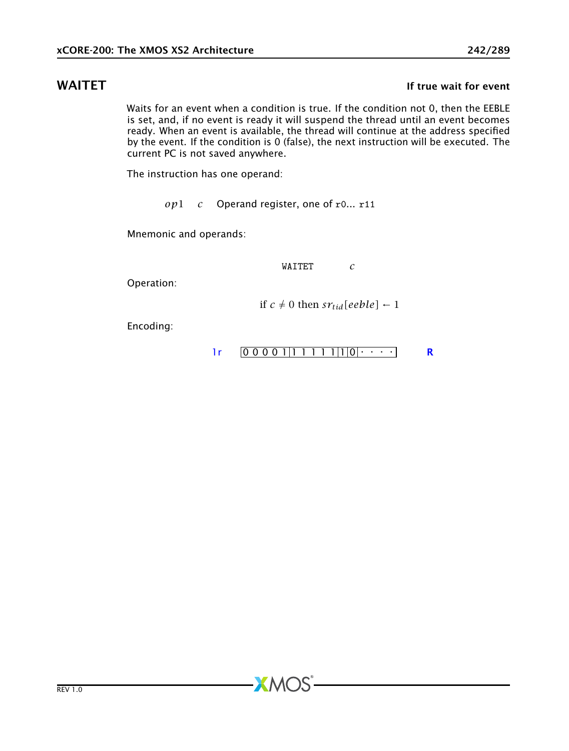### WAITET **If the wait for event** the wait for event

Waits for an event when a condition is true. If the condition not 0, then the EEBLE is set, and, if no event is ready it will suspend the thread until an event becomes ready. When an event is available, the thread will continue at the address specified by the event. If the condition is 0 (false), the next instruction will be executed. The current PC is not saved anywhere.

The instruction has one operand:

*op*1 *c* Operand register, one of r0... r11

**XMOS** 

Mnemonic and operands:

WAITET *c*

Operation:

if  $c \neq 0$  then  $sr_{tid}[eeble] \leftarrow 1$ 

Encoding:

$$
lr \qquad \boxed{0\ 0\ 0\ 0\ 1\ \boxed{1\ 1\ 1\ 1\ \boxed{1}\ \boxed{0}\ \cdots\ \cdots}
$$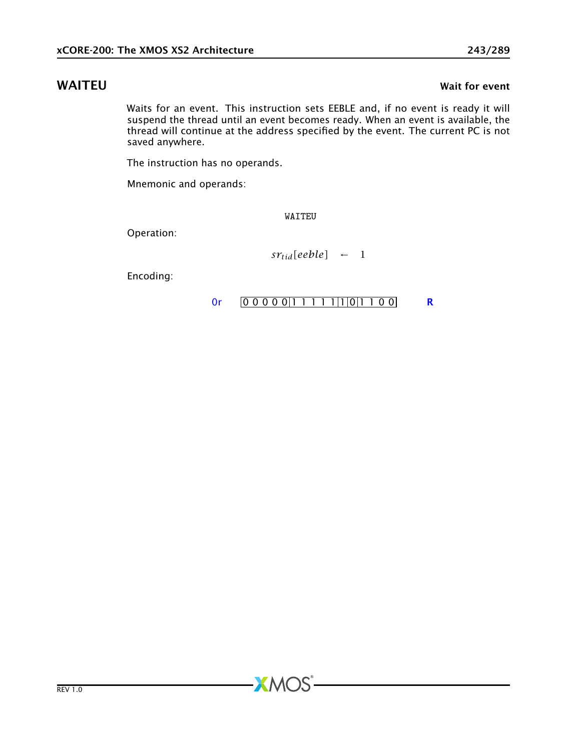Waits for an event. This instruction sets EEBLE and, if no event is ready it will suspend the thread until an event becomes ready. When an event is available, the thread will continue at the address specified by the event. The current PC is not saved anywhere.

The instruction has no operands.

Mnemonic and operands:

WAITEU

**XMOS** 

Operation:

 $sr_{tid}[eeble]$  ← 1

Encoding:

### [0r](#page-265-0)  $[0 0 0 0 0 1 1 1 1 1 1 1 0 0]$  [R](#page-286-0)

WAITEU WAITEU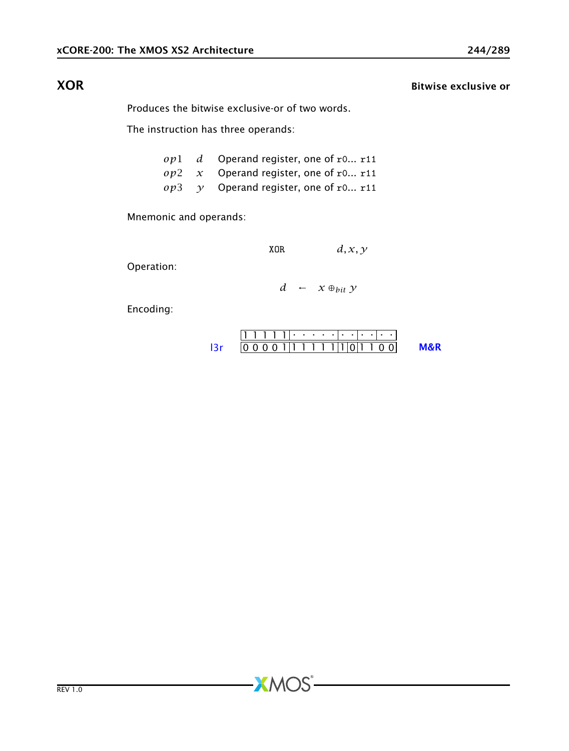XOR Bitwise exclusive or

<span id="page-243-0"></span>Produces the bitwise exclusive-or of two words.

The instruction has three operands:

|  | $op1$ d Operand register, one of r0 r11            |
|--|----------------------------------------------------|
|  | $op2 \, x$ Operand register, one of r0 r11         |
|  | $op3 \quad \gamma$ Operand register, one of r0 r11 |

Mnemonic and operands:

XOR 
$$
d, x, y
$$

Operation:

*d* ← *x* ⊕*bit y*

Encoding:

$$
111111 \cdot \cdot \cdot \cdot \cdot \cdot \cdot \cdot \cdot \cdot \cdot \cdot \cdot
$$
  
13r 0000111111111011100 M&R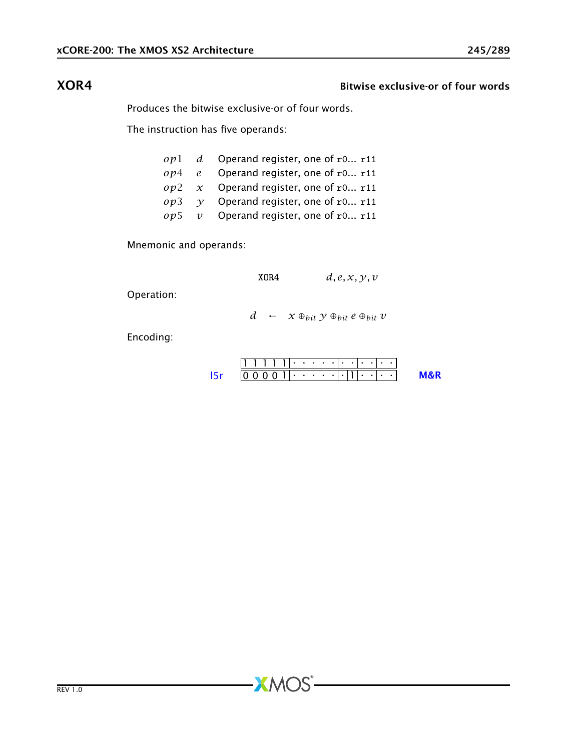### XOR4 Bitwise exclusive-or of four words

Produces the bitwise exclusive-or of four words.

The instruction has five operands:

|  | $op1$ d Operand register, one of r0 r11    |
|--|--------------------------------------------|
|  | $op4$ e Operand register, one of r0 r11    |
|  | $op2 \, x$ Operand register, one of r0 r11 |
|  | $op3$ $v$ Operand register, one of r0 r11  |
|  | $op5$ v Operand register, one of r0 r11    |

Mnemonic and operands:

 $XOR4$   $d, e, x, y, v$ 

Operation:

*d* ←  $x \oplus_{bit} y \oplus_{bit} e \oplus_{bit} v$ 

Encoding:

|  |  | .                                        |  |  |  |  |  |  |  |
|--|--|------------------------------------------|--|--|--|--|--|--|--|
|  |  | $0.01$ $\cdot \cdot \cdot$ $\cdot \cdot$ |  |  |  |  |  |  |  |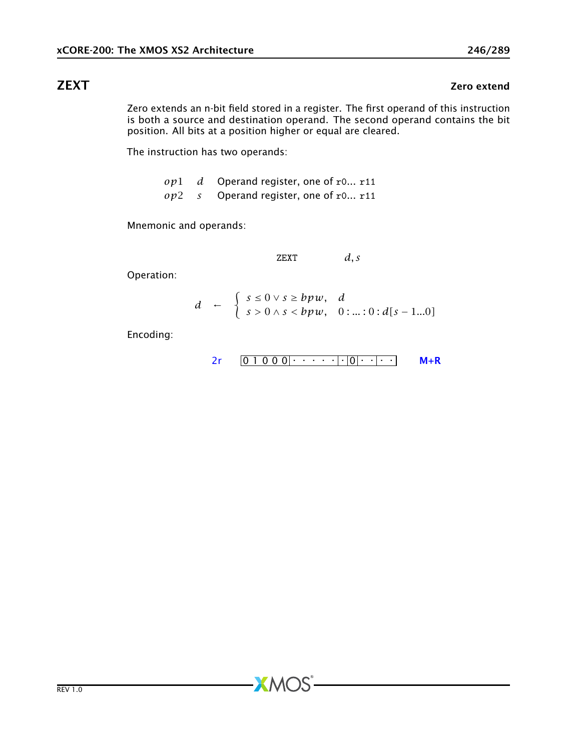# ZEXT Zero extend

Zero extends an n-bit field stored in a register. The first operand of this instruction is both a source and destination operand. The second operand contains the bit position. All bits at a position higher or equal are cleared.

The instruction has two operands:

*op*1 *d* Operand register, one of r0... r11 *op*2 *s* Operand register, one of r0... r11

Mnemonic and operands:

ZEXT *d, s*

Operation:

$$
d \leftarrow \begin{cases} s \leq 0 \vee s \geq b p w, & d \\ s > 0 \wedge s < b p w, \quad 0 \colon \dots \colon 0 : d[s-1 \dots 0] \end{cases}
$$

**XMOS** 

Encoding:

$$
2r \quad 0 \quad 1 \quad 0 \quad 0 \quad 0 \quad \cdots \quad 0 \quad 0 \quad \cdots
$$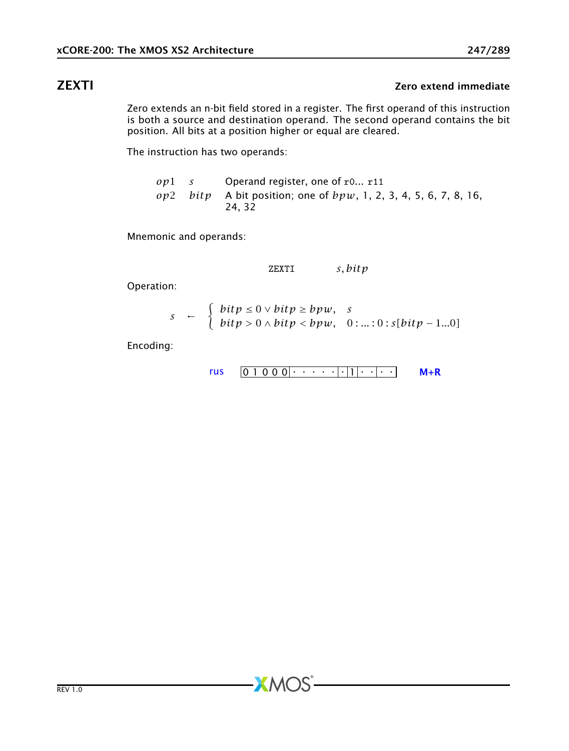# ZEXTI Zero extend immediate

Zero extends an n-bit field stored in a register. The first operand of this instruction is both a source and destination operand. The second operand contains the bit position. All bits at a position higher or equal are cleared.

The instruction has two operands:

*op*1 *s* Operand register, one of r0... r11 *op*2 *bitp* A bit position; one of *bpw*, 1, 2, 3, 4, 5, 6, 7, 8, 16, 24, 32

Mnemonic and operands:

ZEXTI *s, bitp*

Operation:

$$
s \leftarrow \begin{cases} \text{bit } p \leq 0 \vee \text{bit } p \geq \text{bpw}, & s \\ \text{bit } p > 0 \wedge \text{bit } p < \text{bpw}, & 0 \colon \dots \colon 0 \colon s[\text{bit } p - 1 \dots 0] \end{cases}
$$

**XMOS** 

Encoding:

$$
rus \quad \boxed{0\ 1\ 0\ 0\ 0} \cdot \cdot \cdot \cdot \cdot \cdot \cdot \cdot \cdot \cdot \cdot \cdot \cdot \cdot \cdot \cdot \quad \mathsf{M} + \mathsf{R}
$$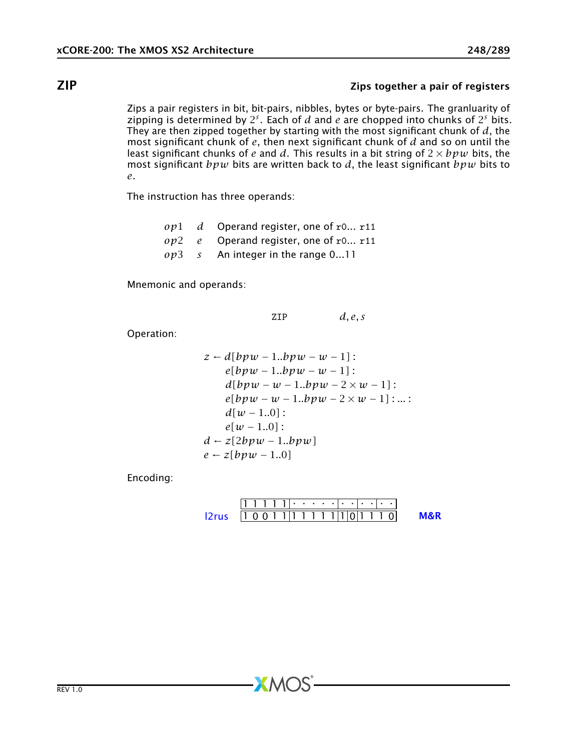### ZIP Zips together a pair of registers

Zips a pair registers in bit, bit-pairs, nibbles, bytes or byte-pairs. The granluarity of zipping is determined by  $2^s$ . Each of  $d$  and  $e$  are chopped into chunks of  $2^s$  bits. They are then zipped together by starting with the most significant chunk of *d*, the most significant chunk of *e*, then next significant chunk of *d* and so on until the least significant chunks of *e* and *d*. This results in a bit string of  $2 \times bpw$  bits, the most significant *bpw* bits are written back to *d*, the least significant *bpw* bits to *e*.

The instruction has three operands:

*op*1 *d* Operand register, one of r0... r11 *op*2 *e* Operand register, one of r0... r11 *op*3 *s* An integer in the range 0...11

Mnemonic and operands:

ZIP *d, e, s*

Operation:

```
z \leftarrow d[bpw - 1..bpw - w - 1]:
     e[bpw − 1..bpw − w − 1] :
     d[bpw - w - 1..bpw - 2 \times w - 1]:
     e[bpw − w − 1..bpw − 2 × w − 1] : ... :
     d[w - 1..0]:
     e[w − 1..0] :
d \leftarrow z[2bpw - 1..bpw]e \leftarrow z[bpw - 1..0]
```
Encoding:

|                                |  |  | - ۱۱۰ - ۱۱۰ - ۱۱۰ - ۱ |  |  |  |  |  |  |
|--------------------------------|--|--|-----------------------|--|--|--|--|--|--|
| $2rus$ $ 10011 1111 1 0 1110 $ |  |  |                       |  |  |  |  |  |  |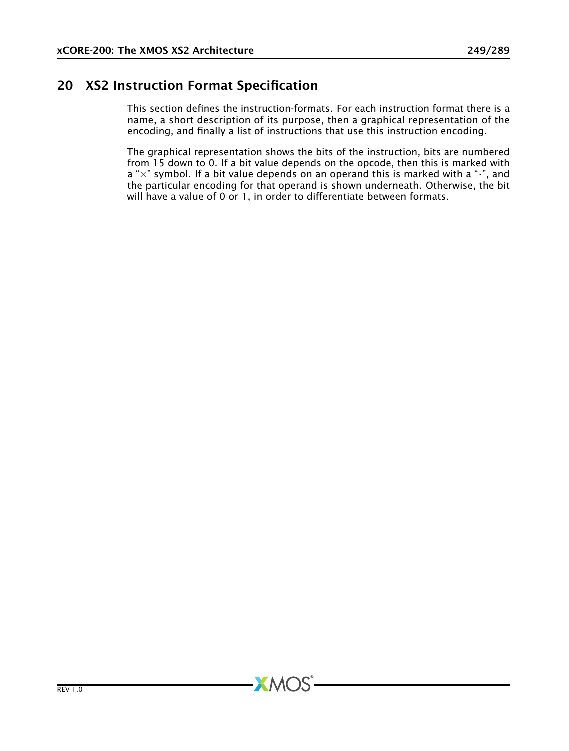# 20 XS2 Instruction Format Specification

This section defines the instruction-formats. For each instruction format there is a name, a short description of its purpose, then a graphical representation of the encoding, and finally a list of instructions that use this instruction encoding.

The graphical representation shows the bits of the instruction, bits are numbered from 15 down to 0. If a bit value depends on the opcode, then this is marked with  $a$  " $\times$ " symbol. If a bit value depends on an operand this is marked with a " $\cdot$ ", and the particular encoding for that operand is shown underneath. Otherwise, the bit will have a value of 0 or 1, in order to differentiate between formats.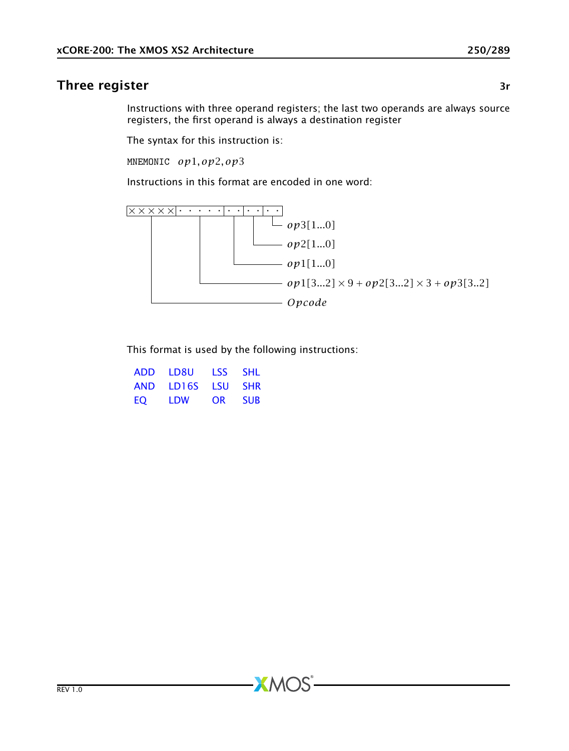## Three register 3r and 3r and 3r and 3r and 3r and 3r and 3r and 3r and 3r and 3r and 3r and 3r and 3r and 3r

<span id="page-249-0"></span>Instructions with three operand registers; the last two operands are always source registers, the first operand is always a destination register

The syntax for this instruction is:

MNEMONIC *op*1*, op*2*, op*3

Instructions in this format are encoded in one word:



This format is used by the following instructions:

| <b>ADD</b> | I D8U | TSS. | SHI.       |
|------------|-------|------|------------|
| AND        | LD16S | I SU | <b>SHR</b> |
| EO.        | I DW  | OR   | <b>SUB</b> |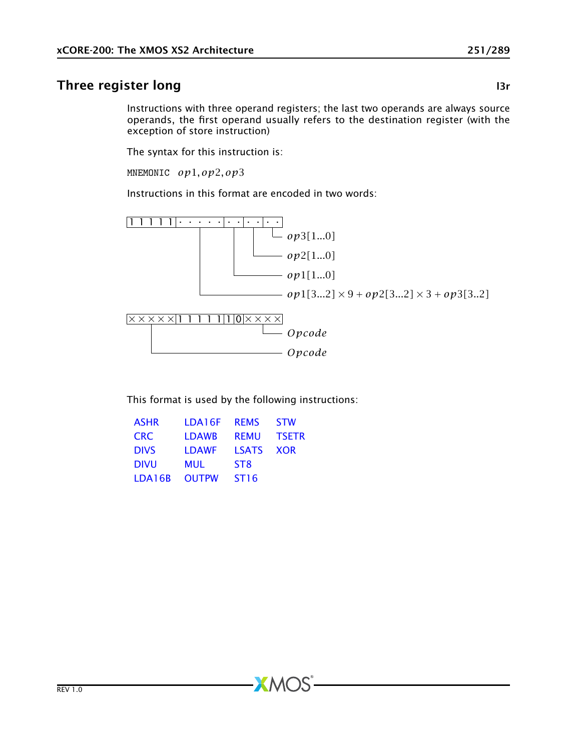# Three register long and a state of the state of the state of the state of the state of the state of the state of the state of the state of the state of the state of the state of the state of the state of the state of the s

<span id="page-250-0"></span>Instructions with three operand registers; the last two operands are always source operands, the first operand usually refers to the destination register (with the exception of store instruction)

The syntax for this instruction is:

MNEMONIC *op*1*, op*2*, op*3

Instructions in this format are encoded in two words:



This format is used by the following instructions:

 $AMOS$ 

| <b>ASHR</b> | LDA16F       | <b>REMS</b>      | <b>STW</b>   |
|-------------|--------------|------------------|--------------|
| <b>CRC</b>  | <b>LDAWB</b> | <b>REMU</b>      | <b>TSETR</b> |
| <b>DIVS</b> | <b>LDAWF</b> | <b>LSATS</b>     | <b>XOR</b>   |
| <b>DIVU</b> | MUL          | ST <sub>8</sub>  |              |
| LDA16B      | <b>OUTPW</b> | ST <sub>16</sub> |              |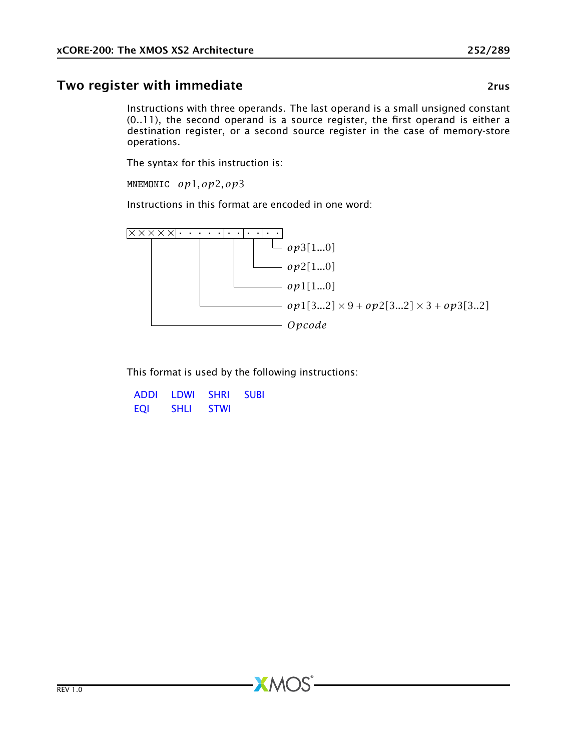# Two register with immediate **28 and 27 and 27 and 27 and 27 and 27 and 27 and 27 and 27 and 27 and 27 and 27 and 27 and 27 and 27 and 27 and 27 and 27 and 27 and 27 and 27 and 27 and 27 and 27 and 27 and 27 and 27 and 27 a**

<span id="page-251-0"></span>Instructions with three operands. The last operand is a small unsigned constant (0..11), the second operand is a source register, the first operand is either a destination register, or a second source register in the case of memory-store operations.

The syntax for this instruction is:

MNEMONIC *op*1*, op*2*, op*3

Instructions in this format are encoded in one word:



This format is used by the following instructions:

| <b>ADDI</b> | I DWI | <b>SHRI</b> | <b>SUBI</b> |
|-------------|-------|-------------|-------------|
| EOI         | SHLI  | <b>STWI</b> |             |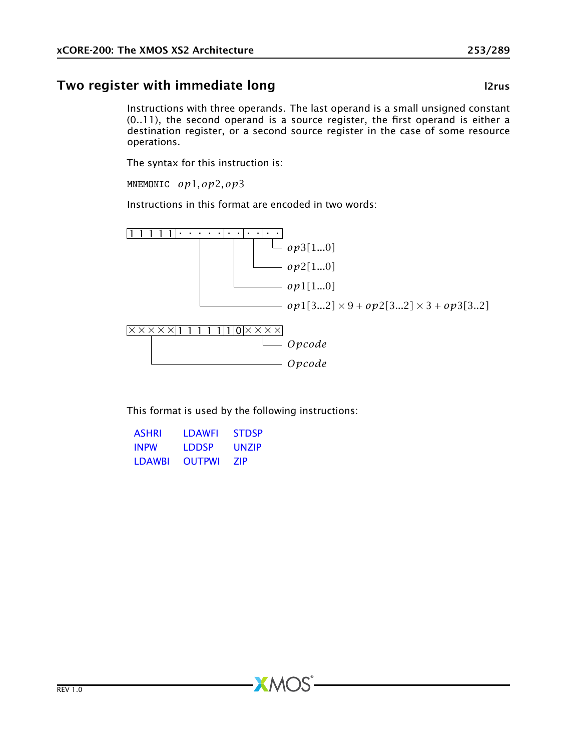# Two register with immediate long and the control of the latest latest latest latest latest latest latest lates

Instructions with three operands. The last operand is a small unsigned constant (0..11), the second operand is a source register, the first operand is either a destination register, or a second source register in the case of some resource operations.

The syntax for this instruction is:

MNEMONIC *op*1*, op*2*, op*3

Instructions in this format are encoded in two words:



This format is used by the following instructions:

 $X$ M $(S)$ 

| <b>ASHRI</b>   | I DAWFI       | <b>STDSP</b> |
|----------------|---------------|--------------|
| <b>INPW</b>    | I DDSP        | <b>UNZIP</b> |
| <b>I DAWRI</b> | <b>OUTPWI</b> | 7IP          |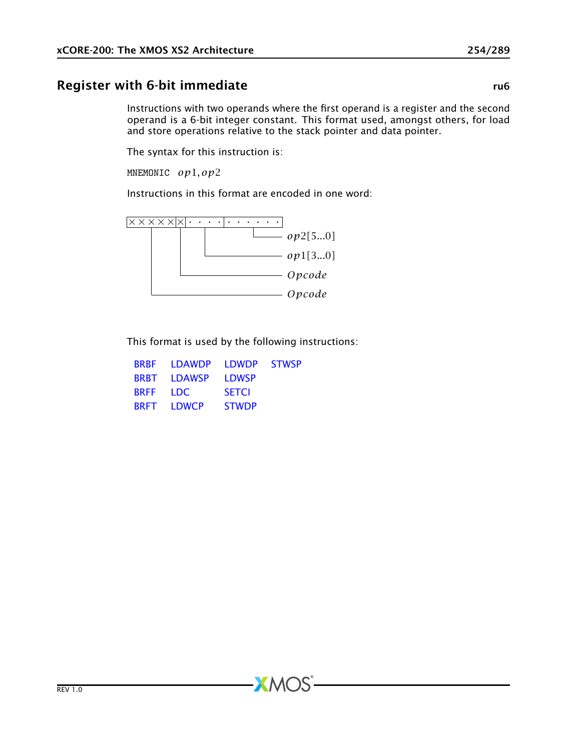## Register with 6-bit immediate rubber of the rubber of the rubber of the rubber of the rubber of the rubber of the rubber of the rubber of the rubber of the rubber of the rubber of the rubber of the rubber of the rubber of

<span id="page-253-0"></span>Instructions with two operands where the first operand is a register and the second operand is a 6-bit integer constant. This format used, amongst others, for load and store operations relative to the stack pointer and data pointer.

The syntax for this instruction is:

MNEMONIC *op*1*, op*2

Instructions in this format are encoded in one word:



This format is used by the following instructions:

|             | <b>BRBE</b> IDAWDP | <b>IDWDP</b> | <b>STWSP</b> |
|-------------|--------------------|--------------|--------------|
|             | <b>BRBT</b> IDAWSP | <b>LDWSP</b> |              |
| <b>BRFF</b> | <b>IDC</b>         | <b>SETCI</b> |              |
|             | BRFT LDWCP         | <b>STWDP</b> |              |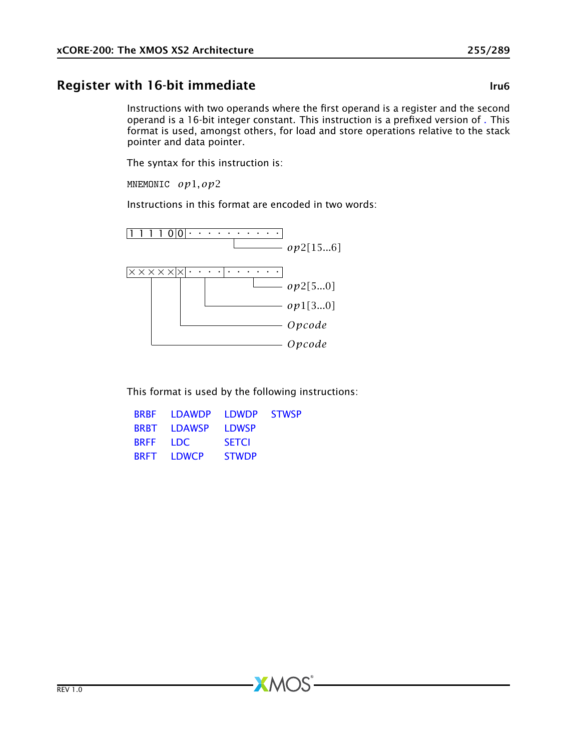# Register with 16-bit immediate late and the late late line lines

Instructions with two operands where the first operand is a register and the second operand is a 16-bit integer constant. This instruction is a prefixed version of [.](#page-253-0) This format is used, amongst others, for load and store operations relative to the stack pointer and data pointer.

The syntax for this instruction is:

MNEMONIC *op*1*, op*2

Instructions in this format are encoded in two words:



This format is used by the following instructions:

| <b>BRBF</b>     | <b>IDAWDP</b>      | <b>IDWDP</b> | <b>STWSP</b> |
|-----------------|--------------------|--------------|--------------|
|                 | <b>BRBT</b> LDAWSP | <b>LDWSP</b> |              |
| <b>BREE IDC</b> |                    | <b>SETCI</b> |              |
|                 | <b>BRFT LDWCP</b>  | <b>STWDP</b> |              |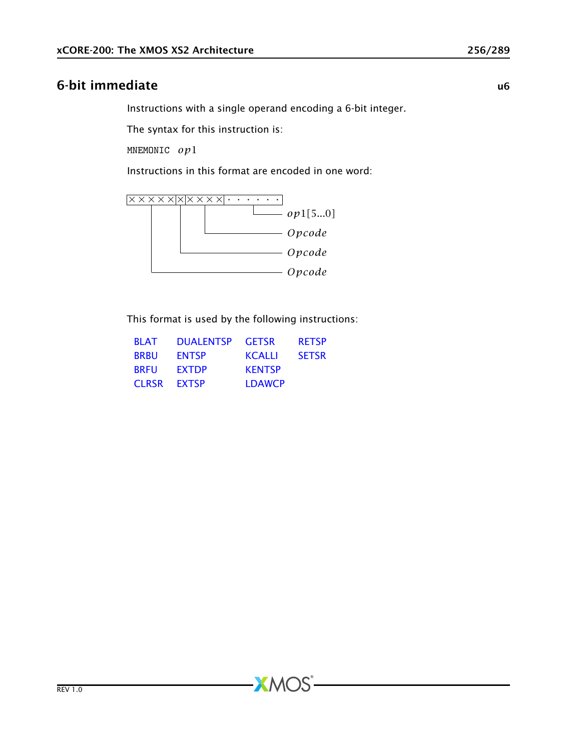# 6-bit immediate u6

<span id="page-255-0"></span>Instructions with a single operand encoding a 6-bit integer.

The syntax for this instruction is:

MNEMONIC *op*1

Instructions in this format are encoded in one word:



This format is used by the following instructions:

| <b>BLAT</b>  | <b>DUALENTSP</b> | <b>GETSR</b>  | <b>RETSP</b> |
|--------------|------------------|---------------|--------------|
| <b>BRBU</b>  | <b>ENTSP</b>     | <b>KCALLI</b> | <b>SETSR</b> |
| <b>BRFU</b>  | <b>FXTDP</b>     | <b>KENTSP</b> |              |
| <b>CLRSR</b> | <b>FXTSP</b>     | <b>LDAWCP</b> |              |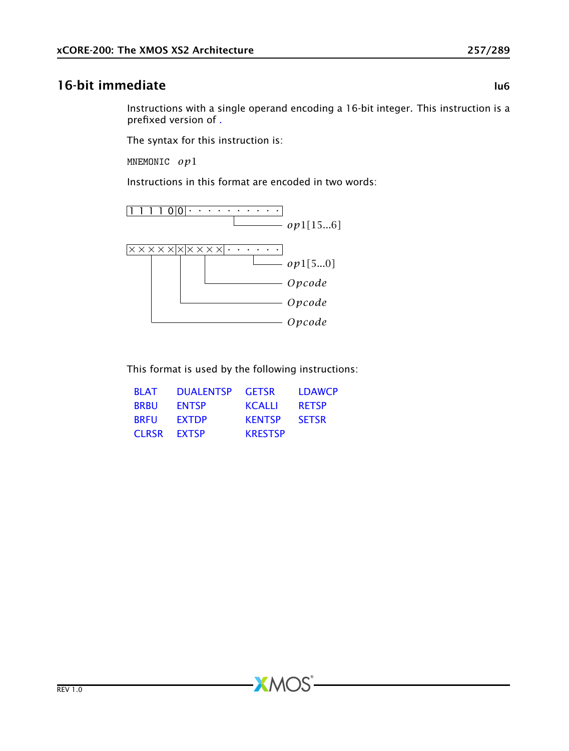#### 16-bit immediate lu6

Instructions with a single operand encoding a 16-bit integer. This instruction is a prefixed version of [.](#page-255-0)

The syntax for this instruction is:

MNEMONIC *op*1

Instructions in this format are encoded in two words:



This format is used by the following instructions:

| <b>BI AT</b> | <b>DUALENTSP</b> | <b>GETSR</b>   | <b>LDAWCP</b> |
|--------------|------------------|----------------|---------------|
| <b>BRBU</b>  | <b>ENTSP</b>     | KCALLI         | <b>RETSP</b>  |
| <b>BRFU</b>  | <b>FXTDP</b>     | <b>KENTSP</b>  | <b>SETSR</b>  |
| <b>CLRSR</b> | <b>FXTSP</b>     | <b>KRESTSP</b> |               |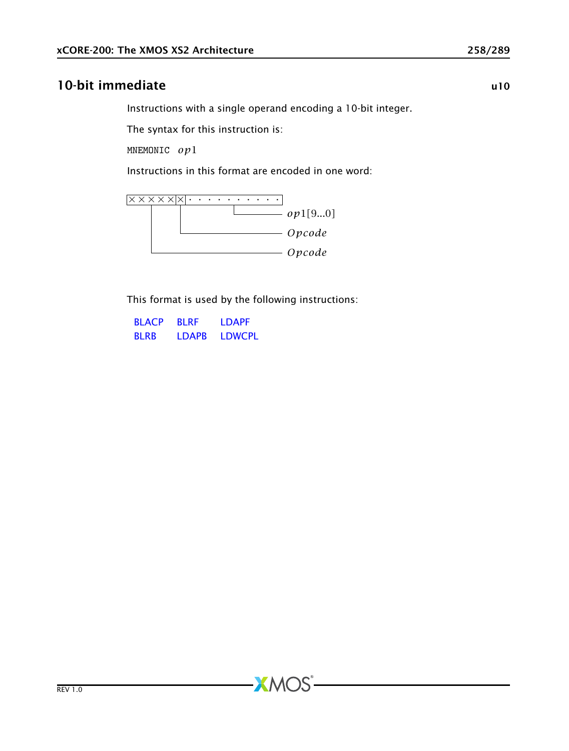# 10-bit immediate under the state under the state under the under the under the under the under the under the u

<span id="page-257-0"></span>Instructions with a single operand encoding a 10-bit integer.

The syntax for this instruction is:

MNEMONIC *op*1

Instructions in this format are encoded in one word:



This format is used by the following instructions:

| <b>BLACP</b> | <b>BI RF</b> | <b>IDAPF</b>  |
|--------------|--------------|---------------|
| <b>BIRB</b>  | <b>IDAPR</b> | <b>LDWCPL</b> |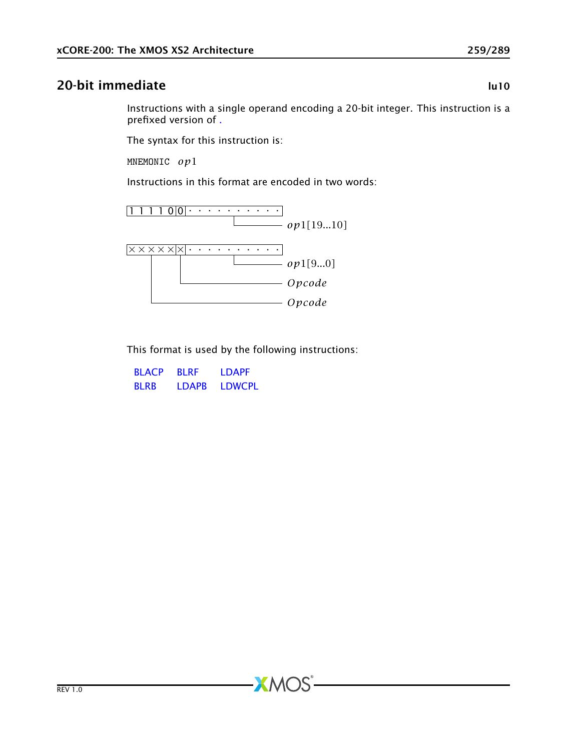#### 20-bit immediate lu10

Instructions with a single operand encoding a 20-bit integer. This instruction is a prefixed version of [.](#page-257-0)

The syntax for this instruction is:

MNEMONIC *op*1

Instructions in this format are encoded in two words:



This format is used by the following instructions:

| <b>BLACP</b> | <b>BI RF</b> | <b>IDAPF</b>  |
|--------------|--------------|---------------|
| <b>BI RB</b> | <b>IDAPR</b> | <b>LDWCPL</b> |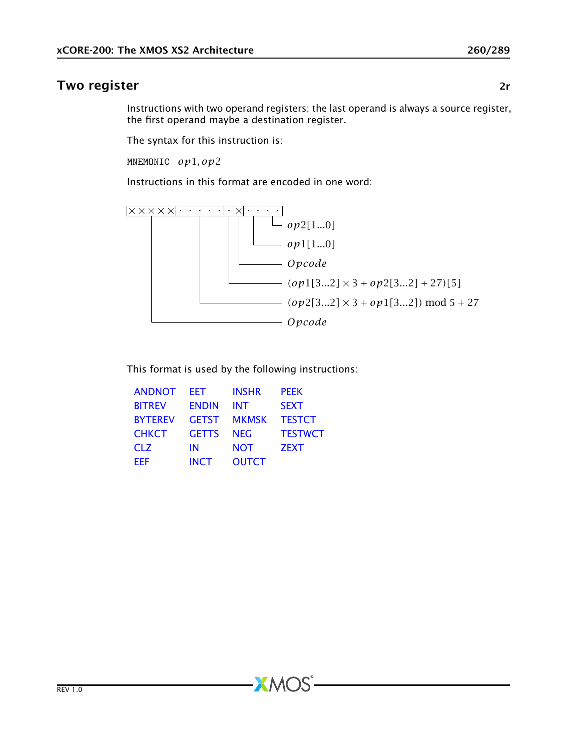### Two register and the contract of the contract of the contract of the contract of the contract of the contract of the contract of the contract of the contract of the contract of the contract of the contract of the contract

Instructions with two operand registers; the last operand is always a source register, the first operand maybe a destination register.

The syntax for this instruction is:

MNEMONIC *op*1*, op*2

Instructions in this format are encoded in one word:



This format is used by the following instructions:

 $X$ M $(S)$ 

| <b>ANDNOT</b>  | FFT          | <b>INSHR</b> | <b>PEEK</b>    |
|----------------|--------------|--------------|----------------|
| <b>BITREV</b>  | <b>ENDIN</b> | <b>INT</b>   | <b>SEXT</b>    |
| <b>BYTEREV</b> | <b>GETST</b> | <b>MKMSK</b> | <b>TESTCT</b>  |
| <b>CHKCT</b>   | <b>GETTS</b> | <b>NEG</b>   | <b>TESTWCT</b> |
| <b>CLZ</b>     | ΙN           | <b>NOT</b>   | <b>ZEXT</b>    |
| <b>FFF</b>     | <b>INCT</b>  | <b>OUTCT</b> |                |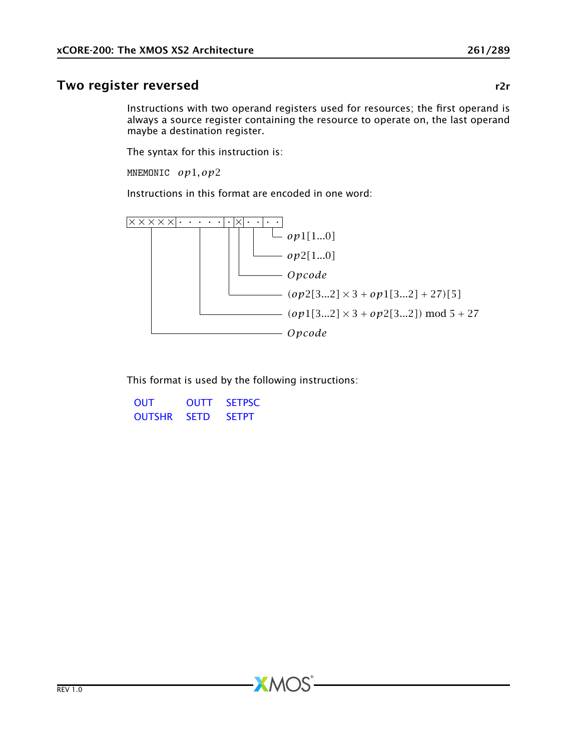#### Two register reversed r2r and the state of the state rate of the state rate of the state rate of the state rate of the state rate of the state rate of the state rate of the state rate of the state rate of the state rate of

Instructions with two operand registers used for resources; the first operand is always a source register containing the resource to operate on, the last operand maybe a destination register.

The syntax for this instruction is:

MNEMONIC *op*1*, op*2

Instructions in this format are encoded in one word:



This format is used by the following instructions:

 $AMOS$ 

[OUT](#page-174-0) [OUTT](#page-180-0) [SETPSC](#page-198-0) [OUTSHR](#page-179-0) [SETD](#page-192-0) [SETPT](#page-199-0)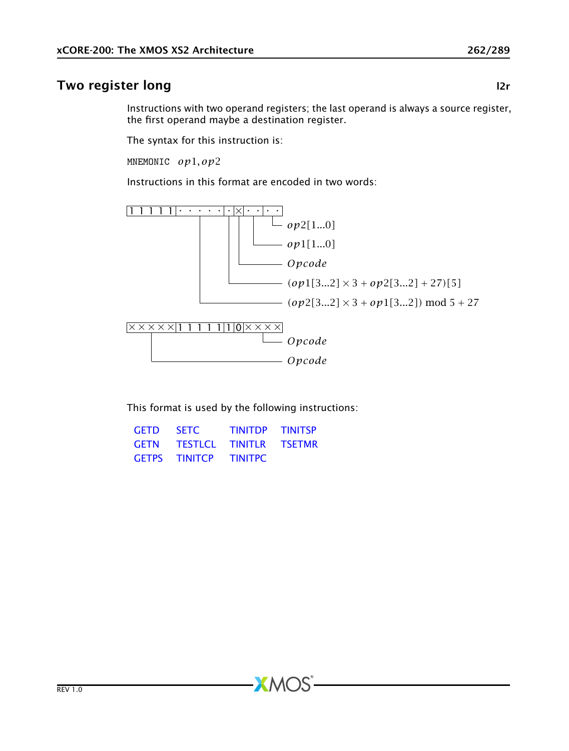# Two register long and a state of the state of the state of the state of the state of the state of the state of the state of the state of the state of the state of the state of the state of the state of the state of the sta

Instructions with two operand registers; the last operand is always a source register, the first operand maybe a destination register.

The syntax for this instruction is:

MNEMONIC *op*1*, op*2

Instructions in this format are encoded in two words:



This format is used by the following instructions:

 $AMOS$ 

| <b>GETD</b> | <b>SETC</b>            | <b>TINITDP TINITSP</b> |  |
|-------------|------------------------|------------------------|--|
| <b>GETN</b> | TESTLCL TINITLR TSETMR |                        |  |
|             | <b>GETPS TINITCP</b>   | <b>TINITPC</b>         |  |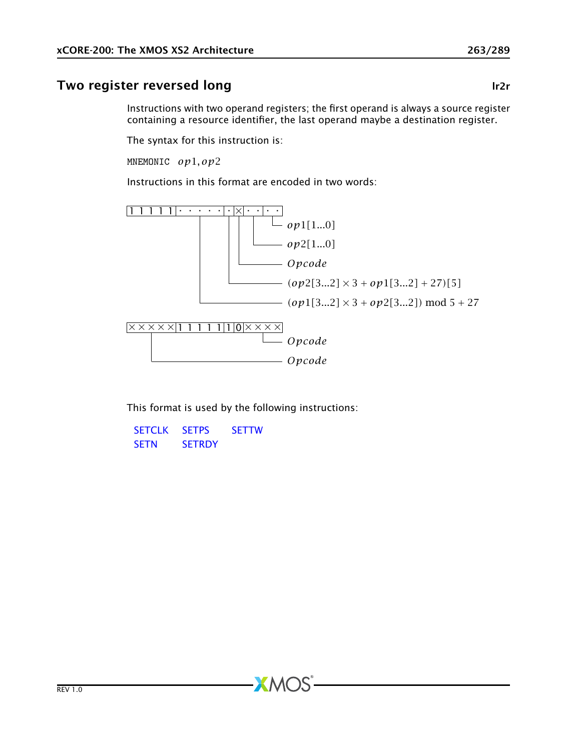## Two register reversed long and the state of the latest state of the latest state of the latest state of the latest state of the latest state of the latest state of the latest state of the latest state of the latest state o

Instructions with two operand registers; the first operand is always a source register containing a resource identifier, the last operand maybe a destination register.

The syntax for this instruction is:

MNEMONIC *op*1*, op*2

Instructions in this format are encoded in two words:



This format is used by the following instructions:

 $X$ M $(S)$ 

[SETCLK](#page-190-0) [SETPS](#page-197-0) [SETTW](#page-203-0) [SETN](#page-196-0) [SETRDY](#page-200-0)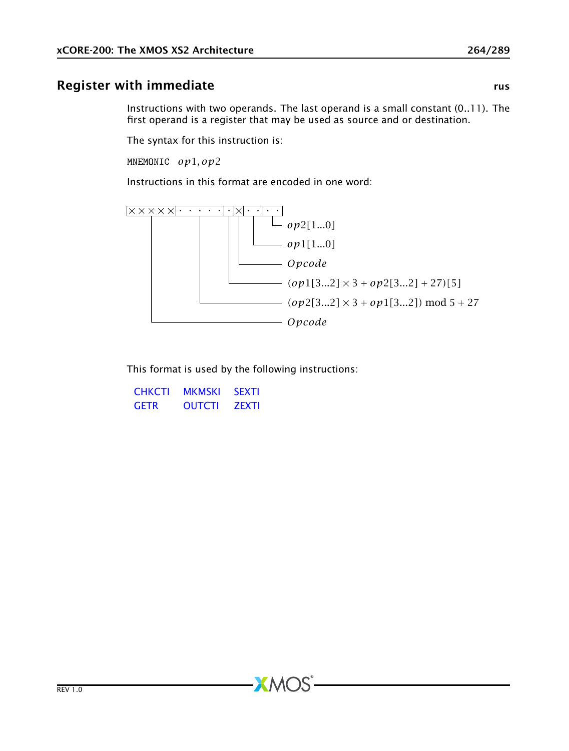## Register with immediate rushing the control of the control of the control of the control of the control of the control of the control of the control of the control of the control of the control of the control of the contro

Instructions with two operands. The last operand is a small constant (0..11). The first operand is a register that may be used as source and or destination.

The syntax for this instruction is:

MNEMONIC *op*1*, op*2

Instructions in this format are encoded in one word:



This format is used by the following instructions:

 $X$ M $(S)$ 

| <b>CHKCTI</b> | <b>MKMSKI</b> | <b>SEXTI</b> |
|---------------|---------------|--------------|
| <b>GFTR</b>   | <b>OUTCTI</b> | <b>ZFXTI</b> |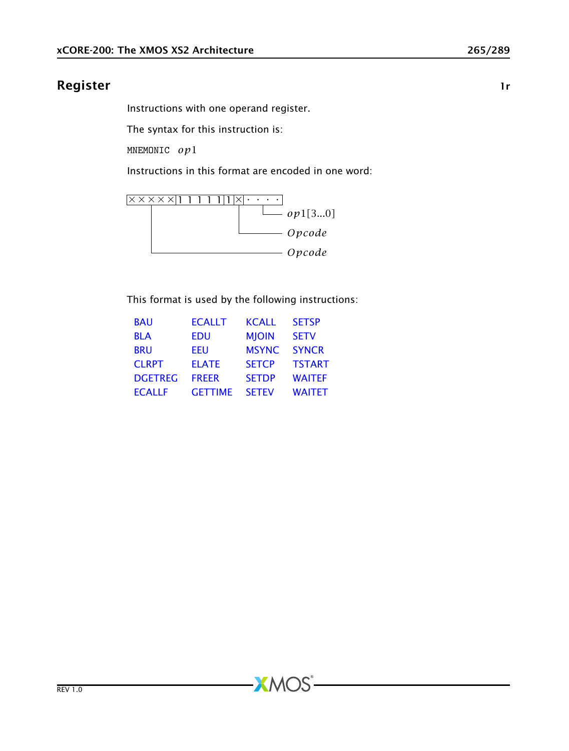#### Register 1888 and 2008 and 2008 and 2008 and 2008 and 2008 and 2008 and 2008 and 2008 and 2008 and 2008 and 20

Instructions with one operand register.

The syntax for this instruction is:

MNEMONIC *op*1

Instructions in this format are encoded in one word:



This format is used by the following instructions:

| <b>BAU</b>     | <b>ECALLT</b>  | <b>KCALL</b> | <b>SETSP</b>  |
|----------------|----------------|--------------|---------------|
| <b>BLA</b>     | EDU            | <b>MIOIN</b> | <b>SETV</b>   |
| <b>BRU</b>     | EEU            | <b>MSYNC</b> | <b>SYNCR</b>  |
| <b>CLRPT</b>   | <b>ELATE</b>   | <b>SETCP</b> | <b>TSTART</b> |
| <b>DGETREG</b> | <b>FREER</b>   | <b>SETDP</b> | <b>WAITEF</b> |
| <b>ECALLF</b>  | <b>GETTIME</b> | <b>SETEV</b> | <b>WAITET</b> |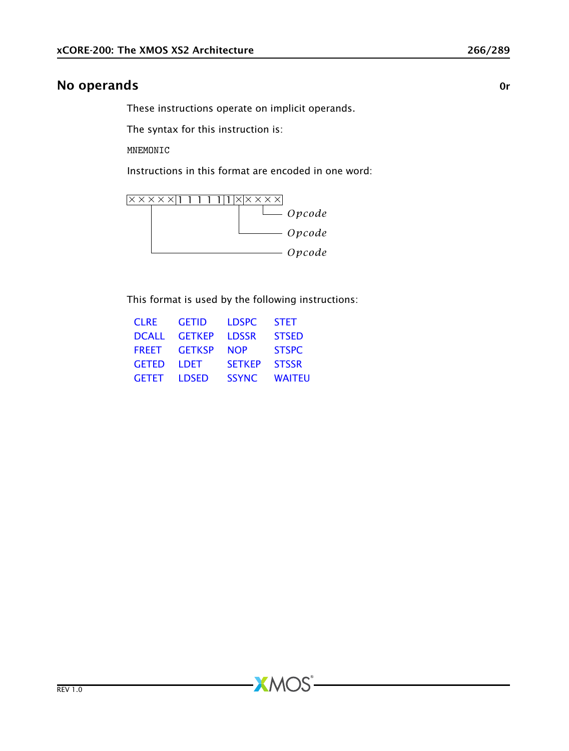#### No operands or the contract of the contract of the contract of the contract of the contract of the contract of the contract of the contract of the contract of the contract of the contract of the contract of the contract of

These instructions operate on implicit operands.

The syntax for this instruction is:

MNEMONIC

Instructions in this format are encoded in one word:



This format is used by the following instructions:

| <b>CLRE</b>  | <b>GETID</b>  | <b>LDSPC</b>  | <b>STET</b>   |
|--------------|---------------|---------------|---------------|
| <b>DCALL</b> | <b>GFTKFP</b> | <b>LDSSR</b>  | <b>STSED</b>  |
| <b>FRFFT</b> | <b>GETKSP</b> | <b>NOP</b>    | <b>STSPC</b>  |
| <b>GETED</b> | I DFT.        | <b>SFTKFP</b> | <b>STSSR</b>  |
| <b>GETET</b> | <b>LDSED</b>  | <b>SSYNC</b>  | <b>WAITEU</b> |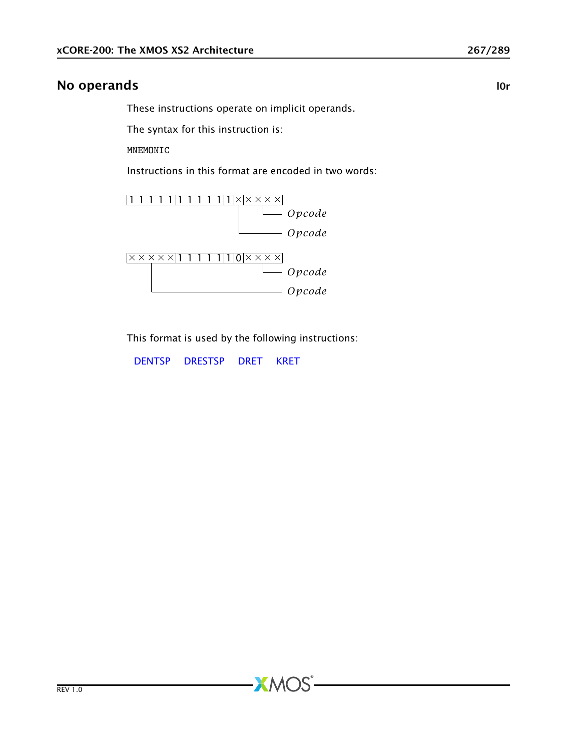#### No operands and a local contract of the contract of the contract of the contract of the contract of the contract of the contract of the contract of the contract of the contract of the contract of the contract of the contra

These instructions operate on implicit operands.

The syntax for this instruction is:

MNEMONIC

Instructions in this format are encoded in two words:



This format is used by the following instructions:

 $X$ M $(S)$ 

[DENTSP](#page-82-0) [DRESTSP](#page-86-0) [DRET](#page-87-0) [KRET](#page-127-0)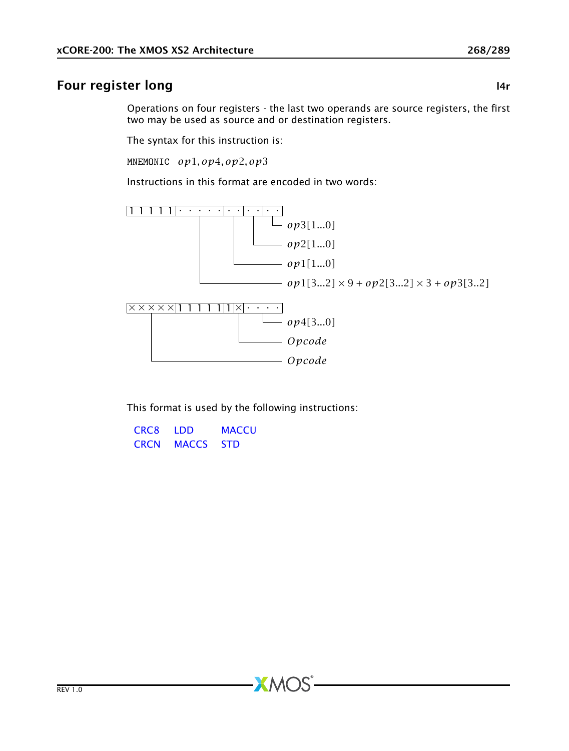## Four register long and the state of the state of the state of the state of the state of the state of the state

Operations on four registers - the last two operands are source registers, the first two may be used as source and or destination registers.

The syntax for this instruction is:

MNEMONIC *op*1*, op*4*, op*2*, op*3

Instructions in this format are encoded in two words:



This format is used by the following instructions:

 $AMOS$ 

| CRC <sub>8</sub> | I DD         | <b>MACCU</b> |
|------------------|--------------|--------------|
| <b>CRCN</b>      | <b>MACCS</b> | <b>STD</b>   |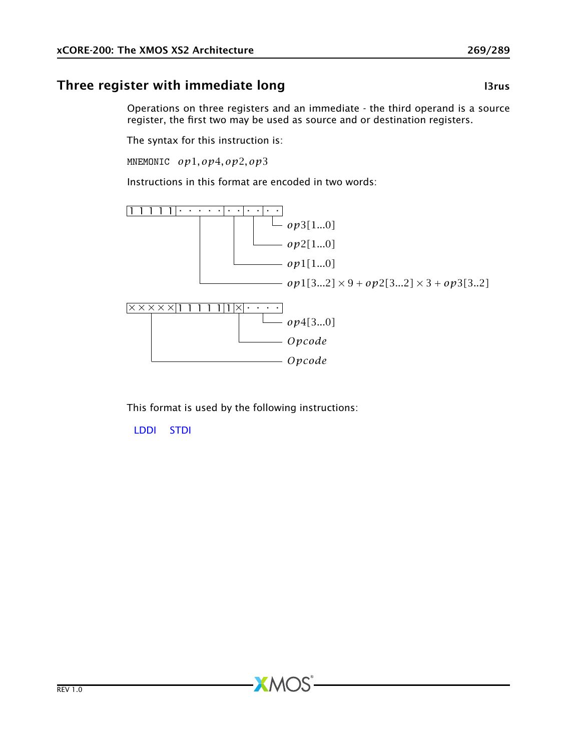# Three register with immediate long and the control of the l3rus l3rus

Operations on three registers and an immediate - the third operand is a source register, the first two may be used as source and or destination registers.

The syntax for this instruction is:

MNEMONIC *op*1*, op*4*, op*2*, op*3

Instructions in this format are encoded in two words:



This format is used by the following instructions:

 $AMOS$ 

[LDDI](#page-144-0) [STDI](#page-215-0)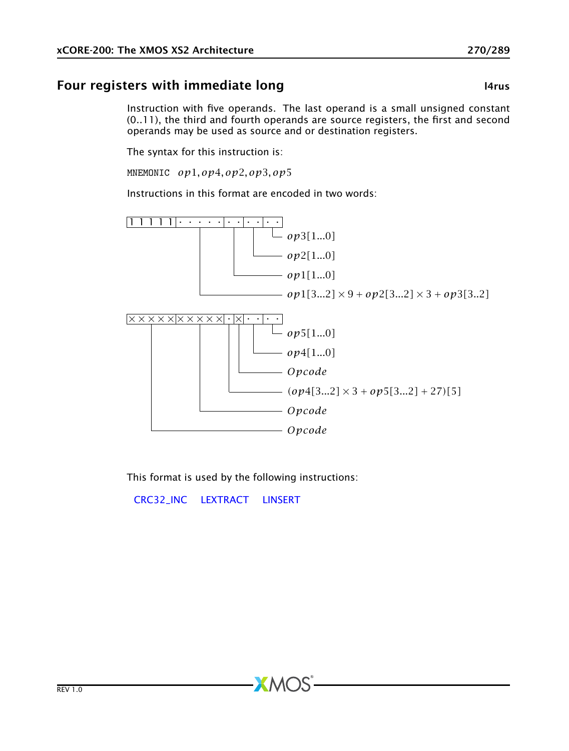## Four registers with immediate long and the control of the large large

Instruction with five operands. The last operand is a small unsigned constant (0..11), the third and fourth operands are source registers, the first and second operands may be used as source and or destination registers.

The syntax for this instruction is:

MNEMONIC *op*1*, op*4*, op*2*, op*3*, op*5

Instructions in this format are encoded in two words:



This format is used by the following instructions:

 $X$ M $(S)$ 

[CRC32\\_INC](#page-79-0) [LEXTRACT](#page-157-0) [LINSERT](#page-158-0)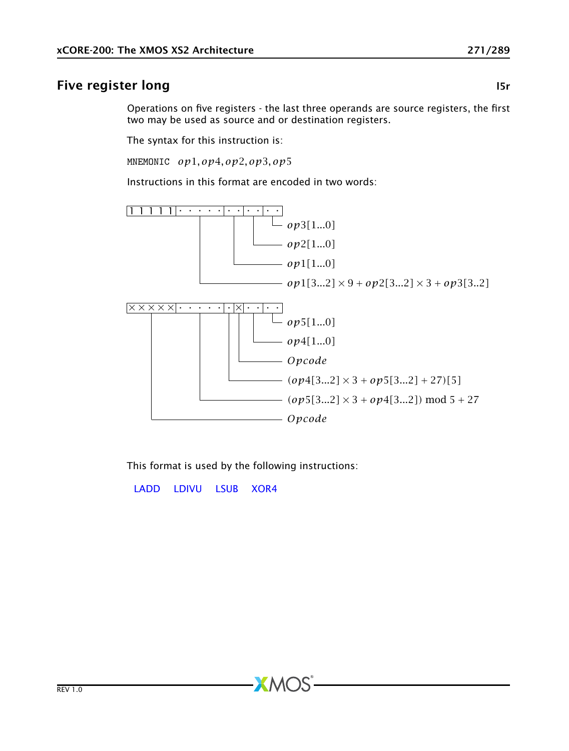## Five register long and the state of the state of the state of the state of the state of the state of the state of the state of the state of the state of the state of the state of the state of the state of the state of the

Operations on five registers - the last three operands are source registers, the first two may be used as source and or destination registers.

The syntax for this instruction is:

MNEMONIC *op*1*, op*4*, op*2*, op*3*, op*5

Instructions in this format are encoded in two words:



This format is used by the following instructions:

 $X$ M $(S)$ 

[LADD](#page-128-0) [LDIVU](#page-147-0) [LSUB](#page-162-0) [XOR4](#page-244-0)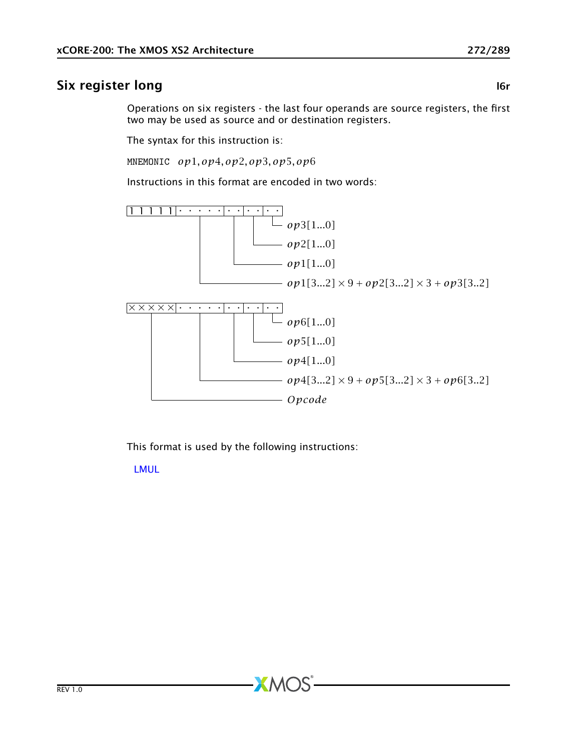## Six register long and the state of the state of the state of the state of the state of the state of the state o

Operations on six registers - the last four operands are source registers, the first two may be used as source and or destination registers.

The syntax for this instruction is:

MNEMONIC *op*1*, op*4*, op*2*, op*3*, op*5*, op*6

Instructions in this format are encoded in two words:



This format is used by the following instructions:

 $AMOS$ 

[LMUL](#page-159-0)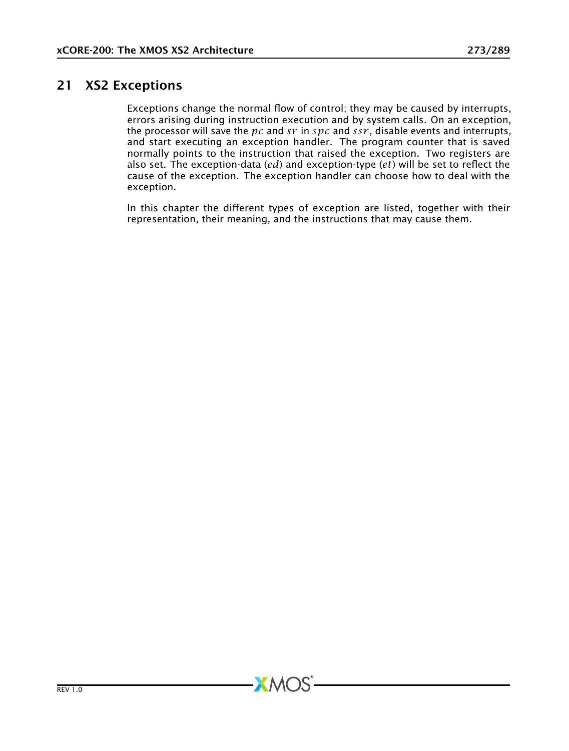## 21 XS2 Exceptions

Exceptions change the normal flow of control; they may be caused by interrupts, errors arising during instruction execution and by system calls. On an exception, the processor will save the *pc* and *sr* in *spc* and *ssr* , disable events and interrupts, and start executing an exception handler. The program counter that is saved normally points to the instruction that raised the exception. Two registers are also set. The exception-data (*ed*) and exception-type (*et*) will be set to reflect the cause of the exception. The exception handler can choose how to deal with the exception.

In this chapter the different types of exception are listed, together with their representation, their meaning, and the instructions that may cause them.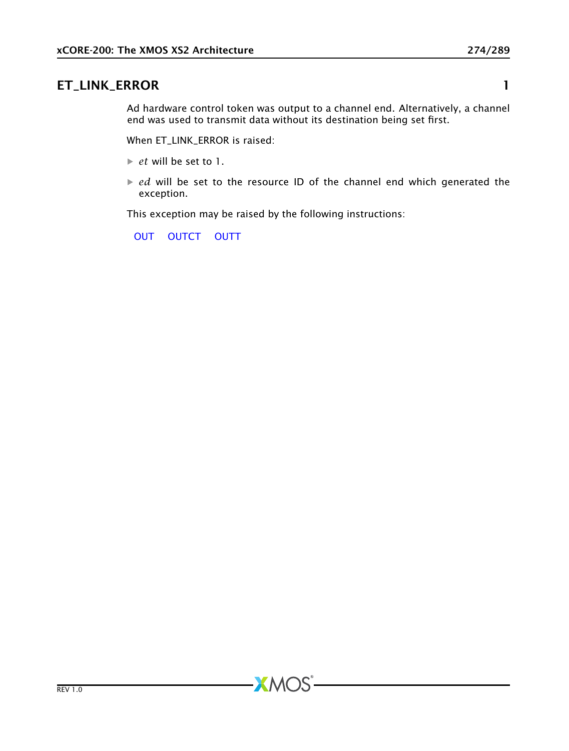## ET\_LINK\_ERROR 1

Ad hardware control token was output to a channel end. Alternatively, a channel end was used to transmit data without its destination being set first.

When ET\_LINK\_ERROR is raised:

- · *et* will be set to 1.
- *ed* will be set to the resource ID of the channel end which generated the exception.

This exception may be raised by the following instructions:

 $-MOS$ 

[OUT](#page-174-0) [OUTCT](#page-175-0) [OUTT](#page-180-0)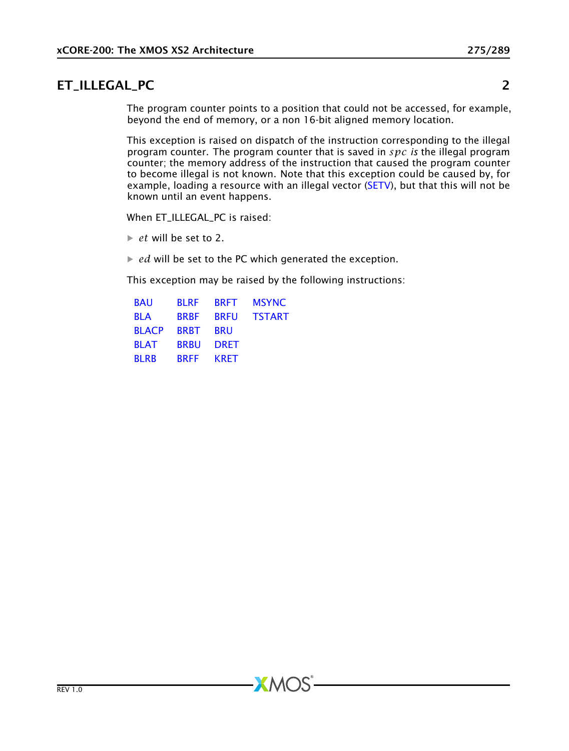## ET\_ILLEGAL\_PC 2

The program counter points to a position that could not be accessed, for example, beyond the end of memory, or a non 16-bit aligned memory location.

This exception is raised on dispatch of the instruction corresponding to the illegal program counter. The program counter that is saved in *spc is* the illegal program counter; the memory address of the instruction that caused the program counter to become illegal is not known. Note that this exception could be caused by, for example, loading a resource with an illegal vector [\(SETV\)](#page-204-0), but that this will not be known until an event happens.

When ET\_ILLEGAL\_PC is raised:

 $\blacktriangleright$  *et* will be set to 2.

 $\blacktriangleright$  *ed* will be set to the PC which generated the exception.

This exception may be raised by the following instructions:

| <b>BAU</b>   | <b>BI RF</b> | <b>BRFT</b> | <b>MSYNC</b>  |
|--------------|--------------|-------------|---------------|
| <b>BLA</b>   | <b>BRBF</b>  | <b>BRFU</b> | <b>TSTART</b> |
| <b>BLACP</b> | <b>BRBT</b>  | <b>BRU</b>  |               |
| <b>BLAT</b>  | <b>BRBU</b>  | <b>DRET</b> |               |
| <b>BLRB</b>  | <b>BRFF</b>  | <b>KRFT</b> |               |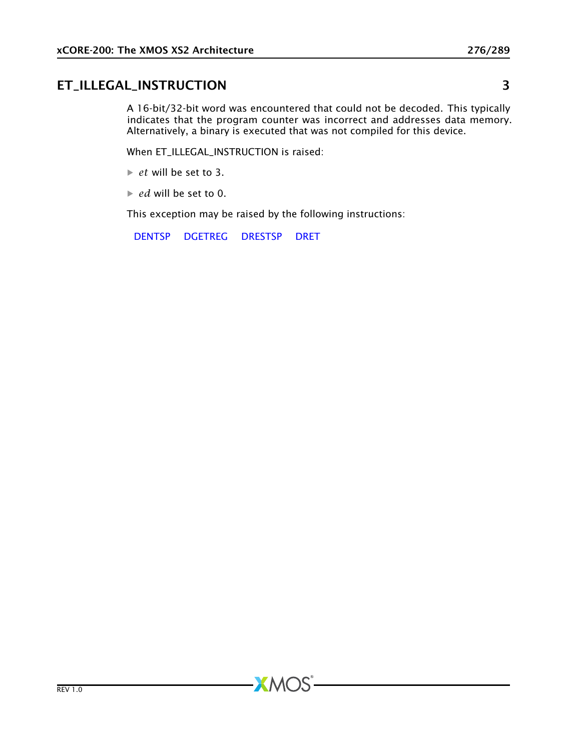## ET\_ILLEGAL\_INSTRUCTION 3

A 16-bit/32-bit word was encountered that could not be decoded. This typically indicates that the program counter was incorrect and addresses data memory. Alternatively, a binary is executed that was not compiled for this device.

When ET\_ILLEGAL\_INSTRUCTION is raised:

- · *et* will be set to 3.
- · *ed* will be set to 0.

This exception may be raised by the following instructions:

**XMOS** 

[DENTSP](#page-82-0) [DGETREG](#page-83-0) [DRESTSP](#page-86-0) [DRET](#page-87-0)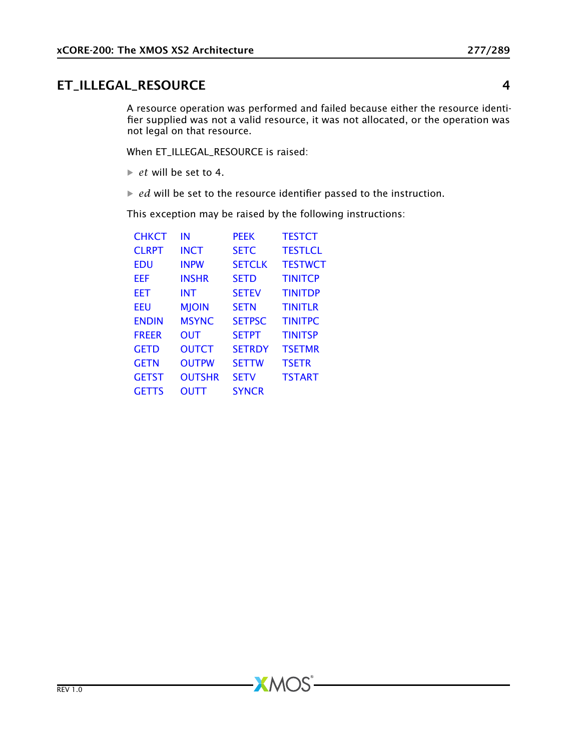## ET\_ILLEGAL\_RESOURCE 4

A resource operation was performed and failed because either the resource identifier supplied was not a valid resource, it was not allocated, or the operation was not legal on that resource.

When ET\_ILLEGAL\_RESOURCE is raised:

- $\triangleright$  *et* will be set to 4.
- $\blacktriangleright$  *ed* will be set to the resource identifier passed to the instruction.

**XMOS** 

This exception may be raised by the following instructions:

| СНКСТ        | ΙN            | <b>PEEK</b>   | <b>TESTCT</b>  |
|--------------|---------------|---------------|----------------|
| <b>CIRPT</b> | <b>INCT</b>   | <b>SETC</b>   | <b>TESTLCL</b> |
| FDU          | <b>INPW</b>   | <b>SFTCIK</b> | <b>TESTWCT</b> |
| FFF          | <b>INSHR</b>  | <b>SETD</b>   | <b>TINITCP</b> |
| EET          | <b>INT</b>    | <b>SETEV</b>  | <b>TINITDP</b> |
| EEU          | <b>MJOIN</b>  | <b>SETN</b>   | <b>TINITLR</b> |
| <b>ENDIN</b> | <b>MSYNC</b>  | <b>SETPSC</b> | <b>TINITPC</b> |
| <b>FREER</b> | <b>OUT</b>    | <b>SETPT</b>  | <b>TINITSP</b> |
| <b>GETD</b>  | <b>OUTCT</b>  | <b>SETRDY</b> | <b>TSETMR</b>  |
| <b>GETN</b>  | <b>OUTPW</b>  | <b>SFTTW</b>  | <b>TSETR</b>   |
| <b>GETST</b> | <b>OUTSHR</b> | <b>SFTV</b>   | <b>TSTART</b>  |
| <b>GETTS</b> | <b>OUTT</b>   | <b>SYNCR</b>  |                |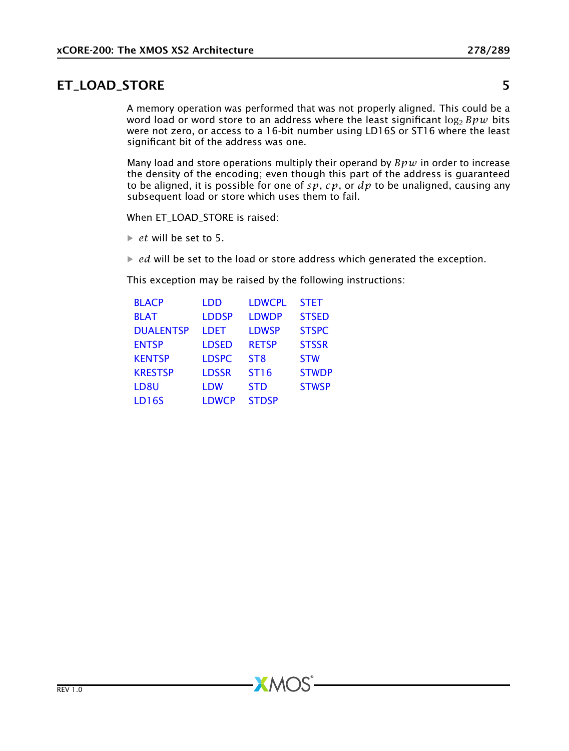#### ET\_LOAD\_STORE 5

A memory operation was performed that was not properly aligned. This could be a word load or word store to an address where the least significant  $\log_2 Bpw$  bits were not zero, or access to a 16-bit number using LD16S or ST16 where the least significant bit of the address was one.

Many load and store operations multiply their operand by *Bpw* in order to increase the density of the encoding; even though this part of the address is guaranteed to be aligned, it is possible for one of *sp*, *cp*, or *dp* to be unaligned, causing any subsequent load or store which uses them to fail.

When ET\_LOAD\_STORE is raised:

 $\triangleright$  *et* will be set to 5.

 $\blacktriangleright$  *ed* will be set to the load or store address which generated the exception.

This exception may be raised by the following instructions:

| <b>BLACP</b>     | LDD          | <b>LDWCPL</b>   | <b>STET</b>  |
|------------------|--------------|-----------------|--------------|
| <b>BLAT</b>      | <b>LDDSP</b> | <b>LDWDP</b>    | <b>STSED</b> |
| <b>DUALENTSP</b> | <b>LDET</b>  | <b>LDWSP</b>    | <b>STSPC</b> |
| <b>ENTSP</b>     | <b>LDSED</b> | <b>RETSP</b>    | <b>STSSR</b> |
| <b>KENTSP</b>    | <b>LDSPC</b> | ST <sub>8</sub> | <b>STW</b>   |
| <b>KRESTSP</b>   | <b>LDSSR</b> | <b>ST16</b>     | <b>STWDP</b> |
| LD8U             | <b>LDW</b>   | <b>STD</b>      | <b>STWSP</b> |
| <b>LD16S</b>     | <b>LDWCP</b> | <b>STDSP</b>    |              |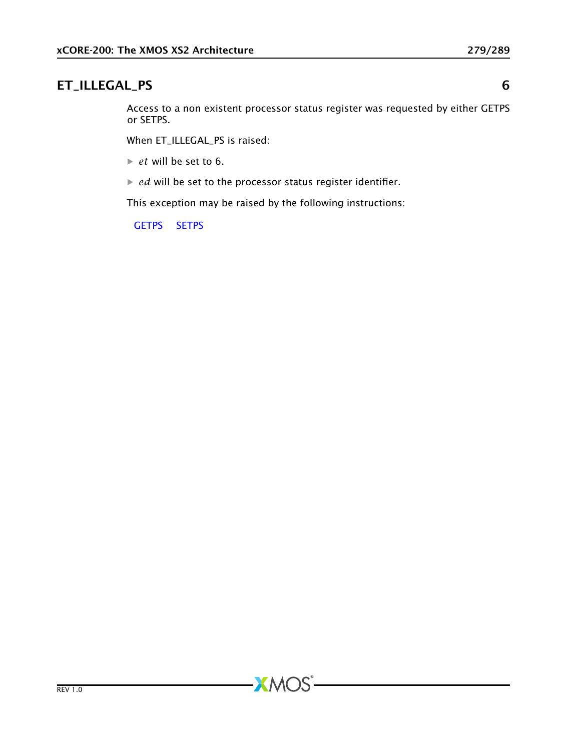#### ET\_ILLEGAL\_PS 6

Access to a non existent processor status register was requested by either GETPS or SETPS.

When ET\_ILLEGAL\_PS is raised:

· *et* will be set to 6.

· *ed* will be set to the processor status register identifier.

This exception may be raised by the following instructions:

[GETPS](#page-111-0) [SETPS](#page-197-0)

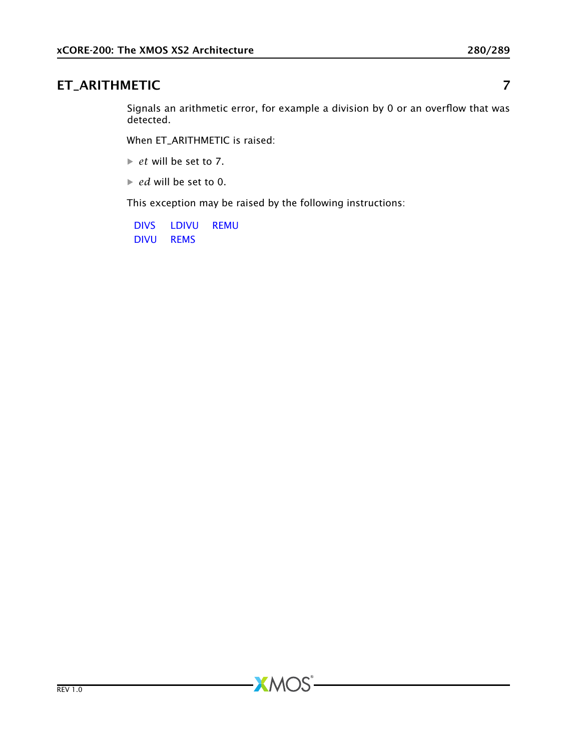# ET\_ARITHMETIC 7

Signals an arithmetic error, for example a division by 0 or an overflow that was detected.

When ET\_ARITHMETIC is raised:

· *et* will be set to 7.

· *ed* will be set to 0.

This exception may be raised by the following instructions:

[DIVS](#page-84-0) [LDIVU](#page-147-0) [REMU](#page-183-0) [DIVU](#page-85-0) [REMS](#page-182-0)

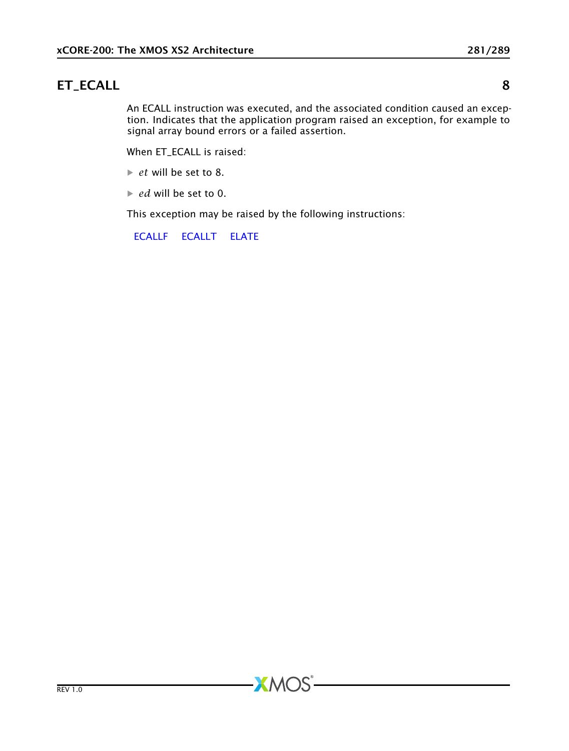# ET\_ECALL 8

An ECALL instruction was executed, and the associated condition caused an exception. Indicates that the application program raised an exception, for example to signal array bound errors or a failed assertion.

When ET\_ECALL is raised:

- · *et* will be set to 8.
- · *ed* will be set to 0.

This exception may be raised by the following instructions:

**XMOS** 

[ECALLF](#page-89-0) [ECALLT](#page-90-0) [ELATE](#page-95-0)

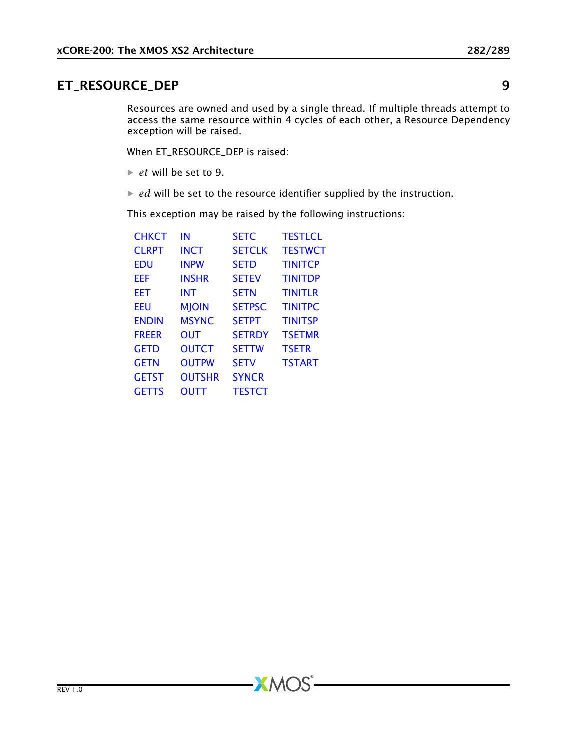## ET\_RESOURCE\_DEP 9

Resources are owned and used by a single thread. If multiple threads attempt to access the same resource within 4 cycles of each other, a Resource Dependency exception will be raised.

When ET\_RESOURCE\_DEP is raised:

- · *et* will be set to 9.
- $\blacktriangleright$  *ed* will be set to the resource identifier supplied by the instruction.

**XMOS** 

This exception may be raised by the following instructions:

| СНКСТ         | ΙN            | <b>SETC</b>   | <b>TESTI CL</b> |
|---------------|---------------|---------------|-----------------|
| <b>CI RPT</b> | <b>INCT</b>   | <b>SETCLK</b> | <b>TESTWCT</b>  |
| EDU           | <b>INPW</b>   | <b>SETD</b>   | <b>TINITCP</b>  |
| EEF           | <b>INSHR</b>  | <b>SETEV</b>  | <b>TINITDP</b>  |
| EET           | <b>INT</b>    | <b>SETN</b>   | <b>TINITLR</b>  |
| EEU           | <b>MJOIN</b>  | <b>SETPSC</b> | <b>TINITPC</b>  |
| <b>ENDIN</b>  | <b>MSYNC</b>  | <b>SETPT</b>  | <b>TINITSP</b>  |
| <b>FRFFR</b>  | <b>OUT</b>    | <b>SETRDY</b> | <b>TSETMR</b>   |
| <b>GETD</b>   | <b>OUTCT</b>  | <b>SFTTW</b>  | <b>TSETR</b>    |
| GETN          | <b>OUTPW</b>  | <b>SETV</b>   | <b>TSTART</b>   |
| <b>GETST</b>  | <b>OUTSHR</b> | <b>SYNCR</b>  |                 |
| <b>GETTS</b>  | OUTT          | <b>TESTCT</b> |                 |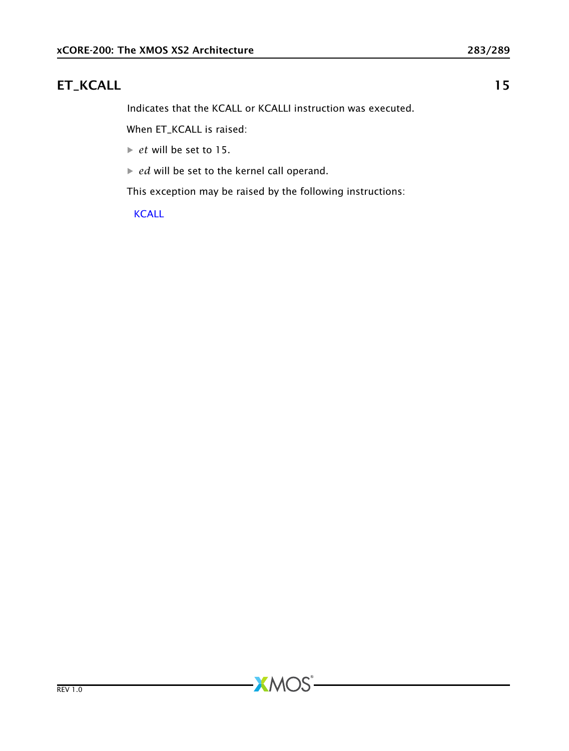# ET\_KCALL 15

Indicates that the KCALL or KCALLI instruction was executed.

When ET\_KCALL is raised:

- · *et* will be set to 15.
- · *ed* will be set to the kernel call operand.

This exception may be raised by the following instructions:

[KCALL](#page-123-0)

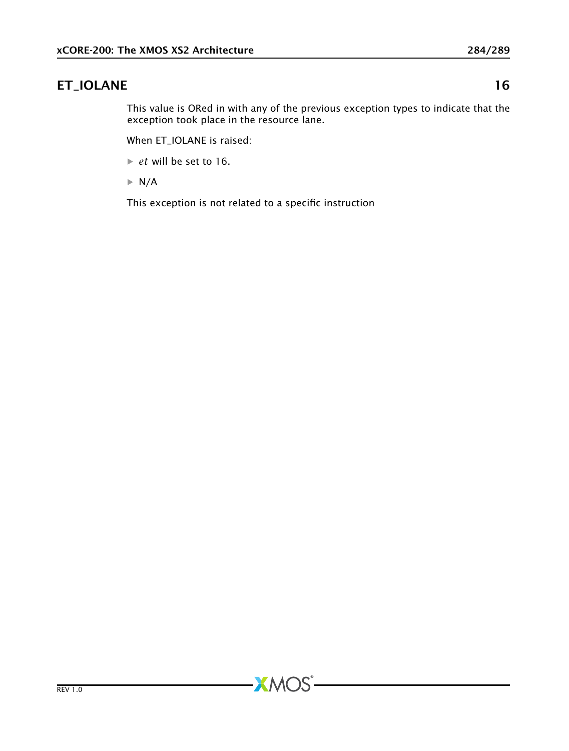# ET\_IOLANE 16

This value is ORed in with any of the previous exception types to indicate that the exception took place in the resource lane.

When ET\_IOLANE is raised:

· *et* will be set to 16.

 $\blacktriangleright$  N/A

This exception is not related to a specific instruction

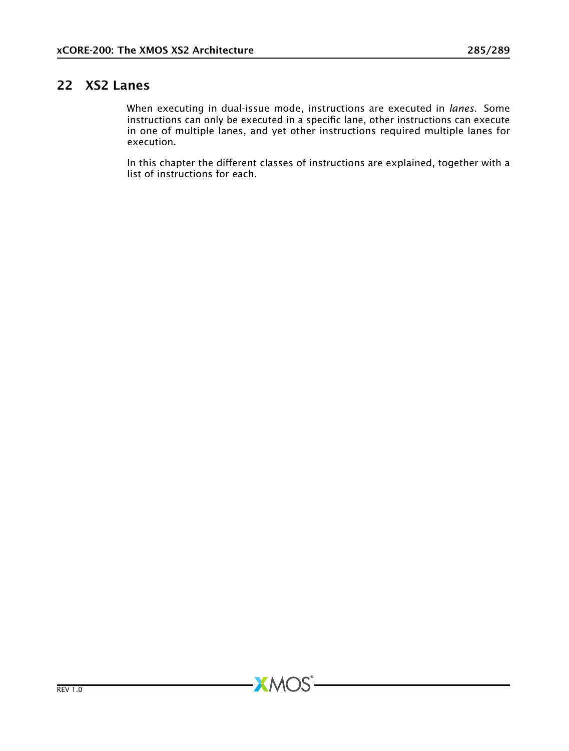# 22 XS2 Lanes

When executing in dual-issue mode, instructions are executed in *lanes*. Some instructions can only be executed in a specific lane, other instructions can execute in one of multiple lanes, and yet other instructions required multiple lanes for execution.

In this chapter the different classes of instructions are explained, together with a list of instructions for each.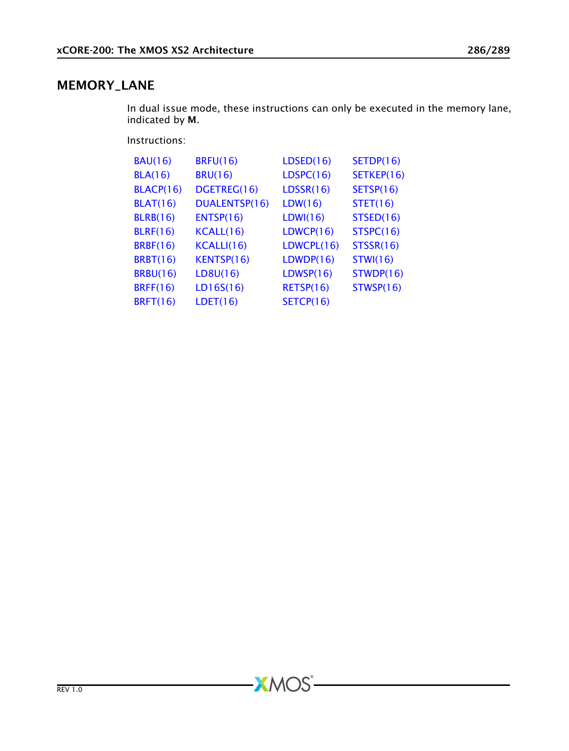## MEMORY\_LANE

In dual issue mode, these instructions can only be executed in the memory lane, indicated by M.

Instructions:

| <b>BAU(16)</b>   | <b>BRFU(16)</b> | LDSED(16)  | SETDP(16)        |
|------------------|-----------------|------------|------------------|
| <b>BLA(16)</b>   | <b>BRU(16)</b>  | LDSPC(16)  | SETKEP(16)       |
| <b>BLACP(16)</b> | DGETREG(16)     | LDSSR(16)  | SETSP(16)        |
| <b>BLAT(16)</b>  | DUALENTSP(16)   | LDW(16)    | STET(16)         |
| <b>BLRB(16)</b>  | ENTSP(16)       | LDWI(16)   | STSED(16)        |
| <b>BLRF(16)</b>  | KCALL(16)       | LDWCP(16)  | STSPC(16)        |
| <b>BRBF(16)</b>  | KCALLI(16)      | LDWCPU(16) | <b>STSSR(16)</b> |
| <b>BRBT(16)</b>  | KENTSP(16)      | LDWDP(16)  | <b>STWI(16)</b>  |
| <b>BRBU(16)</b>  | LD8U(16)        | LDWSP(16)  | STWDP(16)        |
| <b>BRFF(16)</b>  | LD16S(16)       | RETSP(16)  | STWSP(16)        |
| <b>BRFT(16)</b>  | LDET(16)        | SETCP(16)  |                  |

 $-MOS<sup>2</sup>$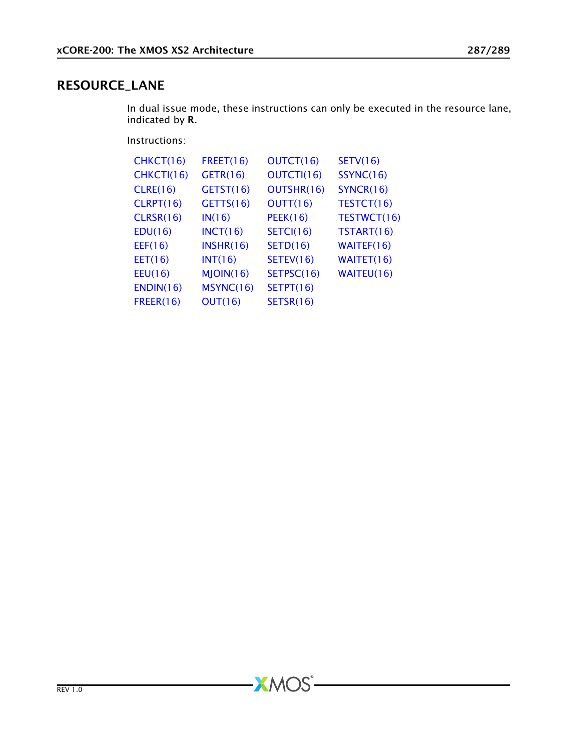#### RESOURCE\_LANE

In dual issue mode, these instructions can only be executed in the resource lane, indicated by R.

Instructions:

| CHKCT(16)        | FREF(16)     | OUTCT(16)        | SETV(16)    |
|------------------|--------------|------------------|-------------|
| CHKCTI(16)       | GETR(16)     | OUTCTI(16)       | SSYNC(16)   |
| <b>CLRE(16)</b>  | GETST(16)    | OUTSHR(16)       | SYNCR(16)   |
| CLRPT(16)        | GETTS(16)    | OUTT(16)         | TESTCT(16)  |
| <b>CLRSR(16)</b> | IN(16)       | <b>PEEK(16)</b>  | TESTWCT(16) |
| EDU(16)          | INCT(16)     | <b>SETCI(16)</b> | TSTART(16)  |
| EEF(16)          | INSHR(16)    | SETD(16)         | WAITEF(16)  |
| EET(16)          | INT(16)      | SETEV(16)        | WAITET(16)  |
| EEU(16)          | $M$ JOIN(16) | SETPSC(16)       | WAITEU(16)  |
| ENDIN(16)        | MSYNC(16)    | SETPT(16)        |             |
| <b>FREER(16)</b> | OUT(16)      | <b>SETSR(16)</b> |             |

 $-MOS$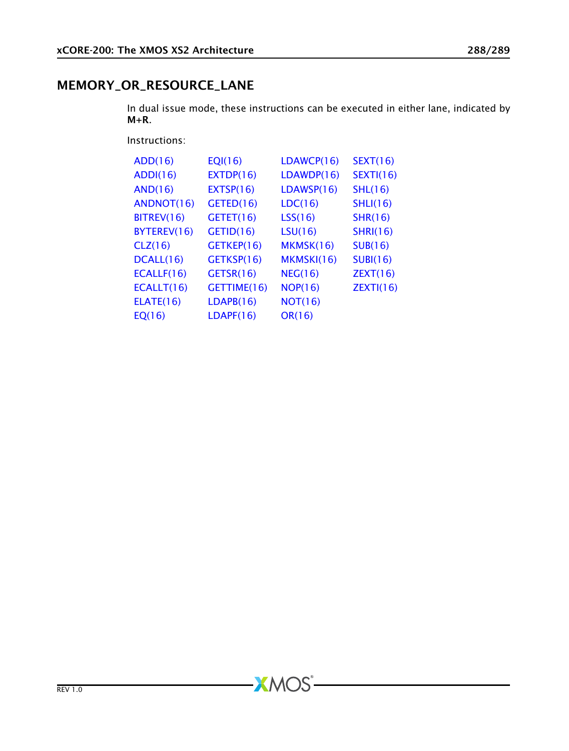## MEMORY\_OR\_RESOURCE\_LANE

In dual issue mode, these instructions can be executed in either lane, indicated by M+R.

Instructions:

| ADD(16)          | EQI(16)     | LDAWCP(16) | SEXT(16)         |
|------------------|-------------|------------|------------------|
| ADDI(16)         | EXTDP(16)   | LDAWDP(16) | <b>SEXTI(16)</b> |
| <b>AND(16)</b>   | EXTSP(16)   | LDAWSP(16) | SHL(16)          |
| ANDNOT(16)       | GETED(16)   | LDC(16)    | SHLI(16)         |
| BITREV(16)       | GETET(16)   | LSS(16)    | SHR(16)          |
| BYTEREV(16)      | GETID(16)   | LSU(16)    | <b>SHRI(16)</b>  |
| CLZ(16)          | GETKEP(16)  | MKMSK(16)  | SUB(16)          |
| DCALL(16)        | GETKSP(16)  | MKMSKI(16) | SUBI(16)         |
| ECALLF(16)       | GETSR(16)   | NEG(16)    | ZEXT(16)         |
| ECALLT(16)       | GETTIME(16) | NOP(16)    | ZEXT(16)         |
| <b>ELATE(16)</b> | LDAPB(16)   | NOT(16)    |                  |
| EQ(16)           | LDAPF(16)   | OR(16)     |                  |